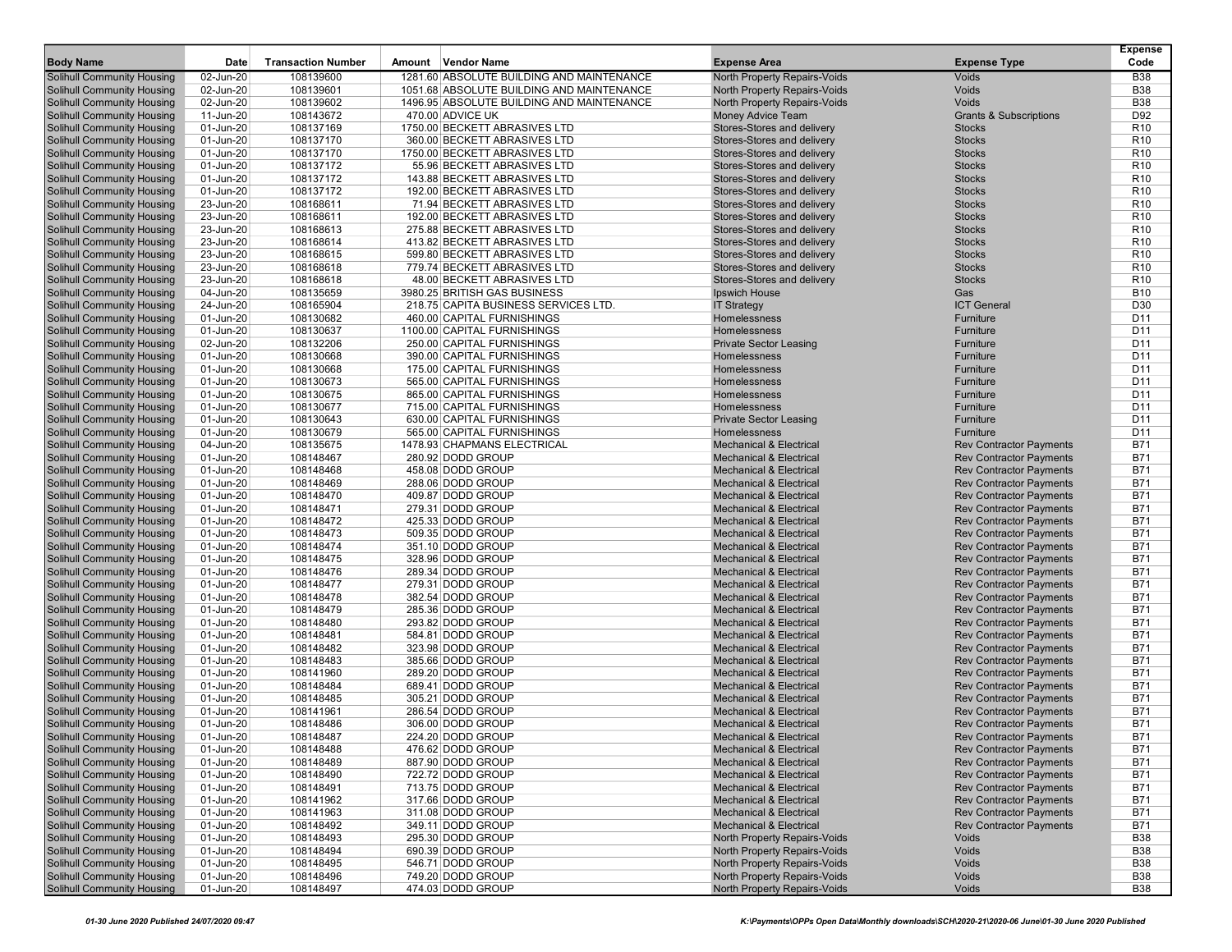| Amount Vendor Name<br>Solihull Community Housing<br>02-Jun-20<br>108139600<br>1281.60 ABSOLUTE BUILDING AND MAINTENANCE<br>North Property Repairs-Voids<br>Voids<br><b>B38</b><br>North Property Repairs-Voids<br>Voids<br><b>B38</b><br>Solihull Community Housing<br>02-Jun-20<br>108139601<br>1051.68 ABSOLUTE BUILDING AND MAINTENANCE<br>108139602<br>1496.95 ABSOLUTE BUILDING AND MAINTENANCE<br>Voids<br><b>B38</b><br>Solihull Community Housing<br>02-Jun-20<br>North Property Repairs-Voids<br>108143672<br>Money Advice Team<br>D92<br>Solihull Community Housing<br>11-Jun-20<br>470.00 ADVICE UK<br><b>Grants &amp; Subscriptions</b><br>Solihull Community Housing<br>108137169<br>1750.00 BECKETT ABRASIVES LTD<br>Stores-Stores and delivery<br>R <sub>10</sub><br>01-Jun-20<br><b>Stocks</b><br>Solihull Community Housing<br>01-Jun-20<br>108137170<br>360.00 BECKETT ABRASIVES LTD<br>Stores-Stores and delivery<br><b>Stocks</b><br>R <sub>10</sub><br>Solihull Community Housing<br>01-Jun-20<br>108137170<br>1750.00 BECKETT ABRASIVES LTD<br>Stores-Stores and delivery<br><b>Stocks</b><br>R <sub>10</sub><br>108137172<br>R <sub>10</sub><br>Solihull Community Housing<br>01-Jun-20<br>55.96 BECKETT ABRASIVES LTD<br>Stores-Stores and delivery<br><b>Stocks</b><br>01-Jun-20<br>Solihull Community Housing<br>108137172<br>143.88 BECKETT ABRASIVES LTD<br>Stores-Stores and delivery<br><b>Stocks</b><br>R <sub>10</sub><br>108137172<br>Stores-Stores and delivery<br>R <sub>10</sub><br>Solihull Community Housing<br>01-Jun-20<br>192.00 BECKETT ABRASIVES LTD<br><b>Stocks</b><br>R <sub>10</sub><br><b>Solihull Community Housing</b><br>23-Jun-20<br>108168611<br>71.94 BECKETT ABRASIVES LTD<br>Stores-Stores and delivery<br><b>Stocks</b><br>23-Jun-20<br>R <sub>10</sub><br>Solihull Community Housing<br>108168611<br>192.00 BECKETT ABRASIVES LTD<br>Stores-Stores and delivery<br><b>Stocks</b><br>23-Jun-20<br>108168613<br>R <sub>10</sub><br>Solihull Community Housing<br>275.88 BECKETT ABRASIVES LTD<br>Stores-Stores and delivery<br><b>Stocks</b><br>Solihull Community Housing<br>108168614<br>413.82 BECKETT ABRASIVES LTD<br>Stores-Stores and delivery<br>R <sub>10</sub><br>23-Jun-20<br><b>Stocks</b><br><b>Solihull Community Housing</b><br>23-Jun-20<br>108168615<br>599.80 BECKETT ABRASIVES LTD<br>Stores-Stores and delivery<br>R <sub>10</sub><br><b>Stocks</b><br>23-Jun-20<br>Solihull Community Housing<br>108168618<br>779.74 BECKETT ABRASIVES LTD<br>Stores-Stores and delivery<br><b>Stocks</b><br>R <sub>10</sub><br>108168618<br>48.00 BECKETT ABRASIVES LTD<br>R <sub>10</sub><br>Solihull Community Housing<br>23-Jun-20<br>Stores-Stores and delivery<br><b>Stocks</b><br>108135659<br><b>B10</b><br>Solihull Community Housing<br>04-Jun-20<br>3980.25 BRITISH GAS BUSINESS<br>Ipswich House<br>Gas<br>Solihull Community Housing<br>24-Jun-20<br>108165904<br>218.75 CAPITA BUSINESS SERVICES LTD.<br><b>ICT General</b><br>D30<br><b>IT Strategy</b><br>Solihull Community Housing<br>01-Jun-20<br>108130682<br>460.00 CAPITAL FURNISHINGS<br>Homelessness<br>Furniture<br>D <sub>11</sub><br>108130637<br>D <sub>11</sub><br>Solihull Community Housing<br>01-Jun-20<br>1100.00 CAPITAL FURNISHINGS<br>Homelessness<br>Furniture<br>108132206<br>250.00 CAPITAL FURNISHINGS<br>D <sub>11</sub><br>Solihull Community Housing<br>02-Jun-20<br><b>Private Sector Leasing</b><br>Furniture<br><b>Solihull Community Housing</b><br>108130668<br>D <sub>11</sub><br>01-Jun-20<br>390.00 CAPITAL FURNISHINGS<br>Homelessness<br>Furniture<br>108130668<br>D <sub>11</sub><br>Solihull Community Housing<br>01-Jun-20<br>175.00 CAPITAL FURNISHINGS<br>Homelessness<br>Furniture<br>D <sub>11</sub><br>Solihull Community Housing<br>01-Jun-20<br>108130673<br>565.00 CAPITAL FURNISHINGS<br>Homelessness<br>Furniture<br>108130675<br>865.00 CAPITAL FURNISHINGS<br>D <sub>11</sub><br>Solihull Community Housing<br>01-Jun-20<br>Homelessness<br>Furniture<br>01-Jun-20<br>108130677<br>D <sub>11</sub><br>Solihull Community Housing<br>715.00 CAPITAL FURNISHINGS<br>Homelessness<br>Furniture<br>D <sub>11</sub><br>Solihull Community Housing<br>01-Jun-20<br>108130643<br>630.00 CAPITAL FURNISHINGS<br><b>Private Sector Leasing</b><br>Furniture<br>108130679<br>565.00 CAPITAL FURNISHINGS<br>D <sub>11</sub><br>Solihull Community Housing<br>01-Jun-20<br>Homelessness<br>Furniture<br>Solihull Community Housing<br>108135675<br>1478.93 CHAPMANS ELECTRICAL<br><b>B71</b><br>04-Jun-20<br><b>Mechanical &amp; Electrical</b><br><b>Rev Contractor Payments</b><br>Solihull Community Housing<br>108148467<br><b>B71</b><br>01-Jun-20<br>280.92 DODD GROUP<br><b>Mechanical &amp; Electrical</b><br><b>Rev Contractor Payments</b><br><b>B71</b><br>Solihull Community Housing<br>01-Jun-20<br>108148468<br>458.08 DODD GROUP<br><b>Mechanical &amp; Electrical</b><br><b>Rev Contractor Payments</b><br>108148469<br>288.06 DODD GROUP<br><b>B71</b><br>Solihull Community Housing<br>01-Jun-20<br><b>Mechanical &amp; Electrical</b><br><b>Rev Contractor Payments</b><br>01-Jun-20<br><b>B71</b><br>Solihull Community Housing<br>108148470<br>409.87 DODD GROUP<br><b>Mechanical &amp; Electrical</b><br><b>Rev Contractor Payments</b><br>108148471<br><b>B71</b><br>Solihull Community Housing<br>01-Jun-20<br>279.31 DODD GROUP<br><b>Mechanical &amp; Electrical</b><br><b>Rev Contractor Payments</b><br><b>B71</b><br>Solihull Community Housing<br>01-Jun-20<br>108148472<br>425.33 DODD GROUP<br><b>Mechanical &amp; Electrical</b><br><b>Rev Contractor Payments</b><br><b>B71</b><br>Solihull Community Housing<br>01-Jun-20<br>108148473<br>509.35 DODD GROUP<br><b>Mechanical &amp; Electrical</b><br><b>Rev Contractor Payments</b><br>108148474<br><b>B71</b><br>Solihull Community Housing<br>01-Jun-20<br>351.10 DODD GROUP<br><b>Mechanical &amp; Electrical</b><br><b>Rev Contractor Payments</b><br>Solihull Community Housing<br>108148475<br><b>B71</b><br>01-Jun-20<br>328.96 DODD GROUP<br><b>Mechanical &amp; Electrical</b><br><b>Rev Contractor Payments</b><br><b>Solihull Community Housing</b><br>108148476<br>289.34 DODD GROUP<br><b>B71</b><br>01-Jun-20<br><b>Mechanical &amp; Electrical</b><br><b>Rev Contractor Payments</b><br>Solihull Community Housing<br>01-Jun-20<br>108148477<br>279.31 DODD GROUP<br><b>Mechanical &amp; Electrical</b><br><b>Rev Contractor Payments</b><br>B71<br>108148478<br><b>B71</b><br>Solihull Community Housing<br>01-Jun-20<br>382.54 DODD GROUP<br><b>Mechanical &amp; Electrical</b><br><b>Rev Contractor Payments</b><br>108148479<br><b>B71</b><br>Solihull Community Housing<br>01-Jun-20<br>285.36 DODD GROUP<br><b>Mechanical &amp; Electrical</b><br><b>Rev Contractor Payments</b><br><b>Solihull Community Housing</b><br>108148480<br>293.82 DODD GROUP<br><b>B71</b><br>01-Jun-20<br><b>Mechanical &amp; Electrical</b><br><b>Rev Contractor Payments</b><br>Solihull Community Housing<br>01-Jun-20<br>108148481<br>584.81 DODD GROUP<br><b>Mechanical &amp; Electrical</b><br><b>Rev Contractor Payments</b><br>B71<br>108148482<br>323.98 DODD GROUP<br><b>B71</b><br>Solihull Community Housing<br>01-Jun-20<br><b>Mechanical &amp; Electrical</b><br><b>Rev Contractor Payments</b><br>108148483<br>385.66 DODD GROUP<br><b>B71</b><br>Solihull Community Housing<br>01-Jun-20<br><b>Mechanical &amp; Electrical</b><br><b>Rev Contractor Payments</b><br>Solihull Community Housing<br>289.20 DODD GROUP<br><b>B71</b><br>01-Jun-20<br>108141960<br><b>Mechanical &amp; Electrical</b><br><b>Rev Contractor Payments</b><br>108148484<br><b>B71</b><br>Solihull Community Housing<br>01-Jun-20<br>689.41 DODD GROUP<br><b>Mechanical &amp; Electrical</b><br><b>Rev Contractor Payments</b><br>Solihull Community Housing<br>01-Jun-20<br>108148485<br>305.21 DODD GROUP<br><b>Mechanical &amp; Electrical</b><br><b>Rev Contractor Payments</b><br>B71<br>Solihull Community Housing<br>286.54 DODD GROUP<br><b>B71</b><br>01-Jun-20<br>108141961<br><b>Mechanical &amp; Electrical</b><br><b>Rev Contractor Payments</b><br>Solihull Community Housing<br><b>B71</b><br>01-Jun-20<br>108148486<br>306.00 DODD GROUP<br><b>Mechanical &amp; Electrical</b><br><b>Rev Contractor Payments</b><br><b>B71</b><br><b>Solihull Community Housing</b><br>01-Jun-20<br>108148487<br>224.20 DODD GROUP<br><b>Rev Contractor Payments</b><br><b>Mechanical &amp; Electrical</b><br><b>B71</b><br>01-Jun-20<br>108148488<br>476.62 DODD GROUP<br><b>Rev Contractor Payments</b><br><b>Solihull Community Housing</b><br><b>Mechanical &amp; Electrical</b><br><b>Solihull Community Housing</b><br>01-Jun-20<br>108148489<br>887.90 DODD GROUP<br><b>Rev Contractor Payments</b><br><b>B71</b><br><b>Mechanical &amp; Electrical</b><br>Solihull Community Housing<br>01-Jun-20<br>108148490<br><b>Rev Contractor Payments</b><br><b>B71</b><br>722.72 DODD GROUP<br><b>Mechanical &amp; Electrical</b><br>108148491<br>Solihull Community Housing<br>01-Jun-20<br>713.75 DODD GROUP<br><b>Mechanical &amp; Electrical</b><br><b>Rev Contractor Payments</b><br>B71<br>Solihull Community Housing<br>01-Jun-20<br>108141962<br>317.66 DODD GROUP<br><b>Rev Contractor Payments</b><br><b>B71</b><br><b>Mechanical &amp; Electrical</b><br><b>Solihull Community Housing</b><br>01-Jun-20<br><b>Rev Contractor Payments</b><br>108141963<br>311.08 DODD GROUP<br><b>Mechanical &amp; Electrical</b><br>B71<br>Solihull Community Housing<br>01-Jun-20<br>108148492<br>349.11 DODD GROUP<br><b>Mechanical &amp; Electrical</b><br><b>Rev Contractor Payments</b><br><b>B71</b><br>Solihull Community Housing<br>01-Jun-20<br>108148493<br>295.30 DODD GROUP<br><b>B38</b><br>North Property Repairs-Voids<br>Voids<br><b>Solihull Community Housing</b><br>01-Jun-20<br>108148494<br>690.39 DODD GROUP<br>Voids<br><b>B38</b><br>North Property Repairs-Voids<br><b>Solihull Community Housing</b><br>01-Jun-20<br>North Property Repairs-Voids<br>Voids<br><b>B38</b><br>108148495<br>546.71 DODD GROUP<br><b>Solihull Community Housing</b><br>01-Jun-20<br>108148496<br>749.20 DODD GROUP<br>North Property Repairs-Voids<br>Voids<br><b>B38</b><br>474.03 DODD GROUP |                            |           |                           |  |                              |                     | <b>Expense</b> |
|---------------------------------------------------------------------------------------------------------------------------------------------------------------------------------------------------------------------------------------------------------------------------------------------------------------------------------------------------------------------------------------------------------------------------------------------------------------------------------------------------------------------------------------------------------------------------------------------------------------------------------------------------------------------------------------------------------------------------------------------------------------------------------------------------------------------------------------------------------------------------------------------------------------------------------------------------------------------------------------------------------------------------------------------------------------------------------------------------------------------------------------------------------------------------------------------------------------------------------------------------------------------------------------------------------------------------------------------------------------------------------------------------------------------------------------------------------------------------------------------------------------------------------------------------------------------------------------------------------------------------------------------------------------------------------------------------------------------------------------------------------------------------------------------------------------------------------------------------------------------------------------------------------------------------------------------------------------------------------------------------------------------------------------------------------------------------------------------------------------------------------------------------------------------------------------------------------------------------------------------------------------------------------------------------------------------------------------------------------------------------------------------------------------------------------------------------------------------------------------------------------------------------------------------------------------------------------------------------------------------------------------------------------------------------------------------------------------------------------------------------------------------------------------------------------------------------------------------------------------------------------------------------------------------------------------------------------------------------------------------------------------------------------------------------------------------------------------------------------------------------------------------------------------------------------------------------------------------------------------------------------------------------------------------------------------------------------------------------------------------------------------------------------------------------------------------------------------------------------------------------------------------------------------------------------------------------------------------------------------------------------------------------------------------------------------------------------------------------------------------------------------------------------------------------------------------------------------------------------------------------------------------------------------------------------------------------------------------------------------------------------------------------------------------------------------------------------------------------------------------------------------------------------------------------------------------------------------------------------------------------------------------------------------------------------------------------------------------------------------------------------------------------------------------------------------------------------------------------------------------------------------------------------------------------------------------------------------------------------------------------------------------------------------------------------------------------------------------------------------------------------------------------------------------------------------------------------------------------------------------------------------------------------------------------------------------------------------------------------------------------------------------------------------------------------------------------------------------------------------------------------------------------------------------------------------------------------------------------------------------------------------------------------------------------------------------------------------------------------------------------------------------------------------------------------------------------------------------------------------------------------------------------------------------------------------------------------------------------------------------------------------------------------------------------------------------------------------------------------------------------------------------------------------------------------------------------------------------------------------------------------------------------------------------------------------------------------------------------------------------------------------------------------------------------------------------------------------------------------------------------------------------------------------------------------------------------------------------------------------------------------------------------------------------------------------------------------------------------------------------------------------------------------------------------------------------------------------------------------------------------------------------------------------------------------------------------------------------------------------------------------------------------------------------------------------------------------------------------------------------------------------------------------------------------------------------------------------------------------------------------------------------------------------------------------------------------------------------------------------------------------------------------------------------------------------------------------------------------------------------------------------------------------------------------------------------------------------------------------------------------------------------------------------------------------------------------------------------------------------------------------------------------------------------------------------------------------------------------------------------------------------------------------------------------------------------------------------------------------------------------------------------------------------------------------------------------------------------------------------------------------------------------------------------------------------------------------------------------------------------------------------------------------------------------------------------------------------------------------------------------------------------------------------------------------------------------------------------------------------------------------------------------------------------------------------------------------------------------------------------------------------------------------------------------------------------------------------------------------------------------------------------------------------------------------------------------------------------------------------------------------------------------------------------------------------------------------------------------------------------------------------------------------------------------------------------------------------------------------------------------------------------------------------------------------------------------------------------------------------------------------------------------------------------------------------------------------------------------------------------------------------------------------------------------------------------------------------------------------------------------------------------------------------------------------------------------------------------------------------------------------------------------------------------------------------------------------------------------------------------------------------------------------------------------------------------------------------------------------------------------------------------------------------------------------------------------------------------------------------------------------------------------------------------------------------------------------------------------------------------------------------------------------------------------------------------------------------------------------------------------------------------------------------------------------------------------------------------------------------------------------------------------------------------------------------------------------------------------------------------------------------------------------------------------------------------------------------------------------------------------------------------------------------------------------------------------------------------------|----------------------------|-----------|---------------------------|--|------------------------------|---------------------|----------------|
|                                                                                                                                                                                                                                                                                                                                                                                                                                                                                                                                                                                                                                                                                                                                                                                                                                                                                                                                                                                                                                                                                                                                                                                                                                                                                                                                                                                                                                                                                                                                                                                                                                                                                                                                                                                                                                                                                                                                                                                                                                                                                                                                                                                                                                                                                                                                                                                                                                                                                                                                                                                                                                                                                                                                                                                                                                                                                                                                                                                                                                                                                                                                                                                                                                                                                                                                                                                                                                                                                                                                                                                                                                                                                                                                                                                                                                                                                                                                                                                                                                                                                                                                                                                                                                                                                                                                                                                                                                                                                                                                                                                                                                                                                                                                                                                                                                                                                                                                                                                                                                                                                                                                                                                                                                                                                                                                                                                                                                                                                                                                                                                                                                                                                                                                                                                                                                                                                                                                                                                                                                                                                                                                                                                                                                                                                                                                                                                                                                                                                                                                                                                                                                                                                                                                                                                                                                                                                                                                                                                                                                                                                                                                                                                                                                                                                                                                                                                                                                                                                                                                                                                                                                                                                                                                                                                                                                                                                                                                                                                                                                                                                                                                                                                                                                                                                                                                                                                                                                                                                                                                                                                                                                                                                                                                                                                                                                                                                                                                                                                                                                                                                                                                                                                                                                                                                                                                                                                                                                                                                                                                                                                                                                                                                                                                                                                                                                                                                                                                                                                                                                                                                                                                                                                                                                                                                                                                                   | <b>Body Name</b>           | Date      | <b>Transaction Number</b> |  | <b>Expense Area</b>          | <b>Expense Type</b> | Code           |
|                                                                                                                                                                                                                                                                                                                                                                                                                                                                                                                                                                                                                                                                                                                                                                                                                                                                                                                                                                                                                                                                                                                                                                                                                                                                                                                                                                                                                                                                                                                                                                                                                                                                                                                                                                                                                                                                                                                                                                                                                                                                                                                                                                                                                                                                                                                                                                                                                                                                                                                                                                                                                                                                                                                                                                                                                                                                                                                                                                                                                                                                                                                                                                                                                                                                                                                                                                                                                                                                                                                                                                                                                                                                                                                                                                                                                                                                                                                                                                                                                                                                                                                                                                                                                                                                                                                                                                                                                                                                                                                                                                                                                                                                                                                                                                                                                                                                                                                                                                                                                                                                                                                                                                                                                                                                                                                                                                                                                                                                                                                                                                                                                                                                                                                                                                                                                                                                                                                                                                                                                                                                                                                                                                                                                                                                                                                                                                                                                                                                                                                                                                                                                                                                                                                                                                                                                                                                                                                                                                                                                                                                                                                                                                                                                                                                                                                                                                                                                                                                                                                                                                                                                                                                                                                                                                                                                                                                                                                                                                                                                                                                                                                                                                                                                                                                                                                                                                                                                                                                                                                                                                                                                                                                                                                                                                                                                                                                                                                                                                                                                                                                                                                                                                                                                                                                                                                                                                                                                                                                                                                                                                                                                                                                                                                                                                                                                                                                                                                                                                                                                                                                                                                                                                                                                                                                                                                                                   |                            |           |                           |  |                              |                     |                |
|                                                                                                                                                                                                                                                                                                                                                                                                                                                                                                                                                                                                                                                                                                                                                                                                                                                                                                                                                                                                                                                                                                                                                                                                                                                                                                                                                                                                                                                                                                                                                                                                                                                                                                                                                                                                                                                                                                                                                                                                                                                                                                                                                                                                                                                                                                                                                                                                                                                                                                                                                                                                                                                                                                                                                                                                                                                                                                                                                                                                                                                                                                                                                                                                                                                                                                                                                                                                                                                                                                                                                                                                                                                                                                                                                                                                                                                                                                                                                                                                                                                                                                                                                                                                                                                                                                                                                                                                                                                                                                                                                                                                                                                                                                                                                                                                                                                                                                                                                                                                                                                                                                                                                                                                                                                                                                                                                                                                                                                                                                                                                                                                                                                                                                                                                                                                                                                                                                                                                                                                                                                                                                                                                                                                                                                                                                                                                                                                                                                                                                                                                                                                                                                                                                                                                                                                                                                                                                                                                                                                                                                                                                                                                                                                                                                                                                                                                                                                                                                                                                                                                                                                                                                                                                                                                                                                                                                                                                                                                                                                                                                                                                                                                                                                                                                                                                                                                                                                                                                                                                                                                                                                                                                                                                                                                                                                                                                                                                                                                                                                                                                                                                                                                                                                                                                                                                                                                                                                                                                                                                                                                                                                                                                                                                                                                                                                                                                                                                                                                                                                                                                                                                                                                                                                                                                                                                                                                   |                            |           |                           |  |                              |                     |                |
|                                                                                                                                                                                                                                                                                                                                                                                                                                                                                                                                                                                                                                                                                                                                                                                                                                                                                                                                                                                                                                                                                                                                                                                                                                                                                                                                                                                                                                                                                                                                                                                                                                                                                                                                                                                                                                                                                                                                                                                                                                                                                                                                                                                                                                                                                                                                                                                                                                                                                                                                                                                                                                                                                                                                                                                                                                                                                                                                                                                                                                                                                                                                                                                                                                                                                                                                                                                                                                                                                                                                                                                                                                                                                                                                                                                                                                                                                                                                                                                                                                                                                                                                                                                                                                                                                                                                                                                                                                                                                                                                                                                                                                                                                                                                                                                                                                                                                                                                                                                                                                                                                                                                                                                                                                                                                                                                                                                                                                                                                                                                                                                                                                                                                                                                                                                                                                                                                                                                                                                                                                                                                                                                                                                                                                                                                                                                                                                                                                                                                                                                                                                                                                                                                                                                                                                                                                                                                                                                                                                                                                                                                                                                                                                                                                                                                                                                                                                                                                                                                                                                                                                                                                                                                                                                                                                                                                                                                                                                                                                                                                                                                                                                                                                                                                                                                                                                                                                                                                                                                                                                                                                                                                                                                                                                                                                                                                                                                                                                                                                                                                                                                                                                                                                                                                                                                                                                                                                                                                                                                                                                                                                                                                                                                                                                                                                                                                                                                                                                                                                                                                                                                                                                                                                                                                                                                                                                                   |                            |           |                           |  |                              |                     |                |
|                                                                                                                                                                                                                                                                                                                                                                                                                                                                                                                                                                                                                                                                                                                                                                                                                                                                                                                                                                                                                                                                                                                                                                                                                                                                                                                                                                                                                                                                                                                                                                                                                                                                                                                                                                                                                                                                                                                                                                                                                                                                                                                                                                                                                                                                                                                                                                                                                                                                                                                                                                                                                                                                                                                                                                                                                                                                                                                                                                                                                                                                                                                                                                                                                                                                                                                                                                                                                                                                                                                                                                                                                                                                                                                                                                                                                                                                                                                                                                                                                                                                                                                                                                                                                                                                                                                                                                                                                                                                                                                                                                                                                                                                                                                                                                                                                                                                                                                                                                                                                                                                                                                                                                                                                                                                                                                                                                                                                                                                                                                                                                                                                                                                                                                                                                                                                                                                                                                                                                                                                                                                                                                                                                                                                                                                                                                                                                                                                                                                                                                                                                                                                                                                                                                                                                                                                                                                                                                                                                                                                                                                                                                                                                                                                                                                                                                                                                                                                                                                                                                                                                                                                                                                                                                                                                                                                                                                                                                                                                                                                                                                                                                                                                                                                                                                                                                                                                                                                                                                                                                                                                                                                                                                                                                                                                                                                                                                                                                                                                                                                                                                                                                                                                                                                                                                                                                                                                                                                                                                                                                                                                                                                                                                                                                                                                                                                                                                                                                                                                                                                                                                                                                                                                                                                                                                                                                                                   |                            |           |                           |  |                              |                     |                |
|                                                                                                                                                                                                                                                                                                                                                                                                                                                                                                                                                                                                                                                                                                                                                                                                                                                                                                                                                                                                                                                                                                                                                                                                                                                                                                                                                                                                                                                                                                                                                                                                                                                                                                                                                                                                                                                                                                                                                                                                                                                                                                                                                                                                                                                                                                                                                                                                                                                                                                                                                                                                                                                                                                                                                                                                                                                                                                                                                                                                                                                                                                                                                                                                                                                                                                                                                                                                                                                                                                                                                                                                                                                                                                                                                                                                                                                                                                                                                                                                                                                                                                                                                                                                                                                                                                                                                                                                                                                                                                                                                                                                                                                                                                                                                                                                                                                                                                                                                                                                                                                                                                                                                                                                                                                                                                                                                                                                                                                                                                                                                                                                                                                                                                                                                                                                                                                                                                                                                                                                                                                                                                                                                                                                                                                                                                                                                                                                                                                                                                                                                                                                                                                                                                                                                                                                                                                                                                                                                                                                                                                                                                                                                                                                                                                                                                                                                                                                                                                                                                                                                                                                                                                                                                                                                                                                                                                                                                                                                                                                                                                                                                                                                                                                                                                                                                                                                                                                                                                                                                                                                                                                                                                                                                                                                                                                                                                                                                                                                                                                                                                                                                                                                                                                                                                                                                                                                                                                                                                                                                                                                                                                                                                                                                                                                                                                                                                                                                                                                                                                                                                                                                                                                                                                                                                                                                                                                   |                            |           |                           |  |                              |                     |                |
|                                                                                                                                                                                                                                                                                                                                                                                                                                                                                                                                                                                                                                                                                                                                                                                                                                                                                                                                                                                                                                                                                                                                                                                                                                                                                                                                                                                                                                                                                                                                                                                                                                                                                                                                                                                                                                                                                                                                                                                                                                                                                                                                                                                                                                                                                                                                                                                                                                                                                                                                                                                                                                                                                                                                                                                                                                                                                                                                                                                                                                                                                                                                                                                                                                                                                                                                                                                                                                                                                                                                                                                                                                                                                                                                                                                                                                                                                                                                                                                                                                                                                                                                                                                                                                                                                                                                                                                                                                                                                                                                                                                                                                                                                                                                                                                                                                                                                                                                                                                                                                                                                                                                                                                                                                                                                                                                                                                                                                                                                                                                                                                                                                                                                                                                                                                                                                                                                                                                                                                                                                                                                                                                                                                                                                                                                                                                                                                                                                                                                                                                                                                                                                                                                                                                                                                                                                                                                                                                                                                                                                                                                                                                                                                                                                                                                                                                                                                                                                                                                                                                                                                                                                                                                                                                                                                                                                                                                                                                                                                                                                                                                                                                                                                                                                                                                                                                                                                                                                                                                                                                                                                                                                                                                                                                                                                                                                                                                                                                                                                                                                                                                                                                                                                                                                                                                                                                                                                                                                                                                                                                                                                                                                                                                                                                                                                                                                                                                                                                                                                                                                                                                                                                                                                                                                                                                                                                                   |                            |           |                           |  |                              |                     |                |
|                                                                                                                                                                                                                                                                                                                                                                                                                                                                                                                                                                                                                                                                                                                                                                                                                                                                                                                                                                                                                                                                                                                                                                                                                                                                                                                                                                                                                                                                                                                                                                                                                                                                                                                                                                                                                                                                                                                                                                                                                                                                                                                                                                                                                                                                                                                                                                                                                                                                                                                                                                                                                                                                                                                                                                                                                                                                                                                                                                                                                                                                                                                                                                                                                                                                                                                                                                                                                                                                                                                                                                                                                                                                                                                                                                                                                                                                                                                                                                                                                                                                                                                                                                                                                                                                                                                                                                                                                                                                                                                                                                                                                                                                                                                                                                                                                                                                                                                                                                                                                                                                                                                                                                                                                                                                                                                                                                                                                                                                                                                                                                                                                                                                                                                                                                                                                                                                                                                                                                                                                                                                                                                                                                                                                                                                                                                                                                                                                                                                                                                                                                                                                                                                                                                                                                                                                                                                                                                                                                                                                                                                                                                                                                                                                                                                                                                                                                                                                                                                                                                                                                                                                                                                                                                                                                                                                                                                                                                                                                                                                                                                                                                                                                                                                                                                                                                                                                                                                                                                                                                                                                                                                                                                                                                                                                                                                                                                                                                                                                                                                                                                                                                                                                                                                                                                                                                                                                                                                                                                                                                                                                                                                                                                                                                                                                                                                                                                                                                                                                                                                                                                                                                                                                                                                                                                                                                                                   |                            |           |                           |  |                              |                     |                |
|                                                                                                                                                                                                                                                                                                                                                                                                                                                                                                                                                                                                                                                                                                                                                                                                                                                                                                                                                                                                                                                                                                                                                                                                                                                                                                                                                                                                                                                                                                                                                                                                                                                                                                                                                                                                                                                                                                                                                                                                                                                                                                                                                                                                                                                                                                                                                                                                                                                                                                                                                                                                                                                                                                                                                                                                                                                                                                                                                                                                                                                                                                                                                                                                                                                                                                                                                                                                                                                                                                                                                                                                                                                                                                                                                                                                                                                                                                                                                                                                                                                                                                                                                                                                                                                                                                                                                                                                                                                                                                                                                                                                                                                                                                                                                                                                                                                                                                                                                                                                                                                                                                                                                                                                                                                                                                                                                                                                                                                                                                                                                                                                                                                                                                                                                                                                                                                                                                                                                                                                                                                                                                                                                                                                                                                                                                                                                                                                                                                                                                                                                                                                                                                                                                                                                                                                                                                                                                                                                                                                                                                                                                                                                                                                                                                                                                                                                                                                                                                                                                                                                                                                                                                                                                                                                                                                                                                                                                                                                                                                                                                                                                                                                                                                                                                                                                                                                                                                                                                                                                                                                                                                                                                                                                                                                                                                                                                                                                                                                                                                                                                                                                                                                                                                                                                                                                                                                                                                                                                                                                                                                                                                                                                                                                                                                                                                                                                                                                                                                                                                                                                                                                                                                                                                                                                                                                                                                   |                            |           |                           |  |                              |                     |                |
|                                                                                                                                                                                                                                                                                                                                                                                                                                                                                                                                                                                                                                                                                                                                                                                                                                                                                                                                                                                                                                                                                                                                                                                                                                                                                                                                                                                                                                                                                                                                                                                                                                                                                                                                                                                                                                                                                                                                                                                                                                                                                                                                                                                                                                                                                                                                                                                                                                                                                                                                                                                                                                                                                                                                                                                                                                                                                                                                                                                                                                                                                                                                                                                                                                                                                                                                                                                                                                                                                                                                                                                                                                                                                                                                                                                                                                                                                                                                                                                                                                                                                                                                                                                                                                                                                                                                                                                                                                                                                                                                                                                                                                                                                                                                                                                                                                                                                                                                                                                                                                                                                                                                                                                                                                                                                                                                                                                                                                                                                                                                                                                                                                                                                                                                                                                                                                                                                                                                                                                                                                                                                                                                                                                                                                                                                                                                                                                                                                                                                                                                                                                                                                                                                                                                                                                                                                                                                                                                                                                                                                                                                                                                                                                                                                                                                                                                                                                                                                                                                                                                                                                                                                                                                                                                                                                                                                                                                                                                                                                                                                                                                                                                                                                                                                                                                                                                                                                                                                                                                                                                                                                                                                                                                                                                                                                                                                                                                                                                                                                                                                                                                                                                                                                                                                                                                                                                                                                                                                                                                                                                                                                                                                                                                                                                                                                                                                                                                                                                                                                                                                                                                                                                                                                                                                                                                                                                                   |                            |           |                           |  |                              |                     |                |
|                                                                                                                                                                                                                                                                                                                                                                                                                                                                                                                                                                                                                                                                                                                                                                                                                                                                                                                                                                                                                                                                                                                                                                                                                                                                                                                                                                                                                                                                                                                                                                                                                                                                                                                                                                                                                                                                                                                                                                                                                                                                                                                                                                                                                                                                                                                                                                                                                                                                                                                                                                                                                                                                                                                                                                                                                                                                                                                                                                                                                                                                                                                                                                                                                                                                                                                                                                                                                                                                                                                                                                                                                                                                                                                                                                                                                                                                                                                                                                                                                                                                                                                                                                                                                                                                                                                                                                                                                                                                                                                                                                                                                                                                                                                                                                                                                                                                                                                                                                                                                                                                                                                                                                                                                                                                                                                                                                                                                                                                                                                                                                                                                                                                                                                                                                                                                                                                                                                                                                                                                                                                                                                                                                                                                                                                                                                                                                                                                                                                                                                                                                                                                                                                                                                                                                                                                                                                                                                                                                                                                                                                                                                                                                                                                                                                                                                                                                                                                                                                                                                                                                                                                                                                                                                                                                                                                                                                                                                                                                                                                                                                                                                                                                                                                                                                                                                                                                                                                                                                                                                                                                                                                                                                                                                                                                                                                                                                                                                                                                                                                                                                                                                                                                                                                                                                                                                                                                                                                                                                                                                                                                                                                                                                                                                                                                                                                                                                                                                                                                                                                                                                                                                                                                                                                                                                                                                                                   |                            |           |                           |  |                              |                     |                |
|                                                                                                                                                                                                                                                                                                                                                                                                                                                                                                                                                                                                                                                                                                                                                                                                                                                                                                                                                                                                                                                                                                                                                                                                                                                                                                                                                                                                                                                                                                                                                                                                                                                                                                                                                                                                                                                                                                                                                                                                                                                                                                                                                                                                                                                                                                                                                                                                                                                                                                                                                                                                                                                                                                                                                                                                                                                                                                                                                                                                                                                                                                                                                                                                                                                                                                                                                                                                                                                                                                                                                                                                                                                                                                                                                                                                                                                                                                                                                                                                                                                                                                                                                                                                                                                                                                                                                                                                                                                                                                                                                                                                                                                                                                                                                                                                                                                                                                                                                                                                                                                                                                                                                                                                                                                                                                                                                                                                                                                                                                                                                                                                                                                                                                                                                                                                                                                                                                                                                                                                                                                                                                                                                                                                                                                                                                                                                                                                                                                                                                                                                                                                                                                                                                                                                                                                                                                                                                                                                                                                                                                                                                                                                                                                                                                                                                                                                                                                                                                                                                                                                                                                                                                                                                                                                                                                                                                                                                                                                                                                                                                                                                                                                                                                                                                                                                                                                                                                                                                                                                                                                                                                                                                                                                                                                                                                                                                                                                                                                                                                                                                                                                                                                                                                                                                                                                                                                                                                                                                                                                                                                                                                                                                                                                                                                                                                                                                                                                                                                                                                                                                                                                                                                                                                                                                                                                                                                   |                            |           |                           |  |                              |                     |                |
|                                                                                                                                                                                                                                                                                                                                                                                                                                                                                                                                                                                                                                                                                                                                                                                                                                                                                                                                                                                                                                                                                                                                                                                                                                                                                                                                                                                                                                                                                                                                                                                                                                                                                                                                                                                                                                                                                                                                                                                                                                                                                                                                                                                                                                                                                                                                                                                                                                                                                                                                                                                                                                                                                                                                                                                                                                                                                                                                                                                                                                                                                                                                                                                                                                                                                                                                                                                                                                                                                                                                                                                                                                                                                                                                                                                                                                                                                                                                                                                                                                                                                                                                                                                                                                                                                                                                                                                                                                                                                                                                                                                                                                                                                                                                                                                                                                                                                                                                                                                                                                                                                                                                                                                                                                                                                                                                                                                                                                                                                                                                                                                                                                                                                                                                                                                                                                                                                                                                                                                                                                                                                                                                                                                                                                                                                                                                                                                                                                                                                                                                                                                                                                                                                                                                                                                                                                                                                                                                                                                                                                                                                                                                                                                                                                                                                                                                                                                                                                                                                                                                                                                                                                                                                                                                                                                                                                                                                                                                                                                                                                                                                                                                                                                                                                                                                                                                                                                                                                                                                                                                                                                                                                                                                                                                                                                                                                                                                                                                                                                                                                                                                                                                                                                                                                                                                                                                                                                                                                                                                                                                                                                                                                                                                                                                                                                                                                                                                                                                                                                                                                                                                                                                                                                                                                                                                                                                                   |                            |           |                           |  |                              |                     |                |
|                                                                                                                                                                                                                                                                                                                                                                                                                                                                                                                                                                                                                                                                                                                                                                                                                                                                                                                                                                                                                                                                                                                                                                                                                                                                                                                                                                                                                                                                                                                                                                                                                                                                                                                                                                                                                                                                                                                                                                                                                                                                                                                                                                                                                                                                                                                                                                                                                                                                                                                                                                                                                                                                                                                                                                                                                                                                                                                                                                                                                                                                                                                                                                                                                                                                                                                                                                                                                                                                                                                                                                                                                                                                                                                                                                                                                                                                                                                                                                                                                                                                                                                                                                                                                                                                                                                                                                                                                                                                                                                                                                                                                                                                                                                                                                                                                                                                                                                                                                                                                                                                                                                                                                                                                                                                                                                                                                                                                                                                                                                                                                                                                                                                                                                                                                                                                                                                                                                                                                                                                                                                                                                                                                                                                                                                                                                                                                                                                                                                                                                                                                                                                                                                                                                                                                                                                                                                                                                                                                                                                                                                                                                                                                                                                                                                                                                                                                                                                                                                                                                                                                                                                                                                                                                                                                                                                                                                                                                                                                                                                                                                                                                                                                                                                                                                                                                                                                                                                                                                                                                                                                                                                                                                                                                                                                                                                                                                                                                                                                                                                                                                                                                                                                                                                                                                                                                                                                                                                                                                                                                                                                                                                                                                                                                                                                                                                                                                                                                                                                                                                                                                                                                                                                                                                                                                                                                                                   |                            |           |                           |  |                              |                     |                |
|                                                                                                                                                                                                                                                                                                                                                                                                                                                                                                                                                                                                                                                                                                                                                                                                                                                                                                                                                                                                                                                                                                                                                                                                                                                                                                                                                                                                                                                                                                                                                                                                                                                                                                                                                                                                                                                                                                                                                                                                                                                                                                                                                                                                                                                                                                                                                                                                                                                                                                                                                                                                                                                                                                                                                                                                                                                                                                                                                                                                                                                                                                                                                                                                                                                                                                                                                                                                                                                                                                                                                                                                                                                                                                                                                                                                                                                                                                                                                                                                                                                                                                                                                                                                                                                                                                                                                                                                                                                                                                                                                                                                                                                                                                                                                                                                                                                                                                                                                                                                                                                                                                                                                                                                                                                                                                                                                                                                                                                                                                                                                                                                                                                                                                                                                                                                                                                                                                                                                                                                                                                                                                                                                                                                                                                                                                                                                                                                                                                                                                                                                                                                                                                                                                                                                                                                                                                                                                                                                                                                                                                                                                                                                                                                                                                                                                                                                                                                                                                                                                                                                                                                                                                                                                                                                                                                                                                                                                                                                                                                                                                                                                                                                                                                                                                                                                                                                                                                                                                                                                                                                                                                                                                                                                                                                                                                                                                                                                                                                                                                                                                                                                                                                                                                                                                                                                                                                                                                                                                                                                                                                                                                                                                                                                                                                                                                                                                                                                                                                                                                                                                                                                                                                                                                                                                                                                                                                   |                            |           |                           |  |                              |                     |                |
|                                                                                                                                                                                                                                                                                                                                                                                                                                                                                                                                                                                                                                                                                                                                                                                                                                                                                                                                                                                                                                                                                                                                                                                                                                                                                                                                                                                                                                                                                                                                                                                                                                                                                                                                                                                                                                                                                                                                                                                                                                                                                                                                                                                                                                                                                                                                                                                                                                                                                                                                                                                                                                                                                                                                                                                                                                                                                                                                                                                                                                                                                                                                                                                                                                                                                                                                                                                                                                                                                                                                                                                                                                                                                                                                                                                                                                                                                                                                                                                                                                                                                                                                                                                                                                                                                                                                                                                                                                                                                                                                                                                                                                                                                                                                                                                                                                                                                                                                                                                                                                                                                                                                                                                                                                                                                                                                                                                                                                                                                                                                                                                                                                                                                                                                                                                                                                                                                                                                                                                                                                                                                                                                                                                                                                                                                                                                                                                                                                                                                                                                                                                                                                                                                                                                                                                                                                                                                                                                                                                                                                                                                                                                                                                                                                                                                                                                                                                                                                                                                                                                                                                                                                                                                                                                                                                                                                                                                                                                                                                                                                                                                                                                                                                                                                                                                                                                                                                                                                                                                                                                                                                                                                                                                                                                                                                                                                                                                                                                                                                                                                                                                                                                                                                                                                                                                                                                                                                                                                                                                                                                                                                                                                                                                                                                                                                                                                                                                                                                                                                                                                                                                                                                                                                                                                                                                                                                                   |                            |           |                           |  |                              |                     |                |
|                                                                                                                                                                                                                                                                                                                                                                                                                                                                                                                                                                                                                                                                                                                                                                                                                                                                                                                                                                                                                                                                                                                                                                                                                                                                                                                                                                                                                                                                                                                                                                                                                                                                                                                                                                                                                                                                                                                                                                                                                                                                                                                                                                                                                                                                                                                                                                                                                                                                                                                                                                                                                                                                                                                                                                                                                                                                                                                                                                                                                                                                                                                                                                                                                                                                                                                                                                                                                                                                                                                                                                                                                                                                                                                                                                                                                                                                                                                                                                                                                                                                                                                                                                                                                                                                                                                                                                                                                                                                                                                                                                                                                                                                                                                                                                                                                                                                                                                                                                                                                                                                                                                                                                                                                                                                                                                                                                                                                                                                                                                                                                                                                                                                                                                                                                                                                                                                                                                                                                                                                                                                                                                                                                                                                                                                                                                                                                                                                                                                                                                                                                                                                                                                                                                                                                                                                                                                                                                                                                                                                                                                                                                                                                                                                                                                                                                                                                                                                                                                                                                                                                                                                                                                                                                                                                                                                                                                                                                                                                                                                                                                                                                                                                                                                                                                                                                                                                                                                                                                                                                                                                                                                                                                                                                                                                                                                                                                                                                                                                                                                                                                                                                                                                                                                                                                                                                                                                                                                                                                                                                                                                                                                                                                                                                                                                                                                                                                                                                                                                                                                                                                                                                                                                                                                                                                                                                                                   |                            |           |                           |  |                              |                     |                |
|                                                                                                                                                                                                                                                                                                                                                                                                                                                                                                                                                                                                                                                                                                                                                                                                                                                                                                                                                                                                                                                                                                                                                                                                                                                                                                                                                                                                                                                                                                                                                                                                                                                                                                                                                                                                                                                                                                                                                                                                                                                                                                                                                                                                                                                                                                                                                                                                                                                                                                                                                                                                                                                                                                                                                                                                                                                                                                                                                                                                                                                                                                                                                                                                                                                                                                                                                                                                                                                                                                                                                                                                                                                                                                                                                                                                                                                                                                                                                                                                                                                                                                                                                                                                                                                                                                                                                                                                                                                                                                                                                                                                                                                                                                                                                                                                                                                                                                                                                                                                                                                                                                                                                                                                                                                                                                                                                                                                                                                                                                                                                                                                                                                                                                                                                                                                                                                                                                                                                                                                                                                                                                                                                                                                                                                                                                                                                                                                                                                                                                                                                                                                                                                                                                                                                                                                                                                                                                                                                                                                                                                                                                                                                                                                                                                                                                                                                                                                                                                                                                                                                                                                                                                                                                                                                                                                                                                                                                                                                                                                                                                                                                                                                                                                                                                                                                                                                                                                                                                                                                                                                                                                                                                                                                                                                                                                                                                                                                                                                                                                                                                                                                                                                                                                                                                                                                                                                                                                                                                                                                                                                                                                                                                                                                                                                                                                                                                                                                                                                                                                                                                                                                                                                                                                                                                                                                                                                   |                            |           |                           |  |                              |                     |                |
|                                                                                                                                                                                                                                                                                                                                                                                                                                                                                                                                                                                                                                                                                                                                                                                                                                                                                                                                                                                                                                                                                                                                                                                                                                                                                                                                                                                                                                                                                                                                                                                                                                                                                                                                                                                                                                                                                                                                                                                                                                                                                                                                                                                                                                                                                                                                                                                                                                                                                                                                                                                                                                                                                                                                                                                                                                                                                                                                                                                                                                                                                                                                                                                                                                                                                                                                                                                                                                                                                                                                                                                                                                                                                                                                                                                                                                                                                                                                                                                                                                                                                                                                                                                                                                                                                                                                                                                                                                                                                                                                                                                                                                                                                                                                                                                                                                                                                                                                                                                                                                                                                                                                                                                                                                                                                                                                                                                                                                                                                                                                                                                                                                                                                                                                                                                                                                                                                                                                                                                                                                                                                                                                                                                                                                                                                                                                                                                                                                                                                                                                                                                                                                                                                                                                                                                                                                                                                                                                                                                                                                                                                                                                                                                                                                                                                                                                                                                                                                                                                                                                                                                                                                                                                                                                                                                                                                                                                                                                                                                                                                                                                                                                                                                                                                                                                                                                                                                                                                                                                                                                                                                                                                                                                                                                                                                                                                                                                                                                                                                                                                                                                                                                                                                                                                                                                                                                                                                                                                                                                                                                                                                                                                                                                                                                                                                                                                                                                                                                                                                                                                                                                                                                                                                                                                                                                                                                                   |                            |           |                           |  |                              |                     |                |
|                                                                                                                                                                                                                                                                                                                                                                                                                                                                                                                                                                                                                                                                                                                                                                                                                                                                                                                                                                                                                                                                                                                                                                                                                                                                                                                                                                                                                                                                                                                                                                                                                                                                                                                                                                                                                                                                                                                                                                                                                                                                                                                                                                                                                                                                                                                                                                                                                                                                                                                                                                                                                                                                                                                                                                                                                                                                                                                                                                                                                                                                                                                                                                                                                                                                                                                                                                                                                                                                                                                                                                                                                                                                                                                                                                                                                                                                                                                                                                                                                                                                                                                                                                                                                                                                                                                                                                                                                                                                                                                                                                                                                                                                                                                                                                                                                                                                                                                                                                                                                                                                                                                                                                                                                                                                                                                                                                                                                                                                                                                                                                                                                                                                                                                                                                                                                                                                                                                                                                                                                                                                                                                                                                                                                                                                                                                                                                                                                                                                                                                                                                                                                                                                                                                                                                                                                                                                                                                                                                                                                                                                                                                                                                                                                                                                                                                                                                                                                                                                                                                                                                                                                                                                                                                                                                                                                                                                                                                                                                                                                                                                                                                                                                                                                                                                                                                                                                                                                                                                                                                                                                                                                                                                                                                                                                                                                                                                                                                                                                                                                                                                                                                                                                                                                                                                                                                                                                                                                                                                                                                                                                                                                                                                                                                                                                                                                                                                                                                                                                                                                                                                                                                                                                                                                                                                                                                                                   |                            |           |                           |  |                              |                     |                |
|                                                                                                                                                                                                                                                                                                                                                                                                                                                                                                                                                                                                                                                                                                                                                                                                                                                                                                                                                                                                                                                                                                                                                                                                                                                                                                                                                                                                                                                                                                                                                                                                                                                                                                                                                                                                                                                                                                                                                                                                                                                                                                                                                                                                                                                                                                                                                                                                                                                                                                                                                                                                                                                                                                                                                                                                                                                                                                                                                                                                                                                                                                                                                                                                                                                                                                                                                                                                                                                                                                                                                                                                                                                                                                                                                                                                                                                                                                                                                                                                                                                                                                                                                                                                                                                                                                                                                                                                                                                                                                                                                                                                                                                                                                                                                                                                                                                                                                                                                                                                                                                                                                                                                                                                                                                                                                                                                                                                                                                                                                                                                                                                                                                                                                                                                                                                                                                                                                                                                                                                                                                                                                                                                                                                                                                                                                                                                                                                                                                                                                                                                                                                                                                                                                                                                                                                                                                                                                                                                                                                                                                                                                                                                                                                                                                                                                                                                                                                                                                                                                                                                                                                                                                                                                                                                                                                                                                                                                                                                                                                                                                                                                                                                                                                                                                                                                                                                                                                                                                                                                                                                                                                                                                                                                                                                                                                                                                                                                                                                                                                                                                                                                                                                                                                                                                                                                                                                                                                                                                                                                                                                                                                                                                                                                                                                                                                                                                                                                                                                                                                                                                                                                                                                                                                                                                                                                                                                   |                            |           |                           |  |                              |                     |                |
|                                                                                                                                                                                                                                                                                                                                                                                                                                                                                                                                                                                                                                                                                                                                                                                                                                                                                                                                                                                                                                                                                                                                                                                                                                                                                                                                                                                                                                                                                                                                                                                                                                                                                                                                                                                                                                                                                                                                                                                                                                                                                                                                                                                                                                                                                                                                                                                                                                                                                                                                                                                                                                                                                                                                                                                                                                                                                                                                                                                                                                                                                                                                                                                                                                                                                                                                                                                                                                                                                                                                                                                                                                                                                                                                                                                                                                                                                                                                                                                                                                                                                                                                                                                                                                                                                                                                                                                                                                                                                                                                                                                                                                                                                                                                                                                                                                                                                                                                                                                                                                                                                                                                                                                                                                                                                                                                                                                                                                                                                                                                                                                                                                                                                                                                                                                                                                                                                                                                                                                                                                                                                                                                                                                                                                                                                                                                                                                                                                                                                                                                                                                                                                                                                                                                                                                                                                                                                                                                                                                                                                                                                                                                                                                                                                                                                                                                                                                                                                                                                                                                                                                                                                                                                                                                                                                                                                                                                                                                                                                                                                                                                                                                                                                                                                                                                                                                                                                                                                                                                                                                                                                                                                                                                                                                                                                                                                                                                                                                                                                                                                                                                                                                                                                                                                                                                                                                                                                                                                                                                                                                                                                                                                                                                                                                                                                                                                                                                                                                                                                                                                                                                                                                                                                                                                                                                                                                                   |                            |           |                           |  |                              |                     |                |
|                                                                                                                                                                                                                                                                                                                                                                                                                                                                                                                                                                                                                                                                                                                                                                                                                                                                                                                                                                                                                                                                                                                                                                                                                                                                                                                                                                                                                                                                                                                                                                                                                                                                                                                                                                                                                                                                                                                                                                                                                                                                                                                                                                                                                                                                                                                                                                                                                                                                                                                                                                                                                                                                                                                                                                                                                                                                                                                                                                                                                                                                                                                                                                                                                                                                                                                                                                                                                                                                                                                                                                                                                                                                                                                                                                                                                                                                                                                                                                                                                                                                                                                                                                                                                                                                                                                                                                                                                                                                                                                                                                                                                                                                                                                                                                                                                                                                                                                                                                                                                                                                                                                                                                                                                                                                                                                                                                                                                                                                                                                                                                                                                                                                                                                                                                                                                                                                                                                                                                                                                                                                                                                                                                                                                                                                                                                                                                                                                                                                                                                                                                                                                                                                                                                                                                                                                                                                                                                                                                                                                                                                                                                                                                                                                                                                                                                                                                                                                                                                                                                                                                                                                                                                                                                                                                                                                                                                                                                                                                                                                                                                                                                                                                                                                                                                                                                                                                                                                                                                                                                                                                                                                                                                                                                                                                                                                                                                                                                                                                                                                                                                                                                                                                                                                                                                                                                                                                                                                                                                                                                                                                                                                                                                                                                                                                                                                                                                                                                                                                                                                                                                                                                                                                                                                                                                                                                                                   |                            |           |                           |  |                              |                     |                |
|                                                                                                                                                                                                                                                                                                                                                                                                                                                                                                                                                                                                                                                                                                                                                                                                                                                                                                                                                                                                                                                                                                                                                                                                                                                                                                                                                                                                                                                                                                                                                                                                                                                                                                                                                                                                                                                                                                                                                                                                                                                                                                                                                                                                                                                                                                                                                                                                                                                                                                                                                                                                                                                                                                                                                                                                                                                                                                                                                                                                                                                                                                                                                                                                                                                                                                                                                                                                                                                                                                                                                                                                                                                                                                                                                                                                                                                                                                                                                                                                                                                                                                                                                                                                                                                                                                                                                                                                                                                                                                                                                                                                                                                                                                                                                                                                                                                                                                                                                                                                                                                                                                                                                                                                                                                                                                                                                                                                                                                                                                                                                                                                                                                                                                                                                                                                                                                                                                                                                                                                                                                                                                                                                                                                                                                                                                                                                                                                                                                                                                                                                                                                                                                                                                                                                                                                                                                                                                                                                                                                                                                                                                                                                                                                                                                                                                                                                                                                                                                                                                                                                                                                                                                                                                                                                                                                                                                                                                                                                                                                                                                                                                                                                                                                                                                                                                                                                                                                                                                                                                                                                                                                                                                                                                                                                                                                                                                                                                                                                                                                                                                                                                                                                                                                                                                                                                                                                                                                                                                                                                                                                                                                                                                                                                                                                                                                                                                                                                                                                                                                                                                                                                                                                                                                                                                                                                                                                   |                            |           |                           |  |                              |                     |                |
|                                                                                                                                                                                                                                                                                                                                                                                                                                                                                                                                                                                                                                                                                                                                                                                                                                                                                                                                                                                                                                                                                                                                                                                                                                                                                                                                                                                                                                                                                                                                                                                                                                                                                                                                                                                                                                                                                                                                                                                                                                                                                                                                                                                                                                                                                                                                                                                                                                                                                                                                                                                                                                                                                                                                                                                                                                                                                                                                                                                                                                                                                                                                                                                                                                                                                                                                                                                                                                                                                                                                                                                                                                                                                                                                                                                                                                                                                                                                                                                                                                                                                                                                                                                                                                                                                                                                                                                                                                                                                                                                                                                                                                                                                                                                                                                                                                                                                                                                                                                                                                                                                                                                                                                                                                                                                                                                                                                                                                                                                                                                                                                                                                                                                                                                                                                                                                                                                                                                                                                                                                                                                                                                                                                                                                                                                                                                                                                                                                                                                                                                                                                                                                                                                                                                                                                                                                                                                                                                                                                                                                                                                                                                                                                                                                                                                                                                                                                                                                                                                                                                                                                                                                                                                                                                                                                                                                                                                                                                                                                                                                                                                                                                                                                                                                                                                                                                                                                                                                                                                                                                                                                                                                                                                                                                                                                                                                                                                                                                                                                                                                                                                                                                                                                                                                                                                                                                                                                                                                                                                                                                                                                                                                                                                                                                                                                                                                                                                                                                                                                                                                                                                                                                                                                                                                                                                                                                                   |                            |           |                           |  |                              |                     |                |
|                                                                                                                                                                                                                                                                                                                                                                                                                                                                                                                                                                                                                                                                                                                                                                                                                                                                                                                                                                                                                                                                                                                                                                                                                                                                                                                                                                                                                                                                                                                                                                                                                                                                                                                                                                                                                                                                                                                                                                                                                                                                                                                                                                                                                                                                                                                                                                                                                                                                                                                                                                                                                                                                                                                                                                                                                                                                                                                                                                                                                                                                                                                                                                                                                                                                                                                                                                                                                                                                                                                                                                                                                                                                                                                                                                                                                                                                                                                                                                                                                                                                                                                                                                                                                                                                                                                                                                                                                                                                                                                                                                                                                                                                                                                                                                                                                                                                                                                                                                                                                                                                                                                                                                                                                                                                                                                                                                                                                                                                                                                                                                                                                                                                                                                                                                                                                                                                                                                                                                                                                                                                                                                                                                                                                                                                                                                                                                                                                                                                                                                                                                                                                                                                                                                                                                                                                                                                                                                                                                                                                                                                                                                                                                                                                                                                                                                                                                                                                                                                                                                                                                                                                                                                                                                                                                                                                                                                                                                                                                                                                                                                                                                                                                                                                                                                                                                                                                                                                                                                                                                                                                                                                                                                                                                                                                                                                                                                                                                                                                                                                                                                                                                                                                                                                                                                                                                                                                                                                                                                                                                                                                                                                                                                                                                                                                                                                                                                                                                                                                                                                                                                                                                                                                                                                                                                                                                                                   |                            |           |                           |  |                              |                     |                |
|                                                                                                                                                                                                                                                                                                                                                                                                                                                                                                                                                                                                                                                                                                                                                                                                                                                                                                                                                                                                                                                                                                                                                                                                                                                                                                                                                                                                                                                                                                                                                                                                                                                                                                                                                                                                                                                                                                                                                                                                                                                                                                                                                                                                                                                                                                                                                                                                                                                                                                                                                                                                                                                                                                                                                                                                                                                                                                                                                                                                                                                                                                                                                                                                                                                                                                                                                                                                                                                                                                                                                                                                                                                                                                                                                                                                                                                                                                                                                                                                                                                                                                                                                                                                                                                                                                                                                                                                                                                                                                                                                                                                                                                                                                                                                                                                                                                                                                                                                                                                                                                                                                                                                                                                                                                                                                                                                                                                                                                                                                                                                                                                                                                                                                                                                                                                                                                                                                                                                                                                                                                                                                                                                                                                                                                                                                                                                                                                                                                                                                                                                                                                                                                                                                                                                                                                                                                                                                                                                                                                                                                                                                                                                                                                                                                                                                                                                                                                                                                                                                                                                                                                                                                                                                                                                                                                                                                                                                                                                                                                                                                                                                                                                                                                                                                                                                                                                                                                                                                                                                                                                                                                                                                                                                                                                                                                                                                                                                                                                                                                                                                                                                                                                                                                                                                                                                                                                                                                                                                                                                                                                                                                                                                                                                                                                                                                                                                                                                                                                                                                                                                                                                                                                                                                                                                                                                                                                   |                            |           |                           |  |                              |                     |                |
|                                                                                                                                                                                                                                                                                                                                                                                                                                                                                                                                                                                                                                                                                                                                                                                                                                                                                                                                                                                                                                                                                                                                                                                                                                                                                                                                                                                                                                                                                                                                                                                                                                                                                                                                                                                                                                                                                                                                                                                                                                                                                                                                                                                                                                                                                                                                                                                                                                                                                                                                                                                                                                                                                                                                                                                                                                                                                                                                                                                                                                                                                                                                                                                                                                                                                                                                                                                                                                                                                                                                                                                                                                                                                                                                                                                                                                                                                                                                                                                                                                                                                                                                                                                                                                                                                                                                                                                                                                                                                                                                                                                                                                                                                                                                                                                                                                                                                                                                                                                                                                                                                                                                                                                                                                                                                                                                                                                                                                                                                                                                                                                                                                                                                                                                                                                                                                                                                                                                                                                                                                                                                                                                                                                                                                                                                                                                                                                                                                                                                                                                                                                                                                                                                                                                                                                                                                                                                                                                                                                                                                                                                                                                                                                                                                                                                                                                                                                                                                                                                                                                                                                                                                                                                                                                                                                                                                                                                                                                                                                                                                                                                                                                                                                                                                                                                                                                                                                                                                                                                                                                                                                                                                                                                                                                                                                                                                                                                                                                                                                                                                                                                                                                                                                                                                                                                                                                                                                                                                                                                                                                                                                                                                                                                                                                                                                                                                                                                                                                                                                                                                                                                                                                                                                                                                                                                                                                                   |                            |           |                           |  |                              |                     |                |
|                                                                                                                                                                                                                                                                                                                                                                                                                                                                                                                                                                                                                                                                                                                                                                                                                                                                                                                                                                                                                                                                                                                                                                                                                                                                                                                                                                                                                                                                                                                                                                                                                                                                                                                                                                                                                                                                                                                                                                                                                                                                                                                                                                                                                                                                                                                                                                                                                                                                                                                                                                                                                                                                                                                                                                                                                                                                                                                                                                                                                                                                                                                                                                                                                                                                                                                                                                                                                                                                                                                                                                                                                                                                                                                                                                                                                                                                                                                                                                                                                                                                                                                                                                                                                                                                                                                                                                                                                                                                                                                                                                                                                                                                                                                                                                                                                                                                                                                                                                                                                                                                                                                                                                                                                                                                                                                                                                                                                                                                                                                                                                                                                                                                                                                                                                                                                                                                                                                                                                                                                                                                                                                                                                                                                                                                                                                                                                                                                                                                                                                                                                                                                                                                                                                                                                                                                                                                                                                                                                                                                                                                                                                                                                                                                                                                                                                                                                                                                                                                                                                                                                                                                                                                                                                                                                                                                                                                                                                                                                                                                                                                                                                                                                                                                                                                                                                                                                                                                                                                                                                                                                                                                                                                                                                                                                                                                                                                                                                                                                                                                                                                                                                                                                                                                                                                                                                                                                                                                                                                                                                                                                                                                                                                                                                                                                                                                                                                                                                                                                                                                                                                                                                                                                                                                                                                                                                                                   |                            |           |                           |  |                              |                     |                |
|                                                                                                                                                                                                                                                                                                                                                                                                                                                                                                                                                                                                                                                                                                                                                                                                                                                                                                                                                                                                                                                                                                                                                                                                                                                                                                                                                                                                                                                                                                                                                                                                                                                                                                                                                                                                                                                                                                                                                                                                                                                                                                                                                                                                                                                                                                                                                                                                                                                                                                                                                                                                                                                                                                                                                                                                                                                                                                                                                                                                                                                                                                                                                                                                                                                                                                                                                                                                                                                                                                                                                                                                                                                                                                                                                                                                                                                                                                                                                                                                                                                                                                                                                                                                                                                                                                                                                                                                                                                                                                                                                                                                                                                                                                                                                                                                                                                                                                                                                                                                                                                                                                                                                                                                                                                                                                                                                                                                                                                                                                                                                                                                                                                                                                                                                                                                                                                                                                                                                                                                                                                                                                                                                                                                                                                                                                                                                                                                                                                                                                                                                                                                                                                                                                                                                                                                                                                                                                                                                                                                                                                                                                                                                                                                                                                                                                                                                                                                                                                                                                                                                                                                                                                                                                                                                                                                                                                                                                                                                                                                                                                                                                                                                                                                                                                                                                                                                                                                                                                                                                                                                                                                                                                                                                                                                                                                                                                                                                                                                                                                                                                                                                                                                                                                                                                                                                                                                                                                                                                                                                                                                                                                                                                                                                                                                                                                                                                                                                                                                                                                                                                                                                                                                                                                                                                                                                                                                   |                            |           |                           |  |                              |                     |                |
|                                                                                                                                                                                                                                                                                                                                                                                                                                                                                                                                                                                                                                                                                                                                                                                                                                                                                                                                                                                                                                                                                                                                                                                                                                                                                                                                                                                                                                                                                                                                                                                                                                                                                                                                                                                                                                                                                                                                                                                                                                                                                                                                                                                                                                                                                                                                                                                                                                                                                                                                                                                                                                                                                                                                                                                                                                                                                                                                                                                                                                                                                                                                                                                                                                                                                                                                                                                                                                                                                                                                                                                                                                                                                                                                                                                                                                                                                                                                                                                                                                                                                                                                                                                                                                                                                                                                                                                                                                                                                                                                                                                                                                                                                                                                                                                                                                                                                                                                                                                                                                                                                                                                                                                                                                                                                                                                                                                                                                                                                                                                                                                                                                                                                                                                                                                                                                                                                                                                                                                                                                                                                                                                                                                                                                                                                                                                                                                                                                                                                                                                                                                                                                                                                                                                                                                                                                                                                                                                                                                                                                                                                                                                                                                                                                                                                                                                                                                                                                                                                                                                                                                                                                                                                                                                                                                                                                                                                                                                                                                                                                                                                                                                                                                                                                                                                                                                                                                                                                                                                                                                                                                                                                                                                                                                                                                                                                                                                                                                                                                                                                                                                                                                                                                                                                                                                                                                                                                                                                                                                                                                                                                                                                                                                                                                                                                                                                                                                                                                                                                                                                                                                                                                                                                                                                                                                                                                                   |                            |           |                           |  |                              |                     |                |
|                                                                                                                                                                                                                                                                                                                                                                                                                                                                                                                                                                                                                                                                                                                                                                                                                                                                                                                                                                                                                                                                                                                                                                                                                                                                                                                                                                                                                                                                                                                                                                                                                                                                                                                                                                                                                                                                                                                                                                                                                                                                                                                                                                                                                                                                                                                                                                                                                                                                                                                                                                                                                                                                                                                                                                                                                                                                                                                                                                                                                                                                                                                                                                                                                                                                                                                                                                                                                                                                                                                                                                                                                                                                                                                                                                                                                                                                                                                                                                                                                                                                                                                                                                                                                                                                                                                                                                                                                                                                                                                                                                                                                                                                                                                                                                                                                                                                                                                                                                                                                                                                                                                                                                                                                                                                                                                                                                                                                                                                                                                                                                                                                                                                                                                                                                                                                                                                                                                                                                                                                                                                                                                                                                                                                                                                                                                                                                                                                                                                                                                                                                                                                                                                                                                                                                                                                                                                                                                                                                                                                                                                                                                                                                                                                                                                                                                                                                                                                                                                                                                                                                                                                                                                                                                                                                                                                                                                                                                                                                                                                                                                                                                                                                                                                                                                                                                                                                                                                                                                                                                                                                                                                                                                                                                                                                                                                                                                                                                                                                                                                                                                                                                                                                                                                                                                                                                                                                                                                                                                                                                                                                                                                                                                                                                                                                                                                                                                                                                                                                                                                                                                                                                                                                                                                                                                                                                                                   |                            |           |                           |  |                              |                     |                |
|                                                                                                                                                                                                                                                                                                                                                                                                                                                                                                                                                                                                                                                                                                                                                                                                                                                                                                                                                                                                                                                                                                                                                                                                                                                                                                                                                                                                                                                                                                                                                                                                                                                                                                                                                                                                                                                                                                                                                                                                                                                                                                                                                                                                                                                                                                                                                                                                                                                                                                                                                                                                                                                                                                                                                                                                                                                                                                                                                                                                                                                                                                                                                                                                                                                                                                                                                                                                                                                                                                                                                                                                                                                                                                                                                                                                                                                                                                                                                                                                                                                                                                                                                                                                                                                                                                                                                                                                                                                                                                                                                                                                                                                                                                                                                                                                                                                                                                                                                                                                                                                                                                                                                                                                                                                                                                                                                                                                                                                                                                                                                                                                                                                                                                                                                                                                                                                                                                                                                                                                                                                                                                                                                                                                                                                                                                                                                                                                                                                                                                                                                                                                                                                                                                                                                                                                                                                                                                                                                                                                                                                                                                                                                                                                                                                                                                                                                                                                                                                                                                                                                                                                                                                                                                                                                                                                                                                                                                                                                                                                                                                                                                                                                                                                                                                                                                                                                                                                                                                                                                                                                                                                                                                                                                                                                                                                                                                                                                                                                                                                                                                                                                                                                                                                                                                                                                                                                                                                                                                                                                                                                                                                                                                                                                                                                                                                                                                                                                                                                                                                                                                                                                                                                                                                                                                                                                                                                   |                            |           |                           |  |                              |                     |                |
|                                                                                                                                                                                                                                                                                                                                                                                                                                                                                                                                                                                                                                                                                                                                                                                                                                                                                                                                                                                                                                                                                                                                                                                                                                                                                                                                                                                                                                                                                                                                                                                                                                                                                                                                                                                                                                                                                                                                                                                                                                                                                                                                                                                                                                                                                                                                                                                                                                                                                                                                                                                                                                                                                                                                                                                                                                                                                                                                                                                                                                                                                                                                                                                                                                                                                                                                                                                                                                                                                                                                                                                                                                                                                                                                                                                                                                                                                                                                                                                                                                                                                                                                                                                                                                                                                                                                                                                                                                                                                                                                                                                                                                                                                                                                                                                                                                                                                                                                                                                                                                                                                                                                                                                                                                                                                                                                                                                                                                                                                                                                                                                                                                                                                                                                                                                                                                                                                                                                                                                                                                                                                                                                                                                                                                                                                                                                                                                                                                                                                                                                                                                                                                                                                                                                                                                                                                                                                                                                                                                                                                                                                                                                                                                                                                                                                                                                                                                                                                                                                                                                                                                                                                                                                                                                                                                                                                                                                                                                                                                                                                                                                                                                                                                                                                                                                                                                                                                                                                                                                                                                                                                                                                                                                                                                                                                                                                                                                                                                                                                                                                                                                                                                                                                                                                                                                                                                                                                                                                                                                                                                                                                                                                                                                                                                                                                                                                                                                                                                                                                                                                                                                                                                                                                                                                                                                                                                                   |                            |           |                           |  |                              |                     |                |
|                                                                                                                                                                                                                                                                                                                                                                                                                                                                                                                                                                                                                                                                                                                                                                                                                                                                                                                                                                                                                                                                                                                                                                                                                                                                                                                                                                                                                                                                                                                                                                                                                                                                                                                                                                                                                                                                                                                                                                                                                                                                                                                                                                                                                                                                                                                                                                                                                                                                                                                                                                                                                                                                                                                                                                                                                                                                                                                                                                                                                                                                                                                                                                                                                                                                                                                                                                                                                                                                                                                                                                                                                                                                                                                                                                                                                                                                                                                                                                                                                                                                                                                                                                                                                                                                                                                                                                                                                                                                                                                                                                                                                                                                                                                                                                                                                                                                                                                                                                                                                                                                                                                                                                                                                                                                                                                                                                                                                                                                                                                                                                                                                                                                                                                                                                                                                                                                                                                                                                                                                                                                                                                                                                                                                                                                                                                                                                                                                                                                                                                                                                                                                                                                                                                                                                                                                                                                                                                                                                                                                                                                                                                                                                                                                                                                                                                                                                                                                                                                                                                                                                                                                                                                                                                                                                                                                                                                                                                                                                                                                                                                                                                                                                                                                                                                                                                                                                                                                                                                                                                                                                                                                                                                                                                                                                                                                                                                                                                                                                                                                                                                                                                                                                                                                                                                                                                                                                                                                                                                                                                                                                                                                                                                                                                                                                                                                                                                                                                                                                                                                                                                                                                                                                                                                                                                                                                                                   |                            |           |                           |  |                              |                     |                |
|                                                                                                                                                                                                                                                                                                                                                                                                                                                                                                                                                                                                                                                                                                                                                                                                                                                                                                                                                                                                                                                                                                                                                                                                                                                                                                                                                                                                                                                                                                                                                                                                                                                                                                                                                                                                                                                                                                                                                                                                                                                                                                                                                                                                                                                                                                                                                                                                                                                                                                                                                                                                                                                                                                                                                                                                                                                                                                                                                                                                                                                                                                                                                                                                                                                                                                                                                                                                                                                                                                                                                                                                                                                                                                                                                                                                                                                                                                                                                                                                                                                                                                                                                                                                                                                                                                                                                                                                                                                                                                                                                                                                                                                                                                                                                                                                                                                                                                                                                                                                                                                                                                                                                                                                                                                                                                                                                                                                                                                                                                                                                                                                                                                                                                                                                                                                                                                                                                                                                                                                                                                                                                                                                                                                                                                                                                                                                                                                                                                                                                                                                                                                                                                                                                                                                                                                                                                                                                                                                                                                                                                                                                                                                                                                                                                                                                                                                                                                                                                                                                                                                                                                                                                                                                                                                                                                                                                                                                                                                                                                                                                                                                                                                                                                                                                                                                                                                                                                                                                                                                                                                                                                                                                                                                                                                                                                                                                                                                                                                                                                                                                                                                                                                                                                                                                                                                                                                                                                                                                                                                                                                                                                                                                                                                                                                                                                                                                                                                                                                                                                                                                                                                                                                                                                                                                                                                                                                   |                            |           |                           |  |                              |                     |                |
|                                                                                                                                                                                                                                                                                                                                                                                                                                                                                                                                                                                                                                                                                                                                                                                                                                                                                                                                                                                                                                                                                                                                                                                                                                                                                                                                                                                                                                                                                                                                                                                                                                                                                                                                                                                                                                                                                                                                                                                                                                                                                                                                                                                                                                                                                                                                                                                                                                                                                                                                                                                                                                                                                                                                                                                                                                                                                                                                                                                                                                                                                                                                                                                                                                                                                                                                                                                                                                                                                                                                                                                                                                                                                                                                                                                                                                                                                                                                                                                                                                                                                                                                                                                                                                                                                                                                                                                                                                                                                                                                                                                                                                                                                                                                                                                                                                                                                                                                                                                                                                                                                                                                                                                                                                                                                                                                                                                                                                                                                                                                                                                                                                                                                                                                                                                                                                                                                                                                                                                                                                                                                                                                                                                                                                                                                                                                                                                                                                                                                                                                                                                                                                                                                                                                                                                                                                                                                                                                                                                                                                                                                                                                                                                                                                                                                                                                                                                                                                                                                                                                                                                                                                                                                                                                                                                                                                                                                                                                                                                                                                                                                                                                                                                                                                                                                                                                                                                                                                                                                                                                                                                                                                                                                                                                                                                                                                                                                                                                                                                                                                                                                                                                                                                                                                                                                                                                                                                                                                                                                                                                                                                                                                                                                                                                                                                                                                                                                                                                                                                                                                                                                                                                                                                                                                                                                                                                                   |                            |           |                           |  |                              |                     |                |
|                                                                                                                                                                                                                                                                                                                                                                                                                                                                                                                                                                                                                                                                                                                                                                                                                                                                                                                                                                                                                                                                                                                                                                                                                                                                                                                                                                                                                                                                                                                                                                                                                                                                                                                                                                                                                                                                                                                                                                                                                                                                                                                                                                                                                                                                                                                                                                                                                                                                                                                                                                                                                                                                                                                                                                                                                                                                                                                                                                                                                                                                                                                                                                                                                                                                                                                                                                                                                                                                                                                                                                                                                                                                                                                                                                                                                                                                                                                                                                                                                                                                                                                                                                                                                                                                                                                                                                                                                                                                                                                                                                                                                                                                                                                                                                                                                                                                                                                                                                                                                                                                                                                                                                                                                                                                                                                                                                                                                                                                                                                                                                                                                                                                                                                                                                                                                                                                                                                                                                                                                                                                                                                                                                                                                                                                                                                                                                                                                                                                                                                                                                                                                                                                                                                                                                                                                                                                                                                                                                                                                                                                                                                                                                                                                                                                                                                                                                                                                                                                                                                                                                                                                                                                                                                                                                                                                                                                                                                                                                                                                                                                                                                                                                                                                                                                                                                                                                                                                                                                                                                                                                                                                                                                                                                                                                                                                                                                                                                                                                                                                                                                                                                                                                                                                                                                                                                                                                                                                                                                                                                                                                                                                                                                                                                                                                                                                                                                                                                                                                                                                                                                                                                                                                                                                                                                                                                                                   |                            |           |                           |  |                              |                     |                |
|                                                                                                                                                                                                                                                                                                                                                                                                                                                                                                                                                                                                                                                                                                                                                                                                                                                                                                                                                                                                                                                                                                                                                                                                                                                                                                                                                                                                                                                                                                                                                                                                                                                                                                                                                                                                                                                                                                                                                                                                                                                                                                                                                                                                                                                                                                                                                                                                                                                                                                                                                                                                                                                                                                                                                                                                                                                                                                                                                                                                                                                                                                                                                                                                                                                                                                                                                                                                                                                                                                                                                                                                                                                                                                                                                                                                                                                                                                                                                                                                                                                                                                                                                                                                                                                                                                                                                                                                                                                                                                                                                                                                                                                                                                                                                                                                                                                                                                                                                                                                                                                                                                                                                                                                                                                                                                                                                                                                                                                                                                                                                                                                                                                                                                                                                                                                                                                                                                                                                                                                                                                                                                                                                                                                                                                                                                                                                                                                                                                                                                                                                                                                                                                                                                                                                                                                                                                                                                                                                                                                                                                                                                                                                                                                                                                                                                                                                                                                                                                                                                                                                                                                                                                                                                                                                                                                                                                                                                                                                                                                                                                                                                                                                                                                                                                                                                                                                                                                                                                                                                                                                                                                                                                                                                                                                                                                                                                                                                                                                                                                                                                                                                                                                                                                                                                                                                                                                                                                                                                                                                                                                                                                                                                                                                                                                                                                                                                                                                                                                                                                                                                                                                                                                                                                                                                                                                                                                   |                            |           |                           |  |                              |                     |                |
|                                                                                                                                                                                                                                                                                                                                                                                                                                                                                                                                                                                                                                                                                                                                                                                                                                                                                                                                                                                                                                                                                                                                                                                                                                                                                                                                                                                                                                                                                                                                                                                                                                                                                                                                                                                                                                                                                                                                                                                                                                                                                                                                                                                                                                                                                                                                                                                                                                                                                                                                                                                                                                                                                                                                                                                                                                                                                                                                                                                                                                                                                                                                                                                                                                                                                                                                                                                                                                                                                                                                                                                                                                                                                                                                                                                                                                                                                                                                                                                                                                                                                                                                                                                                                                                                                                                                                                                                                                                                                                                                                                                                                                                                                                                                                                                                                                                                                                                                                                                                                                                                                                                                                                                                                                                                                                                                                                                                                                                                                                                                                                                                                                                                                                                                                                                                                                                                                                                                                                                                                                                                                                                                                                                                                                                                                                                                                                                                                                                                                                                                                                                                                                                                                                                                                                                                                                                                                                                                                                                                                                                                                                                                                                                                                                                                                                                                                                                                                                                                                                                                                                                                                                                                                                                                                                                                                                                                                                                                                                                                                                                                                                                                                                                                                                                                                                                                                                                                                                                                                                                                                                                                                                                                                                                                                                                                                                                                                                                                                                                                                                                                                                                                                                                                                                                                                                                                                                                                                                                                                                                                                                                                                                                                                                                                                                                                                                                                                                                                                                                                                                                                                                                                                                                                                                                                                                                                                   |                            |           |                           |  |                              |                     |                |
|                                                                                                                                                                                                                                                                                                                                                                                                                                                                                                                                                                                                                                                                                                                                                                                                                                                                                                                                                                                                                                                                                                                                                                                                                                                                                                                                                                                                                                                                                                                                                                                                                                                                                                                                                                                                                                                                                                                                                                                                                                                                                                                                                                                                                                                                                                                                                                                                                                                                                                                                                                                                                                                                                                                                                                                                                                                                                                                                                                                                                                                                                                                                                                                                                                                                                                                                                                                                                                                                                                                                                                                                                                                                                                                                                                                                                                                                                                                                                                                                                                                                                                                                                                                                                                                                                                                                                                                                                                                                                                                                                                                                                                                                                                                                                                                                                                                                                                                                                                                                                                                                                                                                                                                                                                                                                                                                                                                                                                                                                                                                                                                                                                                                                                                                                                                                                                                                                                                                                                                                                                                                                                                                                                                                                                                                                                                                                                                                                                                                                                                                                                                                                                                                                                                                                                                                                                                                                                                                                                                                                                                                                                                                                                                                                                                                                                                                                                                                                                                                                                                                                                                                                                                                                                                                                                                                                                                                                                                                                                                                                                                                                                                                                                                                                                                                                                                                                                                                                                                                                                                                                                                                                                                                                                                                                                                                                                                                                                                                                                                                                                                                                                                                                                                                                                                                                                                                                                                                                                                                                                                                                                                                                                                                                                                                                                                                                                                                                                                                                                                                                                                                                                                                                                                                                                                                                                                                                   |                            |           |                           |  |                              |                     |                |
|                                                                                                                                                                                                                                                                                                                                                                                                                                                                                                                                                                                                                                                                                                                                                                                                                                                                                                                                                                                                                                                                                                                                                                                                                                                                                                                                                                                                                                                                                                                                                                                                                                                                                                                                                                                                                                                                                                                                                                                                                                                                                                                                                                                                                                                                                                                                                                                                                                                                                                                                                                                                                                                                                                                                                                                                                                                                                                                                                                                                                                                                                                                                                                                                                                                                                                                                                                                                                                                                                                                                                                                                                                                                                                                                                                                                                                                                                                                                                                                                                                                                                                                                                                                                                                                                                                                                                                                                                                                                                                                                                                                                                                                                                                                                                                                                                                                                                                                                                                                                                                                                                                                                                                                                                                                                                                                                                                                                                                                                                                                                                                                                                                                                                                                                                                                                                                                                                                                                                                                                                                                                                                                                                                                                                                                                                                                                                                                                                                                                                                                                                                                                                                                                                                                                                                                                                                                                                                                                                                                                                                                                                                                                                                                                                                                                                                                                                                                                                                                                                                                                                                                                                                                                                                                                                                                                                                                                                                                                                                                                                                                                                                                                                                                                                                                                                                                                                                                                                                                                                                                                                                                                                                                                                                                                                                                                                                                                                                                                                                                                                                                                                                                                                                                                                                                                                                                                                                                                                                                                                                                                                                                                                                                                                                                                                                                                                                                                                                                                                                                                                                                                                                                                                                                                                                                                                                                                                   |                            |           |                           |  |                              |                     |                |
|                                                                                                                                                                                                                                                                                                                                                                                                                                                                                                                                                                                                                                                                                                                                                                                                                                                                                                                                                                                                                                                                                                                                                                                                                                                                                                                                                                                                                                                                                                                                                                                                                                                                                                                                                                                                                                                                                                                                                                                                                                                                                                                                                                                                                                                                                                                                                                                                                                                                                                                                                                                                                                                                                                                                                                                                                                                                                                                                                                                                                                                                                                                                                                                                                                                                                                                                                                                                                                                                                                                                                                                                                                                                                                                                                                                                                                                                                                                                                                                                                                                                                                                                                                                                                                                                                                                                                                                                                                                                                                                                                                                                                                                                                                                                                                                                                                                                                                                                                                                                                                                                                                                                                                                                                                                                                                                                                                                                                                                                                                                                                                                                                                                                                                                                                                                                                                                                                                                                                                                                                                                                                                                                                                                                                                                                                                                                                                                                                                                                                                                                                                                                                                                                                                                                                                                                                                                                                                                                                                                                                                                                                                                                                                                                                                                                                                                                                                                                                                                                                                                                                                                                                                                                                                                                                                                                                                                                                                                                                                                                                                                                                                                                                                                                                                                                                                                                                                                                                                                                                                                                                                                                                                                                                                                                                                                                                                                                                                                                                                                                                                                                                                                                                                                                                                                                                                                                                                                                                                                                                                                                                                                                                                                                                                                                                                                                                                                                                                                                                                                                                                                                                                                                                                                                                                                                                                                                                   |                            |           |                           |  |                              |                     |                |
|                                                                                                                                                                                                                                                                                                                                                                                                                                                                                                                                                                                                                                                                                                                                                                                                                                                                                                                                                                                                                                                                                                                                                                                                                                                                                                                                                                                                                                                                                                                                                                                                                                                                                                                                                                                                                                                                                                                                                                                                                                                                                                                                                                                                                                                                                                                                                                                                                                                                                                                                                                                                                                                                                                                                                                                                                                                                                                                                                                                                                                                                                                                                                                                                                                                                                                                                                                                                                                                                                                                                                                                                                                                                                                                                                                                                                                                                                                                                                                                                                                                                                                                                                                                                                                                                                                                                                                                                                                                                                                                                                                                                                                                                                                                                                                                                                                                                                                                                                                                                                                                                                                                                                                                                                                                                                                                                                                                                                                                                                                                                                                                                                                                                                                                                                                                                                                                                                                                                                                                                                                                                                                                                                                                                                                                                                                                                                                                                                                                                                                                                                                                                                                                                                                                                                                                                                                                                                                                                                                                                                                                                                                                                                                                                                                                                                                                                                                                                                                                                                                                                                                                                                                                                                                                                                                                                                                                                                                                                                                                                                                                                                                                                                                                                                                                                                                                                                                                                                                                                                                                                                                                                                                                                                                                                                                                                                                                                                                                                                                                                                                                                                                                                                                                                                                                                                                                                                                                                                                                                                                                                                                                                                                                                                                                                                                                                                                                                                                                                                                                                                                                                                                                                                                                                                                                                                                                                                   |                            |           |                           |  |                              |                     |                |
|                                                                                                                                                                                                                                                                                                                                                                                                                                                                                                                                                                                                                                                                                                                                                                                                                                                                                                                                                                                                                                                                                                                                                                                                                                                                                                                                                                                                                                                                                                                                                                                                                                                                                                                                                                                                                                                                                                                                                                                                                                                                                                                                                                                                                                                                                                                                                                                                                                                                                                                                                                                                                                                                                                                                                                                                                                                                                                                                                                                                                                                                                                                                                                                                                                                                                                                                                                                                                                                                                                                                                                                                                                                                                                                                                                                                                                                                                                                                                                                                                                                                                                                                                                                                                                                                                                                                                                                                                                                                                                                                                                                                                                                                                                                                                                                                                                                                                                                                                                                                                                                                                                                                                                                                                                                                                                                                                                                                                                                                                                                                                                                                                                                                                                                                                                                                                                                                                                                                                                                                                                                                                                                                                                                                                                                                                                                                                                                                                                                                                                                                                                                                                                                                                                                                                                                                                                                                                                                                                                                                                                                                                                                                                                                                                                                                                                                                                                                                                                                                                                                                                                                                                                                                                                                                                                                                                                                                                                                                                                                                                                                                                                                                                                                                                                                                                                                                                                                                                                                                                                                                                                                                                                                                                                                                                                                                                                                                                                                                                                                                                                                                                                                                                                                                                                                                                                                                                                                                                                                                                                                                                                                                                                                                                                                                                                                                                                                                                                                                                                                                                                                                                                                                                                                                                                                                                                                                                   |                            |           |                           |  |                              |                     |                |
|                                                                                                                                                                                                                                                                                                                                                                                                                                                                                                                                                                                                                                                                                                                                                                                                                                                                                                                                                                                                                                                                                                                                                                                                                                                                                                                                                                                                                                                                                                                                                                                                                                                                                                                                                                                                                                                                                                                                                                                                                                                                                                                                                                                                                                                                                                                                                                                                                                                                                                                                                                                                                                                                                                                                                                                                                                                                                                                                                                                                                                                                                                                                                                                                                                                                                                                                                                                                                                                                                                                                                                                                                                                                                                                                                                                                                                                                                                                                                                                                                                                                                                                                                                                                                                                                                                                                                                                                                                                                                                                                                                                                                                                                                                                                                                                                                                                                                                                                                                                                                                                                                                                                                                                                                                                                                                                                                                                                                                                                                                                                                                                                                                                                                                                                                                                                                                                                                                                                                                                                                                                                                                                                                                                                                                                                                                                                                                                                                                                                                                                                                                                                                                                                                                                                                                                                                                                                                                                                                                                                                                                                                                                                                                                                                                                                                                                                                                                                                                                                                                                                                                                                                                                                                                                                                                                                                                                                                                                                                                                                                                                                                                                                                                                                                                                                                                                                                                                                                                                                                                                                                                                                                                                                                                                                                                                                                                                                                                                                                                                                                                                                                                                                                                                                                                                                                                                                                                                                                                                                                                                                                                                                                                                                                                                                                                                                                                                                                                                                                                                                                                                                                                                                                                                                                                                                                                                                                   |                            |           |                           |  |                              |                     |                |
|                                                                                                                                                                                                                                                                                                                                                                                                                                                                                                                                                                                                                                                                                                                                                                                                                                                                                                                                                                                                                                                                                                                                                                                                                                                                                                                                                                                                                                                                                                                                                                                                                                                                                                                                                                                                                                                                                                                                                                                                                                                                                                                                                                                                                                                                                                                                                                                                                                                                                                                                                                                                                                                                                                                                                                                                                                                                                                                                                                                                                                                                                                                                                                                                                                                                                                                                                                                                                                                                                                                                                                                                                                                                                                                                                                                                                                                                                                                                                                                                                                                                                                                                                                                                                                                                                                                                                                                                                                                                                                                                                                                                                                                                                                                                                                                                                                                                                                                                                                                                                                                                                                                                                                                                                                                                                                                                                                                                                                                                                                                                                                                                                                                                                                                                                                                                                                                                                                                                                                                                                                                                                                                                                                                                                                                                                                                                                                                                                                                                                                                                                                                                                                                                                                                                                                                                                                                                                                                                                                                                                                                                                                                                                                                                                                                                                                                                                                                                                                                                                                                                                                                                                                                                                                                                                                                                                                                                                                                                                                                                                                                                                                                                                                                                                                                                                                                                                                                                                                                                                                                                                                                                                                                                                                                                                                                                                                                                                                                                                                                                                                                                                                                                                                                                                                                                                                                                                                                                                                                                                                                                                                                                                                                                                                                                                                                                                                                                                                                                                                                                                                                                                                                                                                                                                                                                                                                                                   |                            |           |                           |  |                              |                     |                |
|                                                                                                                                                                                                                                                                                                                                                                                                                                                                                                                                                                                                                                                                                                                                                                                                                                                                                                                                                                                                                                                                                                                                                                                                                                                                                                                                                                                                                                                                                                                                                                                                                                                                                                                                                                                                                                                                                                                                                                                                                                                                                                                                                                                                                                                                                                                                                                                                                                                                                                                                                                                                                                                                                                                                                                                                                                                                                                                                                                                                                                                                                                                                                                                                                                                                                                                                                                                                                                                                                                                                                                                                                                                                                                                                                                                                                                                                                                                                                                                                                                                                                                                                                                                                                                                                                                                                                                                                                                                                                                                                                                                                                                                                                                                                                                                                                                                                                                                                                                                                                                                                                                                                                                                                                                                                                                                                                                                                                                                                                                                                                                                                                                                                                                                                                                                                                                                                                                                                                                                                                                                                                                                                                                                                                                                                                                                                                                                                                                                                                                                                                                                                                                                                                                                                                                                                                                                                                                                                                                                                                                                                                                                                                                                                                                                                                                                                                                                                                                                                                                                                                                                                                                                                                                                                                                                                                                                                                                                                                                                                                                                                                                                                                                                                                                                                                                                                                                                                                                                                                                                                                                                                                                                                                                                                                                                                                                                                                                                                                                                                                                                                                                                                                                                                                                                                                                                                                                                                                                                                                                                                                                                                                                                                                                                                                                                                                                                                                                                                                                                                                                                                                                                                                                                                                                                                                                                                                   |                            |           |                           |  |                              |                     |                |
|                                                                                                                                                                                                                                                                                                                                                                                                                                                                                                                                                                                                                                                                                                                                                                                                                                                                                                                                                                                                                                                                                                                                                                                                                                                                                                                                                                                                                                                                                                                                                                                                                                                                                                                                                                                                                                                                                                                                                                                                                                                                                                                                                                                                                                                                                                                                                                                                                                                                                                                                                                                                                                                                                                                                                                                                                                                                                                                                                                                                                                                                                                                                                                                                                                                                                                                                                                                                                                                                                                                                                                                                                                                                                                                                                                                                                                                                                                                                                                                                                                                                                                                                                                                                                                                                                                                                                                                                                                                                                                                                                                                                                                                                                                                                                                                                                                                                                                                                                                                                                                                                                                                                                                                                                                                                                                                                                                                                                                                                                                                                                                                                                                                                                                                                                                                                                                                                                                                                                                                                                                                                                                                                                                                                                                                                                                                                                                                                                                                                                                                                                                                                                                                                                                                                                                                                                                                                                                                                                                                                                                                                                                                                                                                                                                                                                                                                                                                                                                                                                                                                                                                                                                                                                                                                                                                                                                                                                                                                                                                                                                                                                                                                                                                                                                                                                                                                                                                                                                                                                                                                                                                                                                                                                                                                                                                                                                                                                                                                                                                                                                                                                                                                                                                                                                                                                                                                                                                                                                                                                                                                                                                                                                                                                                                                                                                                                                                                                                                                                                                                                                                                                                                                                                                                                                                                                                                                                   |                            |           |                           |  |                              |                     |                |
|                                                                                                                                                                                                                                                                                                                                                                                                                                                                                                                                                                                                                                                                                                                                                                                                                                                                                                                                                                                                                                                                                                                                                                                                                                                                                                                                                                                                                                                                                                                                                                                                                                                                                                                                                                                                                                                                                                                                                                                                                                                                                                                                                                                                                                                                                                                                                                                                                                                                                                                                                                                                                                                                                                                                                                                                                                                                                                                                                                                                                                                                                                                                                                                                                                                                                                                                                                                                                                                                                                                                                                                                                                                                                                                                                                                                                                                                                                                                                                                                                                                                                                                                                                                                                                                                                                                                                                                                                                                                                                                                                                                                                                                                                                                                                                                                                                                                                                                                                                                                                                                                                                                                                                                                                                                                                                                                                                                                                                                                                                                                                                                                                                                                                                                                                                                                                                                                                                                                                                                                                                                                                                                                                                                                                                                                                                                                                                                                                                                                                                                                                                                                                                                                                                                                                                                                                                                                                                                                                                                                                                                                                                                                                                                                                                                                                                                                                                                                                                                                                                                                                                                                                                                                                                                                                                                                                                                                                                                                                                                                                                                                                                                                                                                                                                                                                                                                                                                                                                                                                                                                                                                                                                                                                                                                                                                                                                                                                                                                                                                                                                                                                                                                                                                                                                                                                                                                                                                                                                                                                                                                                                                                                                                                                                                                                                                                                                                                                                                                                                                                                                                                                                                                                                                                                                                                                                                                                   |                            |           |                           |  |                              |                     |                |
|                                                                                                                                                                                                                                                                                                                                                                                                                                                                                                                                                                                                                                                                                                                                                                                                                                                                                                                                                                                                                                                                                                                                                                                                                                                                                                                                                                                                                                                                                                                                                                                                                                                                                                                                                                                                                                                                                                                                                                                                                                                                                                                                                                                                                                                                                                                                                                                                                                                                                                                                                                                                                                                                                                                                                                                                                                                                                                                                                                                                                                                                                                                                                                                                                                                                                                                                                                                                                                                                                                                                                                                                                                                                                                                                                                                                                                                                                                                                                                                                                                                                                                                                                                                                                                                                                                                                                                                                                                                                                                                                                                                                                                                                                                                                                                                                                                                                                                                                                                                                                                                                                                                                                                                                                                                                                                                                                                                                                                                                                                                                                                                                                                                                                                                                                                                                                                                                                                                                                                                                                                                                                                                                                                                                                                                                                                                                                                                                                                                                                                                                                                                                                                                                                                                                                                                                                                                                                                                                                                                                                                                                                                                                                                                                                                                                                                                                                                                                                                                                                                                                                                                                                                                                                                                                                                                                                                                                                                                                                                                                                                                                                                                                                                                                                                                                                                                                                                                                                                                                                                                                                                                                                                                                                                                                                                                                                                                                                                                                                                                                                                                                                                                                                                                                                                                                                                                                                                                                                                                                                                                                                                                                                                                                                                                                                                                                                                                                                                                                                                                                                                                                                                                                                                                                                                                                                                                                                   |                            |           |                           |  |                              |                     |                |
|                                                                                                                                                                                                                                                                                                                                                                                                                                                                                                                                                                                                                                                                                                                                                                                                                                                                                                                                                                                                                                                                                                                                                                                                                                                                                                                                                                                                                                                                                                                                                                                                                                                                                                                                                                                                                                                                                                                                                                                                                                                                                                                                                                                                                                                                                                                                                                                                                                                                                                                                                                                                                                                                                                                                                                                                                                                                                                                                                                                                                                                                                                                                                                                                                                                                                                                                                                                                                                                                                                                                                                                                                                                                                                                                                                                                                                                                                                                                                                                                                                                                                                                                                                                                                                                                                                                                                                                                                                                                                                                                                                                                                                                                                                                                                                                                                                                                                                                                                                                                                                                                                                                                                                                                                                                                                                                                                                                                                                                                                                                                                                                                                                                                                                                                                                                                                                                                                                                                                                                                                                                                                                                                                                                                                                                                                                                                                                                                                                                                                                                                                                                                                                                                                                                                                                                                                                                                                                                                                                                                                                                                                                                                                                                                                                                                                                                                                                                                                                                                                                                                                                                                                                                                                                                                                                                                                                                                                                                                                                                                                                                                                                                                                                                                                                                                                                                                                                                                                                                                                                                                                                                                                                                                                                                                                                                                                                                                                                                                                                                                                                                                                                                                                                                                                                                                                                                                                                                                                                                                                                                                                                                                                                                                                                                                                                                                                                                                                                                                                                                                                                                                                                                                                                                                                                                                                                                                                   |                            |           |                           |  |                              |                     |                |
|                                                                                                                                                                                                                                                                                                                                                                                                                                                                                                                                                                                                                                                                                                                                                                                                                                                                                                                                                                                                                                                                                                                                                                                                                                                                                                                                                                                                                                                                                                                                                                                                                                                                                                                                                                                                                                                                                                                                                                                                                                                                                                                                                                                                                                                                                                                                                                                                                                                                                                                                                                                                                                                                                                                                                                                                                                                                                                                                                                                                                                                                                                                                                                                                                                                                                                                                                                                                                                                                                                                                                                                                                                                                                                                                                                                                                                                                                                                                                                                                                                                                                                                                                                                                                                                                                                                                                                                                                                                                                                                                                                                                                                                                                                                                                                                                                                                                                                                                                                                                                                                                                                                                                                                                                                                                                                                                                                                                                                                                                                                                                                                                                                                                                                                                                                                                                                                                                                                                                                                                                                                                                                                                                                                                                                                                                                                                                                                                                                                                                                                                                                                                                                                                                                                                                                                                                                                                                                                                                                                                                                                                                                                                                                                                                                                                                                                                                                                                                                                                                                                                                                                                                                                                                                                                                                                                                                                                                                                                                                                                                                                                                                                                                                                                                                                                                                                                                                                                                                                                                                                                                                                                                                                                                                                                                                                                                                                                                                                                                                                                                                                                                                                                                                                                                                                                                                                                                                                                                                                                                                                                                                                                                                                                                                                                                                                                                                                                                                                                                                                                                                                                                                                                                                                                                                                                                                                                                   |                            |           |                           |  |                              |                     |                |
|                                                                                                                                                                                                                                                                                                                                                                                                                                                                                                                                                                                                                                                                                                                                                                                                                                                                                                                                                                                                                                                                                                                                                                                                                                                                                                                                                                                                                                                                                                                                                                                                                                                                                                                                                                                                                                                                                                                                                                                                                                                                                                                                                                                                                                                                                                                                                                                                                                                                                                                                                                                                                                                                                                                                                                                                                                                                                                                                                                                                                                                                                                                                                                                                                                                                                                                                                                                                                                                                                                                                                                                                                                                                                                                                                                                                                                                                                                                                                                                                                                                                                                                                                                                                                                                                                                                                                                                                                                                                                                                                                                                                                                                                                                                                                                                                                                                                                                                                                                                                                                                                                                                                                                                                                                                                                                                                                                                                                                                                                                                                                                                                                                                                                                                                                                                                                                                                                                                                                                                                                                                                                                                                                                                                                                                                                                                                                                                                                                                                                                                                                                                                                                                                                                                                                                                                                                                                                                                                                                                                                                                                                                                                                                                                                                                                                                                                                                                                                                                                                                                                                                                                                                                                                                                                                                                                                                                                                                                                                                                                                                                                                                                                                                                                                                                                                                                                                                                                                                                                                                                                                                                                                                                                                                                                                                                                                                                                                                                                                                                                                                                                                                                                                                                                                                                                                                                                                                                                                                                                                                                                                                                                                                                                                                                                                                                                                                                                                                                                                                                                                                                                                                                                                                                                                                                                                                                                                   |                            |           |                           |  |                              |                     |                |
|                                                                                                                                                                                                                                                                                                                                                                                                                                                                                                                                                                                                                                                                                                                                                                                                                                                                                                                                                                                                                                                                                                                                                                                                                                                                                                                                                                                                                                                                                                                                                                                                                                                                                                                                                                                                                                                                                                                                                                                                                                                                                                                                                                                                                                                                                                                                                                                                                                                                                                                                                                                                                                                                                                                                                                                                                                                                                                                                                                                                                                                                                                                                                                                                                                                                                                                                                                                                                                                                                                                                                                                                                                                                                                                                                                                                                                                                                                                                                                                                                                                                                                                                                                                                                                                                                                                                                                                                                                                                                                                                                                                                                                                                                                                                                                                                                                                                                                                                                                                                                                                                                                                                                                                                                                                                                                                                                                                                                                                                                                                                                                                                                                                                                                                                                                                                                                                                                                                                                                                                                                                                                                                                                                                                                                                                                                                                                                                                                                                                                                                                                                                                                                                                                                                                                                                                                                                                                                                                                                                                                                                                                                                                                                                                                                                                                                                                                                                                                                                                                                                                                                                                                                                                                                                                                                                                                                                                                                                                                                                                                                                                                                                                                                                                                                                                                                                                                                                                                                                                                                                                                                                                                                                                                                                                                                                                                                                                                                                                                                                                                                                                                                                                                                                                                                                                                                                                                                                                                                                                                                                                                                                                                                                                                                                                                                                                                                                                                                                                                                                                                                                                                                                                                                                                                                                                                                                                                   |                            |           |                           |  |                              |                     |                |
|                                                                                                                                                                                                                                                                                                                                                                                                                                                                                                                                                                                                                                                                                                                                                                                                                                                                                                                                                                                                                                                                                                                                                                                                                                                                                                                                                                                                                                                                                                                                                                                                                                                                                                                                                                                                                                                                                                                                                                                                                                                                                                                                                                                                                                                                                                                                                                                                                                                                                                                                                                                                                                                                                                                                                                                                                                                                                                                                                                                                                                                                                                                                                                                                                                                                                                                                                                                                                                                                                                                                                                                                                                                                                                                                                                                                                                                                                                                                                                                                                                                                                                                                                                                                                                                                                                                                                                                                                                                                                                                                                                                                                                                                                                                                                                                                                                                                                                                                                                                                                                                                                                                                                                                                                                                                                                                                                                                                                                                                                                                                                                                                                                                                                                                                                                                                                                                                                                                                                                                                                                                                                                                                                                                                                                                                                                                                                                                                                                                                                                                                                                                                                                                                                                                                                                                                                                                                                                                                                                                                                                                                                                                                                                                                                                                                                                                                                                                                                                                                                                                                                                                                                                                                                                                                                                                                                                                                                                                                                                                                                                                                                                                                                                                                                                                                                                                                                                                                                                                                                                                                                                                                                                                                                                                                                                                                                                                                                                                                                                                                                                                                                                                                                                                                                                                                                                                                                                                                                                                                                                                                                                                                                                                                                                                                                                                                                                                                                                                                                                                                                                                                                                                                                                                                                                                                                                                                                   |                            |           |                           |  |                              |                     |                |
|                                                                                                                                                                                                                                                                                                                                                                                                                                                                                                                                                                                                                                                                                                                                                                                                                                                                                                                                                                                                                                                                                                                                                                                                                                                                                                                                                                                                                                                                                                                                                                                                                                                                                                                                                                                                                                                                                                                                                                                                                                                                                                                                                                                                                                                                                                                                                                                                                                                                                                                                                                                                                                                                                                                                                                                                                                                                                                                                                                                                                                                                                                                                                                                                                                                                                                                                                                                                                                                                                                                                                                                                                                                                                                                                                                                                                                                                                                                                                                                                                                                                                                                                                                                                                                                                                                                                                                                                                                                                                                                                                                                                                                                                                                                                                                                                                                                                                                                                                                                                                                                                                                                                                                                                                                                                                                                                                                                                                                                                                                                                                                                                                                                                                                                                                                                                                                                                                                                                                                                                                                                                                                                                                                                                                                                                                                                                                                                                                                                                                                                                                                                                                                                                                                                                                                                                                                                                                                                                                                                                                                                                                                                                                                                                                                                                                                                                                                                                                                                                                                                                                                                                                                                                                                                                                                                                                                                                                                                                                                                                                                                                                                                                                                                                                                                                                                                                                                                                                                                                                                                                                                                                                                                                                                                                                                                                                                                                                                                                                                                                                                                                                                                                                                                                                                                                                                                                                                                                                                                                                                                                                                                                                                                                                                                                                                                                                                                                                                                                                                                                                                                                                                                                                                                                                                                                                                                                                   |                            |           |                           |  |                              |                     |                |
|                                                                                                                                                                                                                                                                                                                                                                                                                                                                                                                                                                                                                                                                                                                                                                                                                                                                                                                                                                                                                                                                                                                                                                                                                                                                                                                                                                                                                                                                                                                                                                                                                                                                                                                                                                                                                                                                                                                                                                                                                                                                                                                                                                                                                                                                                                                                                                                                                                                                                                                                                                                                                                                                                                                                                                                                                                                                                                                                                                                                                                                                                                                                                                                                                                                                                                                                                                                                                                                                                                                                                                                                                                                                                                                                                                                                                                                                                                                                                                                                                                                                                                                                                                                                                                                                                                                                                                                                                                                                                                                                                                                                                                                                                                                                                                                                                                                                                                                                                                                                                                                                                                                                                                                                                                                                                                                                                                                                                                                                                                                                                                                                                                                                                                                                                                                                                                                                                                                                                                                                                                                                                                                                                                                                                                                                                                                                                                                                                                                                                                                                                                                                                                                                                                                                                                                                                                                                                                                                                                                                                                                                                                                                                                                                                                                                                                                                                                                                                                                                                                                                                                                                                                                                                                                                                                                                                                                                                                                                                                                                                                                                                                                                                                                                                                                                                                                                                                                                                                                                                                                                                                                                                                                                                                                                                                                                                                                                                                                                                                                                                                                                                                                                                                                                                                                                                                                                                                                                                                                                                                                                                                                                                                                                                                                                                                                                                                                                                                                                                                                                                                                                                                                                                                                                                                                                                                                                                   |                            |           |                           |  |                              |                     |                |
|                                                                                                                                                                                                                                                                                                                                                                                                                                                                                                                                                                                                                                                                                                                                                                                                                                                                                                                                                                                                                                                                                                                                                                                                                                                                                                                                                                                                                                                                                                                                                                                                                                                                                                                                                                                                                                                                                                                                                                                                                                                                                                                                                                                                                                                                                                                                                                                                                                                                                                                                                                                                                                                                                                                                                                                                                                                                                                                                                                                                                                                                                                                                                                                                                                                                                                                                                                                                                                                                                                                                                                                                                                                                                                                                                                                                                                                                                                                                                                                                                                                                                                                                                                                                                                                                                                                                                                                                                                                                                                                                                                                                                                                                                                                                                                                                                                                                                                                                                                                                                                                                                                                                                                                                                                                                                                                                                                                                                                                                                                                                                                                                                                                                                                                                                                                                                                                                                                                                                                                                                                                                                                                                                                                                                                                                                                                                                                                                                                                                                                                                                                                                                                                                                                                                                                                                                                                                                                                                                                                                                                                                                                                                                                                                                                                                                                                                                                                                                                                                                                                                                                                                                                                                                                                                                                                                                                                                                                                                                                                                                                                                                                                                                                                                                                                                                                                                                                                                                                                                                                                                                                                                                                                                                                                                                                                                                                                                                                                                                                                                                                                                                                                                                                                                                                                                                                                                                                                                                                                                                                                                                                                                                                                                                                                                                                                                                                                                                                                                                                                                                                                                                                                                                                                                                                                                                                                                                   |                            |           |                           |  |                              |                     |                |
|                                                                                                                                                                                                                                                                                                                                                                                                                                                                                                                                                                                                                                                                                                                                                                                                                                                                                                                                                                                                                                                                                                                                                                                                                                                                                                                                                                                                                                                                                                                                                                                                                                                                                                                                                                                                                                                                                                                                                                                                                                                                                                                                                                                                                                                                                                                                                                                                                                                                                                                                                                                                                                                                                                                                                                                                                                                                                                                                                                                                                                                                                                                                                                                                                                                                                                                                                                                                                                                                                                                                                                                                                                                                                                                                                                                                                                                                                                                                                                                                                                                                                                                                                                                                                                                                                                                                                                                                                                                                                                                                                                                                                                                                                                                                                                                                                                                                                                                                                                                                                                                                                                                                                                                                                                                                                                                                                                                                                                                                                                                                                                                                                                                                                                                                                                                                                                                                                                                                                                                                                                                                                                                                                                                                                                                                                                                                                                                                                                                                                                                                                                                                                                                                                                                                                                                                                                                                                                                                                                                                                                                                                                                                                                                                                                                                                                                                                                                                                                                                                                                                                                                                                                                                                                                                                                                                                                                                                                                                                                                                                                                                                                                                                                                                                                                                                                                                                                                                                                                                                                                                                                                                                                                                                                                                                                                                                                                                                                                                                                                                                                                                                                                                                                                                                                                                                                                                                                                                                                                                                                                                                                                                                                                                                                                                                                                                                                                                                                                                                                                                                                                                                                                                                                                                                                                                                                                                                   |                            |           |                           |  |                              |                     |                |
|                                                                                                                                                                                                                                                                                                                                                                                                                                                                                                                                                                                                                                                                                                                                                                                                                                                                                                                                                                                                                                                                                                                                                                                                                                                                                                                                                                                                                                                                                                                                                                                                                                                                                                                                                                                                                                                                                                                                                                                                                                                                                                                                                                                                                                                                                                                                                                                                                                                                                                                                                                                                                                                                                                                                                                                                                                                                                                                                                                                                                                                                                                                                                                                                                                                                                                                                                                                                                                                                                                                                                                                                                                                                                                                                                                                                                                                                                                                                                                                                                                                                                                                                                                                                                                                                                                                                                                                                                                                                                                                                                                                                                                                                                                                                                                                                                                                                                                                                                                                                                                                                                                                                                                                                                                                                                                                                                                                                                                                                                                                                                                                                                                                                                                                                                                                                                                                                                                                                                                                                                                                                                                                                                                                                                                                                                                                                                                                                                                                                                                                                                                                                                                                                                                                                                                                                                                                                                                                                                                                                                                                                                                                                                                                                                                                                                                                                                                                                                                                                                                                                                                                                                                                                                                                                                                                                                                                                                                                                                                                                                                                                                                                                                                                                                                                                                                                                                                                                                                                                                                                                                                                                                                                                                                                                                                                                                                                                                                                                                                                                                                                                                                                                                                                                                                                                                                                                                                                                                                                                                                                                                                                                                                                                                                                                                                                                                                                                                                                                                                                                                                                                                                                                                                                                                                                                                                                                                   |                            |           |                           |  |                              |                     |                |
|                                                                                                                                                                                                                                                                                                                                                                                                                                                                                                                                                                                                                                                                                                                                                                                                                                                                                                                                                                                                                                                                                                                                                                                                                                                                                                                                                                                                                                                                                                                                                                                                                                                                                                                                                                                                                                                                                                                                                                                                                                                                                                                                                                                                                                                                                                                                                                                                                                                                                                                                                                                                                                                                                                                                                                                                                                                                                                                                                                                                                                                                                                                                                                                                                                                                                                                                                                                                                                                                                                                                                                                                                                                                                                                                                                                                                                                                                                                                                                                                                                                                                                                                                                                                                                                                                                                                                                                                                                                                                                                                                                                                                                                                                                                                                                                                                                                                                                                                                                                                                                                                                                                                                                                                                                                                                                                                                                                                                                                                                                                                                                                                                                                                                                                                                                                                                                                                                                                                                                                                                                                                                                                                                                                                                                                                                                                                                                                                                                                                                                                                                                                                                                                                                                                                                                                                                                                                                                                                                                                                                                                                                                                                                                                                                                                                                                                                                                                                                                                                                                                                                                                                                                                                                                                                                                                                                                                                                                                                                                                                                                                                                                                                                                                                                                                                                                                                                                                                                                                                                                                                                                                                                                                                                                                                                                                                                                                                                                                                                                                                                                                                                                                                                                                                                                                                                                                                                                                                                                                                                                                                                                                                                                                                                                                                                                                                                                                                                                                                                                                                                                                                                                                                                                                                                                                                                                                                                   |                            |           |                           |  |                              |                     |                |
|                                                                                                                                                                                                                                                                                                                                                                                                                                                                                                                                                                                                                                                                                                                                                                                                                                                                                                                                                                                                                                                                                                                                                                                                                                                                                                                                                                                                                                                                                                                                                                                                                                                                                                                                                                                                                                                                                                                                                                                                                                                                                                                                                                                                                                                                                                                                                                                                                                                                                                                                                                                                                                                                                                                                                                                                                                                                                                                                                                                                                                                                                                                                                                                                                                                                                                                                                                                                                                                                                                                                                                                                                                                                                                                                                                                                                                                                                                                                                                                                                                                                                                                                                                                                                                                                                                                                                                                                                                                                                                                                                                                                                                                                                                                                                                                                                                                                                                                                                                                                                                                                                                                                                                                                                                                                                                                                                                                                                                                                                                                                                                                                                                                                                                                                                                                                                                                                                                                                                                                                                                                                                                                                                                                                                                                                                                                                                                                                                                                                                                                                                                                                                                                                                                                                                                                                                                                                                                                                                                                                                                                                                                                                                                                                                                                                                                                                                                                                                                                                                                                                                                                                                                                                                                                                                                                                                                                                                                                                                                                                                                                                                                                                                                                                                                                                                                                                                                                                                                                                                                                                                                                                                                                                                                                                                                                                                                                                                                                                                                                                                                                                                                                                                                                                                                                                                                                                                                                                                                                                                                                                                                                                                                                                                                                                                                                                                                                                                                                                                                                                                                                                                                                                                                                                                                                                                                                                                   |                            |           |                           |  |                              |                     |                |
|                                                                                                                                                                                                                                                                                                                                                                                                                                                                                                                                                                                                                                                                                                                                                                                                                                                                                                                                                                                                                                                                                                                                                                                                                                                                                                                                                                                                                                                                                                                                                                                                                                                                                                                                                                                                                                                                                                                                                                                                                                                                                                                                                                                                                                                                                                                                                                                                                                                                                                                                                                                                                                                                                                                                                                                                                                                                                                                                                                                                                                                                                                                                                                                                                                                                                                                                                                                                                                                                                                                                                                                                                                                                                                                                                                                                                                                                                                                                                                                                                                                                                                                                                                                                                                                                                                                                                                                                                                                                                                                                                                                                                                                                                                                                                                                                                                                                                                                                                                                                                                                                                                                                                                                                                                                                                                                                                                                                                                                                                                                                                                                                                                                                                                                                                                                                                                                                                                                                                                                                                                                                                                                                                                                                                                                                                                                                                                                                                                                                                                                                                                                                                                                                                                                                                                                                                                                                                                                                                                                                                                                                                                                                                                                                                                                                                                                                                                                                                                                                                                                                                                                                                                                                                                                                                                                                                                                                                                                                                                                                                                                                                                                                                                                                                                                                                                                                                                                                                                                                                                                                                                                                                                                                                                                                                                                                                                                                                                                                                                                                                                                                                                                                                                                                                                                                                                                                                                                                                                                                                                                                                                                                                                                                                                                                                                                                                                                                                                                                                                                                                                                                                                                                                                                                                                                                                                                                                   |                            |           |                           |  |                              |                     |                |
|                                                                                                                                                                                                                                                                                                                                                                                                                                                                                                                                                                                                                                                                                                                                                                                                                                                                                                                                                                                                                                                                                                                                                                                                                                                                                                                                                                                                                                                                                                                                                                                                                                                                                                                                                                                                                                                                                                                                                                                                                                                                                                                                                                                                                                                                                                                                                                                                                                                                                                                                                                                                                                                                                                                                                                                                                                                                                                                                                                                                                                                                                                                                                                                                                                                                                                                                                                                                                                                                                                                                                                                                                                                                                                                                                                                                                                                                                                                                                                                                                                                                                                                                                                                                                                                                                                                                                                                                                                                                                                                                                                                                                                                                                                                                                                                                                                                                                                                                                                                                                                                                                                                                                                                                                                                                                                                                                                                                                                                                                                                                                                                                                                                                                                                                                                                                                                                                                                                                                                                                                                                                                                                                                                                                                                                                                                                                                                                                                                                                                                                                                                                                                                                                                                                                                                                                                                                                                                                                                                                                                                                                                                                                                                                                                                                                                                                                                                                                                                                                                                                                                                                                                                                                                                                                                                                                                                                                                                                                                                                                                                                                                                                                                                                                                                                                                                                                                                                                                                                                                                                                                                                                                                                                                                                                                                                                                                                                                                                                                                                                                                                                                                                                                                                                                                                                                                                                                                                                                                                                                                                                                                                                                                                                                                                                                                                                                                                                                                                                                                                                                                                                                                                                                                                                                                                                                                                                                   |                            |           |                           |  |                              |                     |                |
|                                                                                                                                                                                                                                                                                                                                                                                                                                                                                                                                                                                                                                                                                                                                                                                                                                                                                                                                                                                                                                                                                                                                                                                                                                                                                                                                                                                                                                                                                                                                                                                                                                                                                                                                                                                                                                                                                                                                                                                                                                                                                                                                                                                                                                                                                                                                                                                                                                                                                                                                                                                                                                                                                                                                                                                                                                                                                                                                                                                                                                                                                                                                                                                                                                                                                                                                                                                                                                                                                                                                                                                                                                                                                                                                                                                                                                                                                                                                                                                                                                                                                                                                                                                                                                                                                                                                                                                                                                                                                                                                                                                                                                                                                                                                                                                                                                                                                                                                                                                                                                                                                                                                                                                                                                                                                                                                                                                                                                                                                                                                                                                                                                                                                                                                                                                                                                                                                                                                                                                                                                                                                                                                                                                                                                                                                                                                                                                                                                                                                                                                                                                                                                                                                                                                                                                                                                                                                                                                                                                                                                                                                                                                                                                                                                                                                                                                                                                                                                                                                                                                                                                                                                                                                                                                                                                                                                                                                                                                                                                                                                                                                                                                                                                                                                                                                                                                                                                                                                                                                                                                                                                                                                                                                                                                                                                                                                                                                                                                                                                                                                                                                                                                                                                                                                                                                                                                                                                                                                                                                                                                                                                                                                                                                                                                                                                                                                                                                                                                                                                                                                                                                                                                                                                                                                                                                                                                                   | Solihull Community Housing | 01-Jun-20 | 108148497                 |  | North Property Repairs-Voids | Voids               | <b>B38</b>     |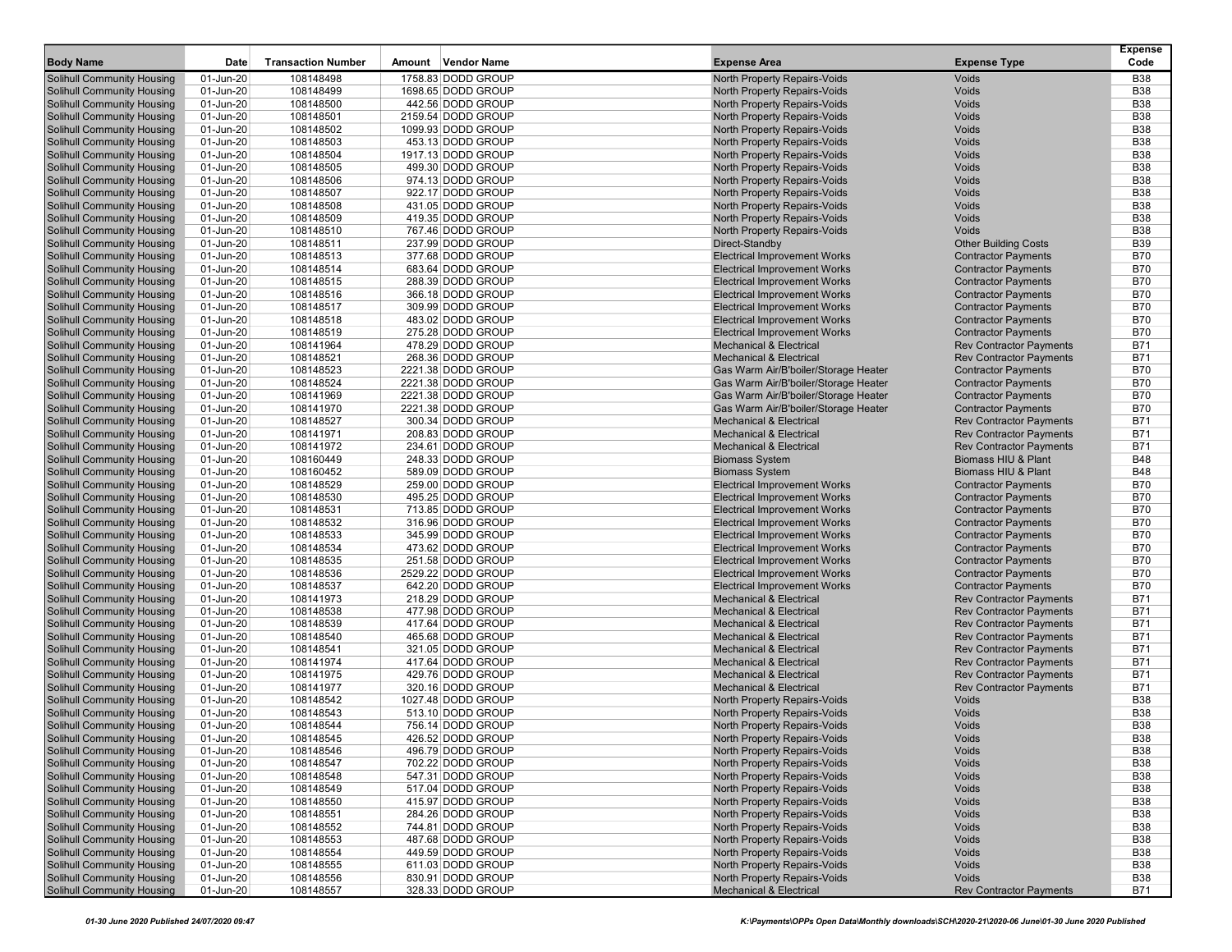| <b>Body Name</b>                                                | Date                   | <b>Transaction Number</b> | Amount | <b>Vendor Name</b>                       | <b>Expense Area</b>                                                          | <b>Expense Type</b>                                      | Expense<br>Code          |
|-----------------------------------------------------------------|------------------------|---------------------------|--------|------------------------------------------|------------------------------------------------------------------------------|----------------------------------------------------------|--------------------------|
| <b>Solihull Community Housing</b>                               | 01-Jun-20              | 108148498                 |        | 1758.83 DODD GROUP                       | North Property Repairs-Voids                                                 | <b>Voids</b>                                             | <b>B38</b>               |
| <b>Solihull Community Housing</b>                               | 01-Jun-20              | 108148499                 |        | 1698.65 DODD GROUP                       | North Property Repairs-Voids                                                 | Voids                                                    | <b>B38</b>               |
| <b>Solihull Community Housing</b>                               | 01-Jun-20              | 108148500                 |        | 442.56 DODD GROUP                        | North Property Repairs-Voids                                                 | Voids                                                    | <b>B38</b>               |
| <b>Solihull Community Housing</b>                               | 01-Jun-20              | 108148501                 |        | 2159.54 DODD GROUP                       | North Property Repairs-Voids                                                 | Voids                                                    | <b>B38</b>               |
| <b>Solihull Community Housing</b>                               | 01-Jun-20              | 108148502                 |        | 1099.93 DODD GROUP                       | North Property Repairs-Voids                                                 | Voids                                                    | <b>B38</b>               |
| <b>Solihull Community Housing</b>                               | 01-Jun-20              | 108148503                 |        | 453.13 DODD GROUP                        | North Property Repairs-Voids                                                 | Voids                                                    | <b>B38</b>               |
| Solihull Community Housing                                      | 01-Jun-20              | 108148504                 |        | 1917.13 DODD GROUP                       | North Property Repairs-Voids                                                 | Voids                                                    | <b>B38</b>               |
| <b>Solihull Community Housing</b>                               | 01-Jun-20              | 108148505                 |        | 499.30 DODD GROUP                        | North Property Repairs-Voids                                                 | Voids                                                    | <b>B38</b>               |
| Solihull Community Housing                                      | 01-Jun-20              | 108148506                 |        | 974.13 DODD GROUP                        | North Property Repairs-Voids                                                 | Voids                                                    | <b>B38</b>               |
| <b>Solihull Community Housing</b>                               | 01-Jun-20              | 108148507                 |        | 922.17 DODD GROUP                        | North Property Repairs-Voids                                                 | Voids                                                    | <b>B38</b>               |
| Solihull Community Housing                                      | 01-Jun-20              | 108148508                 |        | 431.05 DODD GROUP                        | North Property Repairs-Voids                                                 | Voids                                                    | <b>B38</b>               |
| Solihull Community Housing                                      | 01-Jun-20              | 108148509                 |        | 419.35 DODD GROUP                        | North Property Repairs-Voids                                                 | Voids                                                    | <b>B38</b>               |
| Solihull Community Housing                                      | 01-Jun-20              | 108148510                 |        | 767.46 DODD GROUP                        | North Property Repairs-Voids                                                 | <b>Voids</b>                                             | <b>B38</b>               |
| <b>Solihull Community Housing</b>                               | 01-Jun-20              | 108148511                 |        | 237.99 DODD GROUP                        | Direct-Standby                                                               | <b>Other Building Costs</b>                              | <b>B39</b>               |
| Solihull Community Housing                                      | 01-Jun-20              | 108148513                 |        | 377.68 DODD GROUP                        | <b>Electrical Improvement Works</b>                                          | <b>Contractor Payments</b>                               | <b>B70</b>               |
| <b>Solihull Community Housing</b>                               | 01-Jun-20              | 108148514                 |        | 683.64 DODD GROUP                        | <b>Electrical Improvement Works</b>                                          | <b>Contractor Payments</b>                               | <b>B70</b>               |
| <b>Solihull Community Housing</b>                               | 01-Jun-20              | 108148515                 |        | 288.39 DODD GROUP                        | <b>Electrical Improvement Works</b>                                          | <b>Contractor Payments</b>                               | <b>B70</b>               |
| <b>Solihull Community Housing</b>                               | 01-Jun-20              | 108148516                 |        | 366.18 DODD GROUP                        | <b>Electrical Improvement Works</b>                                          | <b>Contractor Payments</b>                               | <b>B70</b>               |
| <b>Solihull Community Housing</b>                               | 01-Jun-20              | 108148517                 |        | 309.99 DODD GROUP                        | <b>Electrical Improvement Works</b>                                          | <b>Contractor Payments</b>                               | <b>B70</b>               |
| <b>Solihull Community Housing</b>                               | 01-Jun-20              | 108148518                 |        | 483.02 DODD GROUP                        | <b>Electrical Improvement Works</b>                                          | <b>Contractor Payments</b>                               | <b>B70</b>               |
| <b>Solihull Community Housing</b>                               | 01-Jun-20              | 108148519                 |        | 275.28 DODD GROUP                        | <b>Electrical Improvement Works</b>                                          | <b>Contractor Payments</b>                               | <b>B70</b>               |
| <b>Solihull Community Housing</b>                               | 01-Jun-20              | 108141964                 |        | 478.29 DODD GROUP                        | <b>Mechanical &amp; Electrical</b>                                           | <b>Rev Contractor Payments</b>                           | <b>B71</b>               |
| Solihull Community Housing                                      | 01-Jun-20              | 108148521                 |        | 268.36 DODD GROUP                        | <b>Mechanical &amp; Electrical</b>                                           | <b>Rev Contractor Payments</b>                           | B71                      |
| Solihull Community Housing                                      | 01-Jun-20              | 108148523                 |        | 2221.38 DODD GROUP                       | Gas Warm Air/B'boiler/Storage Heater                                         | <b>Contractor Payments</b>                               | <b>B70</b>               |
| Solihull Community Housing<br>Solihull Community Housing        | 01-Jun-20              | 108148524<br>108141969    |        | 2221.38 DODD GROUP                       | Gas Warm Air/B'boiler/Storage Heater                                         | <b>Contractor Payments</b>                               | <b>B70</b><br><b>B70</b> |
| <b>Solihull Community Housing</b>                               | 01-Jun-20<br>01-Jun-20 | 108141970                 |        | 2221.38 DODD GROUP<br>2221.38 DODD GROUP | Gas Warm Air/B'boiler/Storage Heater<br>Gas Warm Air/B'boiler/Storage Heater | <b>Contractor Payments</b><br><b>Contractor Payments</b> | <b>B70</b>               |
| <b>Solihull Community Housing</b>                               | 01-Jun-20              | 108148527                 |        | 300.34 DODD GROUP                        | <b>Mechanical &amp; Electrical</b>                                           | <b>Rev Contractor Payments</b>                           | <b>B71</b>               |
| Solihull Community Housing                                      | 01-Jun-20              | 108141971                 |        | 208.83 DODD GROUP                        | <b>Mechanical &amp; Electrical</b>                                           | <b>Rev Contractor Payments</b>                           | <b>B71</b>               |
| <b>Solihull Community Housing</b>                               | 01-Jun-20              | 108141972                 |        | 234.61 DODD GROUP                        | <b>Mechanical &amp; Electrical</b>                                           | <b>Rev Contractor Payments</b>                           | B71                      |
| Solihull Community Housing                                      | 01-Jun-20              | 108160449                 |        | 248.33 DODD GROUP                        | <b>Biomass System</b>                                                        | Biomass HIU & Plant                                      | <b>B48</b>               |
| Solihull Community Housing                                      | 01-Jun-20              | 108160452                 |        | 589.09 DODD GROUP                        | <b>Biomass System</b>                                                        | <b>Biomass HIU &amp; Plant</b>                           | <b>B48</b>               |
| <b>Solihull Community Housing</b>                               | 01-Jun-20              | 108148529                 |        | 259.00 DODD GROUP                        | <b>Electrical Improvement Works</b>                                          | <b>Contractor Payments</b>                               | <b>B70</b>               |
| Solihull Community Housing                                      | 01-Jun-20              | 108148530                 |        | 495.25 DODD GROUP                        | <b>Electrical Improvement Works</b>                                          | <b>Contractor Payments</b>                               | <b>B70</b>               |
| <b>Solihull Community Housing</b>                               | 01-Jun-20              | 108148531                 |        | 713.85 DODD GROUP                        | <b>Electrical Improvement Works</b>                                          | <b>Contractor Payments</b>                               | <b>B70</b>               |
| <b>Solihull Community Housing</b>                               | 01-Jun-20              | 108148532                 |        | 316.96 DODD GROUP                        | <b>Electrical Improvement Works</b>                                          | <b>Contractor Payments</b>                               | <b>B70</b>               |
| <b>Solihull Community Housing</b>                               | 01-Jun-20              | 108148533                 |        | 345.99 DODD GROUP                        | <b>Electrical Improvement Works</b>                                          | <b>Contractor Payments</b>                               | <b>B70</b>               |
| Solihull Community Housing                                      | 01-Jun-20              | 108148534                 |        | 473.62 DODD GROUP                        | <b>Electrical Improvement Works</b>                                          | <b>Contractor Payments</b>                               | <b>B70</b>               |
| <b>Solihull Community Housing</b>                               | 01-Jun-20              | 108148535                 |        | 251.58 DODD GROUP                        | <b>Electrical Improvement Works</b>                                          | <b>Contractor Payments</b>                               | <b>B70</b>               |
| <b>Solihull Community Housing</b>                               | 01-Jun-20              | 108148536                 |        | 2529.22 DODD GROUP                       | <b>Electrical Improvement Works</b>                                          | <b>Contractor Payments</b>                               | <b>B70</b>               |
| <b>Solihull Community Housing</b>                               | 01-Jun-20              | 108148537                 |        | 642.20 DODD GROUP                        | <b>Electrical Improvement Works</b>                                          | <b>Contractor Payments</b>                               | <b>B70</b>               |
| <b>Solihull Community Housing</b>                               | 01-Jun-20              | 108141973                 |        | 218.29 DODD GROUP                        | <b>Mechanical &amp; Electrical</b>                                           | <b>Rev Contractor Payments</b>                           | <b>B71</b>               |
| <b>Solihull Community Housing</b>                               | 01-Jun-20              | 108148538                 |        | 477.98 DODD GROUP                        | <b>Mechanical &amp; Electrical</b>                                           | <b>Rev Contractor Payments</b>                           | <b>B71</b>               |
| <b>Solihull Community Housing</b>                               | 01-Jun-20              | 108148539                 |        | 417.64 DODD GROUP                        | <b>Mechanical &amp; Electrical</b>                                           | <b>Rev Contractor Payments</b>                           | <b>B71</b>               |
| <b>Solihull Community Housing</b>                               | 01-Jun-20              | 108148540                 |        | 465.68 DODD GROUP                        | <b>Mechanical &amp; Electrical</b>                                           | <b>Rev Contractor Payments</b>                           | <b>B71</b>               |
| <b>Solihull Community Housing</b>                               | 01-Jun-20              | 108148541                 |        | 321.05 DODD GROUP                        | <b>Mechanical &amp; Electrical</b>                                           | <b>Rev Contractor Payments</b>                           | B71                      |
| <b>Solihull Community Housing</b>                               | 01-Jun-20              | 108141974                 |        | 417.64 DODD GROUP                        | <b>Mechanical &amp; Electrical</b>                                           | <b>Rev Contractor Payments</b>                           | <b>B71</b>               |
| <b>Solihull Community Housing</b>                               | 01-Jun-20              | 108141975                 |        | 429.76 DODD GROUP                        | <b>Mechanical &amp; Electrical</b>                                           | <b>Rev Contractor Payments</b>                           | <b>B71</b>               |
| Solihull Community Housing                                      | 01-Jun-20              | 108141977                 |        | 320.16 DODD GROUP                        | <b>Mechanical &amp; Electrical</b>                                           | <b>Rev Contractor Payments</b>                           | <b>B71</b>               |
| <b>Solihull Community Housing</b>                               | 01-Jun-20              | 108148542                 |        | 1027.48 DODD GROUP                       | North Property Repairs-Voids                                                 | Voids                                                    | <b>B38</b>               |
| Solihull Community Housing                                      | 01-Jun-20              | 108148543                 |        | 513.10 DODD GROUP                        | <b>North Property Repairs-Voids</b>                                          | Voids                                                    | <b>B38</b>               |
| <b>Solihull Community Housing</b><br>Solihull Community Housing | 01-Jun-20              | 108148544<br>108148545    |        | 756.14 DODD GROUP<br>426.52 DODD GROUP   | North Property Repairs-Voids                                                 | <b>Voids</b>                                             | <b>B38</b>               |
| <b>Solihull Community Housing</b>                               | 01-Jun-20<br>01-Jun-20 |                           |        | 496.79 DODD GROUP                        | North Property Repairs-Voids<br>North Property Repairs-Voids                 | Voids<br>Voids                                           | B38<br><b>B38</b>        |
| <b>Solihull Community Housing</b>                               | 01-Jun-20              | 108148546<br>108148547    |        | 702.22 DODD GROUP                        | North Property Repairs-Voids                                                 | Voids                                                    | <b>B38</b>               |
| <b>Solihull Community Housing</b>                               | 01-Jun-20              | 108148548                 |        | 547.31 DODD GROUP                        | North Property Repairs-Voids                                                 | Voids                                                    | <b>B38</b>               |
| Solihull Community Housing                                      | 01-Jun-20              | 108148549                 |        | 517.04 DODD GROUP                        | North Property Repairs-Voids                                                 | Voids                                                    | <b>B38</b>               |
| <b>Solihull Community Housing</b>                               | 01-Jun-20              | 108148550                 |        | 415.97 DODD GROUP                        | North Property Repairs-Voids                                                 | Voids                                                    | <b>B38</b>               |
| Solihull Community Housing                                      | 01-Jun-20              | 108148551                 |        | 284.26 DODD GROUP                        | North Property Repairs-Voids                                                 | Voids                                                    | <b>B38</b>               |
| <b>Solihull Community Housing</b>                               | 01-Jun-20              | 108148552                 |        | 744.81 DODD GROUP                        | North Property Repairs-Voids                                                 | Voids                                                    | <b>B38</b>               |
| <b>Solihull Community Housing</b>                               | 01-Jun-20              | 108148553                 |        | 487.68 DODD GROUP                        | North Property Repairs-Voids                                                 | Voids                                                    | <b>B38</b>               |
| Solihull Community Housing                                      | 01-Jun-20              | 108148554                 |        | 449.59 DODD GROUP                        | North Property Repairs-Voids                                                 | Voids                                                    | <b>B38</b>               |
| <b>Solihull Community Housing</b>                               | 01-Jun-20              | 108148555                 |        | 611.03 DODD GROUP                        | North Property Repairs-Voids                                                 | <b>Voids</b>                                             | <b>B38</b>               |
| <b>Solihull Community Housing</b>                               | 01-Jun-20              | 108148556                 |        | 830.91 DODD GROUP                        | North Property Repairs-Voids                                                 | Voids                                                    | <b>B38</b>               |
| <b>Solihull Community Housing</b>                               | 01-Jun-20              | 108148557                 |        | 328.33 DODD GROUP                        | <b>Mechanical &amp; Electrical</b>                                           | <b>Rev Contractor Payments</b>                           | <b>B71</b>               |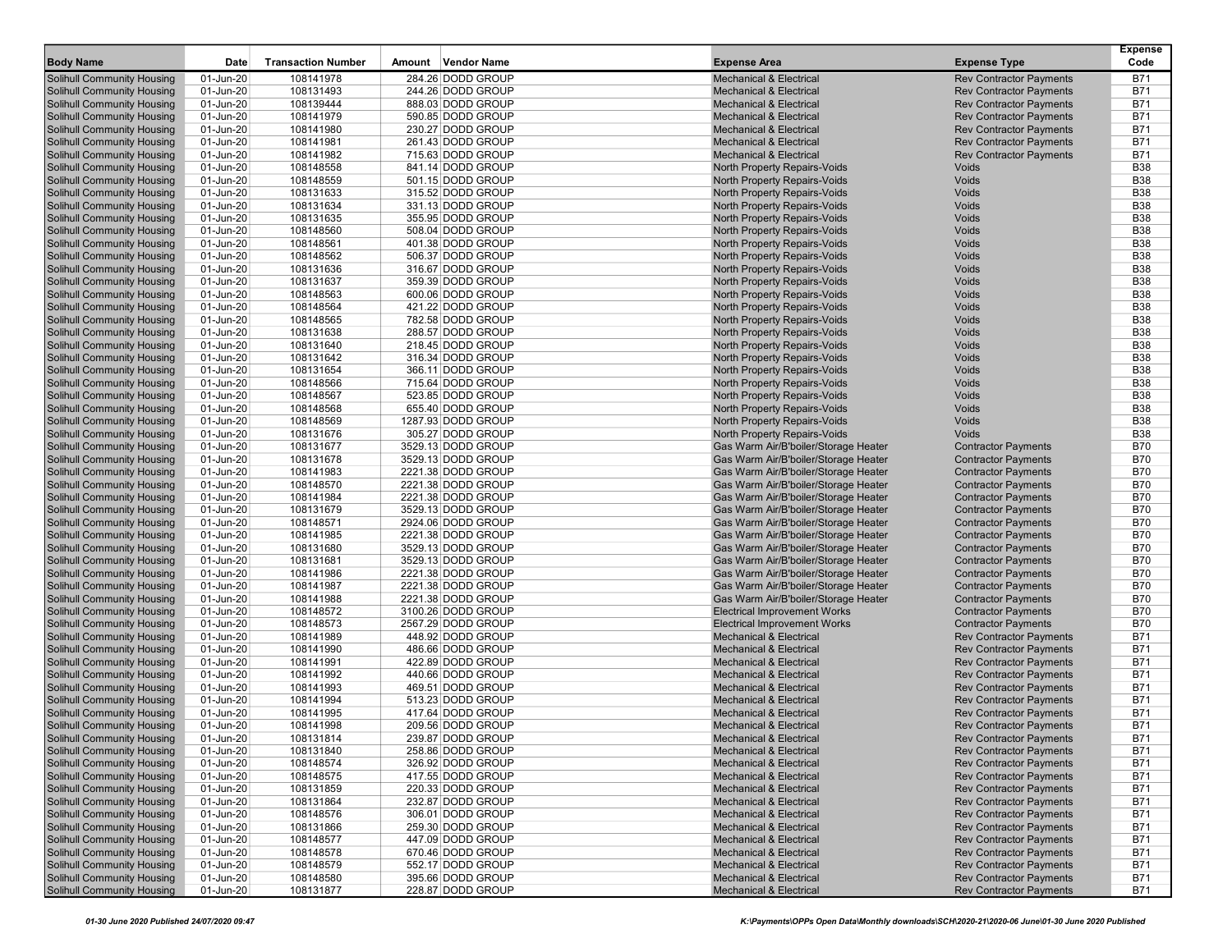| <b>Body Name</b>                                         | Date                   | <b>Transaction Number</b> | Amount | <b>Vendor Name</b>                     | <b>Expense Area</b>                                                      | <b>Expense Type</b>                                              | <b>Expense</b><br>Code |
|----------------------------------------------------------|------------------------|---------------------------|--------|----------------------------------------|--------------------------------------------------------------------------|------------------------------------------------------------------|------------------------|
|                                                          |                        |                           |        |                                        |                                                                          |                                                                  |                        |
| Solihull Community Housing                               | 01-Jun-20              | 108141978                 |        | 284.26 DODD GROUP                      | <b>Mechanical &amp; Electrical</b>                                       | <b>Rev Contractor Payments</b>                                   | B71                    |
| Solihull Community Housing                               | 01-Jun-20              | 108131493                 |        | 244.26 DODD GROUP<br>888.03 DODD GROUP | <b>Mechanical &amp; Electrical</b><br><b>Mechanical &amp; Electrical</b> | <b>Rev Contractor Payments</b>                                   | <b>B71</b><br>B71      |
| Solihull Community Housing<br>Solihull Community Housing | 01-Jun-20<br>01-Jun-20 | 108139444<br>108141979    |        | 590.85 DODD GROUP                      | <b>Mechanical &amp; Electrical</b>                                       | <b>Rev Contractor Payments</b><br><b>Rev Contractor Payments</b> | <b>B71</b>             |
| <b>Solihull Community Housing</b>                        | 01-Jun-20              | 108141980                 |        | 230.27 DODD GROUP                      | <b>Mechanical &amp; Electrical</b>                                       | <b>Rev Contractor Payments</b>                                   | <b>B71</b>             |
| Solihull Community Housing                               | 01-Jun-20              | 108141981                 |        | 261.43 DODD GROUP                      | <b>Mechanical &amp; Electrical</b>                                       | <b>Rev Contractor Payments</b>                                   | B71                    |
| Solihull Community Housing                               | 01-Jun-20              | 108141982                 |        | 715.63 DODD GROUP                      | <b>Mechanical &amp; Electrical</b>                                       | <b>Rev Contractor Payments</b>                                   | B71                    |
| Solihull Community Housing                               | 01-Jun-20              | 108148558                 |        | 841.14 DODD GROUP                      | North Property Repairs-Voids                                             | Voids                                                            | <b>B38</b>             |
| Solihull Community Housing                               | 01-Jun-20              | 108148559                 |        | 501.15 DODD GROUP                      | North Property Repairs-Voids                                             | <b>Voids</b>                                                     | <b>B38</b>             |
| Solihull Community Housing                               | 01-Jun-20              | 108131633                 |        | 315.52 DODD GROUP                      | North Property Repairs-Voids                                             | Voids                                                            | <b>B38</b>             |
| Solihull Community Housing                               | 01-Jun-20              | 108131634                 |        | 331.13 DODD GROUP                      | North Property Repairs-Voids                                             | Voids                                                            | <b>B38</b>             |
| Solihull Community Housing                               | 01-Jun-20              | 108131635                 |        | 355.95 DODD GROUP                      | North Property Repairs-Voids                                             | Voids                                                            | <b>B38</b>             |
| Solihull Community Housing                               | 01-Jun-20              | 108148560                 |        | 508.04 DODD GROUP                      | North Property Repairs-Voids                                             | Voids                                                            | <b>B38</b>             |
| Solihull Community Housing                               | 01-Jun-20              | 108148561                 |        | 401.38 DODD GROUP                      | North Property Repairs-Voids                                             | Voids                                                            | <b>B38</b>             |
| Solihull Community Housing                               | 01-Jun-20              | 108148562                 |        | 506.37 DODD GROUP                      | North Property Repairs-Voids                                             | Voids                                                            | <b>B38</b>             |
| Solihull Community Housing                               | 01-Jun-20              | 108131636                 |        | 316.67 DODD GROUP                      | North Property Repairs-Voids                                             | Voids                                                            | <b>B38</b>             |
| Solihull Community Housing                               | 01-Jun-20              | 108131637                 |        | 359.39 DODD GROUP                      | North Property Repairs-Voids                                             | Voids                                                            | <b>B38</b>             |
| Solihull Community Housing                               | 01-Jun-20              | 108148563                 |        | 600.06 DODD GROUP                      | North Property Repairs-Voids                                             | Voids                                                            | <b>B38</b>             |
| Solihull Community Housing                               | 01-Jun-20              | 108148564                 |        | 421.22 DODD GROUP                      | North Property Repairs-Voids                                             | <b>Voids</b>                                                     | <b>B38</b>             |
| Solihull Community Housing                               | 01-Jun-20              | 108148565                 |        | 782.58 DODD GROUP                      | North Property Repairs-Voids                                             | Voids                                                            | <b>B38</b>             |
| Solihull Community Housing                               | 01-Jun-20              | 108131638                 |        | 288.57 DODD GROUP                      | North Property Repairs-Voids                                             | Voids                                                            | <b>B38</b>             |
| Solihull Community Housing                               | 01-Jun-20              | 108131640                 |        | 218.45 DODD GROUP                      | North Property Repairs-Voids                                             | Voids                                                            | <b>B38</b>             |
| Solihull Community Housing                               | 01-Jun-20              | 108131642                 |        | 316.34 DODD GROUP                      | North Property Repairs-Voids                                             | Voids                                                            | <b>B38</b>             |
| Solihull Community Housing                               | 01-Jun-20              | 108131654                 |        | 366.11 DODD GROUP                      | North Property Repairs-Voids                                             | Voids                                                            | <b>B38</b>             |
| Solihull Community Housing                               | 01-Jun-20              | 108148566                 |        | 715.64 DODD GROUP                      | North Property Repairs-Voids                                             | Voids                                                            | <b>B38</b>             |
| <b>Solihull Community Housing</b>                        | 01-Jun-20              | 108148567                 |        | 523.85 DODD GROUP                      | North Property Repairs-Voids                                             | Voids                                                            | <b>B38</b>             |
| Solihull Community Housing                               | 01-Jun-20              | 108148568                 |        | 655.40 DODD GROUP                      | North Property Repairs-Voids                                             | <b>Voids</b>                                                     | <b>B38</b>             |
| Solihull Community Housing                               | 01-Jun-20              | 108148569                 |        | 1287.93 DODD GROUP                     | North Property Repairs-Voids                                             | <b>Voids</b>                                                     | <b>B38</b>             |
| Solihull Community Housing                               | 01-Jun-20              | 108131676                 |        | 305.27 DODD GROUP                      | North Property Repairs-Voids                                             | Voids                                                            | <b>B38</b>             |
| <b>Solihull Community Housing</b>                        | 01-Jun-20              | 108131677                 |        | 3529.13 DODD GROUP                     | Gas Warm Air/B'boiler/Storage Heater                                     | <b>Contractor Payments</b>                                       | <b>B70</b>             |
| Solihull Community Housing                               | 01-Jun-20              | 108131678                 |        | 3529.13 DODD GROUP                     | Gas Warm Air/B'boiler/Storage Heater                                     | <b>Contractor Payments</b>                                       | <b>B70</b>             |
| Solihull Community Housing                               | 01-Jun-20              | 108141983                 |        | 2221.38 DODD GROUP                     | Gas Warm Air/B'boiler/Storage Heater                                     | <b>Contractor Payments</b>                                       | <b>B70</b>             |
| Solihull Community Housing                               | 01-Jun-20              | 108148570                 |        | 2221.38 DODD GROUP                     | Gas Warm Air/B'boiler/Storage Heater                                     | <b>Contractor Payments</b>                                       | <b>B70</b>             |
| Solihull Community Housing                               | 01-Jun-20              | 108141984                 |        | 2221.38 DODD GROUP                     | Gas Warm Air/B'boiler/Storage Heater                                     | <b>Contractor Payments</b>                                       | <b>B70</b>             |
| <b>Solihull Community Housing</b>                        | 01-Jun-20              | 108131679                 |        | 3529.13 DODD GROUP                     | Gas Warm Air/B'boiler/Storage Heater                                     | <b>Contractor Payments</b>                                       | <b>B70</b>             |
| Solihull Community Housing                               | 01-Jun-20              | 108148571                 |        | 2924.06 DODD GROUP                     | Gas Warm Air/B'boiler/Storage Heater                                     | <b>Contractor Payments</b>                                       | <b>B70</b>             |
| Solihull Community Housing                               | 01-Jun-20              | 108141985                 |        | 2221.38 DODD GROUP                     | Gas Warm Air/B'boiler/Storage Heater                                     | <b>Contractor Payments</b>                                       | <b>B70</b>             |
| Solihull Community Housing                               | 01-Jun-20              | 108131680                 |        | 3529.13 DODD GROUP                     | Gas Warm Air/B'boiler/Storage Heater                                     | <b>Contractor Payments</b>                                       | <b>B70</b>             |
| Solihull Community Housing                               | 01-Jun-20              | 108131681                 |        | 3529.13 DODD GROUP                     | Gas Warm Air/B'boiler/Storage Heater                                     | <b>Contractor Payments</b>                                       | <b>B70</b>             |
| Solihull Community Housing                               | 01-Jun-20              | 108141986                 |        | 2221.38 DODD GROUP                     | Gas Warm Air/B'boiler/Storage Heater                                     | <b>Contractor Payments</b>                                       | <b>B70</b>             |
| Solihull Community Housing                               | 01-Jun-20              | 108141987                 |        | 2221.38 DODD GROUP                     | Gas Warm Air/B'boiler/Storage Heater                                     | <b>Contractor Payments</b>                                       | <b>B70</b>             |
| Solihull Community Housing                               | 01-Jun-20              | 108141988                 |        | 2221.38 DODD GROUP                     | Gas Warm Air/B'boiler/Storage Heater                                     | <b>Contractor Payments</b>                                       | <b>B70</b>             |
| Solihull Community Housing                               | 01-Jun-20              | 108148572                 |        | 3100.26 DODD GROUP                     | <b>Electrical Improvement Works</b>                                      | <b>Contractor Payments</b>                                       | <b>B70</b>             |
| Solihull Community Housing                               | 01-Jun-20              | 108148573                 |        | 2567.29 DODD GROUP                     | <b>Electrical Improvement Works</b>                                      | <b>Contractor Payments</b>                                       | <b>B70</b>             |
| Solihull Community Housing<br>Solihull Community Housing | 01-Jun-20              | 108141989                 |        | 448.92 DODD GROUP<br>486.66 DODD GROUP | <b>Mechanical &amp; Electrical</b>                                       | <b>Rev Contractor Payments</b>                                   | <b>B71</b>             |
| Solihull Community Housing                               | 01-Jun-20<br>01-Jun-20 | 108141990<br>108141991    |        | 422.89 DODD GROUP                      | <b>Mechanical &amp; Electrical</b><br><b>Mechanical &amp; Electrical</b> | <b>Rev Contractor Payments</b><br><b>Rev Contractor Payments</b> | B71<br>B71             |
| <b>Solihull Community Housing</b>                        | 01-Jun-20              | 108141992                 |        | 440.66 DODD GROUP                      | <b>Mechanical &amp; Electrical</b>                                       | <b>Rev Contractor Payments</b>                                   | B71                    |
| Solihull Community Housing                               | 01-Jun-20              | 108141993                 |        | 469.51 DODD GROUP                      | <b>Mechanical &amp; Electrical</b>                                       | <b>Rev Contractor Payments</b>                                   | B71                    |
| Solihull Community Housing                               | 01-Jun-20              | 108141994                 |        | 513.23 DODD GROUP                      | <b>Mechanical &amp; Electrical</b>                                       | <b>Rev Contractor Payments</b>                                   | B71                    |
| Solihull Community Housing                               | 01-Jun-20              | 108141995                 |        | 417.64 DODD GROUP                      | Mechanical & Electrical                                                  | <b>Rev Contractor Payments</b>                                   | B71                    |
| Solihull Community Housing                               | 01-Jun-20              | 108141998                 |        | 209.56 DODD GROUP                      | <b>Mechanical &amp; Electrical</b>                                       | <b>Rev Contractor Payments</b>                                   | <b>B71</b>             |
| <b>Solihull Community Housing</b>                        | 01-Jun-20              | 108131814                 |        | 239.87 DODD GROUP                      | <b>Mechanical &amp; Electrical</b>                                       | <b>Rev Contractor Payments</b>                                   | <b>B71</b>             |
| <b>Solihull Community Housing</b>                        | 01-Jun-20              | 108131840                 |        | 258.86 DODD GROUP                      | <b>Mechanical &amp; Electrical</b>                                       | <b>Rev Contractor Payments</b>                                   | <b>B71</b>             |
| <b>Solihull Community Housing</b>                        | 01-Jun-20              | 108148574                 |        | 326.92 DODD GROUP                      | <b>Mechanical &amp; Electrical</b>                                       | <b>Rev Contractor Payments</b>                                   | B71                    |
| <b>Solihull Community Housing</b>                        | 01-Jun-20              | 108148575                 |        | 417.55 DODD GROUP                      | <b>Mechanical &amp; Electrical</b>                                       | <b>Rev Contractor Payments</b>                                   | B71                    |
| <b>Solihull Community Housing</b>                        | 01-Jun-20              | 108131859                 |        | 220.33 DODD GROUP                      | <b>Mechanical &amp; Electrical</b>                                       | <b>Rev Contractor Payments</b>                                   | B71                    |
| <b>Solihull Community Housing</b>                        | 01-Jun-20              | 108131864                 |        | 232.87 DODD GROUP                      | <b>Mechanical &amp; Electrical</b>                                       | <b>Rev Contractor Payments</b>                                   | B71                    |
| <b>Solihull Community Housing</b>                        | 01-Jun-20              | 108148576                 |        | 306.01 DODD GROUP                      | <b>Mechanical &amp; Electrical</b>                                       | <b>Rev Contractor Payments</b>                                   | B71                    |
| <b>Solihull Community Housing</b>                        | 01-Jun-20              | 108131866                 |        | 259.30 DODD GROUP                      | <b>Mechanical &amp; Electrical</b>                                       | <b>Rev Contractor Payments</b>                                   | B71                    |
| <b>Solihull Community Housing</b>                        | 01-Jun-20              | 108148577                 |        | 447.09 DODD GROUP                      | <b>Mechanical &amp; Electrical</b>                                       | <b>Rev Contractor Payments</b>                                   | <b>B71</b>             |
| Solihull Community Housing                               | 01-Jun-20              | 108148578                 |        | 670.46 DODD GROUP                      | <b>Mechanical &amp; Electrical</b>                                       | <b>Rev Contractor Payments</b>                                   | B71                    |
| Solihull Community Housing                               | 01-Jun-20              | 108148579                 |        | 552.17 DODD GROUP                      | <b>Mechanical &amp; Electrical</b>                                       | <b>Rev Contractor Payments</b>                                   | <b>B71</b>             |
| Solihull Community Housing                               | 01-Jun-20              | 108148580                 |        | 395.66 DODD GROUP                      | <b>Mechanical &amp; Electrical</b>                                       | <b>Rev Contractor Payments</b>                                   | B71                    |
| Solihull Community Housing                               | 01-Jun-20              | 108131877                 |        | 228.87 DODD GROUP                      | <b>Mechanical &amp; Electrical</b>                                       | <b>Rev Contractor Payments</b>                                   | <b>B71</b>             |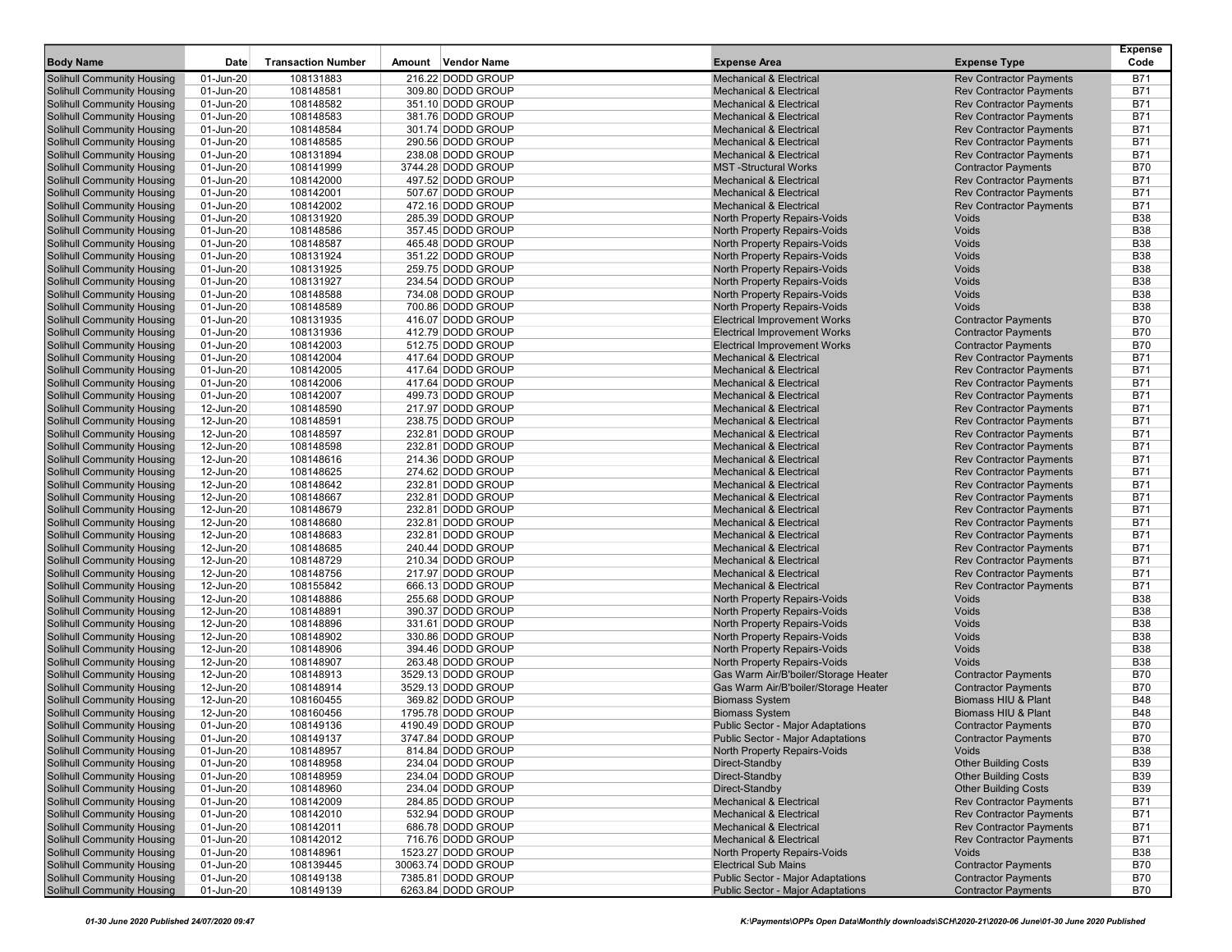| <b>Body Name</b>                  | Date      | <b>Transaction Number</b> | Amount Vendor Name  | <b>Expense Area</b>                      | <b>Expense Type</b>            | <b>Expense</b><br>Code |
|-----------------------------------|-----------|---------------------------|---------------------|------------------------------------------|--------------------------------|------------------------|
| Solihull Community Housing        | 01-Jun-20 | 108131883                 | 216.22 DODD GROUP   | <b>Mechanical &amp; Electrical</b>       | <b>Rev Contractor Payments</b> | <b>B71</b>             |
| <b>Solihull Community Housing</b> | 01-Jun-20 | 108148581                 | 309.80 DODD GROUP   | <b>Mechanical &amp; Electrical</b>       | <b>Rev Contractor Payments</b> | B71                    |
| <b>Solihull Community Housing</b> | 01-Jun-20 | 108148582                 | 351.10 DODD GROUP   | <b>Mechanical &amp; Electrical</b>       | <b>Rev Contractor Payments</b> | <b>B71</b>             |
| <b>Solihull Community Housing</b> | 01-Jun-20 | 108148583                 | 381.76 DODD GROUP   | <b>Mechanical &amp; Electrical</b>       | <b>Rev Contractor Payments</b> | <b>B71</b>             |
| <b>Solihull Community Housing</b> | 01-Jun-20 | 108148584                 | 301.74 DODD GROUP   | <b>Mechanical &amp; Electrical</b>       | <b>Rev Contractor Payments</b> | <b>B71</b>             |
| <b>Solihull Community Housing</b> | 01-Jun-20 | 108148585                 | 290.56 DODD GROUP   | <b>Mechanical &amp; Electrical</b>       | <b>Rev Contractor Payments</b> | B71                    |
| <b>Solihull Community Housing</b> | 01-Jun-20 | 108131894                 | 238.08 DODD GROUP   | <b>Mechanical &amp; Electrical</b>       | <b>Rev Contractor Payments</b> | <b>B71</b>             |
| <b>Solihull Community Housing</b> | 01-Jun-20 | 108141999                 | 3744.28 DODD GROUP  | <b>MST-Structural Works</b>              | <b>Contractor Payments</b>     | <b>B70</b>             |
| <b>Solihull Community Housing</b> | 01-Jun-20 | 108142000                 | 497.52 DODD GROUP   | <b>Mechanical &amp; Electrical</b>       | <b>Rev Contractor Payments</b> | <b>B71</b>             |
| <b>Solihull Community Housing</b> | 01-Jun-20 | 108142001                 | 507.67 DODD GROUP   | <b>Mechanical &amp; Electrical</b>       | <b>Rev Contractor Payments</b> | <b>B71</b>             |
| <b>Solihull Community Housing</b> | 01-Jun-20 | 108142002                 | 472.16 DODD GROUP   | <b>Mechanical &amp; Electrical</b>       | <b>Rev Contractor Payments</b> | <b>B71</b>             |
| <b>Solihull Community Housing</b> | 01-Jun-20 | 108131920                 | 285.39 DODD GROUP   | North Property Repairs-Voids             | Voids                          | <b>B38</b>             |
| <b>Solihull Community Housing</b> | 01-Jun-20 | 108148586                 | 357.45 DODD GROUP   | North Property Repairs-Voids             | Voids                          | <b>B38</b>             |
| <b>Solihull Community Housing</b> | 01-Jun-20 | 108148587                 | 465.48 DODD GROUP   | North Property Repairs-Voids             | Voids                          | <b>B38</b>             |
| <b>Solihull Community Housing</b> | 01-Jun-20 | 108131924                 | 351.22 DODD GROUP   | North Property Repairs-Voids             | Voids                          | <b>B38</b>             |
| <b>Solihull Community Housing</b> | 01-Jun-20 | 108131925                 | 259.75 DODD GROUP   | North Property Repairs-Voids             | Voids                          | <b>B38</b>             |
| <b>Solihull Community Housing</b> | 01-Jun-20 | 108131927                 | 234.54 DODD GROUP   | North Property Repairs-Voids             | Voids                          | <b>B38</b>             |
| <b>Solihull Community Housing</b> | 01-Jun-20 | 108148588                 | 734.08 DODD GROUP   | North Property Repairs-Voids             | Voids                          | <b>B38</b>             |
| <b>Solihull Community Housing</b> | 01-Jun-20 | 108148589                 | 700.86 DODD GROUP   | North Property Repairs-Voids             | Voids                          | <b>B38</b>             |
| <b>Solihull Community Housing</b> | 01-Jun-20 | 108131935                 | 416.07 DODD GROUP   | <b>Electrical Improvement Works</b>      | <b>Contractor Payments</b>     | <b>B70</b>             |
| <b>Solihull Community Housing</b> | 01-Jun-20 | 108131936                 | 412.79 DODD GROUP   | <b>Electrical Improvement Works</b>      | <b>Contractor Payments</b>     | <b>B70</b>             |
| <b>Solihull Community Housing</b> | 01-Jun-20 | 108142003                 | 512.75 DODD GROUP   | <b>Electrical Improvement Works</b>      | <b>Contractor Payments</b>     | <b>B70</b>             |
| Solihull Community Housing        | 01-Jun-20 | 108142004                 | 417.64 DODD GROUP   | <b>Mechanical &amp; Electrical</b>       | <b>Rev Contractor Payments</b> | <b>B71</b>             |
| Solihull Community Housing        | 01-Jun-20 | 108142005                 | 417.64 DODD GROUP   | <b>Mechanical &amp; Electrical</b>       | <b>Rev Contractor Payments</b> | <b>B71</b>             |
| <b>Solihull Community Housing</b> | 01-Jun-20 | 108142006                 | 417.64 DODD GROUP   | <b>Mechanical &amp; Electrical</b>       | <b>Rev Contractor Payments</b> | <b>B71</b>             |
| <b>Solihull Community Housing</b> | 01-Jun-20 | 108142007                 | 499.73 DODD GROUP   | <b>Mechanical &amp; Electrical</b>       | <b>Rev Contractor Payments</b> | <b>B71</b>             |
| Solihull Community Housing        | 12-Jun-20 | 108148590                 | 217.97 DODD GROUP   | <b>Mechanical &amp; Electrical</b>       | <b>Rev Contractor Payments</b> | <b>B71</b>             |
| <b>Solihull Community Housing</b> | 12-Jun-20 | 108148591                 | 238.75 DODD GROUP   | <b>Mechanical &amp; Electrical</b>       | <b>Rev Contractor Payments</b> | <b>B71</b>             |
| <b>Solihull Community Housing</b> | 12-Jun-20 | 108148597                 | 232.81 DODD GROUP   | <b>Mechanical &amp; Electrical</b>       | <b>Rev Contractor Payments</b> | <b>B71</b>             |
| <b>Solihull Community Housing</b> | 12-Jun-20 | 108148598                 | 232.81 DODD GROUP   | <b>Mechanical &amp; Electrical</b>       | <b>Rev Contractor Payments</b> | <b>B71</b>             |
| Solihull Community Housing        | 12-Jun-20 | 108148616                 | 214.36 DODD GROUP   | <b>Mechanical &amp; Electrical</b>       | <b>Rev Contractor Payments</b> | <b>B71</b>             |
| <b>Solihull Community Housing</b> | 12-Jun-20 | 108148625                 | 274.62 DODD GROUP   | <b>Mechanical &amp; Electrical</b>       | <b>Rev Contractor Payments</b> | <b>B71</b>             |
| Solihull Community Housing        | 12-Jun-20 | 108148642                 | 232.81 DODD GROUP   | <b>Mechanical &amp; Electrical</b>       | <b>Rev Contractor Payments</b> | <b>B71</b>             |
| <b>Solihull Community Housing</b> | 12-Jun-20 | 108148667                 | 232.81 DODD GROUP   | <b>Mechanical &amp; Electrical</b>       | <b>Rev Contractor Payments</b> | <b>B71</b>             |
| <b>Solihull Community Housing</b> | 12-Jun-20 | 108148679                 | 232.81 DODD GROUP   | <b>Mechanical &amp; Electrical</b>       | <b>Rev Contractor Payments</b> | <b>B71</b>             |
| <b>Solihull Community Housing</b> | 12-Jun-20 | 108148680                 | 232.81 DODD GROUP   | <b>Mechanical &amp; Electrical</b>       | <b>Rev Contractor Payments</b> | <b>B71</b>             |
| <b>Solihull Community Housing</b> | 12-Jun-20 | 108148683                 | 232.81 DODD GROUP   | <b>Mechanical &amp; Electrical</b>       | <b>Rev Contractor Payments</b> | <b>B71</b>             |
| <b>Solihull Community Housing</b> | 12-Jun-20 | 108148685                 | 240.44 DODD GROUP   | <b>Mechanical &amp; Electrical</b>       | <b>Rev Contractor Payments</b> | <b>B71</b>             |
| <b>Solihull Community Housing</b> | 12-Jun-20 | 108148729                 | 210.34 DODD GROUP   | <b>Mechanical &amp; Electrical</b>       | <b>Rev Contractor Payments</b> | <b>B71</b>             |
| <b>Solihull Community Housing</b> | 12-Jun-20 | 108148756                 | 217.97 DODD GROUP   | <b>Mechanical &amp; Electrical</b>       | <b>Rev Contractor Payments</b> | <b>B71</b>             |
| <b>Solihull Community Housing</b> | 12-Jun-20 | 108155842                 | 666.13 DODD GROUP   | <b>Mechanical &amp; Electrical</b>       | <b>Rev Contractor Payments</b> | <b>B71</b>             |
| <b>Solihull Community Housing</b> | 12-Jun-20 | 108148886                 | 255.68 DODD GROUP   | North Property Repairs-Voids             | Voids                          | <b>B38</b>             |
| <b>Solihull Community Housing</b> | 12-Jun-20 | 108148891                 | 390.37 DODD GROUP   | North Property Repairs-Voids             | Voids                          | <b>B38</b>             |
| <b>Solihull Community Housing</b> | 12-Jun-20 | 108148896                 | 331.61 DODD GROUP   | North Property Repairs-Voids             | Voids                          | <b>B38</b>             |
| <b>Solihull Community Housing</b> | 12-Jun-20 | 108148902                 | 330.86 DODD GROUP   | North Property Repairs-Voids             | Voids                          | <b>B38</b>             |
| <b>Solihull Community Housing</b> | 12-Jun-20 | 108148906                 | 394.46 DODD GROUP   | North Property Repairs-Voids             | Voids                          | <b>B38</b>             |
| <b>Solihull Community Housing</b> | 12-Jun-20 | 108148907                 | 263.48 DODD GROUP   | North Property Repairs-Voids             | Voids                          | <b>B38</b>             |
| <b>Solihull Community Housing</b> | 12-Jun-20 | 108148913                 | 3529.13 DODD GROUP  | Gas Warm Air/B'boiler/Storage Heater     | <b>Contractor Payments</b>     | <b>B70</b>             |
| <b>Solihull Community Housing</b> | 12-Jun-20 | 108148914                 | 3529.13 DODD GROUP  | Gas Warm Air/B'boiler/Storage Heater     | <b>Contractor Payments</b>     | <b>B70</b>             |
| <b>Solihull Community Housing</b> | 12-Jun-20 | 108160455                 | 369.82 DODD GROUP   | <b>Biomass System</b>                    | Biomass HIU & Plant            | <b>B48</b>             |
| Solihull Community Housing        | 12-Jun-20 | 108160456                 | 1795.78 DODD GROUP  | <b>Biomass System</b>                    | <b>Biomass HIU &amp; Plant</b> | B48                    |
| <b>Solihull Community Housing</b> | 01-Jun-20 | 108149136                 | 4190.49 DODD GROUP  | <b>Public Sector - Major Adaptations</b> | <b>Contractor Payments</b>     | <b>B70</b>             |
| <b>Solihull Community Housing</b> | 01-Jun-20 | 108149137                 | 3747.84 DODD GROUP  | Public Sector - Major Adaptations        | <b>Contractor Payments</b>     | B70                    |
| <b>Solihull Community Housing</b> | 01-Jun-20 | 108148957                 | 814.84 DODD GROUP   | North Property Repairs-Voids             | Voids                          | <b>B38</b>             |
| <b>Solihull Community Housing</b> | 01-Jun-20 | 108148958                 | 234.04 DODD GROUP   | Direct-Standby                           | <b>Other Building Costs</b>    | <b>B39</b>             |
| <b>Solihull Community Housing</b> | 01-Jun-20 | 108148959                 | 234.04 DODD GROUP   | Direct-Standby                           | <b>Other Building Costs</b>    | <b>B39</b>             |
| <b>Solihull Community Housing</b> | 01-Jun-20 | 108148960                 | 234.04 DODD GROUP   | Direct-Standby                           | <b>Other Building Costs</b>    | <b>B39</b>             |
| <b>Solihull Community Housing</b> | 01-Jun-20 | 108142009                 | 284.85 DODD GROUP   | <b>Mechanical &amp; Electrical</b>       | <b>Rev Contractor Payments</b> | B71                    |
| <b>Solihull Community Housing</b> | 01-Jun-20 | 108142010                 | 532.94 DODD GROUP   | <b>Mechanical &amp; Electrical</b>       | <b>Rev Contractor Payments</b> | B71                    |
| <b>Solihull Community Housing</b> | 01-Jun-20 | 108142011                 | 686.78 DODD GROUP   | <b>Mechanical &amp; Electrical</b>       | <b>Rev Contractor Payments</b> | B71                    |
| <b>Solihull Community Housing</b> | 01-Jun-20 | 108142012                 | 716.76 DODD GROUP   | <b>Mechanical &amp; Electrical</b>       | <b>Rev Contractor Payments</b> | B71                    |
| <b>Solihull Community Housing</b> | 01-Jun-20 | 108148961                 | 1523.27 DODD GROUP  | North Property Repairs-Voids             | Voids                          | <b>B38</b>             |
| Solihull Community Housing        | 01-Jun-20 | 108139445                 | 30063.74 DODD GROUP | <b>Electrical Sub Mains</b>              | <b>Contractor Payments</b>     | <b>B70</b>             |
| Solihull Community Housing        | 01-Jun-20 | 108149138                 | 7385.81 DODD GROUP  | <b>Public Sector - Major Adaptations</b> | <b>Contractor Payments</b>     | <b>B70</b>             |
| <b>Solihull Community Housing</b> | 01-Jun-20 | 108149139                 | 6263.84 DODD GROUP  | <b>Public Sector - Major Adaptations</b> | <b>Contractor Payments</b>     | <b>B70</b>             |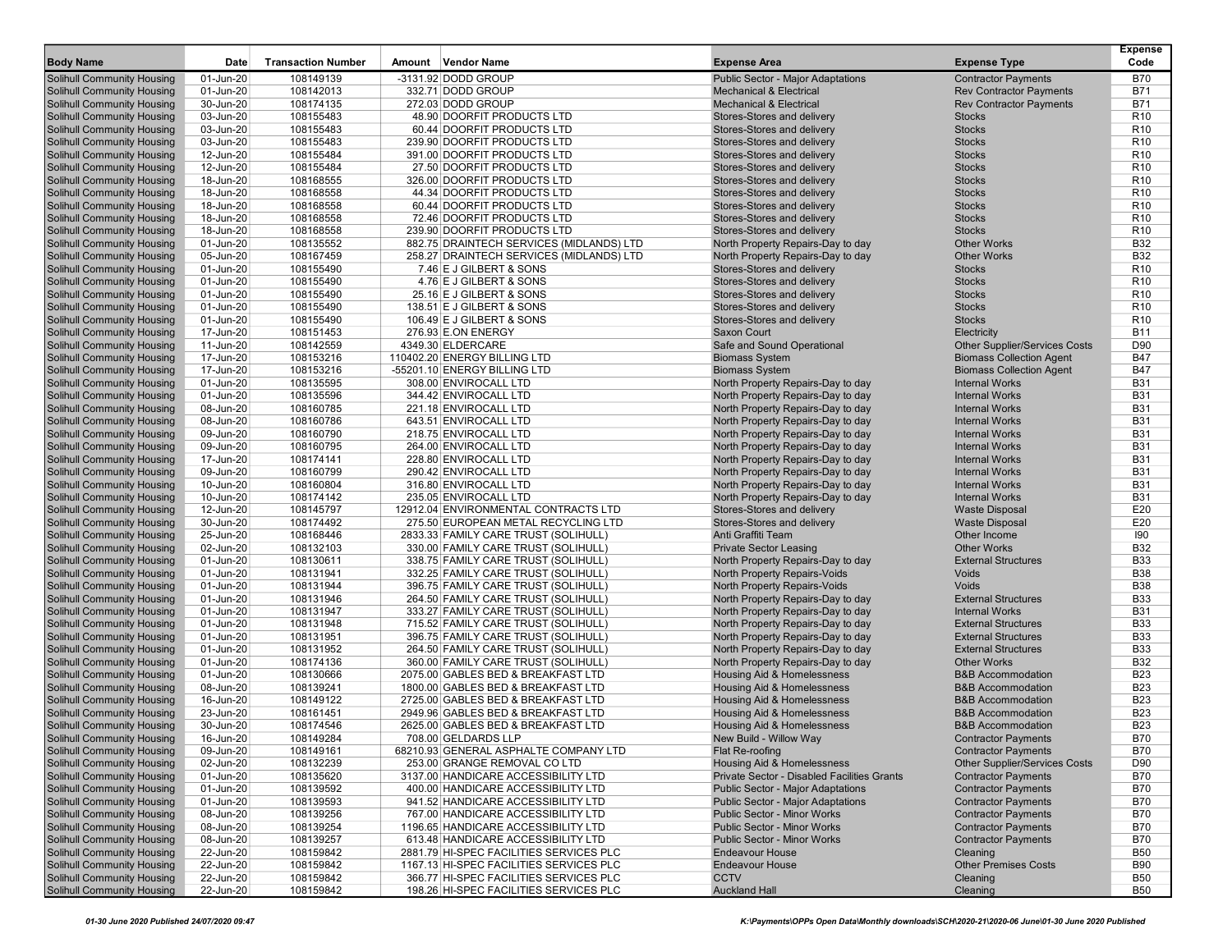| <b>Body Name</b>                                                       | Date                   | <b>Transaction Number</b> | Amount Vendor Name                                                          | <b>Expense Area</b>                                                                  | <b>Expense Type</b>                                      | Expense<br>Code                    |
|------------------------------------------------------------------------|------------------------|---------------------------|-----------------------------------------------------------------------------|--------------------------------------------------------------------------------------|----------------------------------------------------------|------------------------------------|
| <b>Solihull Community Housing</b>                                      | 01-Jun-20              | 108149139                 | -3131.92 DODD GROUP                                                         | <b>Public Sector - Major Adaptations</b>                                             | <b>Contractor Payments</b>                               | <b>B70</b>                         |
| <b>Solihull Community Housing</b>                                      | 01-Jun-20              | 108142013                 | 332.71 DODD GROUP                                                           | <b>Mechanical &amp; Electrical</b>                                                   | <b>Rev Contractor Payments</b>                           | <b>B71</b>                         |
| <b>Solihull Community Housing</b>                                      | 30-Jun-20              | 108174135                 | 272.03 DODD GROUP                                                           | <b>Mechanical &amp; Electrical</b>                                                   | <b>Rev Contractor Payments</b>                           | <b>B71</b>                         |
| <b>Solihull Community Housing</b>                                      | 03-Jun-20              | 108155483                 | 48.90 DOORFIT PRODUCTS LTD                                                  | Stores-Stores and delivery                                                           | <b>Stocks</b>                                            | R <sub>10</sub>                    |
| <b>Solihull Community Housing</b>                                      | 03-Jun-20              | 108155483                 | 60.44 DOORFIT PRODUCTS LTD                                                  | Stores-Stores and delivery                                                           | <b>Stocks</b>                                            | R <sub>10</sub>                    |
| <b>Solihull Community Housing</b>                                      | 03-Jun-20              | 108155483                 | 239.90 DOORFIT PRODUCTS LTD                                                 | Stores-Stores and delivery                                                           | <b>Stocks</b>                                            | R <sub>10</sub>                    |
| <b>Solihull Community Housing</b>                                      | 12-Jun-20              | 108155484                 | 391.00 DOORFIT PRODUCTS LTD                                                 | Stores-Stores and delivery                                                           | <b>Stocks</b>                                            | R <sub>10</sub>                    |
| <b>Solihull Community Housing</b>                                      | 12-Jun-20              | 108155484                 | 27.50 DOORFIT PRODUCTS LTD                                                  | Stores-Stores and delivery                                                           | <b>Stocks</b>                                            | R <sub>10</sub>                    |
| <b>Solihull Community Housing</b>                                      | 18-Jun-20              | 108168555                 | 326.00 DOORFIT PRODUCTS LTD                                                 | Stores-Stores and delivery                                                           | <b>Stocks</b>                                            | R <sub>10</sub>                    |
| <b>Solihull Community Housing</b>                                      | 18-Jun-20              | 108168558                 | 44.34 DOORFIT PRODUCTS LTD                                                  | Stores-Stores and delivery                                                           | <b>Stocks</b>                                            | R <sub>10</sub>                    |
| <b>Solihull Community Housing</b>                                      | 18-Jun-20              | 108168558                 | 60.44 DOORFIT PRODUCTS LTD                                                  | Stores-Stores and delivery                                                           | <b>Stocks</b>                                            | R <sub>10</sub>                    |
| <b>Solihull Community Housing</b>                                      | 18-Jun-20              | 108168558                 | 72.46 DOORFIT PRODUCTS LTD                                                  | Stores-Stores and delivery                                                           | <b>Stocks</b>                                            | R <sub>10</sub>                    |
| <b>Solihull Community Housing</b>                                      | 18-Jun-20              | 108168558                 | 239.90 DOORFIT PRODUCTS LTD                                                 | Stores-Stores and delivery                                                           | <b>Stocks</b>                                            | R <sub>10</sub>                    |
| <b>Solihull Community Housing</b>                                      | 01-Jun-20              | 108135552                 | 882.75 DRAINTECH SERVICES (MIDLANDS) LTD                                    | North Property Repairs-Day to day                                                    | <b>Other Works</b>                                       | <b>B32</b>                         |
| <b>Solihull Community Housing</b>                                      | 05-Jun-20              | 108167459                 | 258.27 DRAINTECH SERVICES (MIDLANDS) LTD                                    | North Property Repairs-Day to day                                                    | <b>Other Works</b>                                       | <b>B32</b>                         |
| <b>Solihull Community Housing</b>                                      | 01-Jun-20              | 108155490                 | 7.46 E J GILBERT & SONS                                                     | Stores-Stores and delivery                                                           | <b>Stocks</b>                                            | R <sub>10</sub>                    |
| <b>Solihull Community Housing</b>                                      | 01-Jun-20              | 108155490                 | 4.76 E J GILBERT & SONS                                                     | Stores-Stores and delivery                                                           | <b>Stocks</b><br><b>Stocks</b>                           | R <sub>10</sub><br>R <sub>10</sub> |
| <b>Solihull Community Housing</b><br><b>Solihull Community Housing</b> | 01-Jun-20<br>01-Jun-20 | 108155490<br>108155490    | 25.16 E J GILBERT & SONS<br>138.51 E J GILBERT & SONS                       | Stores-Stores and delivery<br>Stores-Stores and delivery                             | <b>Stocks</b>                                            | R <sub>10</sub>                    |
| <b>Solihull Community Housing</b>                                      | 01-Jun-20              | 108155490                 | 106.49 E J GILBERT & SONS                                                   | Stores-Stores and delivery                                                           | <b>Stocks</b>                                            | R <sub>10</sub>                    |
| <b>Solihull Community Housing</b>                                      | 17-Jun-20              | 108151453                 | 276.93 E.ON ENERGY                                                          | Saxon Court                                                                          | Electricity                                              | <b>B11</b>                         |
| <b>Solihull Community Housing</b>                                      | 11-Jun-20              | 108142559                 | 4349.30 ELDERCARE                                                           | Safe and Sound Operational                                                           | <b>Other Supplier/Services Costs</b>                     | D90                                |
| <b>Solihull Community Housing</b>                                      | 17-Jun-20              | 108153216                 | 110402.20 ENERGY BILLING LTD                                                | <b>Biomass System</b>                                                                | <b>Biomass Collection Agent</b>                          | <b>B47</b>                         |
| <b>Solihull Community Housing</b>                                      | 17-Jun-20              | 108153216                 | -55201.10 ENERGY BILLING LTD                                                | <b>Biomass System</b>                                                                | <b>Biomass Collection Agent</b>                          | <b>B47</b>                         |
| <b>Solihull Community Housing</b>                                      | 01-Jun-20              | 108135595                 | 308.00 ENVIROCALL LTD                                                       | North Property Repairs-Day to day                                                    | <b>Internal Works</b>                                    | <b>B31</b>                         |
| <b>Solihull Community Housing</b>                                      | 01-Jun-20              | 108135596                 | 344.42 ENVIROCALL LTD                                                       | North Property Repairs-Day to day                                                    | <b>Internal Works</b>                                    | <b>B31</b>                         |
| <b>Solihull Community Housing</b>                                      | 08-Jun-20              | 108160785                 | 221.18 ENVIROCALL LTD                                                       | North Property Repairs-Day to day                                                    | <b>Internal Works</b>                                    | <b>B31</b>                         |
| <b>Solihull Community Housing</b>                                      | 08-Jun-20              | 108160786                 | 643.51 ENVIROCALL LTD                                                       | North Property Repairs-Day to day                                                    | <b>Internal Works</b>                                    | <b>B31</b>                         |
| <b>Solihull Community Housing</b>                                      | 09-Jun-20              | 108160790                 | 218.75 ENVIROCALL LTD                                                       | North Property Repairs-Day to day                                                    | <b>Internal Works</b>                                    | <b>B31</b>                         |
| <b>Solihull Community Housing</b>                                      | 09-Jun-20              | 108160795                 | 264.00 ENVIROCALL LTD                                                       | North Property Repairs-Day to day                                                    | <b>Internal Works</b>                                    | <b>B31</b>                         |
| <b>Solihull Community Housing</b>                                      | 17-Jun-20              | 108174141                 | 228.80 ENVIROCALL LTD                                                       | North Property Repairs-Day to day                                                    | <b>Internal Works</b>                                    | <b>B31</b>                         |
| <b>Solihull Community Housing</b>                                      | 09-Jun-20              | 108160799                 | 290.42 ENVIROCALL LTD                                                       | North Property Repairs-Day to day                                                    | <b>Internal Works</b>                                    | <b>B31</b>                         |
| <b>Solihull Community Housing</b>                                      | 10-Jun-20              | 108160804                 | 316.80 ENVIROCALL LTD                                                       | North Property Repairs-Day to day                                                    | <b>Internal Works</b>                                    | <b>B31</b>                         |
| <b>Solihull Community Housing</b>                                      | 10-Jun-20              | 108174142                 | 235.05 ENVIROCALL LTD                                                       | North Property Repairs-Day to day                                                    | <b>Internal Works</b>                                    | <b>B31</b>                         |
| <b>Solihull Community Housing</b>                                      | 12-Jun-20              | 108145797                 | 12912.04 ENVIRONMENTAL CONTRACTS LTD                                        | Stores-Stores and delivery                                                           | <b>Waste Disposal</b>                                    | E20                                |
| <b>Solihull Community Housing</b>                                      | 30-Jun-20<br>25-Jun-20 | 108174492                 | 275.50 EUROPEAN METAL RECYCLING LTD                                         | Stores-Stores and delivery<br>Anti Graffiti Team                                     | <b>Waste Disposal</b>                                    | E20<br>190                         |
| <b>Solihull Community Housing</b><br><b>Solihull Community Housing</b> | 02-Jun-20              | 108168446<br>108132103    | 2833.33 FAMILY CARE TRUST (SOLIHULL)<br>330.00 FAMILY CARE TRUST (SOLIHULL) | <b>Private Sector Leasing</b>                                                        | Other Income<br><b>Other Works</b>                       | <b>B32</b>                         |
| <b>Solihull Community Housing</b>                                      | 01-Jun-20              | 108130611                 | 338.75 FAMILY CARE TRUST (SOLIHULL)                                         | North Property Repairs-Day to day                                                    | <b>External Structures</b>                               | <b>B33</b>                         |
| <b>Solihull Community Housing</b>                                      | 01-Jun-20              | 108131941                 | 332.25 FAMILY CARE TRUST (SOLIHULL)                                         | North Property Repairs-Voids                                                         | Voids                                                    | <b>B38</b>                         |
| <b>Solihull Community Housing</b>                                      | 01-Jun-20              | 108131944                 | 396.75 FAMILY CARE TRUST (SOLIHULL)                                         | North Property Repairs-Voids                                                         | <b>Voids</b>                                             | <b>B38</b>                         |
| <b>Solihull Community Housing</b>                                      | 01-Jun-20              | 108131946                 | 264.50 FAMILY CARE TRUST (SOLIHULL)                                         | North Property Repairs-Day to day                                                    | <b>External Structures</b>                               | <b>B33</b>                         |
| <b>Solihull Community Housing</b>                                      | 01-Jun-20              | 108131947                 | 333.27 FAMILY CARE TRUST (SOLIHULL)                                         | North Property Repairs-Day to day                                                    | <b>Internal Works</b>                                    | <b>B31</b>                         |
| <b>Solihull Community Housing</b>                                      | 01-Jun-20              | 108131948                 | 715.52 FAMILY CARE TRUST (SOLIHULL)                                         | North Property Repairs-Day to day                                                    | <b>External Structures</b>                               | <b>B33</b>                         |
| <b>Solihull Community Housing</b>                                      | 01-Jun-20              | 108131951                 | 396.75 FAMILY CARE TRUST (SOLIHULL)                                         | North Property Repairs-Day to day                                                    | <b>External Structures</b>                               | <b>B33</b>                         |
| <b>Solihull Community Housing</b>                                      | 01-Jun-20              | 108131952                 | 264.50 FAMILY CARE TRUST (SOLIHULL)                                         | North Property Repairs-Day to day                                                    | <b>External Structures</b>                               | <b>B33</b>                         |
| <b>Solihull Community Housing</b>                                      | 01-Jun-20              | 108174136                 | 360.00 FAMILY CARE TRUST (SOLIHULL)                                         | North Property Repairs-Day to day                                                    | <b>Other Works</b>                                       | <b>B32</b>                         |
| Solihull Community Housing                                             | 01-Jun-20              | 108130666                 | 2075.00 GABLES BED & BREAKFAST LTD                                          | Housing Aid & Homelessness                                                           | <b>B&amp;B Accommodation</b>                             | <b>B23</b>                         |
| <b>Solihull Community Housing</b>                                      | 08-Jun-20              | 108139241                 | 1800.00 GABLES BED & BREAKFAST LTD                                          | Housing Aid & Homelessness                                                           | <b>B&amp;B Accommodation</b>                             | <b>B23</b>                         |
| <b>Solihull Community Housing</b>                                      | 16-Jun-20              | 108149122                 | 2725.00 GABLES BED & BREAKFAST LTD                                          | <b>Housing Aid &amp; Homelessness</b>                                                | <b>B&amp;B Accommodation</b>                             | <b>B23</b>                         |
| <b>Solihull Community Housing</b>                                      | 23-Jun-20              | 108161451                 | 2949.96 GABLES BED & BREAKFAST LTD                                          | Housing Aid & Homelessness                                                           | <b>B&amp;B Accommodation</b>                             | <b>B23</b>                         |
| <b>Solihull Community Housing</b>                                      | 30-Jun-20              | 108174546                 | 2625.00 GABLES BED & BREAKFAST LTD                                          | Housing Aid & Homelessness                                                           | <b>B&amp;B Accommodation</b>                             | <b>B23</b>                         |
| Solihull Community Housing                                             | 16-Jun-20              | 108149284                 | 708.00 GELDARDS LLP                                                         | New Build - Willow Way                                                               | <b>Contractor Payments</b>                               | <b>B70</b>                         |
| Solihull Community Housing                                             | 09-Jun-20              | 108149161                 | 68210.93 GENERAL ASPHALTE COMPANY LTD                                       | Flat Re-roofing                                                                      | <b>Contractor Payments</b>                               | <b>B70</b>                         |
| <b>Solihull Community Housing</b>                                      | 02-Jun-20              | 108132239                 | 253.00 GRANGE REMOVAL CO LTD                                                | Housing Aid & Homelessness                                                           | Other Supplier/Services Costs                            | D90                                |
| <b>Solihull Community Housing</b>                                      | 01-Jun-20              | 108135620                 | 3137.00 HANDICARE ACCESSIBILITY LTD                                         | Private Sector - Disabled Facilities Grants                                          | <b>Contractor Payments</b>                               | <b>B70</b>                         |
| <b>Solihull Community Housing</b><br><b>Solihull Community Housing</b> | 01-Jun-20<br>01-Jun-20 | 108139592<br>108139593    | 400.00 HANDICARE ACCESSIBILITY LTD<br>941.52 HANDICARE ACCESSIBILITY LTD    | <b>Public Sector - Major Adaptations</b><br><b>Public Sector - Major Adaptations</b> | <b>Contractor Payments</b><br><b>Contractor Payments</b> | <b>B70</b><br><b>B70</b>           |
| <b>Solihull Community Housing</b>                                      | 08-Jun-20              | 108139256                 | 767.00 HANDICARE ACCESSIBILITY LTD                                          | Public Sector - Minor Works                                                          | <b>Contractor Payments</b>                               | B70                                |
| <b>Solihull Community Housing</b>                                      | 08-Jun-20              | 108139254                 | 1196.65 HANDICARE ACCESSIBILITY LTD                                         | <b>Public Sector - Minor Works</b>                                                   | <b>Contractor Payments</b>                               | B70                                |
| <b>Solihull Community Housing</b>                                      | 08-Jun-20              | 108139257                 | 613.48 HANDICARE ACCESSIBILITY LTD                                          | <b>Public Sector - Minor Works</b>                                                   | <b>Contractor Payments</b>                               | B70                                |
| <b>Solihull Community Housing</b>                                      | 22-Jun-20              | 108159842                 | 2881.79 HI-SPEC FACILITIES SERVICES PLC                                     | <b>Endeavour House</b>                                                               | Cleaning                                                 | <b>B50</b>                         |
| <b>Solihull Community Housing</b>                                      | 22-Jun-20              | 108159842                 | 1167.13 HI-SPEC FACILITIES SERVICES PLC                                     | <b>Endeavour House</b>                                                               | <b>Other Premises Costs</b>                              | <b>B90</b>                         |
| <b>Solihull Community Housing</b>                                      | 22-Jun-20              | 108159842                 | 366.77 HI-SPEC FACILITIES SERVICES PLC                                      | <b>CCTV</b>                                                                          | Cleaning                                                 | <b>B50</b>                         |
| <b>Solihull Community Housing</b>                                      | 22-Jun-20              | 108159842                 | 198.26 HI-SPEC FACILITIES SERVICES PLC                                      | <b>Auckland Hall</b>                                                                 | Cleaning                                                 | <b>B50</b>                         |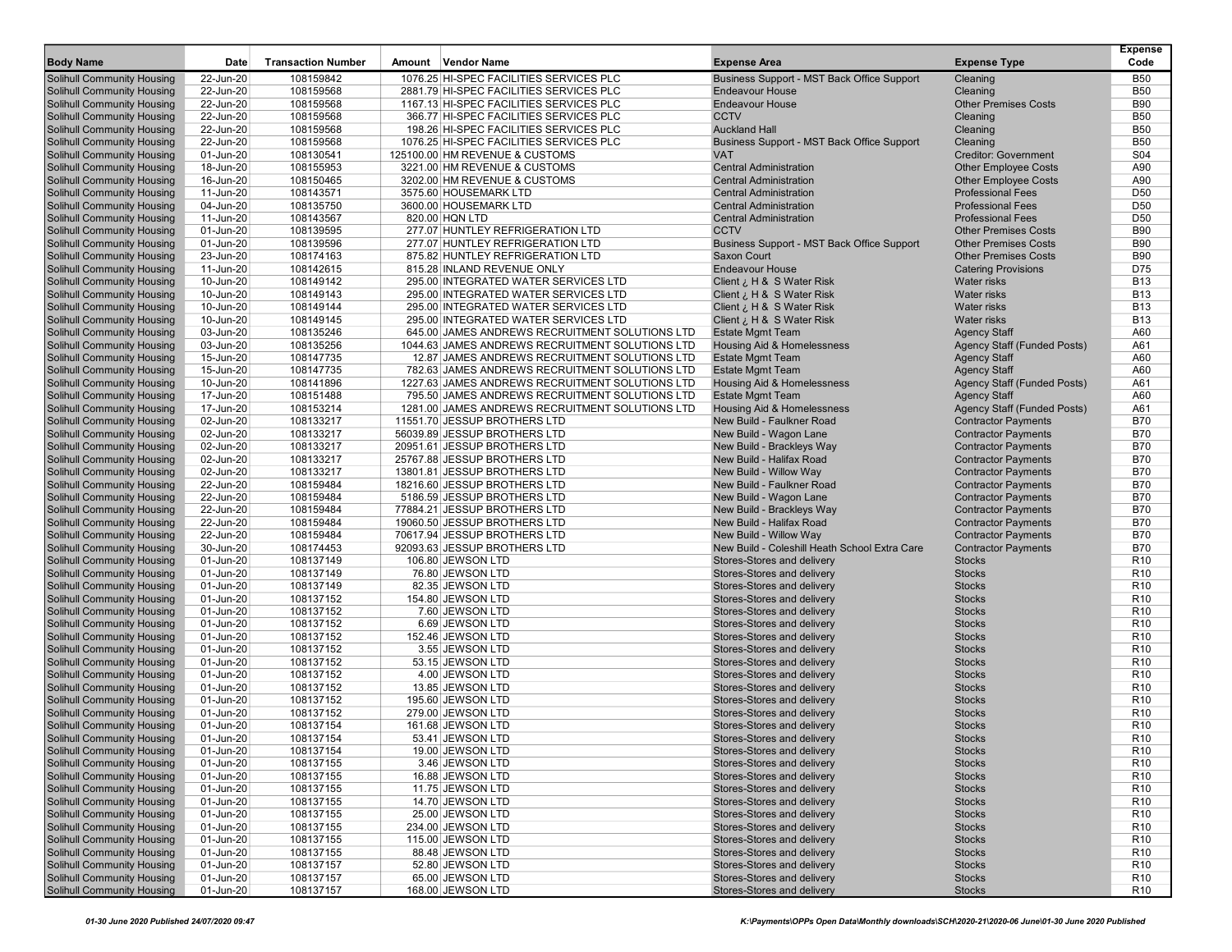| <b>Body Name</b>                                                       | Date                   | <b>Transaction Number</b> | Amount Vendor Name                                    | <b>Expense Area</b>                                            | <b>Expense Type</b>                                     | <b>Expense</b><br>Code             |
|------------------------------------------------------------------------|------------------------|---------------------------|-------------------------------------------------------|----------------------------------------------------------------|---------------------------------------------------------|------------------------------------|
| Solihull Community Housing                                             | 22-Jun-20              | 108159842                 | 1076.25 HI-SPEC FACILITIES SERVICES PLC               | Business Support - MST Back Office Support                     | Cleaning                                                | <b>B50</b>                         |
| Solihull Community Housing                                             | 22-Jun-20              | 108159568                 | 2881.79 HI-SPEC FACILITIES SERVICES PLC               | <b>Endeavour House</b>                                         | Cleaning                                                | <b>B50</b>                         |
| <b>Solihull Community Housing</b>                                      | 22-Jun-20              | 108159568                 | 1167.13 HI-SPEC FACILITIES SERVICES PLC               | <b>Endeavour House</b>                                         | <b>Other Premises Costs</b>                             | <b>B90</b>                         |
| <b>Solihull Community Housing</b>                                      | 22-Jun-20              | 108159568                 | 366.77 HI-SPEC FACILITIES SERVICES PLC                | <b>CCTV</b>                                                    | Cleaning                                                | <b>B50</b>                         |
| Solihull Community Housing                                             | 22-Jun-20              | 108159568                 | 198.26 HI-SPEC FACILITIES SERVICES PLC                | <b>Auckland Hall</b>                                           | Cleaning                                                | <b>B50</b>                         |
| Solihull Community Housing                                             | 22-Jun-20              | 108159568                 | 1076.25 HI-SPEC FACILITIES SERVICES PLC               | Business Support - MST Back Office Support                     | Cleaning                                                | <b>B50</b>                         |
| Solihull Community Housing                                             | 01-Jun-20              | 108130541                 | 125100.00 HM REVENUE & CUSTOMS                        | <b>VAT</b>                                                     | <b>Creditor: Government</b>                             | S <sub>04</sub>                    |
| <b>Solihull Community Housing</b>                                      | 18-Jun-20              | 108155953                 | 3221.00 HM REVENUE & CUSTOMS                          | <b>Central Administration</b>                                  | <b>Other Employee Costs</b>                             | A90                                |
| <b>Solihull Community Housing</b>                                      | 16-Jun-20              | 108150465                 | 3202.00 HM REVENUE & CUSTOMS<br>3575.60 HOUSEMARK LTD | <b>Central Administration</b><br><b>Central Administration</b> | <b>Other Employee Costs</b><br><b>Professional Fees</b> | A90<br>D <sub>50</sub>             |
| <b>Solihull Community Housing</b><br><b>Solihull Community Housing</b> | 11-Jun-20<br>04-Jun-20 | 108143571<br>108135750    | 3600.00 HOUSEMARK LTD                                 | <b>Central Administration</b>                                  | <b>Professional Fees</b>                                | D <sub>50</sub>                    |
| <b>Solihull Community Housing</b>                                      | 11-Jun-20              | 108143567                 | 820.00 HQN LTD                                        | <b>Central Administration</b>                                  | <b>Professional Fees</b>                                | D <sub>50</sub>                    |
| <b>Solihull Community Housing</b>                                      | 01-Jun-20              | 108139595                 | 277.07 HUNTLEY REFRIGERATION LTD                      | <b>CCTV</b>                                                    | <b>Other Premises Costs</b>                             | <b>B90</b>                         |
| <b>Solihull Community Housing</b>                                      | 01-Jun-20              | 108139596                 | 277.07 HUNTLEY REFRIGERATION LTD                      | Business Support - MST Back Office Support                     | <b>Other Premises Costs</b>                             | <b>B90</b>                         |
| <b>Solihull Community Housing</b>                                      | 23-Jun-20              | 108174163                 | 875.82 HUNTLEY REFRIGERATION LTD                      | Saxon Court                                                    | <b>Other Premises Costs</b>                             | <b>B90</b>                         |
| Solihull Community Housing                                             | 11-Jun-20              | 108142615                 | 815.28 INLAND REVENUE ONLY                            | <b>Endeavour House</b>                                         | <b>Catering Provisions</b>                              | D75                                |
| <b>Solihull Community Housing</b>                                      | 10-Jun-20              | 108149142                 | 295.00 INTEGRATED WATER SERVICES LTD                  | Client ¿ H & S Water Risk                                      | Water risks                                             | <b>B13</b>                         |
| <b>Solihull Community Housing</b>                                      | 10-Jun-20              | 108149143                 | 295.00 INTEGRATED WATER SERVICES LTD                  | Client ¿ H & S Water Risk                                      | Water risks                                             | <b>B13</b>                         |
| <b>Solihull Community Housing</b>                                      | 10-Jun-20              | 108149144                 | 295.00 INTEGRATED WATER SERVICES LTD                  | Client ¿ H & S Water Risk                                      | <b>Water risks</b>                                      | <b>B13</b>                         |
| <b>Solihull Community Housing</b>                                      | 10-Jun-20              | 108149145                 | 295.00 INTEGRATED WATER SERVICES LTD                  | Client ¿ H & S Water Risk                                      | Water risks                                             | <b>B13</b>                         |
| <b>Solihull Community Housing</b>                                      | 03-Jun-20              | 108135246                 | 645.00 JAMES ANDREWS RECRUITMENT SOLUTIONS LTD        | <b>Estate Mgmt Team</b>                                        | <b>Agency Staff</b>                                     | A60                                |
| <b>Solihull Community Housing</b>                                      | 03-Jun-20              | 108135256                 | 1044.63 JAMES ANDREWS RECRUITMENT SOLUTIONS LTD       | Housing Aid & Homelessness                                     | <b>Agency Staff (Funded Posts)</b>                      | A61                                |
| <b>Solihull Community Housing</b>                                      | 15-Jun-20              | 108147735                 | 12.87 JAMES ANDREWS RECRUITMENT SOLUTIONS LTD         | <b>Estate Mgmt Team</b>                                        | <b>Agency Staff</b>                                     | A60                                |
| <b>Solihull Community Housing</b>                                      | 15-Jun-20              | 108147735                 | 782.63 JAMES ANDREWS RECRUITMENT SOLUTIONS LTD        | <b>Estate Mgmt Team</b>                                        | <b>Agency Staff</b>                                     | A60                                |
| <b>Solihull Community Housing</b>                                      | 10-Jun-20              | 108141896                 | 1227.63 JAMES ANDREWS RECRUITMENT SOLUTIONS LTD       | <b>Housing Aid &amp; Homelessness</b>                          | Agency Staff (Funded Posts)                             | A61                                |
| <b>Solihull Community Housing</b>                                      | 17-Jun-20              | 108151488                 | 795.50 JAMES ANDREWS RECRUITMENT SOLUTIONS LTD        | <b>Estate Mgmt Team</b>                                        | <b>Agency Staff</b>                                     | A60                                |
| <b>Solihull Community Housing</b>                                      | 17-Jun-20              | 108153214                 | 1281.00 JAMES ANDREWS RECRUITMENT SOLUTIONS LTD       | Housing Aid & Homelessness                                     | Agency Staff (Funded Posts)                             | A61                                |
| <b>Solihull Community Housing</b>                                      | 02-Jun-20              | 108133217                 | 11551.70 JESSUP BROTHERS LTD                          | New Build - Faulkner Road                                      | <b>Contractor Payments</b>                              | <b>B70</b>                         |
| <b>Solihull Community Housing</b>                                      | 02-Jun-20              | 108133217                 | 56039.89 JESSUP BROTHERS LTD                          | New Build - Wagon Lane                                         | <b>Contractor Payments</b>                              | <b>B70</b>                         |
| <b>Solihull Community Housing</b>                                      | 02-Jun-20              | 108133217                 | 20951.61 JESSUP BROTHERS LTD                          | New Build - Brackleys Way                                      | <b>Contractor Payments</b>                              | <b>B70</b>                         |
| Solihull Community Housing                                             | 02-Jun-20              | 108133217                 | 25767.88 JESSUP BROTHERS LTD                          | New Build - Halifax Road                                       | <b>Contractor Payments</b>                              | <b>B70</b>                         |
| <b>Solihull Community Housing</b>                                      | 02-Jun-20              | 108133217                 | 13801.81 JESSUP BROTHERS LTD                          | New Build - Willow Way                                         | <b>Contractor Payments</b>                              | <b>B70</b>                         |
| <b>Solihull Community Housing</b>                                      | 22-Jun-20              | 108159484                 | 18216.60 JESSUP BROTHERS LTD                          | New Build - Faulkner Road                                      | <b>Contractor Payments</b>                              | <b>B70</b>                         |
| <b>Solihull Community Housing</b>                                      | 22-Jun-20              | 108159484                 | 5186.59 JESSUP BROTHERS LTD                           | New Build - Wagon Lane                                         | <b>Contractor Payments</b>                              | <b>B70</b>                         |
| <b>Solihull Community Housing</b>                                      | 22-Jun-20              | 108159484                 | 77884.21 JESSUP BROTHERS LTD                          | New Build - Brackleys Way                                      | <b>Contractor Payments</b>                              | <b>B70</b>                         |
| <b>Solihull Community Housing</b>                                      | 22-Jun-20              | 108159484                 | 19060.50 JESSUP BROTHERS LTD                          | New Build - Halifax Road                                       | <b>Contractor Payments</b>                              | <b>B70</b>                         |
| <b>Solihull Community Housing</b>                                      | 22-Jun-20              | 108159484                 | 70617.94 JESSUP BROTHERS LTD                          | New Build - Willow Way                                         | <b>Contractor Payments</b>                              | <b>B70</b>                         |
| <b>Solihull Community Housing</b>                                      | 30-Jun-20              | 108174453                 | 92093.63 JESSUP BROTHERS LTD                          | New Build - Coleshill Heath School Extra Care                  | <b>Contractor Payments</b>                              | <b>B70</b>                         |
| <b>Solihull Community Housing</b>                                      | 01-Jun-20              | 108137149                 | 106.80 JEWSON LTD                                     | Stores-Stores and delivery                                     | <b>Stocks</b>                                           | R <sub>10</sub>                    |
| <b>Solihull Community Housing</b>                                      | 01-Jun-20              | 108137149                 | 76.80 JEWSON LTD                                      | Stores-Stores and delivery                                     | <b>Stocks</b>                                           | R <sub>10</sub>                    |
| <b>Solihull Community Housing</b>                                      | 01-Jun-20              | 108137149                 | 82.35 JEWSON LTD                                      | Stores-Stores and delivery                                     | <b>Stocks</b>                                           | R <sub>10</sub>                    |
| <b>Solihull Community Housing</b><br><b>Solihull Community Housing</b> | 01-Jun-20<br>01-Jun-20 | 108137152<br>108137152    | 154.80 JEWSON LTD<br>7.60 JEWSON LTD                  | Stores-Stores and delivery<br>Stores-Stores and delivery       | <b>Stocks</b><br><b>Stocks</b>                          | R <sub>10</sub><br>R <sub>10</sub> |
| <b>Solihull Community Housing</b>                                      | 01-Jun-20              | 108137152                 | 6.69 JEWSON LTD                                       | Stores-Stores and delivery                                     | <b>Stocks</b>                                           | R <sub>10</sub>                    |
| <b>Solihull Community Housing</b>                                      | 01-Jun-20              | 108137152                 | 152.46 JEWSON LTD                                     | Stores-Stores and delivery                                     | <b>Stocks</b>                                           | R <sub>10</sub>                    |
| <b>Solihull Community Housing</b>                                      | 01-Jun-20              | 108137152                 | 3.55 JEWSON LTD                                       | Stores-Stores and delivery                                     | <b>Stocks</b>                                           | R <sub>10</sub>                    |
| <b>Solihull Community Housing</b>                                      | 01-Jun-20              | 108137152                 | 53.15 JEWSON LTD                                      | Stores-Stores and delivery                                     | <b>Stocks</b>                                           | R <sub>10</sub>                    |
| <b>Solihull Community Housing</b>                                      | 01-Jun-20              | 108137152                 | 4.00 JEWSON LTD                                       | Stores-Stores and delivery                                     | <b>Stocks</b>                                           | R <sub>10</sub>                    |
| <b>Solihull Community Housing</b>                                      | 01-Jun-20              | 108137152                 | 13.85 JEWSON LTD                                      | Stores-Stores and delivery                                     | <b>Stocks</b>                                           | R <sub>10</sub>                    |
| Solihull Community Housing                                             | 01-Jun-20              | 108137152                 | 195.60 JEWSON LTD                                     | Stores-Stores and delivery                                     | <b>Stocks</b>                                           | R <sub>10</sub>                    |
| Solihull Community Housing                                             | 01-Jun-20              | 108137152                 | 279.00 JEWSON LTD                                     | Stores-Stores and delivery                                     | <b>Stocks</b>                                           | R <sub>10</sub>                    |
| <b>Solihull Community Housing</b>                                      | 01-Jun-20              | 108137154                 | 161.68 JEWSON LTD                                     | Stores-Stores and delivery                                     | <b>Stocks</b>                                           | R <sub>10</sub>                    |
| <b>Solihull Community Housing</b>                                      | 01-Jun-20              | 108137154                 | 53.41 JEWSON LTD                                      | Stores-Stores and delivery                                     | <b>Stocks</b>                                           | R <sub>10</sub>                    |
| <b>Solihull Community Housing</b>                                      | 01-Jun-20              | 108137154                 | 19.00 JEWSON LTD                                      | Stores-Stores and delivery                                     | <b>Stocks</b>                                           | R <sub>10</sub>                    |
| <b>Solihull Community Housing</b>                                      | 01-Jun-20              | 108137155                 | 3.46 JEWSON LTD                                       | Stores-Stores and delivery                                     | <b>Stocks</b>                                           | R <sub>10</sub>                    |
| <b>Solihull Community Housing</b>                                      | 01-Jun-20              | 108137155                 | 16.88 JEWSON LTD                                      | Stores-Stores and delivery                                     | <b>Stocks</b>                                           | R <sub>10</sub>                    |
| <b>Solihull Community Housing</b>                                      | 01-Jun-20              | 108137155                 | 11.75 JEWSON LTD                                      | Stores-Stores and delivery                                     | <b>Stocks</b>                                           | R <sub>10</sub>                    |
| <b>Solihull Community Housing</b>                                      | 01-Jun-20              | 108137155                 | 14.70 JEWSON LTD                                      | Stores-Stores and delivery                                     | <b>Stocks</b>                                           | R <sub>10</sub>                    |
| <b>Solihull Community Housing</b>                                      | 01-Jun-20              | 108137155                 | 25.00 JEWSON LTD                                      | Stores-Stores and delivery                                     | <b>Stocks</b>                                           | R <sub>10</sub>                    |
| <b>Solihull Community Housing</b>                                      | 01-Jun-20              | 108137155                 | 234.00 JEWSON LTD                                     | Stores-Stores and delivery                                     | <b>Stocks</b>                                           | R <sub>10</sub>                    |
| <b>Solihull Community Housing</b>                                      | 01-Jun-20              | 108137155                 | 115.00 JEWSON LTD                                     | Stores-Stores and delivery                                     | <b>Stocks</b>                                           | R <sub>10</sub>                    |
| <b>Solihull Community Housing</b>                                      | 01-Jun-20              | 108137155                 | 88.48 JEWSON LTD                                      | Stores-Stores and delivery                                     | <b>Stocks</b>                                           | R <sub>10</sub>                    |
| <b>Solihull Community Housing</b>                                      | 01-Jun-20              | 108137157                 | 52.80 JEWSON LTD                                      | Stores-Stores and delivery                                     | <b>Stocks</b>                                           | R <sub>10</sub>                    |
| <b>Solihull Community Housing</b>                                      | 01-Jun-20              | 108137157                 | 65.00 JEWSON LTD                                      | Stores-Stores and delivery                                     | <b>Stocks</b>                                           | R <sub>10</sub>                    |
| <b>Solihull Community Housing</b>                                      | 01-Jun-20              | 108137157                 | 168.00 JEWSON LTD                                     | Stores-Stores and delivery                                     | Stocks                                                  | R <sub>10</sub>                    |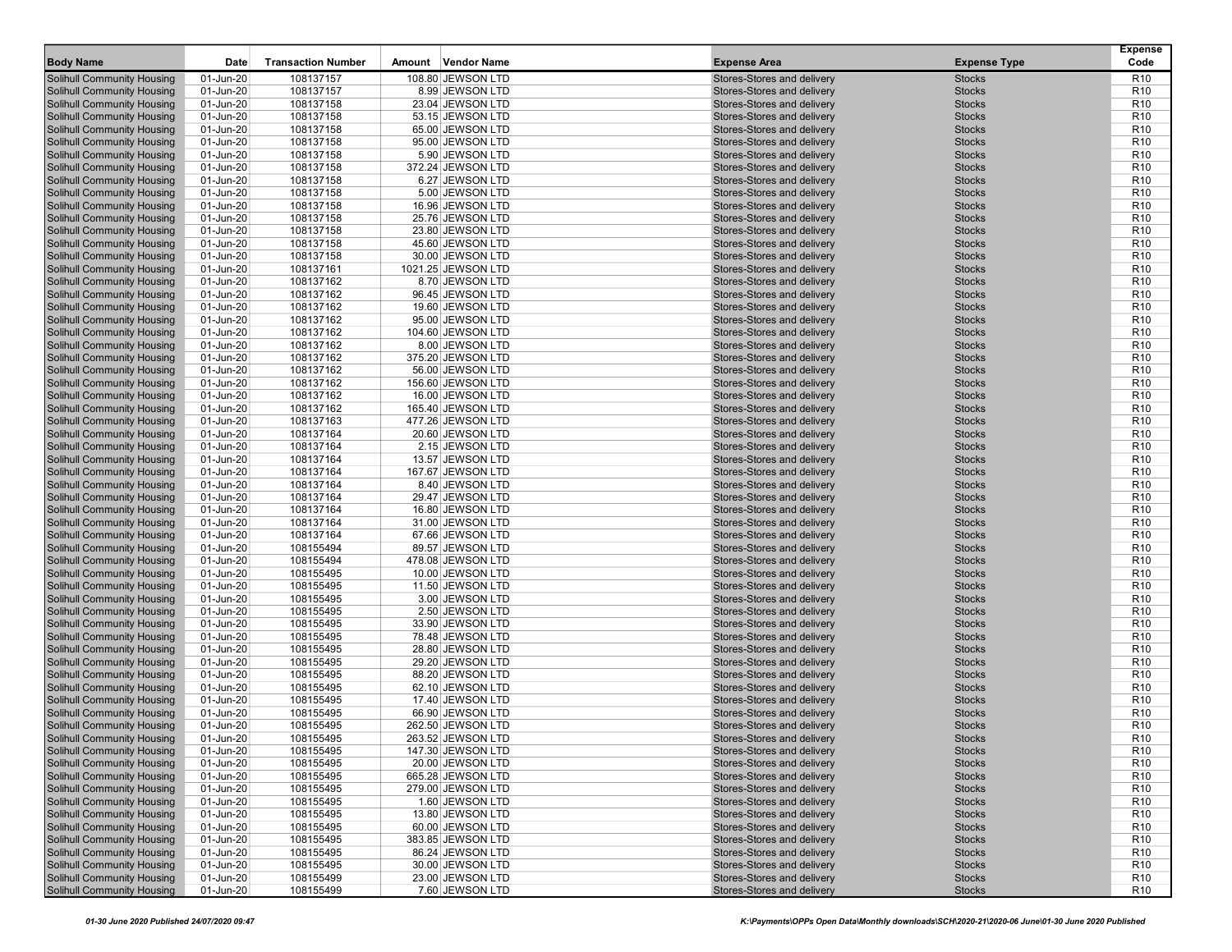| 108137157<br>108.80 JEWSON LTD<br><b>Solihull Community Housing</b><br>01-Jun-20<br>Stores-Stores and delivery<br><b>Stocks</b><br>R <sub>10</sub><br>R <sub>10</sub><br><b>Solihull Community Housing</b><br>01-Jun-20<br>108137157<br>8.99 JEWSON LTD<br>Stores-Stores and delivery<br><b>Stocks</b><br><b>Solihull Community Housing</b><br>01-Jun-20<br>108137158<br>23.04 JEWSON LTD<br>Stores-Stores and delivery<br><b>Stocks</b><br>R <sub>10</sub><br>108137158<br>R <sub>10</sub><br><b>Solihull Community Housing</b><br>01-Jun-20<br>53.15 JEWSON LTD<br>Stores-Stores and delivery<br><b>Stocks</b><br>Solihull Community Housing<br>01-Jun-20<br>108137158<br>65.00 JEWSON LTD<br>Stores-Stores and delivery<br><b>Stocks</b><br>R <sub>10</sub><br><b>Solihull Community Housing</b><br>01-Jun-20<br>108137158<br>95.00 JEWSON LTD<br>Stores-Stores and delivery<br><b>Stocks</b><br>R <sub>10</sub><br><b>Solihull Community Housing</b><br>01-Jun-20<br>108137158<br>5.90 JEWSON LTD<br>Stores-Stores and delivery<br><b>Stocks</b><br>R <sub>10</sub><br><b>Solihull Community Housing</b><br>R <sub>10</sub><br>01-Jun-20<br>108137158<br>372.24 JEWSON LTD<br>Stores-Stores and delivery<br><b>Stocks</b><br>108137158<br><b>Solihull Community Housing</b><br>01-Jun-20<br>6.27 JEWSON LTD<br>Stores-Stores and delivery<br><b>Stocks</b><br>R <sub>10</sub><br><b>Solihull Community Housing</b><br>01-Jun-20<br>108137158<br>5.00 JEWSON LTD<br>Stores-Stores and delivery<br><b>Stocks</b><br>R <sub>10</sub><br>R <sub>10</sub><br><b>Solihull Community Housing</b><br>01-Jun-20<br>108137158<br>16.96 JEWSON LTD<br>Stores-Stores and delivery<br><b>Stocks</b><br><b>Solihull Community Housing</b><br>01-Jun-20<br>108137158<br>25.76 JEWSON LTD<br>Stores-Stores and delivery<br><b>Stocks</b><br>R <sub>10</sub><br>R <sub>10</sub><br><b>Solihull Community Housing</b><br>01-Jun-20<br>108137158<br>23.80 JEWSON LTD<br>Stores-Stores and delivery<br><b>Stocks</b><br><b>Solihull Community Housing</b><br>01-Jun-20<br>108137158<br>Stores-Stores and delivery<br><b>Stocks</b><br>R <sub>10</sub><br>45.60 JEWSON LTD<br>R <sub>10</sub><br>Solihull Community Housing<br>01-Jun-20<br>108137158<br>30.00 JEWSON LTD<br>Stores-Stores and delivery<br><b>Stocks</b><br>R <sub>10</sub><br>01-Jun-20<br>108137161<br>1021.25 JEWSON LTD<br>Stores-Stores and delivery<br><b>Stocks</b><br>01-Jun-20<br>108137162<br>8.70 JEWSON LTD<br>Stores-Stores and delivery<br><b>Stocks</b><br>R <sub>10</sub><br>R <sub>10</sub><br>01-Jun-20<br>108137162<br>96.45 JEWSON LTD<br>Stores-Stores and delivery<br><b>Stocks</b><br>01-Jun-20<br>108137162<br>19.60 JEWSON LTD<br>Stores-Stores and delivery<br><b>Stocks</b><br>R <sub>10</sub><br>108137162<br>R <sub>10</sub><br>01-Jun-20<br>95.00 JEWSON LTD<br>Stores-Stores and delivery<br><b>Stocks</b><br>01-Jun-20<br>108137162<br>104.60 JEWSON LTD<br>Stores-Stores and delivery<br><b>Stocks</b><br>R <sub>10</sub><br>01-Jun-20<br>108137162<br>8.00 JEWSON LTD<br>Stores-Stores and delivery<br><b>Stocks</b><br>R <sub>10</sub><br>R <sub>10</sub><br>01-Jun-20<br>108137162<br>375.20 JEWSON LTD<br>Stores-Stores and delivery<br><b>Stocks</b><br>R <sub>10</sub><br>01-Jun-20<br>108137162<br>56.00 JEWSON LTD<br>Stores-Stores and delivery<br><b>Stocks</b><br>01-Jun-20<br>108137162<br>156.60 JEWSON LTD<br>Stores-Stores and delivery<br><b>Stocks</b><br>R <sub>10</sub><br>01-Jun-20<br>108137162<br>16.00 JEWSON LTD<br>Stores-Stores and delivery<br><b>Stocks</b><br>R <sub>10</sub><br>R <sub>10</sub><br>01-Jun-20<br>108137162<br>165.40 JEWSON LTD<br>Stores-Stores and delivery<br><b>Stocks</b><br>01-Jun-20<br>108137163<br>477.26 JEWSON LTD<br>Stores-Stores and delivery<br><b>Stocks</b><br>R <sub>10</sub><br>108137164<br>R <sub>10</sub><br>01-Jun-20<br>20.60 JEWSON LTD<br>Stores-Stores and delivery<br><b>Stocks</b><br>R <sub>10</sub><br>01-Jun-20<br>108137164<br>2.15 JEWSON LTD<br>Stores-Stores and delivery<br><b>Stocks</b><br>01-Jun-20<br>108137164<br>13.57 JEWSON LTD<br>Stores-Stores and delivery<br><b>Stocks</b><br>R <sub>10</sub><br>01-Jun-20<br>108137164<br>167.67 JEWSON LTD<br>Stores-Stores and delivery<br><b>Stocks</b><br>R <sub>10</sub><br>R <sub>10</sub><br>01-Jun-20<br>108137164<br>8.40 JEWSON LTD<br>Stores-Stores and delivery<br><b>Stocks</b><br>01-Jun-20<br>108137164<br>29.47 JEWSON LTD<br>Stores-Stores and delivery<br><b>Stocks</b><br>R <sub>10</sub><br>01-Jun-20<br>108137164<br>16.80 JEWSON LTD<br>Stores-Stores and delivery<br><b>Stocks</b><br>R <sub>10</sub><br>R <sub>10</sub><br>01-Jun-20<br>108137164<br>31.00 JEWSON LTD<br>Stores-Stores and delivery<br><b>Stocks</b><br>01-Jun-20<br>108137164<br>67.66 JEWSON LTD<br>Stores-Stores and delivery<br><b>Stocks</b><br>R <sub>10</sub><br>R <sub>10</sub><br>01-Jun-20<br>108155494<br>89.57 JEWSON LTD<br>Stores-Stores and delivery<br><b>Stocks</b><br>01-Jun-20<br>108155494<br>Stores-Stores and delivery<br><b>Stocks</b><br>R <sub>10</sub><br>478.08 JEWSON LTD<br>R <sub>10</sub><br>01-Jun-20<br>108155495<br>10.00 JEWSON LTD<br>Stores-Stores and delivery<br><b>Stocks</b><br>Stores-Stores and delivery<br>R <sub>10</sub><br>01-Jun-20<br>108155495<br>11.50 JEWSON LTD<br><b>Stocks</b><br>01-Jun-20<br>108155495<br>3.00 JEWSON LTD<br>Stores-Stores and delivery<br><b>Stocks</b><br>R <sub>10</sub><br>R <sub>10</sub><br>01-Jun-20<br>108155495<br>2.50 JEWSON LTD<br>Stores-Stores and delivery<br><b>Stocks</b><br>01-Jun-20<br>108155495<br>33.90 JEWSON LTD<br>Stores-Stores and delivery<br><b>Stocks</b><br>R <sub>10</sub><br>R <sub>10</sub><br>01-Jun-20<br>108155495<br>78.48 JEWSON LTD<br>Stores-Stores and delivery<br><b>Stocks</b><br>01-Jun-20<br>108155495<br>28.80 JEWSON LTD<br>Stores-Stores and delivery<br><b>Stocks</b><br>R <sub>10</sub><br>01-Jun-20<br>108155495<br>29.20 JEWSON LTD<br>Stores-Stores and delivery<br><b>Stocks</b><br>R <sub>10</sub><br>R <sub>10</sub><br>01-Jun-20<br>108155495<br>88.20 JEWSON LTD<br>Stores-Stores and delivery<br><b>Stocks</b><br><b>Solihull Community Housing</b><br>R <sub>10</sub><br>01-Jun-20<br>108155495<br>62.10 JEWSON LTD<br>Stores-Stores and delivery<br><b>Stocks</b><br><b>Solihull Community Housing</b><br>01-Jun-20<br>108155495<br>17.40 JEWSON LTD<br>Stores-Stores and delivery<br><b>Stocks</b><br>R <sub>10</sub><br>Solihull Community Housing<br>01-Jun-20<br>108155495<br>66.90 JEWSON LTD<br>Stores-Stores and delivery<br><b>Stocks</b><br>R <sub>10</sub><br>R <sub>10</sub><br><b>Solihull Community Housing</b><br>01-Jun-20<br>108155495<br>262.50 JEWSON LTD<br>Stores-Stores and delivery<br><b>Stocks</b><br><b>Solihull Community Housing</b><br>Stores-Stores and delivery<br>R10<br>01-Jun-20<br>108155495<br>263.52 JEWSON LTD<br><b>Stocks</b><br>Solihull Community Housing<br>Stores-Stores and delivery<br>R <sub>10</sub><br>01-Jun-20<br>108155495<br>147.30 JEWSON LTD<br><b>Stocks</b><br><b>Solihull Community Housing</b><br>R <sub>10</sub><br>01-Jun-20<br>108155495<br>20.00 JEWSON LTD<br>Stores-Stores and delivery<br><b>Stocks</b><br><b>Solihull Community Housing</b><br>Stores-Stores and delivery<br>01-Jun-20<br>108155495<br>665.28 JEWSON LTD<br><b>Stocks</b><br>R <sub>10</sub><br><b>Solihull Community Housing</b><br>Stores-Stores and delivery<br>01-Jun-20<br>108155495<br>279.00 JEWSON LTD<br><b>Stocks</b><br>R <sub>10</sub><br><b>Solihull Community Housing</b><br>108155495<br>1.60 JEWSON LTD<br>Stores-Stores and delivery<br>01-Jun-20<br><b>Stocks</b><br>R <sub>10</sub><br><b>Solihull Community Housing</b><br>108155495<br>Stores-Stores and delivery<br>01-Jun-20<br>13.80 JEWSON LTD<br><b>Stocks</b><br>R <sub>10</sub><br><b>Solihull Community Housing</b><br>01-Jun-20<br>108155495<br>60.00 JEWSON LTD<br>Stores-Stores and delivery<br><b>Stocks</b><br>R <sub>10</sub><br><b>Solihull Community Housing</b><br>Stores-Stores and delivery<br>01-Jun-20<br>108155495<br>383.85 JEWSON LTD<br><b>Stocks</b><br>R <sub>10</sub><br><b>Solihull Community Housing</b><br>Stores-Stores and delivery<br>01-Jun-20<br>108155495<br>86.24 JEWSON LTD<br><b>Stocks</b><br>R <sub>10</sub><br><b>Solihull Community Housing</b><br>30.00 JEWSON LTD<br>Stores-Stores and delivery<br>R <sub>10</sub><br>01-Jun-20<br>108155495<br><b>Stocks</b><br><b>Solihull Community Housing</b><br>01-Jun-20<br>108155499<br>23.00 JEWSON LTD<br>Stores-Stores and delivery<br><b>Stocks</b><br>R <sub>10</sub><br>7.60 JEWSON LTD |                                   |           |                           |        |             |                            |                     | <b>Expense</b>  |
|------------------------------------------------------------------------------------------------------------------------------------------------------------------------------------------------------------------------------------------------------------------------------------------------------------------------------------------------------------------------------------------------------------------------------------------------------------------------------------------------------------------------------------------------------------------------------------------------------------------------------------------------------------------------------------------------------------------------------------------------------------------------------------------------------------------------------------------------------------------------------------------------------------------------------------------------------------------------------------------------------------------------------------------------------------------------------------------------------------------------------------------------------------------------------------------------------------------------------------------------------------------------------------------------------------------------------------------------------------------------------------------------------------------------------------------------------------------------------------------------------------------------------------------------------------------------------------------------------------------------------------------------------------------------------------------------------------------------------------------------------------------------------------------------------------------------------------------------------------------------------------------------------------------------------------------------------------------------------------------------------------------------------------------------------------------------------------------------------------------------------------------------------------------------------------------------------------------------------------------------------------------------------------------------------------------------------------------------------------------------------------------------------------------------------------------------------------------------------------------------------------------------------------------------------------------------------------------------------------------------------------------------------------------------------------------------------------------------------------------------------------------------------------------------------------------------------------------------------------------------------------------------------------------------------------------------------------------------------------------------------------------------------------------------------------------------------------------------------------------------------------------------------------------------------------------------------------------------------------------------------------------------------------------------------------------------------------------------------------------------------------------------------------------------------------------------------------------------------------------------------------------------------------------------------------------------------------------------------------------------------------------------------------------------------------------------------------------------------------------------------------------------------------------------------------------------------------------------------------------------------------------------------------------------------------------------------------------------------------------------------------------------------------------------------------------------------------------------------------------------------------------------------------------------------------------------------------------------------------------------------------------------------------------------------------------------------------------------------------------------------------------------------------------------------------------------------------------------------------------------------------------------------------------------------------------------------------------------------------------------------------------------------------------------------------------------------------------------------------------------------------------------------------------------------------------------------------------------------------------------------------------------------------------------------------------------------------------------------------------------------------------------------------------------------------------------------------------------------------------------------------------------------------------------------------------------------------------------------------------------------------------------------------------------------------------------------------------------------------------------------------------------------------------------------------------------------------------------------------------------------------------------------------------------------------------------------------------------------------------------------------------------------------------------------------------------------------------------------------------------------------------------------------------------------------------------------------------------------------------------------------------------------------------------------------------------------------------------------------------------------------------------------------------------------------------------------------------------------------------------------------------------------------------------------------------------------------------------------------------------------------------------------------------------------------------------------------------------------------------------------------------------------------------------------------------------------------------------------------------------------------------------------------------------------------------------------------------------------------------------------------------------------------------------------------------------------------------------------------------------------------------------------------------------------------------------------------------------------------------------------------------------------------------------------------------------------------------------------------------------------------------------------------------------------------------------------------------------------------------------------------------------------------------------------------------------------------------------------------------------------------------------------------------------------------------------------------------------------------------------------------------------------------------------------------------------------------------------------------------------------------------------------------------------------------------------------------------------------------------------------------------------------------------------------------------------------------------------------------------------------------------------------------------------------------------------------------------------------------------------------------------------------------------------------------------------------------------------------------------------------------------------------------------------------------------------------------------------------------------------------------------------------------------------------------------------------------------------------------------------------------------------------------------------------------------------------------------------------------------------------------------------------------------------------------------------------------------------------------------------------------------------------------------------------------------------------------------------------------------------------------------|-----------------------------------|-----------|---------------------------|--------|-------------|----------------------------|---------------------|-----------------|
|                                                                                                                                                                                                                                                                                                                                                                                                                                                                                                                                                                                                                                                                                                                                                                                                                                                                                                                                                                                                                                                                                                                                                                                                                                                                                                                                                                                                                                                                                                                                                                                                                                                                                                                                                                                                                                                                                                                                                                                                                                                                                                                                                                                                                                                                                                                                                                                                                                                                                                                                                                                                                                                                                                                                                                                                                                                                                                                                                                                                                                                                                                                                                                                                                                                                                                                                                                                                                                                                                                                                                                                                                                                                                                                                                                                                                                                                                                                                                                                                                                                                                                                                                                                                                                                                                                                                                                                                                                                                                                                                                                                                                                                                                                                                                                                                                                                                                                                                                                                                                                                                                                                                                                                                                                                                                                                                                                                                                                                                                                                                                                                                                                                                                                                                                                                                                                                                                                                                                                                                                                                                                                                                                                                                                                                                                                                                                                                                                                                                                                                                                                                                                                                                                                                                                                                                                                                                                                                                                                                                                                                                                                                                                                                                                                                                                                                                                                                                                                                                                                                                                                                                                                                                                                                                                                                                                                                                                                                                                                                                                                                                                                                                                                                                                                                                                                                                                                                                                                                                                                                                                                                                                                          | <b>Body Name</b>                  | Date      | <b>Transaction Number</b> | Amount | Vendor Name | <b>Expense Area</b>        | <b>Expense Type</b> | Code            |
|                                                                                                                                                                                                                                                                                                                                                                                                                                                                                                                                                                                                                                                                                                                                                                                                                                                                                                                                                                                                                                                                                                                                                                                                                                                                                                                                                                                                                                                                                                                                                                                                                                                                                                                                                                                                                                                                                                                                                                                                                                                                                                                                                                                                                                                                                                                                                                                                                                                                                                                                                                                                                                                                                                                                                                                                                                                                                                                                                                                                                                                                                                                                                                                                                                                                                                                                                                                                                                                                                                                                                                                                                                                                                                                                                                                                                                                                                                                                                                                                                                                                                                                                                                                                                                                                                                                                                                                                                                                                                                                                                                                                                                                                                                                                                                                                                                                                                                                                                                                                                                                                                                                                                                                                                                                                                                                                                                                                                                                                                                                                                                                                                                                                                                                                                                                                                                                                                                                                                                                                                                                                                                                                                                                                                                                                                                                                                                                                                                                                                                                                                                                                                                                                                                                                                                                                                                                                                                                                                                                                                                                                                                                                                                                                                                                                                                                                                                                                                                                                                                                                                                                                                                                                                                                                                                                                                                                                                                                                                                                                                                                                                                                                                                                                                                                                                                                                                                                                                                                                                                                                                                                                                                          |                                   |           |                           |        |             |                            |                     |                 |
|                                                                                                                                                                                                                                                                                                                                                                                                                                                                                                                                                                                                                                                                                                                                                                                                                                                                                                                                                                                                                                                                                                                                                                                                                                                                                                                                                                                                                                                                                                                                                                                                                                                                                                                                                                                                                                                                                                                                                                                                                                                                                                                                                                                                                                                                                                                                                                                                                                                                                                                                                                                                                                                                                                                                                                                                                                                                                                                                                                                                                                                                                                                                                                                                                                                                                                                                                                                                                                                                                                                                                                                                                                                                                                                                                                                                                                                                                                                                                                                                                                                                                                                                                                                                                                                                                                                                                                                                                                                                                                                                                                                                                                                                                                                                                                                                                                                                                                                                                                                                                                                                                                                                                                                                                                                                                                                                                                                                                                                                                                                                                                                                                                                                                                                                                                                                                                                                                                                                                                                                                                                                                                                                                                                                                                                                                                                                                                                                                                                                                                                                                                                                                                                                                                                                                                                                                                                                                                                                                                                                                                                                                                                                                                                                                                                                                                                                                                                                                                                                                                                                                                                                                                                                                                                                                                                                                                                                                                                                                                                                                                                                                                                                                                                                                                                                                                                                                                                                                                                                                                                                                                                                                                          |                                   |           |                           |        |             |                            |                     |                 |
|                                                                                                                                                                                                                                                                                                                                                                                                                                                                                                                                                                                                                                                                                                                                                                                                                                                                                                                                                                                                                                                                                                                                                                                                                                                                                                                                                                                                                                                                                                                                                                                                                                                                                                                                                                                                                                                                                                                                                                                                                                                                                                                                                                                                                                                                                                                                                                                                                                                                                                                                                                                                                                                                                                                                                                                                                                                                                                                                                                                                                                                                                                                                                                                                                                                                                                                                                                                                                                                                                                                                                                                                                                                                                                                                                                                                                                                                                                                                                                                                                                                                                                                                                                                                                                                                                                                                                                                                                                                                                                                                                                                                                                                                                                                                                                                                                                                                                                                                                                                                                                                                                                                                                                                                                                                                                                                                                                                                                                                                                                                                                                                                                                                                                                                                                                                                                                                                                                                                                                                                                                                                                                                                                                                                                                                                                                                                                                                                                                                                                                                                                                                                                                                                                                                                                                                                                                                                                                                                                                                                                                                                                                                                                                                                                                                                                                                                                                                                                                                                                                                                                                                                                                                                                                                                                                                                                                                                                                                                                                                                                                                                                                                                                                                                                                                                                                                                                                                                                                                                                                                                                                                                                                          |                                   |           |                           |        |             |                            |                     |                 |
|                                                                                                                                                                                                                                                                                                                                                                                                                                                                                                                                                                                                                                                                                                                                                                                                                                                                                                                                                                                                                                                                                                                                                                                                                                                                                                                                                                                                                                                                                                                                                                                                                                                                                                                                                                                                                                                                                                                                                                                                                                                                                                                                                                                                                                                                                                                                                                                                                                                                                                                                                                                                                                                                                                                                                                                                                                                                                                                                                                                                                                                                                                                                                                                                                                                                                                                                                                                                                                                                                                                                                                                                                                                                                                                                                                                                                                                                                                                                                                                                                                                                                                                                                                                                                                                                                                                                                                                                                                                                                                                                                                                                                                                                                                                                                                                                                                                                                                                                                                                                                                                                                                                                                                                                                                                                                                                                                                                                                                                                                                                                                                                                                                                                                                                                                                                                                                                                                                                                                                                                                                                                                                                                                                                                                                                                                                                                                                                                                                                                                                                                                                                                                                                                                                                                                                                                                                                                                                                                                                                                                                                                                                                                                                                                                                                                                                                                                                                                                                                                                                                                                                                                                                                                                                                                                                                                                                                                                                                                                                                                                                                                                                                                                                                                                                                                                                                                                                                                                                                                                                                                                                                                                                          |                                   |           |                           |        |             |                            |                     |                 |
|                                                                                                                                                                                                                                                                                                                                                                                                                                                                                                                                                                                                                                                                                                                                                                                                                                                                                                                                                                                                                                                                                                                                                                                                                                                                                                                                                                                                                                                                                                                                                                                                                                                                                                                                                                                                                                                                                                                                                                                                                                                                                                                                                                                                                                                                                                                                                                                                                                                                                                                                                                                                                                                                                                                                                                                                                                                                                                                                                                                                                                                                                                                                                                                                                                                                                                                                                                                                                                                                                                                                                                                                                                                                                                                                                                                                                                                                                                                                                                                                                                                                                                                                                                                                                                                                                                                                                                                                                                                                                                                                                                                                                                                                                                                                                                                                                                                                                                                                                                                                                                                                                                                                                                                                                                                                                                                                                                                                                                                                                                                                                                                                                                                                                                                                                                                                                                                                                                                                                                                                                                                                                                                                                                                                                                                                                                                                                                                                                                                                                                                                                                                                                                                                                                                                                                                                                                                                                                                                                                                                                                                                                                                                                                                                                                                                                                                                                                                                                                                                                                                                                                                                                                                                                                                                                                                                                                                                                                                                                                                                                                                                                                                                                                                                                                                                                                                                                                                                                                                                                                                                                                                                                                          |                                   |           |                           |        |             |                            |                     |                 |
|                                                                                                                                                                                                                                                                                                                                                                                                                                                                                                                                                                                                                                                                                                                                                                                                                                                                                                                                                                                                                                                                                                                                                                                                                                                                                                                                                                                                                                                                                                                                                                                                                                                                                                                                                                                                                                                                                                                                                                                                                                                                                                                                                                                                                                                                                                                                                                                                                                                                                                                                                                                                                                                                                                                                                                                                                                                                                                                                                                                                                                                                                                                                                                                                                                                                                                                                                                                                                                                                                                                                                                                                                                                                                                                                                                                                                                                                                                                                                                                                                                                                                                                                                                                                                                                                                                                                                                                                                                                                                                                                                                                                                                                                                                                                                                                                                                                                                                                                                                                                                                                                                                                                                                                                                                                                                                                                                                                                                                                                                                                                                                                                                                                                                                                                                                                                                                                                                                                                                                                                                                                                                                                                                                                                                                                                                                                                                                                                                                                                                                                                                                                                                                                                                                                                                                                                                                                                                                                                                                                                                                                                                                                                                                                                                                                                                                                                                                                                                                                                                                                                                                                                                                                                                                                                                                                                                                                                                                                                                                                                                                                                                                                                                                                                                                                                                                                                                                                                                                                                                                                                                                                                                                          |                                   |           |                           |        |             |                            |                     |                 |
|                                                                                                                                                                                                                                                                                                                                                                                                                                                                                                                                                                                                                                                                                                                                                                                                                                                                                                                                                                                                                                                                                                                                                                                                                                                                                                                                                                                                                                                                                                                                                                                                                                                                                                                                                                                                                                                                                                                                                                                                                                                                                                                                                                                                                                                                                                                                                                                                                                                                                                                                                                                                                                                                                                                                                                                                                                                                                                                                                                                                                                                                                                                                                                                                                                                                                                                                                                                                                                                                                                                                                                                                                                                                                                                                                                                                                                                                                                                                                                                                                                                                                                                                                                                                                                                                                                                                                                                                                                                                                                                                                                                                                                                                                                                                                                                                                                                                                                                                                                                                                                                                                                                                                                                                                                                                                                                                                                                                                                                                                                                                                                                                                                                                                                                                                                                                                                                                                                                                                                                                                                                                                                                                                                                                                                                                                                                                                                                                                                                                                                                                                                                                                                                                                                                                                                                                                                                                                                                                                                                                                                                                                                                                                                                                                                                                                                                                                                                                                                                                                                                                                                                                                                                                                                                                                                                                                                                                                                                                                                                                                                                                                                                                                                                                                                                                                                                                                                                                                                                                                                                                                                                                                                          |                                   |           |                           |        |             |                            |                     |                 |
|                                                                                                                                                                                                                                                                                                                                                                                                                                                                                                                                                                                                                                                                                                                                                                                                                                                                                                                                                                                                                                                                                                                                                                                                                                                                                                                                                                                                                                                                                                                                                                                                                                                                                                                                                                                                                                                                                                                                                                                                                                                                                                                                                                                                                                                                                                                                                                                                                                                                                                                                                                                                                                                                                                                                                                                                                                                                                                                                                                                                                                                                                                                                                                                                                                                                                                                                                                                                                                                                                                                                                                                                                                                                                                                                                                                                                                                                                                                                                                                                                                                                                                                                                                                                                                                                                                                                                                                                                                                                                                                                                                                                                                                                                                                                                                                                                                                                                                                                                                                                                                                                                                                                                                                                                                                                                                                                                                                                                                                                                                                                                                                                                                                                                                                                                                                                                                                                                                                                                                                                                                                                                                                                                                                                                                                                                                                                                                                                                                                                                                                                                                                                                                                                                                                                                                                                                                                                                                                                                                                                                                                                                                                                                                                                                                                                                                                                                                                                                                                                                                                                                                                                                                                                                                                                                                                                                                                                                                                                                                                                                                                                                                                                                                                                                                                                                                                                                                                                                                                                                                                                                                                                                                          |                                   |           |                           |        |             |                            |                     |                 |
|                                                                                                                                                                                                                                                                                                                                                                                                                                                                                                                                                                                                                                                                                                                                                                                                                                                                                                                                                                                                                                                                                                                                                                                                                                                                                                                                                                                                                                                                                                                                                                                                                                                                                                                                                                                                                                                                                                                                                                                                                                                                                                                                                                                                                                                                                                                                                                                                                                                                                                                                                                                                                                                                                                                                                                                                                                                                                                                                                                                                                                                                                                                                                                                                                                                                                                                                                                                                                                                                                                                                                                                                                                                                                                                                                                                                                                                                                                                                                                                                                                                                                                                                                                                                                                                                                                                                                                                                                                                                                                                                                                                                                                                                                                                                                                                                                                                                                                                                                                                                                                                                                                                                                                                                                                                                                                                                                                                                                                                                                                                                                                                                                                                                                                                                                                                                                                                                                                                                                                                                                                                                                                                                                                                                                                                                                                                                                                                                                                                                                                                                                                                                                                                                                                                                                                                                                                                                                                                                                                                                                                                                                                                                                                                                                                                                                                                                                                                                                                                                                                                                                                                                                                                                                                                                                                                                                                                                                                                                                                                                                                                                                                                                                                                                                                                                                                                                                                                                                                                                                                                                                                                                                                          |                                   |           |                           |        |             |                            |                     |                 |
|                                                                                                                                                                                                                                                                                                                                                                                                                                                                                                                                                                                                                                                                                                                                                                                                                                                                                                                                                                                                                                                                                                                                                                                                                                                                                                                                                                                                                                                                                                                                                                                                                                                                                                                                                                                                                                                                                                                                                                                                                                                                                                                                                                                                                                                                                                                                                                                                                                                                                                                                                                                                                                                                                                                                                                                                                                                                                                                                                                                                                                                                                                                                                                                                                                                                                                                                                                                                                                                                                                                                                                                                                                                                                                                                                                                                                                                                                                                                                                                                                                                                                                                                                                                                                                                                                                                                                                                                                                                                                                                                                                                                                                                                                                                                                                                                                                                                                                                                                                                                                                                                                                                                                                                                                                                                                                                                                                                                                                                                                                                                                                                                                                                                                                                                                                                                                                                                                                                                                                                                                                                                                                                                                                                                                                                                                                                                                                                                                                                                                                                                                                                                                                                                                                                                                                                                                                                                                                                                                                                                                                                                                                                                                                                                                                                                                                                                                                                                                                                                                                                                                                                                                                                                                                                                                                                                                                                                                                                                                                                                                                                                                                                                                                                                                                                                                                                                                                                                                                                                                                                                                                                                                                          |                                   |           |                           |        |             |                            |                     |                 |
|                                                                                                                                                                                                                                                                                                                                                                                                                                                                                                                                                                                                                                                                                                                                                                                                                                                                                                                                                                                                                                                                                                                                                                                                                                                                                                                                                                                                                                                                                                                                                                                                                                                                                                                                                                                                                                                                                                                                                                                                                                                                                                                                                                                                                                                                                                                                                                                                                                                                                                                                                                                                                                                                                                                                                                                                                                                                                                                                                                                                                                                                                                                                                                                                                                                                                                                                                                                                                                                                                                                                                                                                                                                                                                                                                                                                                                                                                                                                                                                                                                                                                                                                                                                                                                                                                                                                                                                                                                                                                                                                                                                                                                                                                                                                                                                                                                                                                                                                                                                                                                                                                                                                                                                                                                                                                                                                                                                                                                                                                                                                                                                                                                                                                                                                                                                                                                                                                                                                                                                                                                                                                                                                                                                                                                                                                                                                                                                                                                                                                                                                                                                                                                                                                                                                                                                                                                                                                                                                                                                                                                                                                                                                                                                                                                                                                                                                                                                                                                                                                                                                                                                                                                                                                                                                                                                                                                                                                                                                                                                                                                                                                                                                                                                                                                                                                                                                                                                                                                                                                                                                                                                                                                          |                                   |           |                           |        |             |                            |                     |                 |
|                                                                                                                                                                                                                                                                                                                                                                                                                                                                                                                                                                                                                                                                                                                                                                                                                                                                                                                                                                                                                                                                                                                                                                                                                                                                                                                                                                                                                                                                                                                                                                                                                                                                                                                                                                                                                                                                                                                                                                                                                                                                                                                                                                                                                                                                                                                                                                                                                                                                                                                                                                                                                                                                                                                                                                                                                                                                                                                                                                                                                                                                                                                                                                                                                                                                                                                                                                                                                                                                                                                                                                                                                                                                                                                                                                                                                                                                                                                                                                                                                                                                                                                                                                                                                                                                                                                                                                                                                                                                                                                                                                                                                                                                                                                                                                                                                                                                                                                                                                                                                                                                                                                                                                                                                                                                                                                                                                                                                                                                                                                                                                                                                                                                                                                                                                                                                                                                                                                                                                                                                                                                                                                                                                                                                                                                                                                                                                                                                                                                                                                                                                                                                                                                                                                                                                                                                                                                                                                                                                                                                                                                                                                                                                                                                                                                                                                                                                                                                                                                                                                                                                                                                                                                                                                                                                                                                                                                                                                                                                                                                                                                                                                                                                                                                                                                                                                                                                                                                                                                                                                                                                                                                                          |                                   |           |                           |        |             |                            |                     |                 |
|                                                                                                                                                                                                                                                                                                                                                                                                                                                                                                                                                                                                                                                                                                                                                                                                                                                                                                                                                                                                                                                                                                                                                                                                                                                                                                                                                                                                                                                                                                                                                                                                                                                                                                                                                                                                                                                                                                                                                                                                                                                                                                                                                                                                                                                                                                                                                                                                                                                                                                                                                                                                                                                                                                                                                                                                                                                                                                                                                                                                                                                                                                                                                                                                                                                                                                                                                                                                                                                                                                                                                                                                                                                                                                                                                                                                                                                                                                                                                                                                                                                                                                                                                                                                                                                                                                                                                                                                                                                                                                                                                                                                                                                                                                                                                                                                                                                                                                                                                                                                                                                                                                                                                                                                                                                                                                                                                                                                                                                                                                                                                                                                                                                                                                                                                                                                                                                                                                                                                                                                                                                                                                                                                                                                                                                                                                                                                                                                                                                                                                                                                                                                                                                                                                                                                                                                                                                                                                                                                                                                                                                                                                                                                                                                                                                                                                                                                                                                                                                                                                                                                                                                                                                                                                                                                                                                                                                                                                                                                                                                                                                                                                                                                                                                                                                                                                                                                                                                                                                                                                                                                                                                                                          |                                   |           |                           |        |             |                            |                     |                 |
|                                                                                                                                                                                                                                                                                                                                                                                                                                                                                                                                                                                                                                                                                                                                                                                                                                                                                                                                                                                                                                                                                                                                                                                                                                                                                                                                                                                                                                                                                                                                                                                                                                                                                                                                                                                                                                                                                                                                                                                                                                                                                                                                                                                                                                                                                                                                                                                                                                                                                                                                                                                                                                                                                                                                                                                                                                                                                                                                                                                                                                                                                                                                                                                                                                                                                                                                                                                                                                                                                                                                                                                                                                                                                                                                                                                                                                                                                                                                                                                                                                                                                                                                                                                                                                                                                                                                                                                                                                                                                                                                                                                                                                                                                                                                                                                                                                                                                                                                                                                                                                                                                                                                                                                                                                                                                                                                                                                                                                                                                                                                                                                                                                                                                                                                                                                                                                                                                                                                                                                                                                                                                                                                                                                                                                                                                                                                                                                                                                                                                                                                                                                                                                                                                                                                                                                                                                                                                                                                                                                                                                                                                                                                                                                                                                                                                                                                                                                                                                                                                                                                                                                                                                                                                                                                                                                                                                                                                                                                                                                                                                                                                                                                                                                                                                                                                                                                                                                                                                                                                                                                                                                                                                          |                                   |           |                           |        |             |                            |                     |                 |
|                                                                                                                                                                                                                                                                                                                                                                                                                                                                                                                                                                                                                                                                                                                                                                                                                                                                                                                                                                                                                                                                                                                                                                                                                                                                                                                                                                                                                                                                                                                                                                                                                                                                                                                                                                                                                                                                                                                                                                                                                                                                                                                                                                                                                                                                                                                                                                                                                                                                                                                                                                                                                                                                                                                                                                                                                                                                                                                                                                                                                                                                                                                                                                                                                                                                                                                                                                                                                                                                                                                                                                                                                                                                                                                                                                                                                                                                                                                                                                                                                                                                                                                                                                                                                                                                                                                                                                                                                                                                                                                                                                                                                                                                                                                                                                                                                                                                                                                                                                                                                                                                                                                                                                                                                                                                                                                                                                                                                                                                                                                                                                                                                                                                                                                                                                                                                                                                                                                                                                                                                                                                                                                                                                                                                                                                                                                                                                                                                                                                                                                                                                                                                                                                                                                                                                                                                                                                                                                                                                                                                                                                                                                                                                                                                                                                                                                                                                                                                                                                                                                                                                                                                                                                                                                                                                                                                                                                                                                                                                                                                                                                                                                                                                                                                                                                                                                                                                                                                                                                                                                                                                                                                                          |                                   |           |                           |        |             |                            |                     |                 |
|                                                                                                                                                                                                                                                                                                                                                                                                                                                                                                                                                                                                                                                                                                                                                                                                                                                                                                                                                                                                                                                                                                                                                                                                                                                                                                                                                                                                                                                                                                                                                                                                                                                                                                                                                                                                                                                                                                                                                                                                                                                                                                                                                                                                                                                                                                                                                                                                                                                                                                                                                                                                                                                                                                                                                                                                                                                                                                                                                                                                                                                                                                                                                                                                                                                                                                                                                                                                                                                                                                                                                                                                                                                                                                                                                                                                                                                                                                                                                                                                                                                                                                                                                                                                                                                                                                                                                                                                                                                                                                                                                                                                                                                                                                                                                                                                                                                                                                                                                                                                                                                                                                                                                                                                                                                                                                                                                                                                                                                                                                                                                                                                                                                                                                                                                                                                                                                                                                                                                                                                                                                                                                                                                                                                                                                                                                                                                                                                                                                                                                                                                                                                                                                                                                                                                                                                                                                                                                                                                                                                                                                                                                                                                                                                                                                                                                                                                                                                                                                                                                                                                                                                                                                                                                                                                                                                                                                                                                                                                                                                                                                                                                                                                                                                                                                                                                                                                                                                                                                                                                                                                                                                                                          | <b>Solihull Community Housing</b> |           |                           |        |             |                            |                     |                 |
|                                                                                                                                                                                                                                                                                                                                                                                                                                                                                                                                                                                                                                                                                                                                                                                                                                                                                                                                                                                                                                                                                                                                                                                                                                                                                                                                                                                                                                                                                                                                                                                                                                                                                                                                                                                                                                                                                                                                                                                                                                                                                                                                                                                                                                                                                                                                                                                                                                                                                                                                                                                                                                                                                                                                                                                                                                                                                                                                                                                                                                                                                                                                                                                                                                                                                                                                                                                                                                                                                                                                                                                                                                                                                                                                                                                                                                                                                                                                                                                                                                                                                                                                                                                                                                                                                                                                                                                                                                                                                                                                                                                                                                                                                                                                                                                                                                                                                                                                                                                                                                                                                                                                                                                                                                                                                                                                                                                                                                                                                                                                                                                                                                                                                                                                                                                                                                                                                                                                                                                                                                                                                                                                                                                                                                                                                                                                                                                                                                                                                                                                                                                                                                                                                                                                                                                                                                                                                                                                                                                                                                                                                                                                                                                                                                                                                                                                                                                                                                                                                                                                                                                                                                                                                                                                                                                                                                                                                                                                                                                                                                                                                                                                                                                                                                                                                                                                                                                                                                                                                                                                                                                                                                          | <b>Solihull Community Housing</b> |           |                           |        |             |                            |                     |                 |
|                                                                                                                                                                                                                                                                                                                                                                                                                                                                                                                                                                                                                                                                                                                                                                                                                                                                                                                                                                                                                                                                                                                                                                                                                                                                                                                                                                                                                                                                                                                                                                                                                                                                                                                                                                                                                                                                                                                                                                                                                                                                                                                                                                                                                                                                                                                                                                                                                                                                                                                                                                                                                                                                                                                                                                                                                                                                                                                                                                                                                                                                                                                                                                                                                                                                                                                                                                                                                                                                                                                                                                                                                                                                                                                                                                                                                                                                                                                                                                                                                                                                                                                                                                                                                                                                                                                                                                                                                                                                                                                                                                                                                                                                                                                                                                                                                                                                                                                                                                                                                                                                                                                                                                                                                                                                                                                                                                                                                                                                                                                                                                                                                                                                                                                                                                                                                                                                                                                                                                                                                                                                                                                                                                                                                                                                                                                                                                                                                                                                                                                                                                                                                                                                                                                                                                                                                                                                                                                                                                                                                                                                                                                                                                                                                                                                                                                                                                                                                                                                                                                                                                                                                                                                                                                                                                                                                                                                                                                                                                                                                                                                                                                                                                                                                                                                                                                                                                                                                                                                                                                                                                                                                                          | <b>Solihull Community Housing</b> |           |                           |        |             |                            |                     |                 |
|                                                                                                                                                                                                                                                                                                                                                                                                                                                                                                                                                                                                                                                                                                                                                                                                                                                                                                                                                                                                                                                                                                                                                                                                                                                                                                                                                                                                                                                                                                                                                                                                                                                                                                                                                                                                                                                                                                                                                                                                                                                                                                                                                                                                                                                                                                                                                                                                                                                                                                                                                                                                                                                                                                                                                                                                                                                                                                                                                                                                                                                                                                                                                                                                                                                                                                                                                                                                                                                                                                                                                                                                                                                                                                                                                                                                                                                                                                                                                                                                                                                                                                                                                                                                                                                                                                                                                                                                                                                                                                                                                                                                                                                                                                                                                                                                                                                                                                                                                                                                                                                                                                                                                                                                                                                                                                                                                                                                                                                                                                                                                                                                                                                                                                                                                                                                                                                                                                                                                                                                                                                                                                                                                                                                                                                                                                                                                                                                                                                                                                                                                                                                                                                                                                                                                                                                                                                                                                                                                                                                                                                                                                                                                                                                                                                                                                                                                                                                                                                                                                                                                                                                                                                                                                                                                                                                                                                                                                                                                                                                                                                                                                                                                                                                                                                                                                                                                                                                                                                                                                                                                                                                                                          | <b>Solihull Community Housing</b> |           |                           |        |             |                            |                     |                 |
|                                                                                                                                                                                                                                                                                                                                                                                                                                                                                                                                                                                                                                                                                                                                                                                                                                                                                                                                                                                                                                                                                                                                                                                                                                                                                                                                                                                                                                                                                                                                                                                                                                                                                                                                                                                                                                                                                                                                                                                                                                                                                                                                                                                                                                                                                                                                                                                                                                                                                                                                                                                                                                                                                                                                                                                                                                                                                                                                                                                                                                                                                                                                                                                                                                                                                                                                                                                                                                                                                                                                                                                                                                                                                                                                                                                                                                                                                                                                                                                                                                                                                                                                                                                                                                                                                                                                                                                                                                                                                                                                                                                                                                                                                                                                                                                                                                                                                                                                                                                                                                                                                                                                                                                                                                                                                                                                                                                                                                                                                                                                                                                                                                                                                                                                                                                                                                                                                                                                                                                                                                                                                                                                                                                                                                                                                                                                                                                                                                                                                                                                                                                                                                                                                                                                                                                                                                                                                                                                                                                                                                                                                                                                                                                                                                                                                                                                                                                                                                                                                                                                                                                                                                                                                                                                                                                                                                                                                                                                                                                                                                                                                                                                                                                                                                                                                                                                                                                                                                                                                                                                                                                                                                          | <b>Solihull Community Housing</b> |           |                           |        |             |                            |                     |                 |
|                                                                                                                                                                                                                                                                                                                                                                                                                                                                                                                                                                                                                                                                                                                                                                                                                                                                                                                                                                                                                                                                                                                                                                                                                                                                                                                                                                                                                                                                                                                                                                                                                                                                                                                                                                                                                                                                                                                                                                                                                                                                                                                                                                                                                                                                                                                                                                                                                                                                                                                                                                                                                                                                                                                                                                                                                                                                                                                                                                                                                                                                                                                                                                                                                                                                                                                                                                                                                                                                                                                                                                                                                                                                                                                                                                                                                                                                                                                                                                                                                                                                                                                                                                                                                                                                                                                                                                                                                                                                                                                                                                                                                                                                                                                                                                                                                                                                                                                                                                                                                                                                                                                                                                                                                                                                                                                                                                                                                                                                                                                                                                                                                                                                                                                                                                                                                                                                                                                                                                                                                                                                                                                                                                                                                                                                                                                                                                                                                                                                                                                                                                                                                                                                                                                                                                                                                                                                                                                                                                                                                                                                                                                                                                                                                                                                                                                                                                                                                                                                                                                                                                                                                                                                                                                                                                                                                                                                                                                                                                                                                                                                                                                                                                                                                                                                                                                                                                                                                                                                                                                                                                                                                                          | <b>Solihull Community Housing</b> |           |                           |        |             |                            |                     |                 |
|                                                                                                                                                                                                                                                                                                                                                                                                                                                                                                                                                                                                                                                                                                                                                                                                                                                                                                                                                                                                                                                                                                                                                                                                                                                                                                                                                                                                                                                                                                                                                                                                                                                                                                                                                                                                                                                                                                                                                                                                                                                                                                                                                                                                                                                                                                                                                                                                                                                                                                                                                                                                                                                                                                                                                                                                                                                                                                                                                                                                                                                                                                                                                                                                                                                                                                                                                                                                                                                                                                                                                                                                                                                                                                                                                                                                                                                                                                                                                                                                                                                                                                                                                                                                                                                                                                                                                                                                                                                                                                                                                                                                                                                                                                                                                                                                                                                                                                                                                                                                                                                                                                                                                                                                                                                                                                                                                                                                                                                                                                                                                                                                                                                                                                                                                                                                                                                                                                                                                                                                                                                                                                                                                                                                                                                                                                                                                                                                                                                                                                                                                                                                                                                                                                                                                                                                                                                                                                                                                                                                                                                                                                                                                                                                                                                                                                                                                                                                                                                                                                                                                                                                                                                                                                                                                                                                                                                                                                                                                                                                                                                                                                                                                                                                                                                                                                                                                                                                                                                                                                                                                                                                                                          | <b>Solihull Community Housing</b> |           |                           |        |             |                            |                     |                 |
|                                                                                                                                                                                                                                                                                                                                                                                                                                                                                                                                                                                                                                                                                                                                                                                                                                                                                                                                                                                                                                                                                                                                                                                                                                                                                                                                                                                                                                                                                                                                                                                                                                                                                                                                                                                                                                                                                                                                                                                                                                                                                                                                                                                                                                                                                                                                                                                                                                                                                                                                                                                                                                                                                                                                                                                                                                                                                                                                                                                                                                                                                                                                                                                                                                                                                                                                                                                                                                                                                                                                                                                                                                                                                                                                                                                                                                                                                                                                                                                                                                                                                                                                                                                                                                                                                                                                                                                                                                                                                                                                                                                                                                                                                                                                                                                                                                                                                                                                                                                                                                                                                                                                                                                                                                                                                                                                                                                                                                                                                                                                                                                                                                                                                                                                                                                                                                                                                                                                                                                                                                                                                                                                                                                                                                                                                                                                                                                                                                                                                                                                                                                                                                                                                                                                                                                                                                                                                                                                                                                                                                                                                                                                                                                                                                                                                                                                                                                                                                                                                                                                                                                                                                                                                                                                                                                                                                                                                                                                                                                                                                                                                                                                                                                                                                                                                                                                                                                                                                                                                                                                                                                                                                          | Solihull Community Housing        |           |                           |        |             |                            |                     |                 |
|                                                                                                                                                                                                                                                                                                                                                                                                                                                                                                                                                                                                                                                                                                                                                                                                                                                                                                                                                                                                                                                                                                                                                                                                                                                                                                                                                                                                                                                                                                                                                                                                                                                                                                                                                                                                                                                                                                                                                                                                                                                                                                                                                                                                                                                                                                                                                                                                                                                                                                                                                                                                                                                                                                                                                                                                                                                                                                                                                                                                                                                                                                                                                                                                                                                                                                                                                                                                                                                                                                                                                                                                                                                                                                                                                                                                                                                                                                                                                                                                                                                                                                                                                                                                                                                                                                                                                                                                                                                                                                                                                                                                                                                                                                                                                                                                                                                                                                                                                                                                                                                                                                                                                                                                                                                                                                                                                                                                                                                                                                                                                                                                                                                                                                                                                                                                                                                                                                                                                                                                                                                                                                                                                                                                                                                                                                                                                                                                                                                                                                                                                                                                                                                                                                                                                                                                                                                                                                                                                                                                                                                                                                                                                                                                                                                                                                                                                                                                                                                                                                                                                                                                                                                                                                                                                                                                                                                                                                                                                                                                                                                                                                                                                                                                                                                                                                                                                                                                                                                                                                                                                                                                                                          | <b>Solihull Community Housing</b> |           |                           |        |             |                            |                     |                 |
|                                                                                                                                                                                                                                                                                                                                                                                                                                                                                                                                                                                                                                                                                                                                                                                                                                                                                                                                                                                                                                                                                                                                                                                                                                                                                                                                                                                                                                                                                                                                                                                                                                                                                                                                                                                                                                                                                                                                                                                                                                                                                                                                                                                                                                                                                                                                                                                                                                                                                                                                                                                                                                                                                                                                                                                                                                                                                                                                                                                                                                                                                                                                                                                                                                                                                                                                                                                                                                                                                                                                                                                                                                                                                                                                                                                                                                                                                                                                                                                                                                                                                                                                                                                                                                                                                                                                                                                                                                                                                                                                                                                                                                                                                                                                                                                                                                                                                                                                                                                                                                                                                                                                                                                                                                                                                                                                                                                                                                                                                                                                                                                                                                                                                                                                                                                                                                                                                                                                                                                                                                                                                                                                                                                                                                                                                                                                                                                                                                                                                                                                                                                                                                                                                                                                                                                                                                                                                                                                                                                                                                                                                                                                                                                                                                                                                                                                                                                                                                                                                                                                                                                                                                                                                                                                                                                                                                                                                                                                                                                                                                                                                                                                                                                                                                                                                                                                                                                                                                                                                                                                                                                                                                          | <b>Solihull Community Housing</b> |           |                           |        |             |                            |                     |                 |
|                                                                                                                                                                                                                                                                                                                                                                                                                                                                                                                                                                                                                                                                                                                                                                                                                                                                                                                                                                                                                                                                                                                                                                                                                                                                                                                                                                                                                                                                                                                                                                                                                                                                                                                                                                                                                                                                                                                                                                                                                                                                                                                                                                                                                                                                                                                                                                                                                                                                                                                                                                                                                                                                                                                                                                                                                                                                                                                                                                                                                                                                                                                                                                                                                                                                                                                                                                                                                                                                                                                                                                                                                                                                                                                                                                                                                                                                                                                                                                                                                                                                                                                                                                                                                                                                                                                                                                                                                                                                                                                                                                                                                                                                                                                                                                                                                                                                                                                                                                                                                                                                                                                                                                                                                                                                                                                                                                                                                                                                                                                                                                                                                                                                                                                                                                                                                                                                                                                                                                                                                                                                                                                                                                                                                                                                                                                                                                                                                                                                                                                                                                                                                                                                                                                                                                                                                                                                                                                                                                                                                                                                                                                                                                                                                                                                                                                                                                                                                                                                                                                                                                                                                                                                                                                                                                                                                                                                                                                                                                                                                                                                                                                                                                                                                                                                                                                                                                                                                                                                                                                                                                                                                                          | <b>Solihull Community Housing</b> |           |                           |        |             |                            |                     |                 |
|                                                                                                                                                                                                                                                                                                                                                                                                                                                                                                                                                                                                                                                                                                                                                                                                                                                                                                                                                                                                                                                                                                                                                                                                                                                                                                                                                                                                                                                                                                                                                                                                                                                                                                                                                                                                                                                                                                                                                                                                                                                                                                                                                                                                                                                                                                                                                                                                                                                                                                                                                                                                                                                                                                                                                                                                                                                                                                                                                                                                                                                                                                                                                                                                                                                                                                                                                                                                                                                                                                                                                                                                                                                                                                                                                                                                                                                                                                                                                                                                                                                                                                                                                                                                                                                                                                                                                                                                                                                                                                                                                                                                                                                                                                                                                                                                                                                                                                                                                                                                                                                                                                                                                                                                                                                                                                                                                                                                                                                                                                                                                                                                                                                                                                                                                                                                                                                                                                                                                                                                                                                                                                                                                                                                                                                                                                                                                                                                                                                                                                                                                                                                                                                                                                                                                                                                                                                                                                                                                                                                                                                                                                                                                                                                                                                                                                                                                                                                                                                                                                                                                                                                                                                                                                                                                                                                                                                                                                                                                                                                                                                                                                                                                                                                                                                                                                                                                                                                                                                                                                                                                                                                                                          | <b>Solihull Community Housing</b> |           |                           |        |             |                            |                     |                 |
|                                                                                                                                                                                                                                                                                                                                                                                                                                                                                                                                                                                                                                                                                                                                                                                                                                                                                                                                                                                                                                                                                                                                                                                                                                                                                                                                                                                                                                                                                                                                                                                                                                                                                                                                                                                                                                                                                                                                                                                                                                                                                                                                                                                                                                                                                                                                                                                                                                                                                                                                                                                                                                                                                                                                                                                                                                                                                                                                                                                                                                                                                                                                                                                                                                                                                                                                                                                                                                                                                                                                                                                                                                                                                                                                                                                                                                                                                                                                                                                                                                                                                                                                                                                                                                                                                                                                                                                                                                                                                                                                                                                                                                                                                                                                                                                                                                                                                                                                                                                                                                                                                                                                                                                                                                                                                                                                                                                                                                                                                                                                                                                                                                                                                                                                                                                                                                                                                                                                                                                                                                                                                                                                                                                                                                                                                                                                                                                                                                                                                                                                                                                                                                                                                                                                                                                                                                                                                                                                                                                                                                                                                                                                                                                                                                                                                                                                                                                                                                                                                                                                                                                                                                                                                                                                                                                                                                                                                                                                                                                                                                                                                                                                                                                                                                                                                                                                                                                                                                                                                                                                                                                                                                          | <b>Solihull Community Housing</b> |           |                           |        |             |                            |                     |                 |
|                                                                                                                                                                                                                                                                                                                                                                                                                                                                                                                                                                                                                                                                                                                                                                                                                                                                                                                                                                                                                                                                                                                                                                                                                                                                                                                                                                                                                                                                                                                                                                                                                                                                                                                                                                                                                                                                                                                                                                                                                                                                                                                                                                                                                                                                                                                                                                                                                                                                                                                                                                                                                                                                                                                                                                                                                                                                                                                                                                                                                                                                                                                                                                                                                                                                                                                                                                                                                                                                                                                                                                                                                                                                                                                                                                                                                                                                                                                                                                                                                                                                                                                                                                                                                                                                                                                                                                                                                                                                                                                                                                                                                                                                                                                                                                                                                                                                                                                                                                                                                                                                                                                                                                                                                                                                                                                                                                                                                                                                                                                                                                                                                                                                                                                                                                                                                                                                                                                                                                                                                                                                                                                                                                                                                                                                                                                                                                                                                                                                                                                                                                                                                                                                                                                                                                                                                                                                                                                                                                                                                                                                                                                                                                                                                                                                                                                                                                                                                                                                                                                                                                                                                                                                                                                                                                                                                                                                                                                                                                                                                                                                                                                                                                                                                                                                                                                                                                                                                                                                                                                                                                                                                                          | <b>Solihull Community Housing</b> |           |                           |        |             |                            |                     |                 |
|                                                                                                                                                                                                                                                                                                                                                                                                                                                                                                                                                                                                                                                                                                                                                                                                                                                                                                                                                                                                                                                                                                                                                                                                                                                                                                                                                                                                                                                                                                                                                                                                                                                                                                                                                                                                                                                                                                                                                                                                                                                                                                                                                                                                                                                                                                                                                                                                                                                                                                                                                                                                                                                                                                                                                                                                                                                                                                                                                                                                                                                                                                                                                                                                                                                                                                                                                                                                                                                                                                                                                                                                                                                                                                                                                                                                                                                                                                                                                                                                                                                                                                                                                                                                                                                                                                                                                                                                                                                                                                                                                                                                                                                                                                                                                                                                                                                                                                                                                                                                                                                                                                                                                                                                                                                                                                                                                                                                                                                                                                                                                                                                                                                                                                                                                                                                                                                                                                                                                                                                                                                                                                                                                                                                                                                                                                                                                                                                                                                                                                                                                                                                                                                                                                                                                                                                                                                                                                                                                                                                                                                                                                                                                                                                                                                                                                                                                                                                                                                                                                                                                                                                                                                                                                                                                                                                                                                                                                                                                                                                                                                                                                                                                                                                                                                                                                                                                                                                                                                                                                                                                                                                                                          | <b>Solihull Community Housing</b> |           |                           |        |             |                            |                     |                 |
|                                                                                                                                                                                                                                                                                                                                                                                                                                                                                                                                                                                                                                                                                                                                                                                                                                                                                                                                                                                                                                                                                                                                                                                                                                                                                                                                                                                                                                                                                                                                                                                                                                                                                                                                                                                                                                                                                                                                                                                                                                                                                                                                                                                                                                                                                                                                                                                                                                                                                                                                                                                                                                                                                                                                                                                                                                                                                                                                                                                                                                                                                                                                                                                                                                                                                                                                                                                                                                                                                                                                                                                                                                                                                                                                                                                                                                                                                                                                                                                                                                                                                                                                                                                                                                                                                                                                                                                                                                                                                                                                                                                                                                                                                                                                                                                                                                                                                                                                                                                                                                                                                                                                                                                                                                                                                                                                                                                                                                                                                                                                                                                                                                                                                                                                                                                                                                                                                                                                                                                                                                                                                                                                                                                                                                                                                                                                                                                                                                                                                                                                                                                                                                                                                                                                                                                                                                                                                                                                                                                                                                                                                                                                                                                                                                                                                                                                                                                                                                                                                                                                                                                                                                                                                                                                                                                                                                                                                                                                                                                                                                                                                                                                                                                                                                                                                                                                                                                                                                                                                                                                                                                                                                          | Solihull Community Housing        |           |                           |        |             |                            |                     |                 |
|                                                                                                                                                                                                                                                                                                                                                                                                                                                                                                                                                                                                                                                                                                                                                                                                                                                                                                                                                                                                                                                                                                                                                                                                                                                                                                                                                                                                                                                                                                                                                                                                                                                                                                                                                                                                                                                                                                                                                                                                                                                                                                                                                                                                                                                                                                                                                                                                                                                                                                                                                                                                                                                                                                                                                                                                                                                                                                                                                                                                                                                                                                                                                                                                                                                                                                                                                                                                                                                                                                                                                                                                                                                                                                                                                                                                                                                                                                                                                                                                                                                                                                                                                                                                                                                                                                                                                                                                                                                                                                                                                                                                                                                                                                                                                                                                                                                                                                                                                                                                                                                                                                                                                                                                                                                                                                                                                                                                                                                                                                                                                                                                                                                                                                                                                                                                                                                                                                                                                                                                                                                                                                                                                                                                                                                                                                                                                                                                                                                                                                                                                                                                                                                                                                                                                                                                                                                                                                                                                                                                                                                                                                                                                                                                                                                                                                                                                                                                                                                                                                                                                                                                                                                                                                                                                                                                                                                                                                                                                                                                                                                                                                                                                                                                                                                                                                                                                                                                                                                                                                                                                                                                                                          | <b>Solihull Community Housing</b> |           |                           |        |             |                            |                     |                 |
|                                                                                                                                                                                                                                                                                                                                                                                                                                                                                                                                                                                                                                                                                                                                                                                                                                                                                                                                                                                                                                                                                                                                                                                                                                                                                                                                                                                                                                                                                                                                                                                                                                                                                                                                                                                                                                                                                                                                                                                                                                                                                                                                                                                                                                                                                                                                                                                                                                                                                                                                                                                                                                                                                                                                                                                                                                                                                                                                                                                                                                                                                                                                                                                                                                                                                                                                                                                                                                                                                                                                                                                                                                                                                                                                                                                                                                                                                                                                                                                                                                                                                                                                                                                                                                                                                                                                                                                                                                                                                                                                                                                                                                                                                                                                                                                                                                                                                                                                                                                                                                                                                                                                                                                                                                                                                                                                                                                                                                                                                                                                                                                                                                                                                                                                                                                                                                                                                                                                                                                                                                                                                                                                                                                                                                                                                                                                                                                                                                                                                                                                                                                                                                                                                                                                                                                                                                                                                                                                                                                                                                                                                                                                                                                                                                                                                                                                                                                                                                                                                                                                                                                                                                                                                                                                                                                                                                                                                                                                                                                                                                                                                                                                                                                                                                                                                                                                                                                                                                                                                                                                                                                                                                          | <b>Solihull Community Housing</b> |           |                           |        |             |                            |                     |                 |
|                                                                                                                                                                                                                                                                                                                                                                                                                                                                                                                                                                                                                                                                                                                                                                                                                                                                                                                                                                                                                                                                                                                                                                                                                                                                                                                                                                                                                                                                                                                                                                                                                                                                                                                                                                                                                                                                                                                                                                                                                                                                                                                                                                                                                                                                                                                                                                                                                                                                                                                                                                                                                                                                                                                                                                                                                                                                                                                                                                                                                                                                                                                                                                                                                                                                                                                                                                                                                                                                                                                                                                                                                                                                                                                                                                                                                                                                                                                                                                                                                                                                                                                                                                                                                                                                                                                                                                                                                                                                                                                                                                                                                                                                                                                                                                                                                                                                                                                                                                                                                                                                                                                                                                                                                                                                                                                                                                                                                                                                                                                                                                                                                                                                                                                                                                                                                                                                                                                                                                                                                                                                                                                                                                                                                                                                                                                                                                                                                                                                                                                                                                                                                                                                                                                                                                                                                                                                                                                                                                                                                                                                                                                                                                                                                                                                                                                                                                                                                                                                                                                                                                                                                                                                                                                                                                                                                                                                                                                                                                                                                                                                                                                                                                                                                                                                                                                                                                                                                                                                                                                                                                                                                                          | <b>Solihull Community Housing</b> |           |                           |        |             |                            |                     |                 |
|                                                                                                                                                                                                                                                                                                                                                                                                                                                                                                                                                                                                                                                                                                                                                                                                                                                                                                                                                                                                                                                                                                                                                                                                                                                                                                                                                                                                                                                                                                                                                                                                                                                                                                                                                                                                                                                                                                                                                                                                                                                                                                                                                                                                                                                                                                                                                                                                                                                                                                                                                                                                                                                                                                                                                                                                                                                                                                                                                                                                                                                                                                                                                                                                                                                                                                                                                                                                                                                                                                                                                                                                                                                                                                                                                                                                                                                                                                                                                                                                                                                                                                                                                                                                                                                                                                                                                                                                                                                                                                                                                                                                                                                                                                                                                                                                                                                                                                                                                                                                                                                                                                                                                                                                                                                                                                                                                                                                                                                                                                                                                                                                                                                                                                                                                                                                                                                                                                                                                                                                                                                                                                                                                                                                                                                                                                                                                                                                                                                                                                                                                                                                                                                                                                                                                                                                                                                                                                                                                                                                                                                                                                                                                                                                                                                                                                                                                                                                                                                                                                                                                                                                                                                                                                                                                                                                                                                                                                                                                                                                                                                                                                                                                                                                                                                                                                                                                                                                                                                                                                                                                                                                                                          | <b>Solihull Community Housing</b> |           |                           |        |             |                            |                     |                 |
|                                                                                                                                                                                                                                                                                                                                                                                                                                                                                                                                                                                                                                                                                                                                                                                                                                                                                                                                                                                                                                                                                                                                                                                                                                                                                                                                                                                                                                                                                                                                                                                                                                                                                                                                                                                                                                                                                                                                                                                                                                                                                                                                                                                                                                                                                                                                                                                                                                                                                                                                                                                                                                                                                                                                                                                                                                                                                                                                                                                                                                                                                                                                                                                                                                                                                                                                                                                                                                                                                                                                                                                                                                                                                                                                                                                                                                                                                                                                                                                                                                                                                                                                                                                                                                                                                                                                                                                                                                                                                                                                                                                                                                                                                                                                                                                                                                                                                                                                                                                                                                                                                                                                                                                                                                                                                                                                                                                                                                                                                                                                                                                                                                                                                                                                                                                                                                                                                                                                                                                                                                                                                                                                                                                                                                                                                                                                                                                                                                                                                                                                                                                                                                                                                                                                                                                                                                                                                                                                                                                                                                                                                                                                                                                                                                                                                                                                                                                                                                                                                                                                                                                                                                                                                                                                                                                                                                                                                                                                                                                                                                                                                                                                                                                                                                                                                                                                                                                                                                                                                                                                                                                                                                          | <b>Solihull Community Housing</b> |           |                           |        |             |                            |                     |                 |
|                                                                                                                                                                                                                                                                                                                                                                                                                                                                                                                                                                                                                                                                                                                                                                                                                                                                                                                                                                                                                                                                                                                                                                                                                                                                                                                                                                                                                                                                                                                                                                                                                                                                                                                                                                                                                                                                                                                                                                                                                                                                                                                                                                                                                                                                                                                                                                                                                                                                                                                                                                                                                                                                                                                                                                                                                                                                                                                                                                                                                                                                                                                                                                                                                                                                                                                                                                                                                                                                                                                                                                                                                                                                                                                                                                                                                                                                                                                                                                                                                                                                                                                                                                                                                                                                                                                                                                                                                                                                                                                                                                                                                                                                                                                                                                                                                                                                                                                                                                                                                                                                                                                                                                                                                                                                                                                                                                                                                                                                                                                                                                                                                                                                                                                                                                                                                                                                                                                                                                                                                                                                                                                                                                                                                                                                                                                                                                                                                                                                                                                                                                                                                                                                                                                                                                                                                                                                                                                                                                                                                                                                                                                                                                                                                                                                                                                                                                                                                                                                                                                                                                                                                                                                                                                                                                                                                                                                                                                                                                                                                                                                                                                                                                                                                                                                                                                                                                                                                                                                                                                                                                                                                                          | <b>Solihull Community Housing</b> |           |                           |        |             |                            |                     |                 |
|                                                                                                                                                                                                                                                                                                                                                                                                                                                                                                                                                                                                                                                                                                                                                                                                                                                                                                                                                                                                                                                                                                                                                                                                                                                                                                                                                                                                                                                                                                                                                                                                                                                                                                                                                                                                                                                                                                                                                                                                                                                                                                                                                                                                                                                                                                                                                                                                                                                                                                                                                                                                                                                                                                                                                                                                                                                                                                                                                                                                                                                                                                                                                                                                                                                                                                                                                                                                                                                                                                                                                                                                                                                                                                                                                                                                                                                                                                                                                                                                                                                                                                                                                                                                                                                                                                                                                                                                                                                                                                                                                                                                                                                                                                                                                                                                                                                                                                                                                                                                                                                                                                                                                                                                                                                                                                                                                                                                                                                                                                                                                                                                                                                                                                                                                                                                                                                                                                                                                                                                                                                                                                                                                                                                                                                                                                                                                                                                                                                                                                                                                                                                                                                                                                                                                                                                                                                                                                                                                                                                                                                                                                                                                                                                                                                                                                                                                                                                                                                                                                                                                                                                                                                                                                                                                                                                                                                                                                                                                                                                                                                                                                                                                                                                                                                                                                                                                                                                                                                                                                                                                                                                                                          | <b>Solihull Community Housing</b> |           |                           |        |             |                            |                     |                 |
|                                                                                                                                                                                                                                                                                                                                                                                                                                                                                                                                                                                                                                                                                                                                                                                                                                                                                                                                                                                                                                                                                                                                                                                                                                                                                                                                                                                                                                                                                                                                                                                                                                                                                                                                                                                                                                                                                                                                                                                                                                                                                                                                                                                                                                                                                                                                                                                                                                                                                                                                                                                                                                                                                                                                                                                                                                                                                                                                                                                                                                                                                                                                                                                                                                                                                                                                                                                                                                                                                                                                                                                                                                                                                                                                                                                                                                                                                                                                                                                                                                                                                                                                                                                                                                                                                                                                                                                                                                                                                                                                                                                                                                                                                                                                                                                                                                                                                                                                                                                                                                                                                                                                                                                                                                                                                                                                                                                                                                                                                                                                                                                                                                                                                                                                                                                                                                                                                                                                                                                                                                                                                                                                                                                                                                                                                                                                                                                                                                                                                                                                                                                                                                                                                                                                                                                                                                                                                                                                                                                                                                                                                                                                                                                                                                                                                                                                                                                                                                                                                                                                                                                                                                                                                                                                                                                                                                                                                                                                                                                                                                                                                                                                                                                                                                                                                                                                                                                                                                                                                                                                                                                                                                          | <b>Solihull Community Housing</b> |           |                           |        |             |                            |                     |                 |
|                                                                                                                                                                                                                                                                                                                                                                                                                                                                                                                                                                                                                                                                                                                                                                                                                                                                                                                                                                                                                                                                                                                                                                                                                                                                                                                                                                                                                                                                                                                                                                                                                                                                                                                                                                                                                                                                                                                                                                                                                                                                                                                                                                                                                                                                                                                                                                                                                                                                                                                                                                                                                                                                                                                                                                                                                                                                                                                                                                                                                                                                                                                                                                                                                                                                                                                                                                                                                                                                                                                                                                                                                                                                                                                                                                                                                                                                                                                                                                                                                                                                                                                                                                                                                                                                                                                                                                                                                                                                                                                                                                                                                                                                                                                                                                                                                                                                                                                                                                                                                                                                                                                                                                                                                                                                                                                                                                                                                                                                                                                                                                                                                                                                                                                                                                                                                                                                                                                                                                                                                                                                                                                                                                                                                                                                                                                                                                                                                                                                                                                                                                                                                                                                                                                                                                                                                                                                                                                                                                                                                                                                                                                                                                                                                                                                                                                                                                                                                                                                                                                                                                                                                                                                                                                                                                                                                                                                                                                                                                                                                                                                                                                                                                                                                                                                                                                                                                                                                                                                                                                                                                                                                                          | <b>Solihull Community Housing</b> |           |                           |        |             |                            |                     |                 |
|                                                                                                                                                                                                                                                                                                                                                                                                                                                                                                                                                                                                                                                                                                                                                                                                                                                                                                                                                                                                                                                                                                                                                                                                                                                                                                                                                                                                                                                                                                                                                                                                                                                                                                                                                                                                                                                                                                                                                                                                                                                                                                                                                                                                                                                                                                                                                                                                                                                                                                                                                                                                                                                                                                                                                                                                                                                                                                                                                                                                                                                                                                                                                                                                                                                                                                                                                                                                                                                                                                                                                                                                                                                                                                                                                                                                                                                                                                                                                                                                                                                                                                                                                                                                                                                                                                                                                                                                                                                                                                                                                                                                                                                                                                                                                                                                                                                                                                                                                                                                                                                                                                                                                                                                                                                                                                                                                                                                                                                                                                                                                                                                                                                                                                                                                                                                                                                                                                                                                                                                                                                                                                                                                                                                                                                                                                                                                                                                                                                                                                                                                                                                                                                                                                                                                                                                                                                                                                                                                                                                                                                                                                                                                                                                                                                                                                                                                                                                                                                                                                                                                                                                                                                                                                                                                                                                                                                                                                                                                                                                                                                                                                                                                                                                                                                                                                                                                                                                                                                                                                                                                                                                                                          | <b>Solihull Community Housing</b> |           |                           |        |             |                            |                     |                 |
|                                                                                                                                                                                                                                                                                                                                                                                                                                                                                                                                                                                                                                                                                                                                                                                                                                                                                                                                                                                                                                                                                                                                                                                                                                                                                                                                                                                                                                                                                                                                                                                                                                                                                                                                                                                                                                                                                                                                                                                                                                                                                                                                                                                                                                                                                                                                                                                                                                                                                                                                                                                                                                                                                                                                                                                                                                                                                                                                                                                                                                                                                                                                                                                                                                                                                                                                                                                                                                                                                                                                                                                                                                                                                                                                                                                                                                                                                                                                                                                                                                                                                                                                                                                                                                                                                                                                                                                                                                                                                                                                                                                                                                                                                                                                                                                                                                                                                                                                                                                                                                                                                                                                                                                                                                                                                                                                                                                                                                                                                                                                                                                                                                                                                                                                                                                                                                                                                                                                                                                                                                                                                                                                                                                                                                                                                                                                                                                                                                                                                                                                                                                                                                                                                                                                                                                                                                                                                                                                                                                                                                                                                                                                                                                                                                                                                                                                                                                                                                                                                                                                                                                                                                                                                                                                                                                                                                                                                                                                                                                                                                                                                                                                                                                                                                                                                                                                                                                                                                                                                                                                                                                                                                          | <b>Solihull Community Housing</b> |           |                           |        |             |                            |                     |                 |
|                                                                                                                                                                                                                                                                                                                                                                                                                                                                                                                                                                                                                                                                                                                                                                                                                                                                                                                                                                                                                                                                                                                                                                                                                                                                                                                                                                                                                                                                                                                                                                                                                                                                                                                                                                                                                                                                                                                                                                                                                                                                                                                                                                                                                                                                                                                                                                                                                                                                                                                                                                                                                                                                                                                                                                                                                                                                                                                                                                                                                                                                                                                                                                                                                                                                                                                                                                                                                                                                                                                                                                                                                                                                                                                                                                                                                                                                                                                                                                                                                                                                                                                                                                                                                                                                                                                                                                                                                                                                                                                                                                                                                                                                                                                                                                                                                                                                                                                                                                                                                                                                                                                                                                                                                                                                                                                                                                                                                                                                                                                                                                                                                                                                                                                                                                                                                                                                                                                                                                                                                                                                                                                                                                                                                                                                                                                                                                                                                                                                                                                                                                                                                                                                                                                                                                                                                                                                                                                                                                                                                                                                                                                                                                                                                                                                                                                                                                                                                                                                                                                                                                                                                                                                                                                                                                                                                                                                                                                                                                                                                                                                                                                                                                                                                                                                                                                                                                                                                                                                                                                                                                                                                                          | <b>Solihull Community Housing</b> |           |                           |        |             |                            |                     |                 |
|                                                                                                                                                                                                                                                                                                                                                                                                                                                                                                                                                                                                                                                                                                                                                                                                                                                                                                                                                                                                                                                                                                                                                                                                                                                                                                                                                                                                                                                                                                                                                                                                                                                                                                                                                                                                                                                                                                                                                                                                                                                                                                                                                                                                                                                                                                                                                                                                                                                                                                                                                                                                                                                                                                                                                                                                                                                                                                                                                                                                                                                                                                                                                                                                                                                                                                                                                                                                                                                                                                                                                                                                                                                                                                                                                                                                                                                                                                                                                                                                                                                                                                                                                                                                                                                                                                                                                                                                                                                                                                                                                                                                                                                                                                                                                                                                                                                                                                                                                                                                                                                                                                                                                                                                                                                                                                                                                                                                                                                                                                                                                                                                                                                                                                                                                                                                                                                                                                                                                                                                                                                                                                                                                                                                                                                                                                                                                                                                                                                                                                                                                                                                                                                                                                                                                                                                                                                                                                                                                                                                                                                                                                                                                                                                                                                                                                                                                                                                                                                                                                                                                                                                                                                                                                                                                                                                                                                                                                                                                                                                                                                                                                                                                                                                                                                                                                                                                                                                                                                                                                                                                                                                                                          | <b>Solihull Community Housing</b> |           |                           |        |             |                            |                     |                 |
|                                                                                                                                                                                                                                                                                                                                                                                                                                                                                                                                                                                                                                                                                                                                                                                                                                                                                                                                                                                                                                                                                                                                                                                                                                                                                                                                                                                                                                                                                                                                                                                                                                                                                                                                                                                                                                                                                                                                                                                                                                                                                                                                                                                                                                                                                                                                                                                                                                                                                                                                                                                                                                                                                                                                                                                                                                                                                                                                                                                                                                                                                                                                                                                                                                                                                                                                                                                                                                                                                                                                                                                                                                                                                                                                                                                                                                                                                                                                                                                                                                                                                                                                                                                                                                                                                                                                                                                                                                                                                                                                                                                                                                                                                                                                                                                                                                                                                                                                                                                                                                                                                                                                                                                                                                                                                                                                                                                                                                                                                                                                                                                                                                                                                                                                                                                                                                                                                                                                                                                                                                                                                                                                                                                                                                                                                                                                                                                                                                                                                                                                                                                                                                                                                                                                                                                                                                                                                                                                                                                                                                                                                                                                                                                                                                                                                                                                                                                                                                                                                                                                                                                                                                                                                                                                                                                                                                                                                                                                                                                                                                                                                                                                                                                                                                                                                                                                                                                                                                                                                                                                                                                                                                          | <b>Solihull Community Housing</b> |           |                           |        |             |                            |                     |                 |
|                                                                                                                                                                                                                                                                                                                                                                                                                                                                                                                                                                                                                                                                                                                                                                                                                                                                                                                                                                                                                                                                                                                                                                                                                                                                                                                                                                                                                                                                                                                                                                                                                                                                                                                                                                                                                                                                                                                                                                                                                                                                                                                                                                                                                                                                                                                                                                                                                                                                                                                                                                                                                                                                                                                                                                                                                                                                                                                                                                                                                                                                                                                                                                                                                                                                                                                                                                                                                                                                                                                                                                                                                                                                                                                                                                                                                                                                                                                                                                                                                                                                                                                                                                                                                                                                                                                                                                                                                                                                                                                                                                                                                                                                                                                                                                                                                                                                                                                                                                                                                                                                                                                                                                                                                                                                                                                                                                                                                                                                                                                                                                                                                                                                                                                                                                                                                                                                                                                                                                                                                                                                                                                                                                                                                                                                                                                                                                                                                                                                                                                                                                                                                                                                                                                                                                                                                                                                                                                                                                                                                                                                                                                                                                                                                                                                                                                                                                                                                                                                                                                                                                                                                                                                                                                                                                                                                                                                                                                                                                                                                                                                                                                                                                                                                                                                                                                                                                                                                                                                                                                                                                                                                                          | <b>Solihull Community Housing</b> |           |                           |        |             |                            |                     |                 |
|                                                                                                                                                                                                                                                                                                                                                                                                                                                                                                                                                                                                                                                                                                                                                                                                                                                                                                                                                                                                                                                                                                                                                                                                                                                                                                                                                                                                                                                                                                                                                                                                                                                                                                                                                                                                                                                                                                                                                                                                                                                                                                                                                                                                                                                                                                                                                                                                                                                                                                                                                                                                                                                                                                                                                                                                                                                                                                                                                                                                                                                                                                                                                                                                                                                                                                                                                                                                                                                                                                                                                                                                                                                                                                                                                                                                                                                                                                                                                                                                                                                                                                                                                                                                                                                                                                                                                                                                                                                                                                                                                                                                                                                                                                                                                                                                                                                                                                                                                                                                                                                                                                                                                                                                                                                                                                                                                                                                                                                                                                                                                                                                                                                                                                                                                                                                                                                                                                                                                                                                                                                                                                                                                                                                                                                                                                                                                                                                                                                                                                                                                                                                                                                                                                                                                                                                                                                                                                                                                                                                                                                                                                                                                                                                                                                                                                                                                                                                                                                                                                                                                                                                                                                                                                                                                                                                                                                                                                                                                                                                                                                                                                                                                                                                                                                                                                                                                                                                                                                                                                                                                                                                                                          | <b>Solihull Community Housing</b> |           |                           |        |             |                            |                     |                 |
|                                                                                                                                                                                                                                                                                                                                                                                                                                                                                                                                                                                                                                                                                                                                                                                                                                                                                                                                                                                                                                                                                                                                                                                                                                                                                                                                                                                                                                                                                                                                                                                                                                                                                                                                                                                                                                                                                                                                                                                                                                                                                                                                                                                                                                                                                                                                                                                                                                                                                                                                                                                                                                                                                                                                                                                                                                                                                                                                                                                                                                                                                                                                                                                                                                                                                                                                                                                                                                                                                                                                                                                                                                                                                                                                                                                                                                                                                                                                                                                                                                                                                                                                                                                                                                                                                                                                                                                                                                                                                                                                                                                                                                                                                                                                                                                                                                                                                                                                                                                                                                                                                                                                                                                                                                                                                                                                                                                                                                                                                                                                                                                                                                                                                                                                                                                                                                                                                                                                                                                                                                                                                                                                                                                                                                                                                                                                                                                                                                                                                                                                                                                                                                                                                                                                                                                                                                                                                                                                                                                                                                                                                                                                                                                                                                                                                                                                                                                                                                                                                                                                                                                                                                                                                                                                                                                                                                                                                                                                                                                                                                                                                                                                                                                                                                                                                                                                                                                                                                                                                                                                                                                                                                          | <b>Solihull Community Housing</b> |           |                           |        |             |                            |                     |                 |
|                                                                                                                                                                                                                                                                                                                                                                                                                                                                                                                                                                                                                                                                                                                                                                                                                                                                                                                                                                                                                                                                                                                                                                                                                                                                                                                                                                                                                                                                                                                                                                                                                                                                                                                                                                                                                                                                                                                                                                                                                                                                                                                                                                                                                                                                                                                                                                                                                                                                                                                                                                                                                                                                                                                                                                                                                                                                                                                                                                                                                                                                                                                                                                                                                                                                                                                                                                                                                                                                                                                                                                                                                                                                                                                                                                                                                                                                                                                                                                                                                                                                                                                                                                                                                                                                                                                                                                                                                                                                                                                                                                                                                                                                                                                                                                                                                                                                                                                                                                                                                                                                                                                                                                                                                                                                                                                                                                                                                                                                                                                                                                                                                                                                                                                                                                                                                                                                                                                                                                                                                                                                                                                                                                                                                                                                                                                                                                                                                                                                                                                                                                                                                                                                                                                                                                                                                                                                                                                                                                                                                                                                                                                                                                                                                                                                                                                                                                                                                                                                                                                                                                                                                                                                                                                                                                                                                                                                                                                                                                                                                                                                                                                                                                                                                                                                                                                                                                                                                                                                                                                                                                                                                                          |                                   |           |                           |        |             |                            |                     |                 |
|                                                                                                                                                                                                                                                                                                                                                                                                                                                                                                                                                                                                                                                                                                                                                                                                                                                                                                                                                                                                                                                                                                                                                                                                                                                                                                                                                                                                                                                                                                                                                                                                                                                                                                                                                                                                                                                                                                                                                                                                                                                                                                                                                                                                                                                                                                                                                                                                                                                                                                                                                                                                                                                                                                                                                                                                                                                                                                                                                                                                                                                                                                                                                                                                                                                                                                                                                                                                                                                                                                                                                                                                                                                                                                                                                                                                                                                                                                                                                                                                                                                                                                                                                                                                                                                                                                                                                                                                                                                                                                                                                                                                                                                                                                                                                                                                                                                                                                                                                                                                                                                                                                                                                                                                                                                                                                                                                                                                                                                                                                                                                                                                                                                                                                                                                                                                                                                                                                                                                                                                                                                                                                                                                                                                                                                                                                                                                                                                                                                                                                                                                                                                                                                                                                                                                                                                                                                                                                                                                                                                                                                                                                                                                                                                                                                                                                                                                                                                                                                                                                                                                                                                                                                                                                                                                                                                                                                                                                                                                                                                                                                                                                                                                                                                                                                                                                                                                                                                                                                                                                                                                                                                                                          |                                   |           |                           |        |             |                            |                     |                 |
|                                                                                                                                                                                                                                                                                                                                                                                                                                                                                                                                                                                                                                                                                                                                                                                                                                                                                                                                                                                                                                                                                                                                                                                                                                                                                                                                                                                                                                                                                                                                                                                                                                                                                                                                                                                                                                                                                                                                                                                                                                                                                                                                                                                                                                                                                                                                                                                                                                                                                                                                                                                                                                                                                                                                                                                                                                                                                                                                                                                                                                                                                                                                                                                                                                                                                                                                                                                                                                                                                                                                                                                                                                                                                                                                                                                                                                                                                                                                                                                                                                                                                                                                                                                                                                                                                                                                                                                                                                                                                                                                                                                                                                                                                                                                                                                                                                                                                                                                                                                                                                                                                                                                                                                                                                                                                                                                                                                                                                                                                                                                                                                                                                                                                                                                                                                                                                                                                                                                                                                                                                                                                                                                                                                                                                                                                                                                                                                                                                                                                                                                                                                                                                                                                                                                                                                                                                                                                                                                                                                                                                                                                                                                                                                                                                                                                                                                                                                                                                                                                                                                                                                                                                                                                                                                                                                                                                                                                                                                                                                                                                                                                                                                                                                                                                                                                                                                                                                                                                                                                                                                                                                                                                          |                                   |           |                           |        |             |                            |                     |                 |
|                                                                                                                                                                                                                                                                                                                                                                                                                                                                                                                                                                                                                                                                                                                                                                                                                                                                                                                                                                                                                                                                                                                                                                                                                                                                                                                                                                                                                                                                                                                                                                                                                                                                                                                                                                                                                                                                                                                                                                                                                                                                                                                                                                                                                                                                                                                                                                                                                                                                                                                                                                                                                                                                                                                                                                                                                                                                                                                                                                                                                                                                                                                                                                                                                                                                                                                                                                                                                                                                                                                                                                                                                                                                                                                                                                                                                                                                                                                                                                                                                                                                                                                                                                                                                                                                                                                                                                                                                                                                                                                                                                                                                                                                                                                                                                                                                                                                                                                                                                                                                                                                                                                                                                                                                                                                                                                                                                                                                                                                                                                                                                                                                                                                                                                                                                                                                                                                                                                                                                                                                                                                                                                                                                                                                                                                                                                                                                                                                                                                                                                                                                                                                                                                                                                                                                                                                                                                                                                                                                                                                                                                                                                                                                                                                                                                                                                                                                                                                                                                                                                                                                                                                                                                                                                                                                                                                                                                                                                                                                                                                                                                                                                                                                                                                                                                                                                                                                                                                                                                                                                                                                                                                                          |                                   |           |                           |        |             |                            |                     |                 |
|                                                                                                                                                                                                                                                                                                                                                                                                                                                                                                                                                                                                                                                                                                                                                                                                                                                                                                                                                                                                                                                                                                                                                                                                                                                                                                                                                                                                                                                                                                                                                                                                                                                                                                                                                                                                                                                                                                                                                                                                                                                                                                                                                                                                                                                                                                                                                                                                                                                                                                                                                                                                                                                                                                                                                                                                                                                                                                                                                                                                                                                                                                                                                                                                                                                                                                                                                                                                                                                                                                                                                                                                                                                                                                                                                                                                                                                                                                                                                                                                                                                                                                                                                                                                                                                                                                                                                                                                                                                                                                                                                                                                                                                                                                                                                                                                                                                                                                                                                                                                                                                                                                                                                                                                                                                                                                                                                                                                                                                                                                                                                                                                                                                                                                                                                                                                                                                                                                                                                                                                                                                                                                                                                                                                                                                                                                                                                                                                                                                                                                                                                                                                                                                                                                                                                                                                                                                                                                                                                                                                                                                                                                                                                                                                                                                                                                                                                                                                                                                                                                                                                                                                                                                                                                                                                                                                                                                                                                                                                                                                                                                                                                                                                                                                                                                                                                                                                                                                                                                                                                                                                                                                                                          |                                   |           |                           |        |             |                            |                     |                 |
|                                                                                                                                                                                                                                                                                                                                                                                                                                                                                                                                                                                                                                                                                                                                                                                                                                                                                                                                                                                                                                                                                                                                                                                                                                                                                                                                                                                                                                                                                                                                                                                                                                                                                                                                                                                                                                                                                                                                                                                                                                                                                                                                                                                                                                                                                                                                                                                                                                                                                                                                                                                                                                                                                                                                                                                                                                                                                                                                                                                                                                                                                                                                                                                                                                                                                                                                                                                                                                                                                                                                                                                                                                                                                                                                                                                                                                                                                                                                                                                                                                                                                                                                                                                                                                                                                                                                                                                                                                                                                                                                                                                                                                                                                                                                                                                                                                                                                                                                                                                                                                                                                                                                                                                                                                                                                                                                                                                                                                                                                                                                                                                                                                                                                                                                                                                                                                                                                                                                                                                                                                                                                                                                                                                                                                                                                                                                                                                                                                                                                                                                                                                                                                                                                                                                                                                                                                                                                                                                                                                                                                                                                                                                                                                                                                                                                                                                                                                                                                                                                                                                                                                                                                                                                                                                                                                                                                                                                                                                                                                                                                                                                                                                                                                                                                                                                                                                                                                                                                                                                                                                                                                                                                          |                                   |           |                           |        |             |                            |                     |                 |
|                                                                                                                                                                                                                                                                                                                                                                                                                                                                                                                                                                                                                                                                                                                                                                                                                                                                                                                                                                                                                                                                                                                                                                                                                                                                                                                                                                                                                                                                                                                                                                                                                                                                                                                                                                                                                                                                                                                                                                                                                                                                                                                                                                                                                                                                                                                                                                                                                                                                                                                                                                                                                                                                                                                                                                                                                                                                                                                                                                                                                                                                                                                                                                                                                                                                                                                                                                                                                                                                                                                                                                                                                                                                                                                                                                                                                                                                                                                                                                                                                                                                                                                                                                                                                                                                                                                                                                                                                                                                                                                                                                                                                                                                                                                                                                                                                                                                                                                                                                                                                                                                                                                                                                                                                                                                                                                                                                                                                                                                                                                                                                                                                                                                                                                                                                                                                                                                                                                                                                                                                                                                                                                                                                                                                                                                                                                                                                                                                                                                                                                                                                                                                                                                                                                                                                                                                                                                                                                                                                                                                                                                                                                                                                                                                                                                                                                                                                                                                                                                                                                                                                                                                                                                                                                                                                                                                                                                                                                                                                                                                                                                                                                                                                                                                                                                                                                                                                                                                                                                                                                                                                                                                                          |                                   |           |                           |        |             |                            |                     |                 |
|                                                                                                                                                                                                                                                                                                                                                                                                                                                                                                                                                                                                                                                                                                                                                                                                                                                                                                                                                                                                                                                                                                                                                                                                                                                                                                                                                                                                                                                                                                                                                                                                                                                                                                                                                                                                                                                                                                                                                                                                                                                                                                                                                                                                                                                                                                                                                                                                                                                                                                                                                                                                                                                                                                                                                                                                                                                                                                                                                                                                                                                                                                                                                                                                                                                                                                                                                                                                                                                                                                                                                                                                                                                                                                                                                                                                                                                                                                                                                                                                                                                                                                                                                                                                                                                                                                                                                                                                                                                                                                                                                                                                                                                                                                                                                                                                                                                                                                                                                                                                                                                                                                                                                                                                                                                                                                                                                                                                                                                                                                                                                                                                                                                                                                                                                                                                                                                                                                                                                                                                                                                                                                                                                                                                                                                                                                                                                                                                                                                                                                                                                                                                                                                                                                                                                                                                                                                                                                                                                                                                                                                                                                                                                                                                                                                                                                                                                                                                                                                                                                                                                                                                                                                                                                                                                                                                                                                                                                                                                                                                                                                                                                                                                                                                                                                                                                                                                                                                                                                                                                                                                                                                                                          |                                   |           |                           |        |             |                            |                     |                 |
|                                                                                                                                                                                                                                                                                                                                                                                                                                                                                                                                                                                                                                                                                                                                                                                                                                                                                                                                                                                                                                                                                                                                                                                                                                                                                                                                                                                                                                                                                                                                                                                                                                                                                                                                                                                                                                                                                                                                                                                                                                                                                                                                                                                                                                                                                                                                                                                                                                                                                                                                                                                                                                                                                                                                                                                                                                                                                                                                                                                                                                                                                                                                                                                                                                                                                                                                                                                                                                                                                                                                                                                                                                                                                                                                                                                                                                                                                                                                                                                                                                                                                                                                                                                                                                                                                                                                                                                                                                                                                                                                                                                                                                                                                                                                                                                                                                                                                                                                                                                                                                                                                                                                                                                                                                                                                                                                                                                                                                                                                                                                                                                                                                                                                                                                                                                                                                                                                                                                                                                                                                                                                                                                                                                                                                                                                                                                                                                                                                                                                                                                                                                                                                                                                                                                                                                                                                                                                                                                                                                                                                                                                                                                                                                                                                                                                                                                                                                                                                                                                                                                                                                                                                                                                                                                                                                                                                                                                                                                                                                                                                                                                                                                                                                                                                                                                                                                                                                                                                                                                                                                                                                                                                          |                                   |           |                           |        |             |                            |                     |                 |
|                                                                                                                                                                                                                                                                                                                                                                                                                                                                                                                                                                                                                                                                                                                                                                                                                                                                                                                                                                                                                                                                                                                                                                                                                                                                                                                                                                                                                                                                                                                                                                                                                                                                                                                                                                                                                                                                                                                                                                                                                                                                                                                                                                                                                                                                                                                                                                                                                                                                                                                                                                                                                                                                                                                                                                                                                                                                                                                                                                                                                                                                                                                                                                                                                                                                                                                                                                                                                                                                                                                                                                                                                                                                                                                                                                                                                                                                                                                                                                                                                                                                                                                                                                                                                                                                                                                                                                                                                                                                                                                                                                                                                                                                                                                                                                                                                                                                                                                                                                                                                                                                                                                                                                                                                                                                                                                                                                                                                                                                                                                                                                                                                                                                                                                                                                                                                                                                                                                                                                                                                                                                                                                                                                                                                                                                                                                                                                                                                                                                                                                                                                                                                                                                                                                                                                                                                                                                                                                                                                                                                                                                                                                                                                                                                                                                                                                                                                                                                                                                                                                                                                                                                                                                                                                                                                                                                                                                                                                                                                                                                                                                                                                                                                                                                                                                                                                                                                                                                                                                                                                                                                                                                                          |                                   |           |                           |        |             |                            |                     |                 |
|                                                                                                                                                                                                                                                                                                                                                                                                                                                                                                                                                                                                                                                                                                                                                                                                                                                                                                                                                                                                                                                                                                                                                                                                                                                                                                                                                                                                                                                                                                                                                                                                                                                                                                                                                                                                                                                                                                                                                                                                                                                                                                                                                                                                                                                                                                                                                                                                                                                                                                                                                                                                                                                                                                                                                                                                                                                                                                                                                                                                                                                                                                                                                                                                                                                                                                                                                                                                                                                                                                                                                                                                                                                                                                                                                                                                                                                                                                                                                                                                                                                                                                                                                                                                                                                                                                                                                                                                                                                                                                                                                                                                                                                                                                                                                                                                                                                                                                                                                                                                                                                                                                                                                                                                                                                                                                                                                                                                                                                                                                                                                                                                                                                                                                                                                                                                                                                                                                                                                                                                                                                                                                                                                                                                                                                                                                                                                                                                                                                                                                                                                                                                                                                                                                                                                                                                                                                                                                                                                                                                                                                                                                                                                                                                                                                                                                                                                                                                                                                                                                                                                                                                                                                                                                                                                                                                                                                                                                                                                                                                                                                                                                                                                                                                                                                                                                                                                                                                                                                                                                                                                                                                                                          |                                   |           |                           |        |             |                            |                     |                 |
|                                                                                                                                                                                                                                                                                                                                                                                                                                                                                                                                                                                                                                                                                                                                                                                                                                                                                                                                                                                                                                                                                                                                                                                                                                                                                                                                                                                                                                                                                                                                                                                                                                                                                                                                                                                                                                                                                                                                                                                                                                                                                                                                                                                                                                                                                                                                                                                                                                                                                                                                                                                                                                                                                                                                                                                                                                                                                                                                                                                                                                                                                                                                                                                                                                                                                                                                                                                                                                                                                                                                                                                                                                                                                                                                                                                                                                                                                                                                                                                                                                                                                                                                                                                                                                                                                                                                                                                                                                                                                                                                                                                                                                                                                                                                                                                                                                                                                                                                                                                                                                                                                                                                                                                                                                                                                                                                                                                                                                                                                                                                                                                                                                                                                                                                                                                                                                                                                                                                                                                                                                                                                                                                                                                                                                                                                                                                                                                                                                                                                                                                                                                                                                                                                                                                                                                                                                                                                                                                                                                                                                                                                                                                                                                                                                                                                                                                                                                                                                                                                                                                                                                                                                                                                                                                                                                                                                                                                                                                                                                                                                                                                                                                                                                                                                                                                                                                                                                                                                                                                                                                                                                                                                          |                                   |           |                           |        |             |                            |                     |                 |
|                                                                                                                                                                                                                                                                                                                                                                                                                                                                                                                                                                                                                                                                                                                                                                                                                                                                                                                                                                                                                                                                                                                                                                                                                                                                                                                                                                                                                                                                                                                                                                                                                                                                                                                                                                                                                                                                                                                                                                                                                                                                                                                                                                                                                                                                                                                                                                                                                                                                                                                                                                                                                                                                                                                                                                                                                                                                                                                                                                                                                                                                                                                                                                                                                                                                                                                                                                                                                                                                                                                                                                                                                                                                                                                                                                                                                                                                                                                                                                                                                                                                                                                                                                                                                                                                                                                                                                                                                                                                                                                                                                                                                                                                                                                                                                                                                                                                                                                                                                                                                                                                                                                                                                                                                                                                                                                                                                                                                                                                                                                                                                                                                                                                                                                                                                                                                                                                                                                                                                                                                                                                                                                                                                                                                                                                                                                                                                                                                                                                                                                                                                                                                                                                                                                                                                                                                                                                                                                                                                                                                                                                                                                                                                                                                                                                                                                                                                                                                                                                                                                                                                                                                                                                                                                                                                                                                                                                                                                                                                                                                                                                                                                                                                                                                                                                                                                                                                                                                                                                                                                                                                                                                                          |                                   |           |                           |        |             |                            |                     |                 |
|                                                                                                                                                                                                                                                                                                                                                                                                                                                                                                                                                                                                                                                                                                                                                                                                                                                                                                                                                                                                                                                                                                                                                                                                                                                                                                                                                                                                                                                                                                                                                                                                                                                                                                                                                                                                                                                                                                                                                                                                                                                                                                                                                                                                                                                                                                                                                                                                                                                                                                                                                                                                                                                                                                                                                                                                                                                                                                                                                                                                                                                                                                                                                                                                                                                                                                                                                                                                                                                                                                                                                                                                                                                                                                                                                                                                                                                                                                                                                                                                                                                                                                                                                                                                                                                                                                                                                                                                                                                                                                                                                                                                                                                                                                                                                                                                                                                                                                                                                                                                                                                                                                                                                                                                                                                                                                                                                                                                                                                                                                                                                                                                                                                                                                                                                                                                                                                                                                                                                                                                                                                                                                                                                                                                                                                                                                                                                                                                                                                                                                                                                                                                                                                                                                                                                                                                                                                                                                                                                                                                                                                                                                                                                                                                                                                                                                                                                                                                                                                                                                                                                                                                                                                                                                                                                                                                                                                                                                                                                                                                                                                                                                                                                                                                                                                                                                                                                                                                                                                                                                                                                                                                                                          |                                   |           |                           |        |             |                            |                     |                 |
|                                                                                                                                                                                                                                                                                                                                                                                                                                                                                                                                                                                                                                                                                                                                                                                                                                                                                                                                                                                                                                                                                                                                                                                                                                                                                                                                                                                                                                                                                                                                                                                                                                                                                                                                                                                                                                                                                                                                                                                                                                                                                                                                                                                                                                                                                                                                                                                                                                                                                                                                                                                                                                                                                                                                                                                                                                                                                                                                                                                                                                                                                                                                                                                                                                                                                                                                                                                                                                                                                                                                                                                                                                                                                                                                                                                                                                                                                                                                                                                                                                                                                                                                                                                                                                                                                                                                                                                                                                                                                                                                                                                                                                                                                                                                                                                                                                                                                                                                                                                                                                                                                                                                                                                                                                                                                                                                                                                                                                                                                                                                                                                                                                                                                                                                                                                                                                                                                                                                                                                                                                                                                                                                                                                                                                                                                                                                                                                                                                                                                                                                                                                                                                                                                                                                                                                                                                                                                                                                                                                                                                                                                                                                                                                                                                                                                                                                                                                                                                                                                                                                                                                                                                                                                                                                                                                                                                                                                                                                                                                                                                                                                                                                                                                                                                                                                                                                                                                                                                                                                                                                                                                                                                          |                                   |           |                           |        |             |                            |                     |                 |
|                                                                                                                                                                                                                                                                                                                                                                                                                                                                                                                                                                                                                                                                                                                                                                                                                                                                                                                                                                                                                                                                                                                                                                                                                                                                                                                                                                                                                                                                                                                                                                                                                                                                                                                                                                                                                                                                                                                                                                                                                                                                                                                                                                                                                                                                                                                                                                                                                                                                                                                                                                                                                                                                                                                                                                                                                                                                                                                                                                                                                                                                                                                                                                                                                                                                                                                                                                                                                                                                                                                                                                                                                                                                                                                                                                                                                                                                                                                                                                                                                                                                                                                                                                                                                                                                                                                                                                                                                                                                                                                                                                                                                                                                                                                                                                                                                                                                                                                                                                                                                                                                                                                                                                                                                                                                                                                                                                                                                                                                                                                                                                                                                                                                                                                                                                                                                                                                                                                                                                                                                                                                                                                                                                                                                                                                                                                                                                                                                                                                                                                                                                                                                                                                                                                                                                                                                                                                                                                                                                                                                                                                                                                                                                                                                                                                                                                                                                                                                                                                                                                                                                                                                                                                                                                                                                                                                                                                                                                                                                                                                                                                                                                                                                                                                                                                                                                                                                                                                                                                                                                                                                                                                                          |                                   |           |                           |        |             |                            |                     |                 |
|                                                                                                                                                                                                                                                                                                                                                                                                                                                                                                                                                                                                                                                                                                                                                                                                                                                                                                                                                                                                                                                                                                                                                                                                                                                                                                                                                                                                                                                                                                                                                                                                                                                                                                                                                                                                                                                                                                                                                                                                                                                                                                                                                                                                                                                                                                                                                                                                                                                                                                                                                                                                                                                                                                                                                                                                                                                                                                                                                                                                                                                                                                                                                                                                                                                                                                                                                                                                                                                                                                                                                                                                                                                                                                                                                                                                                                                                                                                                                                                                                                                                                                                                                                                                                                                                                                                                                                                                                                                                                                                                                                                                                                                                                                                                                                                                                                                                                                                                                                                                                                                                                                                                                                                                                                                                                                                                                                                                                                                                                                                                                                                                                                                                                                                                                                                                                                                                                                                                                                                                                                                                                                                                                                                                                                                                                                                                                                                                                                                                                                                                                                                                                                                                                                                                                                                                                                                                                                                                                                                                                                                                                                                                                                                                                                                                                                                                                                                                                                                                                                                                                                                                                                                                                                                                                                                                                                                                                                                                                                                                                                                                                                                                                                                                                                                                                                                                                                                                                                                                                                                                                                                                                                          | Solihull Community Housing        | 01-Jun-20 | 108155499                 |        |             | Stores-Stores and delivery | <b>Stocks</b>       | R <sub>10</sub> |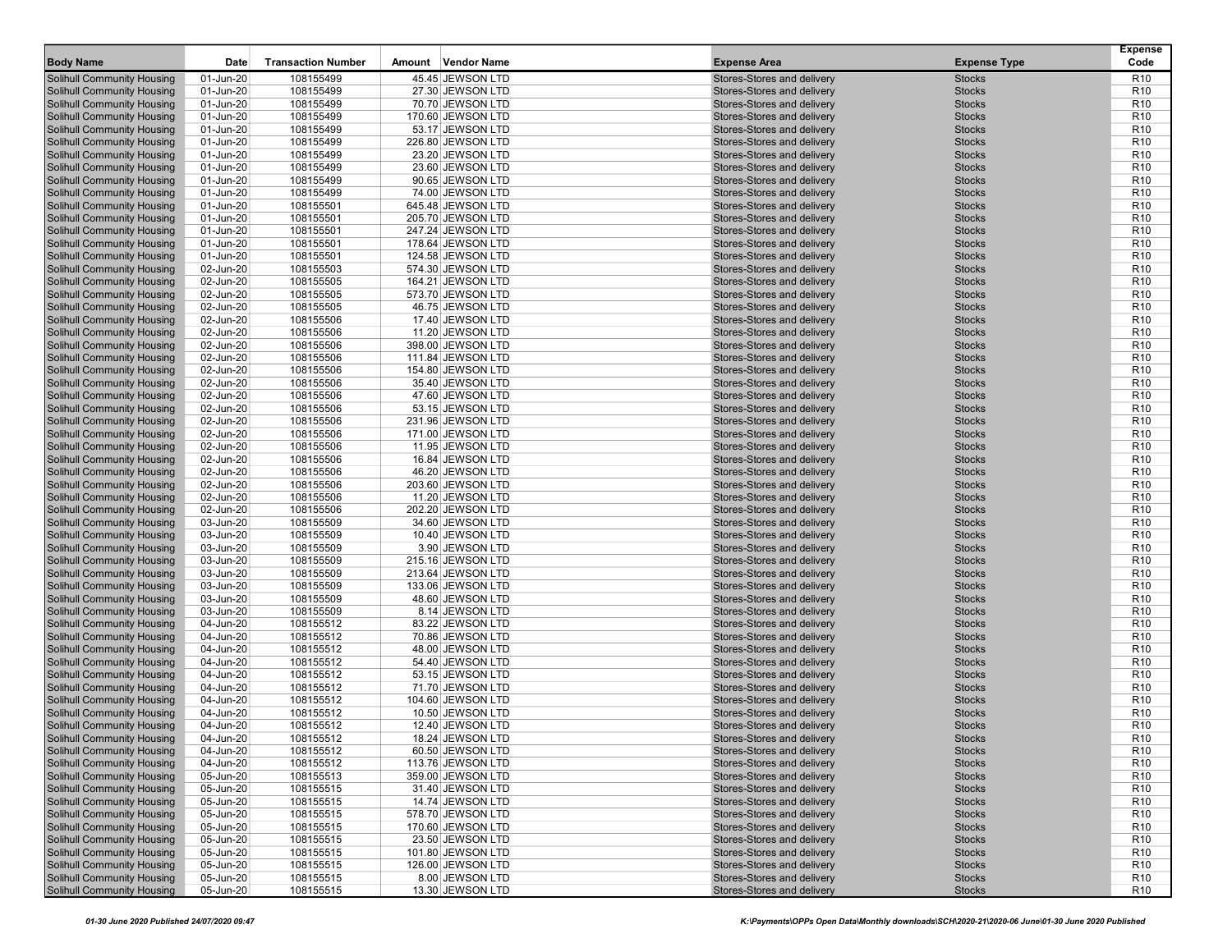| <b>Body Name</b>                                                       | Date                   | <b>Transaction Number</b> | Amount | <b>Vendor Name</b>                     | <b>Expense Area</b>                                      | <b>Expense Type</b>            | Expense<br>Code                    |
|------------------------------------------------------------------------|------------------------|---------------------------|--------|----------------------------------------|----------------------------------------------------------|--------------------------------|------------------------------------|
|                                                                        |                        |                           |        |                                        |                                                          |                                |                                    |
| Solihull Community Housing                                             | 01-Jun-20              | 108155499                 |        | 45.45 JEWSON LTD                       | Stores-Stores and delivery                               | <b>Stocks</b>                  | R <sub>10</sub>                    |
| Solihull Community Housing                                             | 01-Jun-20              | 108155499                 |        | 27.30 JEWSON LTD                       | Stores-Stores and delivery                               | <b>Stocks</b>                  | R <sub>10</sub>                    |
| Solihull Community Housing                                             | 01-Jun-20              | 108155499                 |        | 70.70 JEWSON LTD                       | Stores-Stores and delivery                               | <b>Stocks</b>                  | R <sub>10</sub>                    |
| Solihull Community Housing<br>Solihull Community Housing               | 01-Jun-20<br>01-Jun-20 | 108155499<br>108155499    |        | 170.60 JEWSON LTD<br>53.17 JEWSON LTD  | Stores-Stores and delivery<br>Stores-Stores and delivery | <b>Stocks</b><br><b>Stocks</b> | R <sub>10</sub><br>R <sub>10</sub> |
| Solihull Community Housing                                             | 01-Jun-20              | 108155499                 |        | 226.80 JEWSON LTD                      | Stores-Stores and delivery                               | <b>Stocks</b>                  | R <sub>10</sub>                    |
| Solihull Community Housing                                             | 01-Jun-20              | 108155499                 |        | 23.20 JEWSON LTD                       | Stores-Stores and delivery                               | <b>Stocks</b>                  | R <sub>10</sub>                    |
| Solihull Community Housing                                             | 01-Jun-20              | 108155499                 |        | 23.60 JEWSON LTD                       | Stores-Stores and delivery                               | <b>Stocks</b>                  | R <sub>10</sub>                    |
| Solihull Community Housing                                             | 01-Jun-20              | 108155499                 |        | 90.65 JEWSON LTD                       | Stores-Stores and delivery                               | <b>Stocks</b>                  | R <sub>10</sub>                    |
| Solihull Community Housing                                             | 01-Jun-20              | 108155499                 |        | 74.00 JEWSON LTD                       | Stores-Stores and delivery                               | <b>Stocks</b>                  | R <sub>10</sub>                    |
| Solihull Community Housing                                             | 01-Jun-20              | 108155501                 |        | 645.48 JEWSON LTD                      | Stores-Stores and delivery                               | <b>Stocks</b>                  | R <sub>10</sub>                    |
| Solihull Community Housing                                             | 01-Jun-20              | 108155501                 |        | 205.70 JEWSON LTD                      | Stores-Stores and delivery                               | <b>Stocks</b>                  | R <sub>10</sub>                    |
| <b>Solihull Community Housing</b>                                      | 01-Jun-20              | 108155501                 |        | 247.24 JEWSON LTD                      | Stores-Stores and delivery                               | <b>Stocks</b>                  | R <sub>10</sub>                    |
| Solihull Community Housing                                             | 01-Jun-20              | 108155501                 |        | 178.64 JEWSON LTD                      | Stores-Stores and delivery                               | <b>Stocks</b>                  | R <sub>10</sub>                    |
| Solihull Community Housing                                             | 01-Jun-20              | 108155501                 |        | 124.58 JEWSON LTD                      | Stores-Stores and delivery                               | <b>Stocks</b>                  | R <sub>10</sub>                    |
| Solihull Community Housing                                             | 02-Jun-20              | 108155503                 |        | 574.30 JEWSON LTD                      | Stores-Stores and delivery                               | <b>Stocks</b>                  | R <sub>10</sub>                    |
| Solihull Community Housing                                             | 02-Jun-20              | 108155505                 |        | 164.21 JEWSON LTD                      | Stores-Stores and delivery                               | <b>Stocks</b>                  | R <sub>10</sub>                    |
| Solihull Community Housing                                             | 02-Jun-20              | 108155505                 |        | 573.70 JEWSON LTD                      | Stores-Stores and delivery                               | <b>Stocks</b>                  | R <sub>10</sub>                    |
| Solihull Community Housing                                             | 02-Jun-20              | 108155505                 |        | 46.75 JEWSON LTD                       | Stores-Stores and delivery                               | <b>Stocks</b>                  | R <sub>10</sub>                    |
| Solihull Community Housing                                             | 02-Jun-20              | 108155506                 |        | 17.40 JEWSON LTD                       | Stores-Stores and delivery                               | <b>Stocks</b>                  | R <sub>10</sub>                    |
| Solihull Community Housing                                             | 02-Jun-20              | 108155506                 |        | 11.20 JEWSON LTD                       | Stores-Stores and delivery                               | <b>Stocks</b>                  | R <sub>10</sub>                    |
| Solihull Community Housing                                             | 02-Jun-20              | 108155506                 |        | 398.00 JEWSON LTD                      | Stores-Stores and delivery                               | <b>Stocks</b>                  | R <sub>10</sub>                    |
| Solihull Community Housing                                             | 02-Jun-20              | 108155506                 |        | 111.84 JEWSON LTD                      | Stores-Stores and delivery                               | <b>Stocks</b>                  | R <sub>10</sub>                    |
| Solihull Community Housing                                             | 02-Jun-20              | 108155506                 |        | 154.80 JEWSON LTD                      | Stores-Stores and delivery                               | <b>Stocks</b>                  | R <sub>10</sub>                    |
| Solihull Community Housing                                             | 02-Jun-20              | 108155506                 |        | 35.40 JEWSON LTD                       | Stores-Stores and delivery                               | <b>Stocks</b>                  | R <sub>10</sub>                    |
| Solihull Community Housing                                             | 02-Jun-20              | 108155506                 |        | 47.60 JEWSON LTD                       | Stores-Stores and delivery                               | <b>Stocks</b>                  | R <sub>10</sub>                    |
| Solihull Community Housing                                             | 02-Jun-20              | 108155506                 |        | 53.15 JEWSON LTD                       | Stores-Stores and delivery                               | <b>Stocks</b>                  | R <sub>10</sub>                    |
| Solihull Community Housing                                             | 02-Jun-20              | 108155506                 |        | 231.96 JEWSON LTD                      | Stores-Stores and delivery                               | <b>Stocks</b>                  | R <sub>10</sub>                    |
| Solihull Community Housing                                             | 02-Jun-20              | 108155506                 |        | 171.00 JEWSON LTD                      | Stores-Stores and delivery                               | <b>Stocks</b>                  | R <sub>10</sub>                    |
| Solihull Community Housing                                             | 02-Jun-20              | 108155506                 |        | 11.95 JEWSON LTD                       | Stores-Stores and delivery                               | <b>Stocks</b>                  | R <sub>10</sub>                    |
| Solihull Community Housing                                             | 02-Jun-20              | 108155506                 |        | 16.84 JEWSON LTD                       | Stores-Stores and delivery                               | <b>Stocks</b>                  | R <sub>10</sub>                    |
| Solihull Community Housing                                             | 02-Jun-20              | 108155506                 |        | 46.20 JEWSON LTD                       | Stores-Stores and delivery                               | <b>Stocks</b>                  | R <sub>10</sub>                    |
| <b>Solihull Community Housing</b>                                      | 02-Jun-20              | 108155506                 |        | 203.60 JEWSON LTD                      | Stores-Stores and delivery                               | <b>Stocks</b>                  | R <sub>10</sub>                    |
| Solihull Community Housing                                             | 02-Jun-20              | 108155506                 |        | 11.20 JEWSON LTD                       | Stores-Stores and delivery                               | <b>Stocks</b>                  | R <sub>10</sub>                    |
| Solihull Community Housing                                             | 02-Jun-20              | 108155506                 |        | 202.20 JEWSON LTD                      | Stores-Stores and delivery                               | <b>Stocks</b>                  | R <sub>10</sub>                    |
| Solihull Community Housing                                             | 03-Jun-20              | 108155509                 |        | 34.60 JEWSON LTD                       | Stores-Stores and delivery                               | <b>Stocks</b>                  | R <sub>10</sub>                    |
| Solihull Community Housing                                             | 03-Jun-20              | 108155509                 |        | 10.40 JEWSON LTD                       | Stores-Stores and delivery                               | <b>Stocks</b>                  | R <sub>10</sub>                    |
| Solihull Community Housing                                             | 03-Jun-20              | 108155509                 |        | 3.90 JEWSON LTD                        | Stores-Stores and delivery                               | <b>Stocks</b>                  | R <sub>10</sub>                    |
| Solihull Community Housing                                             | 03-Jun-20              | 108155509                 |        | 215.16 JEWSON LTD                      | Stores-Stores and delivery                               | <b>Stocks</b>                  | R <sub>10</sub>                    |
| Solihull Community Housing                                             | 03-Jun-20              | 108155509                 |        | 213.64 JEWSON LTD                      | Stores-Stores and delivery                               | <b>Stocks</b>                  | R <sub>10</sub>                    |
| Solihull Community Housing                                             | 03-Jun-20              | 108155509                 |        | 133.06 JEWSON LTD                      | Stores-Stores and delivery                               | <b>Stocks</b>                  | R <sub>10</sub>                    |
| Solihull Community Housing                                             | 03-Jun-20              | 108155509                 |        | 48.60 JEWSON LTD                       | Stores-Stores and delivery                               | <b>Stocks</b>                  | R <sub>10</sub>                    |
| Solihull Community Housing                                             | 03-Jun-20              | 108155509                 |        | 8.14 JEWSON LTD                        | Stores-Stores and delivery                               | <b>Stocks</b>                  | R <sub>10</sub>                    |
| Solihull Community Housing                                             | 04-Jun-20              | 108155512                 |        | 83.22 JEWSON LTD                       | Stores-Stores and delivery                               | <b>Stocks</b>                  | R <sub>10</sub>                    |
| Solihull Community Housing                                             | 04-Jun-20              | 108155512                 |        | 70.86 JEWSON LTD                       | Stores-Stores and delivery                               | <b>Stocks</b>                  | R <sub>10</sub>                    |
| Solihull Community Housing                                             | 04-Jun-20              | 108155512                 |        | 48.00 JEWSON LTD                       | Stores-Stores and delivery                               | <b>Stocks</b>                  | R <sub>10</sub>                    |
| Solihull Community Housing                                             | 04-Jun-20              | 108155512                 |        | 54.40 JEWSON LTD                       | Stores-Stores and delivery                               | <b>Stocks</b>                  | R <sub>10</sub>                    |
| Solihull Community Housing                                             | 04-Jun-20              | 108155512                 |        | 53.15 JEWSON LTD                       | Stores-Stores and delivery                               | <b>Stocks</b>                  | R <sub>10</sub>                    |
| Solihull Community Housing                                             | 04-Jun-20              | 108155512                 |        | 71.70 JEWSON LTD                       | Stores-Stores and delivery                               | <b>Stocks</b>                  | R <sub>10</sub>                    |
| Solihull Community Housing                                             | 04-Jun-20              | 108155512                 |        | 104.60 JEWSON LTD                      | Stores-Stores and delivery                               | <b>Stocks</b>                  | R <sub>10</sub>                    |
| Solihull Community Housing                                             | 04-Jun-20              | 108155512                 |        | 10.50 JEWSON LTD                       | Stores-Stores and delivery                               | <b>Stocks</b>                  | R <sub>10</sub>                    |
| Solihull Community Housing                                             | 04-Jun-20              | 108155512                 |        | 12.40 JEWSON LTD                       | Stores-Stores and delivery                               | <b>Stocks</b>                  | R <sub>10</sub>                    |
| <b>Solihull Community Housing</b>                                      | 04-Jun-20              | 108155512<br>108155512    |        | 18.24 JEWSON LTD                       | Stores-Stores and delivery                               | <b>Stocks</b>                  | R <sub>10</sub><br>R <sub>10</sub> |
| Solihull Community Housing                                             | 04-Jun-20              |                           |        | 60.50 JEWSON LTD                       | Stores-Stores and delivery                               | <b>Stocks</b>                  |                                    |
| <b>Solihull Community Housing</b><br><b>Solihull Community Housing</b> | 04-Jun-20<br>05-Jun-20 | 108155512<br>108155513    |        | 113.76 JEWSON LTD<br>359.00 JEWSON LTD | Stores-Stores and delivery<br>Stores-Stores and delivery | <b>Stocks</b><br><b>Stocks</b> | R <sub>10</sub><br>R <sub>10</sub> |
| <b>Solihull Community Housing</b>                                      |                        |                           |        |                                        |                                                          |                                |                                    |
| <b>Solihull Community Housing</b>                                      | 05-Jun-20              | 108155515                 |        | 31.40 JEWSON LTD                       | Stores-Stores and delivery<br>Stores-Stores and delivery | <b>Stocks</b>                  | R <sub>10</sub>                    |
| Solihull Community Housing                                             | 05-Jun-20<br>05-Jun-20 | 108155515<br>108155515    |        | 14.74 JEWSON LTD                       | Stores-Stores and delivery                               | <b>Stocks</b>                  | R <sub>10</sub>                    |
| <b>Solihull Community Housing</b>                                      | 05-Jun-20              | 108155515                 |        | 578.70 JEWSON LTD<br>170.60 JEWSON LTD | Stores-Stores and delivery                               | <b>Stocks</b><br><b>Stocks</b> | R <sub>10</sub><br>R <sub>10</sub> |
| <b>Solihull Community Housing</b>                                      | 05-Jun-20              | 108155515                 |        | 23.50 JEWSON LTD                       | Stores-Stores and delivery                               | <b>Stocks</b>                  | R <sub>10</sub>                    |
| Solihull Community Housing                                             | 05-Jun-20              | 108155515                 |        | 101.80 JEWSON LTD                      | Stores-Stores and delivery                               | <b>Stocks</b>                  | R <sub>10</sub>                    |
| Solihull Community Housing                                             | 05-Jun-20              | 108155515                 |        | 126.00 JEWSON LTD                      | Stores-Stores and delivery                               | <b>Stocks</b>                  | R <sub>10</sub>                    |
| Solihull Community Housing                                             | 05-Jun-20              | 108155515                 |        | 8.00 JEWSON LTD                        | Stores-Stores and delivery                               | <b>Stocks</b>                  | R <sub>10</sub>                    |
| <b>Solihull Community Housing</b>                                      | 05-Jun-20              | 108155515                 |        | 13.30 JEWSON LTD                       | Stores-Stores and delivery                               | <b>Stocks</b>                  | R <sub>10</sub>                    |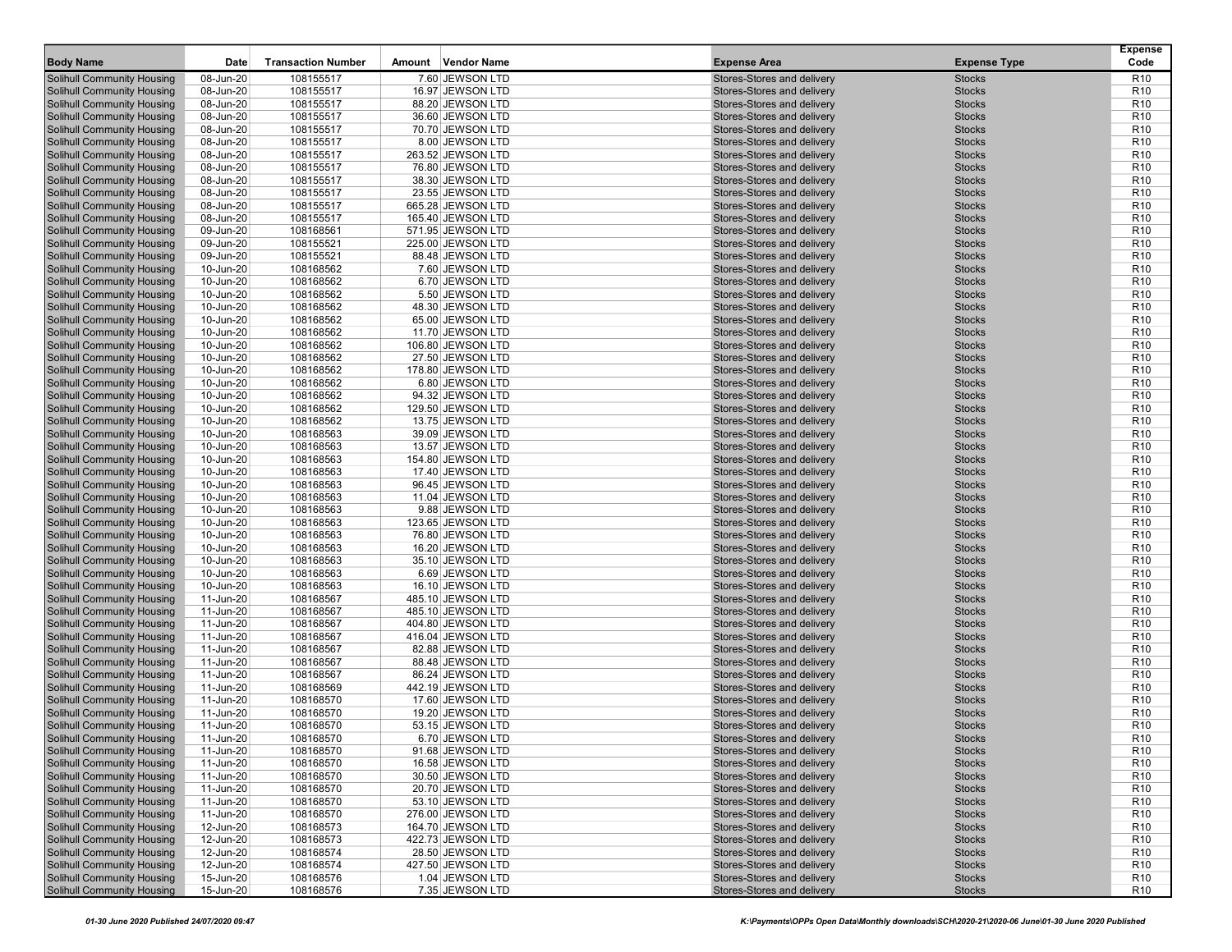| <b>Body Name</b>                  | Date      | <b>Transaction Number</b> | Amount | Vendor Name       | <b>Expense Area</b>        | <b>Expense Type</b> | <b>Expense</b><br>Code |
|-----------------------------------|-----------|---------------------------|--------|-------------------|----------------------------|---------------------|------------------------|
|                                   |           |                           |        |                   |                            |                     |                        |
| Solihull Community Housing        | 08-Jun-20 | 108155517                 |        | 7.60 JEWSON LTD   | Stores-Stores and delivery | <b>Stocks</b>       | R <sub>10</sub>        |
| Solihull Community Housing        | 08-Jun-20 | 108155517                 |        | 16.97 JEWSON LTD  | Stores-Stores and delivery | <b>Stocks</b>       | R <sub>10</sub>        |
| Solihull Community Housing        | 08-Jun-20 | 108155517                 |        | 88.20 JEWSON LTD  | Stores-Stores and delivery | <b>Stocks</b>       | R <sub>10</sub>        |
| Solihull Community Housing        | 08-Jun-20 | 108155517                 |        | 36.60 JEWSON LTD  | Stores-Stores and delivery | <b>Stocks</b>       | R <sub>10</sub>        |
| Solihull Community Housing        | 08-Jun-20 | 108155517                 |        | 70.70 JEWSON LTD  | Stores-Stores and delivery | <b>Stocks</b>       | R <sub>10</sub>        |
| Solihull Community Housing        | 08-Jun-20 | 108155517                 |        | 8.00 JEWSON LTD   | Stores-Stores and delivery | <b>Stocks</b>       | R <sub>10</sub>        |
| Solihull Community Housing        | 08-Jun-20 | 108155517                 |        | 263.52 JEWSON LTD | Stores-Stores and delivery | <b>Stocks</b>       | R <sub>10</sub>        |
| Solihull Community Housing        | 08-Jun-20 | 108155517                 |        | 76.80 JEWSON LTD  | Stores-Stores and delivery | <b>Stocks</b>       | R <sub>10</sub>        |
| Solihull Community Housing        | 08-Jun-20 | 108155517                 |        | 38.30 JEWSON LTD  | Stores-Stores and delivery | <b>Stocks</b>       | R <sub>10</sub>        |
| Solihull Community Housing        | 08-Jun-20 | 108155517                 |        | 23.55 JEWSON LTD  | Stores-Stores and delivery | <b>Stocks</b>       | R <sub>10</sub>        |
| Solihull Community Housing        | 08-Jun-20 | 108155517                 |        | 665.28 JEWSON LTD | Stores-Stores and delivery | <b>Stocks</b>       | R <sub>10</sub>        |
| <b>Solihull Community Housing</b> | 08-Jun-20 | 108155517                 |        | 165.40 JEWSON LTD | Stores-Stores and delivery | <b>Stocks</b>       | R <sub>10</sub>        |
| Solihull Community Housing        | 09-Jun-20 | 108168561                 |        | 571.95 JEWSON LTD | Stores-Stores and delivery | <b>Stocks</b>       | R <sub>10</sub>        |
| Solihull Community Housing        | 09-Jun-20 | 108155521                 |        | 225.00 JEWSON LTD | Stores-Stores and delivery | <b>Stocks</b>       | R <sub>10</sub>        |
| Solihull Community Housing        | 09-Jun-20 | 108155521                 |        | 88.48 JEWSON LTD  | Stores-Stores and delivery | <b>Stocks</b>       | R <sub>10</sub>        |
| Solihull Community Housing        | 10-Jun-20 | 108168562                 |        | 7.60 JEWSON LTD   | Stores-Stores and delivery | <b>Stocks</b>       | R <sub>10</sub>        |
| Solihull Community Housing        | 10-Jun-20 | 108168562                 |        | 6.70 JEWSON LTD   | Stores-Stores and delivery | <b>Stocks</b>       | R <sub>10</sub>        |
| Solihull Community Housing        | 10-Jun-20 | 108168562                 |        | 5.50 JEWSON LTD   | Stores-Stores and delivery | <b>Stocks</b>       | R <sub>10</sub>        |
| Solihull Community Housing        | 10-Jun-20 | 108168562                 |        | 48.30 JEWSON LTD  | Stores-Stores and delivery | <b>Stocks</b>       | R <sub>10</sub>        |
| Solihull Community Housing        | 10-Jun-20 | 108168562                 |        | 65.00 JEWSON LTD  | Stores-Stores and delivery | <b>Stocks</b>       | R <sub>10</sub>        |
| Solihull Community Housing        | 10-Jun-20 | 108168562                 |        | 11.70 JEWSON LTD  | Stores-Stores and delivery | <b>Stocks</b>       | R <sub>10</sub>        |
| Solihull Community Housing        | 10-Jun-20 | 108168562                 |        | 106.80 JEWSON LTD | Stores-Stores and delivery | <b>Stocks</b>       | R <sub>10</sub>        |
| Solihull Community Housing        | 10-Jun-20 | 108168562                 |        | 27.50 JEWSON LTD  | Stores-Stores and delivery | <b>Stocks</b>       | R <sub>10</sub>        |
| Solihull Community Housing        | 10-Jun-20 | 108168562                 |        | 178.80 JEWSON LTD | Stores-Stores and delivery | <b>Stocks</b>       | R <sub>10</sub>        |
| Solihull Community Housing        | 10-Jun-20 | 108168562                 |        | 6.80 JEWSON LTD   | Stores-Stores and delivery | <b>Stocks</b>       | R <sub>10</sub>        |
| Solihull Community Housing        | 10-Jun-20 | 108168562                 |        | 94.32 JEWSON LTD  | Stores-Stores and delivery | <b>Stocks</b>       | R <sub>10</sub>        |
| Solihull Community Housing        | 10-Jun-20 | 108168562                 |        | 129.50 JEWSON LTD | Stores-Stores and delivery | <b>Stocks</b>       | R <sub>10</sub>        |
| Solihull Community Housing        | 10-Jun-20 | 108168562                 |        | 13.75 JEWSON LTD  | Stores-Stores and delivery | <b>Stocks</b>       | R <sub>10</sub>        |
| Solihull Community Housing        | 10-Jun-20 | 108168563                 |        | 39.09 JEWSON LTD  | Stores-Stores and delivery | <b>Stocks</b>       | R <sub>10</sub>        |
| Solihull Community Housing        | 10-Jun-20 | 108168563                 |        | 13.57 JEWSON LTD  | Stores-Stores and delivery | <b>Stocks</b>       | R <sub>10</sub>        |
| Solihull Community Housing        | 10-Jun-20 | 108168563                 |        | 154.80 JEWSON LTD | Stores-Stores and delivery | <b>Stocks</b>       | R <sub>10</sub>        |
| Solihull Community Housing        | 10-Jun-20 | 108168563                 |        | 17.40 JEWSON LTD  | Stores-Stores and delivery | <b>Stocks</b>       | R <sub>10</sub>        |
| Solihull Community Housing        | 10-Jun-20 | 108168563                 |        | 96.45 JEWSON LTD  | Stores-Stores and delivery | <b>Stocks</b>       | R <sub>10</sub>        |
| Solihull Community Housing        | 10-Jun-20 | 108168563                 |        | 11.04 JEWSON LTD  | Stores-Stores and delivery | <b>Stocks</b>       | R <sub>10</sub>        |
| Solihull Community Housing        | 10-Jun-20 | 108168563                 |        | 9.88 JEWSON LTD   | Stores-Stores and delivery | <b>Stocks</b>       | R <sub>10</sub>        |
| Solihull Community Housing        | 10-Jun-20 | 108168563                 |        | 123.65 JEWSON LTD | Stores-Stores and delivery | <b>Stocks</b>       | R <sub>10</sub>        |
| Solihull Community Housing        | 10-Jun-20 | 108168563                 |        | 76.80 JEWSON LTD  | Stores-Stores and delivery | <b>Stocks</b>       | R <sub>10</sub>        |
| Solihull Community Housing        | 10-Jun-20 | 108168563                 |        | 16.20 JEWSON LTD  | Stores-Stores and delivery | <b>Stocks</b>       | R <sub>10</sub>        |
| Solihull Community Housing        | 10-Jun-20 | 108168563                 |        | 35.10 JEWSON LTD  | Stores-Stores and delivery | <b>Stocks</b>       | R <sub>10</sub>        |
| Solihull Community Housing        | 10-Jun-20 | 108168563                 |        | 6.69 JEWSON LTD   | Stores-Stores and delivery | <b>Stocks</b>       | R <sub>10</sub>        |
| Solihull Community Housing        | 10-Jun-20 | 108168563                 |        | 16.10 JEWSON LTD  | Stores-Stores and delivery | <b>Stocks</b>       | R <sub>10</sub>        |
| Solihull Community Housing        | 11-Jun-20 | 108168567                 |        | 485.10 JEWSON LTD | Stores-Stores and delivery | <b>Stocks</b>       | R <sub>10</sub>        |
| Solihull Community Housing        | 11-Jun-20 | 108168567                 |        | 485.10 JEWSON LTD | Stores-Stores and delivery | <b>Stocks</b>       | R <sub>10</sub>        |
| Solihull Community Housing        | 11-Jun-20 | 108168567                 |        | 404.80 JEWSON LTD | Stores-Stores and delivery | <b>Stocks</b>       | R <sub>10</sub>        |
| Solihull Community Housing        | 11-Jun-20 | 108168567                 |        | 416.04 JEWSON LTD | Stores-Stores and delivery | <b>Stocks</b>       | R <sub>10</sub>        |
| Solihull Community Housing        | 11-Jun-20 | 108168567                 |        | 82.88 JEWSON LTD  | Stores-Stores and delivery | <b>Stocks</b>       | R <sub>10</sub>        |
| Solihull Community Housing        | 11-Jun-20 | 108168567                 |        | 88.48 JEWSON LTD  | Stores-Stores and delivery | <b>Stocks</b>       | R <sub>10</sub>        |
| Solihull Community Housing        | 11-Jun-20 | 108168567                 |        | 86.24 JEWSON LTD  | Stores-Stores and delivery | <b>Stocks</b>       | R <sub>10</sub>        |
| Solihull Community Housing        | 11-Jun-20 | 108168569                 |        | 442.19 JEWSON LTD | Stores-Stores and delivery | <b>Stocks</b>       | R <sub>10</sub>        |
| Solihull Community Housing        | 11-Jun-20 | 108168570                 |        | 17.60 JEWSON LTD  | Stores-Stores and delivery | <b>Stocks</b>       | R <sub>10</sub>        |
| <b>Solihull Community Housing</b> | 11-Jun-20 | 108168570                 |        | 19.20 JEWSON LTD  | Stores-Stores and delivery | <b>Stocks</b>       | R <sub>10</sub>        |
| Solihull Community Housing        | 11-Jun-20 | 108168570                 |        | 53.15 JEWSON LTD  | Stores-Stores and delivery | <b>Stocks</b>       | R <sub>10</sub>        |
| <b>Solihull Community Housing</b> | 11-Jun-20 | 108168570                 |        | 6.70 JEWSON LTD   | Stores-Stores and delivery | <b>Stocks</b>       | R10                    |
| <b>Solihull Community Housing</b> | 11-Jun-20 | 108168570                 |        | 91.68 JEWSON LTD  | Stores-Stores and delivery | <b>Stocks</b>       | R <sub>10</sub>        |
| Solihull Community Housing        | 11-Jun-20 | 108168570                 |        | 16.58 JEWSON LTD  | Stores-Stores and delivery | <b>Stocks</b>       | R <sub>10</sub>        |
| <b>Solihull Community Housing</b> | 11-Jun-20 | 108168570                 |        | 30.50 JEWSON LTD  | Stores-Stores and delivery | <b>Stocks</b>       | R <sub>10</sub>        |
| <b>Solihull Community Housing</b> | 11-Jun-20 | 108168570                 |        | 20.70 JEWSON LTD  | Stores-Stores and delivery | <b>Stocks</b>       | R <sub>10</sub>        |
| <b>Solihull Community Housing</b> | 11-Jun-20 | 108168570                 |        | 53.10 JEWSON LTD  | Stores-Stores and delivery | <b>Stocks</b>       | R <sub>10</sub>        |
| <b>Solihull Community Housing</b> | 11-Jun-20 | 108168570                 |        | 276.00 JEWSON LTD | Stores-Stores and delivery | <b>Stocks</b>       | R <sub>10</sub>        |
| <b>Solihull Community Housing</b> | 12-Jun-20 | 108168573                 |        | 164.70 JEWSON LTD | Stores-Stores and delivery | <b>Stocks</b>       | R <sub>10</sub>        |
| <b>Solihull Community Housing</b> | 12-Jun-20 | 108168573                 |        | 422.73 JEWSON LTD | Stores-Stores and delivery | <b>Stocks</b>       | R <sub>10</sub>        |
| Solihull Community Housing        | 12-Jun-20 | 108168574                 |        | 28.50 JEWSON LTD  | Stores-Stores and delivery | <b>Stocks</b>       | R <sub>10</sub>        |
| Solihull Community Housing        | 12-Jun-20 | 108168574                 |        | 427.50 JEWSON LTD | Stores-Stores and delivery | <b>Stocks</b>       | R <sub>10</sub>        |
| Solihull Community Housing        | 15-Jun-20 | 108168576                 |        | 1.04 JEWSON LTD   | Stores-Stores and delivery | <b>Stocks</b>       | R <sub>10</sub>        |
| Solihull Community Housing        | 15-Jun-20 | 108168576                 |        | 7.35 JEWSON LTD   | Stores-Stores and delivery | <b>Stocks</b>       | R <sub>10</sub>        |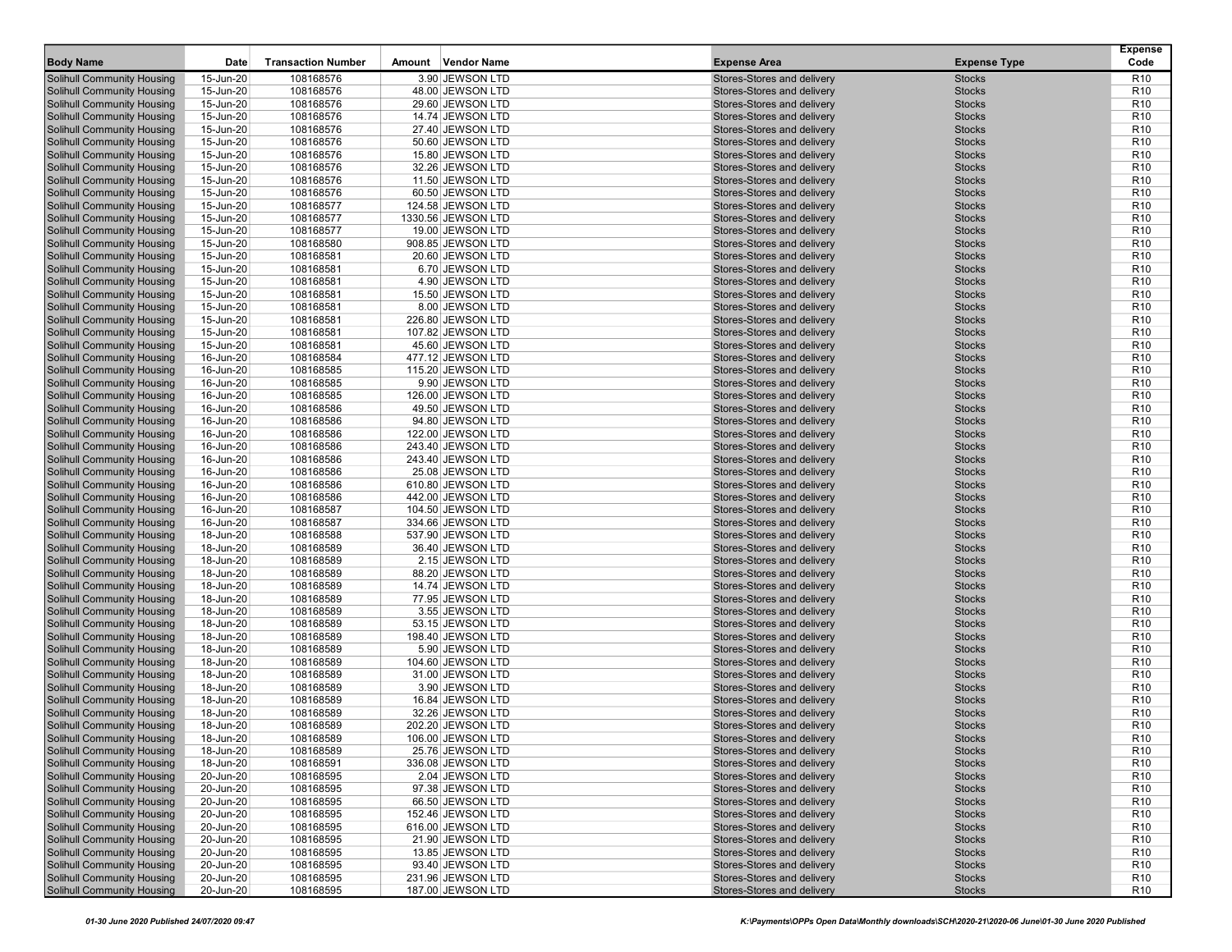|                                                                        |                        |                           |        |                                       |                                                          |                                | <b>Expense</b>                     |
|------------------------------------------------------------------------|------------------------|---------------------------|--------|---------------------------------------|----------------------------------------------------------|--------------------------------|------------------------------------|
| <b>Body Name</b>                                                       | Date                   | <b>Transaction Number</b> | Amount | Vendor Name                           | <b>Expense Area</b>                                      | <b>Expense Type</b>            | Code                               |
| <b>Solihull Community Housing</b>                                      | 15-Jun-20              | 108168576                 |        | 3.90 JEWSON LTD                       | Stores-Stores and delivery                               | <b>Stocks</b>                  | R <sub>10</sub>                    |
| <b>Solihull Community Housing</b>                                      | 15-Jun-20              | 108168576                 |        | 48.00 JEWSON LTD                      | Stores-Stores and delivery                               | <b>Stocks</b>                  | R <sub>10</sub>                    |
| <b>Solihull Community Housing</b>                                      | 15-Jun-20              | 108168576                 |        | 29.60 JEWSON LTD                      | Stores-Stores and delivery                               | <b>Stocks</b>                  | R <sub>10</sub>                    |
| <b>Solihull Community Housing</b>                                      | 15-Jun-20              | 108168576                 |        | 14.74 JEWSON LTD                      | Stores-Stores and delivery                               | <b>Stocks</b>                  | R <sub>10</sub>                    |
| Solihull Community Housing                                             | 15-Jun-20              | 108168576                 |        | 27.40 JEWSON LTD                      | Stores-Stores and delivery                               | <b>Stocks</b>                  | R <sub>10</sub>                    |
| <b>Solihull Community Housing</b>                                      | 15-Jun-20              | 108168576                 |        | 50.60 JEWSON LTD                      | Stores-Stores and delivery                               | <b>Stocks</b>                  | R <sub>10</sub>                    |
| <b>Solihull Community Housing</b>                                      | 15-Jun-20              | 108168576                 |        | 15.80 JEWSON LTD                      | Stores-Stores and delivery                               | <b>Stocks</b>                  | R <sub>10</sub>                    |
| <b>Solihull Community Housing</b>                                      | 15-Jun-20              | 108168576                 |        | 32.26 JEWSON LTD                      | Stores-Stores and delivery                               | <b>Stocks</b>                  | R <sub>10</sub>                    |
| <b>Solihull Community Housing</b>                                      | 15-Jun-20              | 108168576                 |        | 11.50 JEWSON LTD                      | Stores-Stores and delivery                               | <b>Stocks</b>                  | R <sub>10</sub>                    |
| <b>Solihull Community Housing</b>                                      | 15-Jun-20              | 108168576                 |        | 60.50 JEWSON LTD                      | Stores-Stores and delivery                               | <b>Stocks</b>                  | R <sub>10</sub>                    |
| <b>Solihull Community Housing</b>                                      | 15-Jun-20              | 108168577                 |        | 124.58 JEWSON LTD                     | Stores-Stores and delivery                               | <b>Stocks</b>                  | R <sub>10</sub>                    |
| <b>Solihull Community Housing</b>                                      | 15-Jun-20              | 108168577                 |        | 1330.56 JEWSON LTD                    | Stores-Stores and delivery                               | <b>Stocks</b>                  | R <sub>10</sub>                    |
| <b>Solihull Community Housing</b>                                      | 15-Jun-20              | 108168577                 |        | 19.00 JEWSON LTD                      | Stores-Stores and delivery                               | <b>Stocks</b>                  | R <sub>10</sub>                    |
| <b>Solihull Community Housing</b>                                      | 15-Jun-20              | 108168580                 |        | 908.85 JEWSON LTD                     | Stores-Stores and delivery                               | <b>Stocks</b>                  | R <sub>10</sub>                    |
| <b>Solihull Community Housing</b>                                      | 15-Jun-20              | 108168581                 |        | 20.60 JEWSON LTD                      | Stores-Stores and delivery                               | <b>Stocks</b>                  | R <sub>10</sub>                    |
| <b>Solihull Community Housing</b>                                      | 15-Jun-20              | 108168581                 |        | 6.70 JEWSON LTD                       | Stores-Stores and delivery                               | <b>Stocks</b>                  | R <sub>10</sub>                    |
| <b>Solihull Community Housing</b>                                      | 15-Jun-20              | 108168581                 |        | 4.90 JEWSON LTD                       | Stores-Stores and delivery                               | <b>Stocks</b>                  | R <sub>10</sub>                    |
| <b>Solihull Community Housing</b>                                      | 15-Jun-20              | 108168581                 |        | 15.50 JEWSON LTD                      | Stores-Stores and delivery                               | <b>Stocks</b>                  | R <sub>10</sub>                    |
| <b>Solihull Community Housing</b>                                      | 15-Jun-20              | 108168581                 |        | 8.00 JEWSON LTD                       | Stores-Stores and delivery                               | <b>Stocks</b>                  | R <sub>10</sub>                    |
| <b>Solihull Community Housing</b>                                      | 15-Jun-20              | 108168581                 |        | 226.80 JEWSON LTD                     | Stores-Stores and delivery                               | <b>Stocks</b>                  | R <sub>10</sub>                    |
| <b>Solihull Community Housing</b>                                      | 15-Jun-20              | 108168581                 |        | 107.82 JEWSON LTD                     | Stores-Stores and delivery                               | <b>Stocks</b>                  | R <sub>10</sub>                    |
| <b>Solihull Community Housing</b>                                      | 15-Jun-20              | 108168581                 |        | 45.60 JEWSON LTD                      | Stores-Stores and delivery                               | <b>Stocks</b>                  | R <sub>10</sub>                    |
| Solihull Community Housing                                             | 16-Jun-20              | 108168584                 |        | 477.12 JEWSON LTD                     | Stores-Stores and delivery                               | <b>Stocks</b>                  | R <sub>10</sub>                    |
| <b>Solihull Community Housing</b>                                      | 16-Jun-20              | 108168585                 |        | 115.20 JEWSON LTD                     | Stores-Stores and delivery                               | <b>Stocks</b>                  | R <sub>10</sub>                    |
| <b>Solihull Community Housing</b>                                      | 16-Jun-20              | 108168585                 |        | 9.90 JEWSON LTD<br>126.00 JEWSON LTD  | Stores-Stores and delivery                               | <b>Stocks</b>                  | R <sub>10</sub><br>R <sub>10</sub> |
| <b>Solihull Community Housing</b>                                      | 16-Jun-20<br>16-Jun-20 | 108168585                 |        |                                       | Stores-Stores and delivery<br>Stores-Stores and delivery | <b>Stocks</b><br><b>Stocks</b> | R <sub>10</sub>                    |
| <b>Solihull Community Housing</b>                                      |                        | 108168586                 |        | 49.50 JEWSON LTD                      | Stores-Stores and delivery                               |                                | R <sub>10</sub>                    |
| <b>Solihull Community Housing</b><br><b>Solihull Community Housing</b> | 16-Jun-20<br>16-Jun-20 | 108168586<br>108168586    |        | 94.80 JEWSON LTD<br>122.00 JEWSON LTD | Stores-Stores and delivery                               | <b>Stocks</b><br><b>Stocks</b> | R <sub>10</sub>                    |
| Solihull Community Housing                                             | 16-Jun-20              | 108168586                 |        | 243.40 JEWSON LTD                     | Stores-Stores and delivery                               | <b>Stocks</b>                  | R <sub>10</sub>                    |
| <b>Solihull Community Housing</b>                                      | 16-Jun-20              | 108168586                 |        | 243.40 JEWSON LTD                     | Stores-Stores and delivery                               | <b>Stocks</b>                  | R <sub>10</sub>                    |
| <b>Solihull Community Housing</b>                                      | 16-Jun-20              | 108168586                 |        | 25.08 JEWSON LTD                      | Stores-Stores and delivery                               | <b>Stocks</b>                  | R <sub>10</sub>                    |
| <b>Solihull Community Housing</b>                                      | 16-Jun-20              | 108168586                 |        | 610.80 JEWSON LTD                     | Stores-Stores and delivery                               | <b>Stocks</b>                  | R <sub>10</sub>                    |
| <b>Solihull Community Housing</b>                                      | 16-Jun-20              | 108168586                 |        | 442.00 JEWSON LTD                     | Stores-Stores and delivery                               | <b>Stocks</b>                  | R <sub>10</sub>                    |
| <b>Solihull Community Housing</b>                                      | 16-Jun-20              | 108168587                 |        | 104.50 JEWSON LTD                     | Stores-Stores and delivery                               | <b>Stocks</b>                  | R <sub>10</sub>                    |
| <b>Solihull Community Housing</b>                                      | 16-Jun-20              | 108168587                 |        | 334.66 JEWSON LTD                     | Stores-Stores and delivery                               | <b>Stocks</b>                  | R <sub>10</sub>                    |
| <b>Solihull Community Housing</b>                                      | 18-Jun-20              | 108168588                 |        | 537.90 JEWSON LTD                     | Stores-Stores and delivery                               | <b>Stocks</b>                  | R <sub>10</sub>                    |
| <b>Solihull Community Housing</b>                                      | 18-Jun-20              | 108168589                 |        | 36.40 JEWSON LTD                      | Stores-Stores and delivery                               | <b>Stocks</b>                  | R <sub>10</sub>                    |
| <b>Solihull Community Housing</b>                                      | 18-Jun-20              | 108168589                 |        | 2.15 JEWSON LTD                       | Stores-Stores and delivery                               | <b>Stocks</b>                  | R <sub>10</sub>                    |
| <b>Solihull Community Housing</b>                                      | 18-Jun-20              | 108168589                 |        | 88.20 JEWSON LTD                      | Stores-Stores and delivery                               | <b>Stocks</b>                  | R <sub>10</sub>                    |
| <b>Solihull Community Housing</b>                                      | 18-Jun-20              | 108168589                 |        | 14.74 JEWSON LTD                      | Stores-Stores and delivery                               | <b>Stocks</b>                  | R <sub>10</sub>                    |
| <b>Solihull Community Housing</b>                                      | 18-Jun-20              | 108168589                 |        | 77.95 JEWSON LTD                      | Stores-Stores and delivery                               | <b>Stocks</b>                  | R <sub>10</sub>                    |
| <b>Solihull Community Housing</b>                                      | 18-Jun-20              | 108168589                 |        | 3.55 JEWSON LTD                       | Stores-Stores and delivery                               | <b>Stocks</b>                  | R <sub>10</sub>                    |
| <b>Solihull Community Housing</b>                                      | 18-Jun-20              | 108168589                 |        | 53.15 JEWSON LTD                      | Stores-Stores and delivery                               | <b>Stocks</b>                  | R <sub>10</sub>                    |
| <b>Solihull Community Housing</b>                                      | 18-Jun-20              | 108168589                 |        | 198.40 JEWSON LTD                     | Stores-Stores and delivery                               | <b>Stocks</b>                  | R <sub>10</sub>                    |
| <b>Solihull Community Housing</b>                                      | 18-Jun-20              | 108168589                 |        | 5.90 JEWSON LTD                       | Stores-Stores and delivery                               | <b>Stocks</b>                  | R <sub>10</sub>                    |
| <b>Solihull Community Housing</b>                                      | 18-Jun-20              | 108168589                 |        | 104.60 JEWSON LTD                     | Stores-Stores and delivery                               | <b>Stocks</b>                  | R <sub>10</sub>                    |
| Solihull Community Housing                                             | 18-Jun-20              | 108168589                 |        | 31.00 JEWSON LTD                      | Stores-Stores and delivery                               | <b>Stocks</b>                  | R <sub>10</sub>                    |
| <b>Solihull Community Housing</b>                                      | 18-Jun-20              | 108168589                 |        | 3.90 JEWSON LTD                       | Stores-Stores and delivery                               | <b>Stocks</b>                  | R <sub>10</sub>                    |
| <b>Solihull Community Housing</b>                                      | 18-Jun-20              | 108168589                 |        | 16.84 JEWSON LTD                      | Stores-Stores and delivery                               | <b>Stocks</b>                  | R <sub>10</sub>                    |
| Solihull Community Housing                                             | 18-Jun-20              | 108168589                 |        | 32.26 JEWSON LTD                      | Stores-Stores and delivery                               | <b>Stocks</b>                  | R <sub>10</sub>                    |
| <b>Solihull Community Housing</b>                                      | 18-Jun-20              | 108168589                 |        | 202.20 JEWSON LTD                     | Stores-Stores and delivery                               | <b>Stocks</b>                  | R <sub>10</sub>                    |
| <b>Solihull Community Housing</b>                                      | 18-Jun-20              | 108168589                 |        | 106.00 JEWSON LTD                     | Stores-Stores and delivery                               | <b>Stocks</b>                  | R10                                |
| <b>Solihull Community Housing</b>                                      | 18-Jun-20              | 108168589                 |        | 25.76 JEWSON LTD                      | Stores-Stores and delivery                               | <b>Stocks</b>                  | R <sub>10</sub>                    |
| <b>Solihull Community Housing</b>                                      | 18-Jun-20              | 108168591                 |        | 336.08 JEWSON LTD                     | Stores-Stores and delivery                               | <b>Stocks</b>                  | R <sub>10</sub>                    |
| <b>Solihull Community Housing</b>                                      | 20-Jun-20              | 108168595                 |        | 2.04 JEWSON LTD                       | Stores-Stores and delivery                               | <b>Stocks</b>                  | R <sub>10</sub>                    |
| <b>Solihull Community Housing</b>                                      | 20-Jun-20              | 108168595                 |        | 97.38 JEWSON LTD                      | Stores-Stores and delivery                               | <b>Stocks</b>                  | R <sub>10</sub>                    |
| <b>Solihull Community Housing</b>                                      | 20-Jun-20              | 108168595                 |        | 66.50 JEWSON LTD                      | Stores-Stores and delivery                               | <b>Stocks</b>                  | R <sub>10</sub>                    |
| <b>Solihull Community Housing</b>                                      | 20-Jun-20              | 108168595                 |        | 152.46 JEWSON LTD                     | Stores-Stores and delivery                               | <b>Stocks</b>                  | R <sub>10</sub>                    |
| <b>Solihull Community Housing</b>                                      | 20-Jun-20              | 108168595                 |        | 616.00 JEWSON LTD                     | Stores-Stores and delivery                               | <b>Stocks</b>                  | R <sub>10</sub>                    |
| <b>Solihull Community Housing</b>                                      | 20-Jun-20              | 108168595                 |        | 21.90 JEWSON LTD                      | Stores-Stores and delivery                               | <b>Stocks</b>                  | R <sub>10</sub>                    |
| <b>Solihull Community Housing</b>                                      | 20-Jun-20              | 108168595                 |        | 13.85 JEWSON LTD                      | Stores-Stores and delivery                               | <b>Stocks</b>                  | R <sub>10</sub>                    |
| Solihull Community Housing                                             | 20-Jun-20              | 108168595                 |        | 93.40 JEWSON LTD                      | Stores-Stores and delivery                               | <b>Stocks</b>                  | R <sub>10</sub>                    |
| <b>Solihull Community Housing</b>                                      | 20-Jun-20              | 108168595                 |        | 231.96 JEWSON LTD                     | Stores-Stores and delivery                               | <b>Stocks</b>                  | R <sub>10</sub>                    |
| Solihull Community Housing                                             | 20-Jun-20              | 108168595                 |        | 187.00 JEWSON LTD                     | Stores-Stores and delivery                               | <b>Stocks</b>                  | R <sub>10</sub>                    |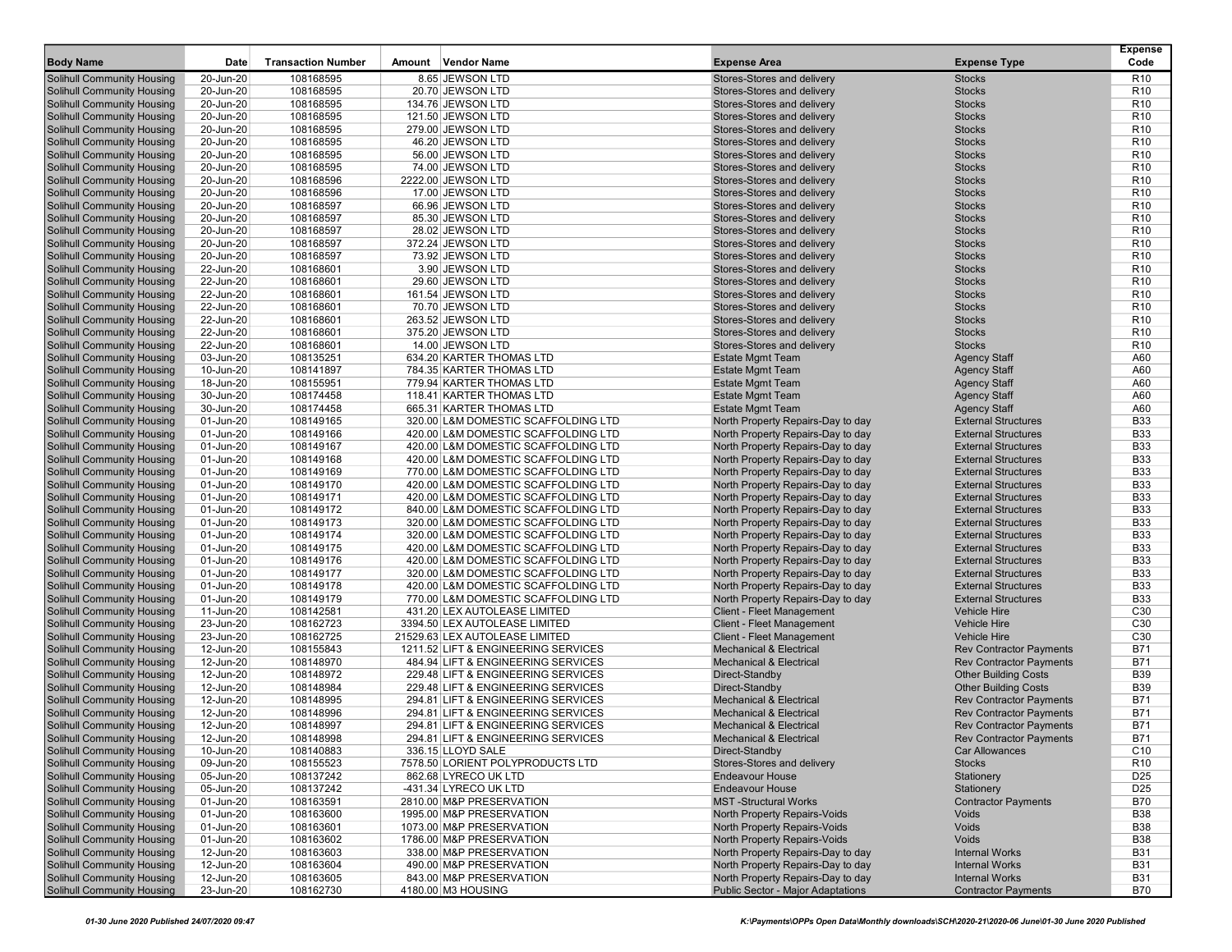| <b>Body Name</b>                                                | <b>Date</b>            | <b>Transaction Number</b> | Amount | <b>Vendor Name</b>                                                  | <b>Expense Area</b>                                                    | <b>Expense Type</b>                               | Expense<br>Code                    |
|-----------------------------------------------------------------|------------------------|---------------------------|--------|---------------------------------------------------------------------|------------------------------------------------------------------------|---------------------------------------------------|------------------------------------|
|                                                                 |                        |                           |        |                                                                     |                                                                        |                                                   |                                    |
| Solihull Community Housing                                      | 20-Jun-20              | 108168595                 |        | 8.65 JEWSON LTD<br>20.70 JEWSON LTD                                 | Stores-Stores and delivery                                             | <b>Stocks</b>                                     | R <sub>10</sub>                    |
| Solihull Community Housing<br>Solihull Community Housing        | 20-Jun-20<br>20-Jun-20 | 108168595<br>108168595    |        | 134.76 JEWSON LTD                                                   | Stores-Stores and delivery<br>Stores-Stores and delivery               | <b>Stocks</b><br><b>Stocks</b>                    | R <sub>10</sub><br>R <sub>10</sub> |
| Solihull Community Housing                                      | 20-Jun-20              | 108168595                 |        | 121.50 JEWSON LTD                                                   | Stores-Stores and delivery                                             | <b>Stocks</b>                                     | R <sub>10</sub>                    |
| Solihull Community Housing                                      | 20-Jun-20              | 108168595                 |        | 279.00 JEWSON LTD                                                   | Stores-Stores and delivery                                             | <b>Stocks</b>                                     | R <sub>10</sub>                    |
| Solihull Community Housing                                      | 20-Jun-20              | 108168595                 |        | 46.20 JEWSON LTD                                                    | Stores-Stores and delivery                                             | <b>Stocks</b>                                     | R <sub>10</sub>                    |
| Solihull Community Housing                                      | 20-Jun-20              | 108168595                 |        | 56.00 JEWSON LTD                                                    | Stores-Stores and delivery                                             | <b>Stocks</b>                                     | R <sub>10</sub>                    |
| Solihull Community Housing                                      | 20-Jun-20              | 108168595                 |        | 74.00 JEWSON LTD                                                    | Stores-Stores and delivery                                             | <b>Stocks</b>                                     | R <sub>10</sub>                    |
| Solihull Community Housing                                      | 20-Jun-20              | 108168596                 |        | 2222.00 JEWSON LTD                                                  | Stores-Stores and delivery                                             | <b>Stocks</b>                                     | R <sub>10</sub>                    |
| Solihull Community Housing                                      | 20-Jun-20              | 108168596                 |        | 17.00 JEWSON LTD                                                    | Stores-Stores and delivery                                             | <b>Stocks</b>                                     | R <sub>10</sub>                    |
| Solihull Community Housing                                      | 20-Jun-20              | 108168597                 |        | 66.96 JEWSON LTD                                                    | Stores-Stores and delivery                                             | <b>Stocks</b>                                     | R <sub>10</sub>                    |
| Solihull Community Housing                                      | 20-Jun-20              | 108168597                 |        | 85.30 JEWSON LTD                                                    | Stores-Stores and delivery                                             | <b>Stocks</b>                                     | R <sub>10</sub>                    |
| <b>Solihull Community Housing</b>                               | 20-Jun-20              | 108168597                 |        | 28.02 JEWSON LTD                                                    | Stores-Stores and delivery                                             | <b>Stocks</b>                                     | R <sub>10</sub>                    |
| Solihull Community Housing                                      | 20-Jun-20              | 108168597                 |        | 372.24 JEWSON LTD                                                   | Stores-Stores and delivery                                             | <b>Stocks</b>                                     | R <sub>10</sub>                    |
| Solihull Community Housing                                      | 20-Jun-20              | 108168597                 |        | 73.92 JEWSON LTD                                                    | Stores-Stores and delivery                                             | <b>Stocks</b>                                     | R <sub>10</sub>                    |
| Solihull Community Housing                                      | 22-Jun-20              | 108168601                 |        | 3.90 JEWSON LTD                                                     | Stores-Stores and delivery                                             | <b>Stocks</b>                                     | R <sub>10</sub>                    |
| Solihull Community Housing                                      | 22-Jun-20              | 108168601                 |        | 29.60 JEWSON LTD                                                    | Stores-Stores and delivery                                             | <b>Stocks</b>                                     | R <sub>10</sub>                    |
| Solihull Community Housing                                      | 22-Jun-20              | 108168601                 |        | 161.54 JEWSON LTD                                                   | Stores-Stores and delivery                                             | <b>Stocks</b>                                     | R <sub>10</sub>                    |
| Solihull Community Housing                                      | 22-Jun-20              | 108168601                 |        | 70.70 JEWSON LTD                                                    | Stores-Stores and delivery                                             | <b>Stocks</b>                                     | R <sub>10</sub>                    |
| Solihull Community Housing                                      | 22-Jun-20              | 108168601                 |        | 263.52 JEWSON LTD                                                   | Stores-Stores and delivery                                             | <b>Stocks</b>                                     | R <sub>10</sub>                    |
| Solihull Community Housing<br>Solihull Community Housing        | 22-Jun-20<br>22-Jun-20 | 108168601<br>108168601    |        | 375.20 JEWSON LTD<br>14.00 JEWSON LTD                               | Stores-Stores and delivery<br>Stores-Stores and delivery               | <b>Stocks</b><br><b>Stocks</b>                    | R <sub>10</sub><br>R <sub>10</sub> |
| Solihull Community Housing                                      | 03-Jun-20              | 108135251                 |        | 634.20 KARTER THOMAS LTD                                            | <b>Estate Mgmt Team</b>                                                | <b>Agency Staff</b>                               | A60                                |
| Solihull Community Housing                                      | 10-Jun-20              | 108141897                 |        | 784.35 KARTER THOMAS LTD                                            | <b>Estate Mgmt Team</b>                                                | <b>Agency Staff</b>                               | A60                                |
| Solihull Community Housing                                      | 18-Jun-20              | 108155951                 |        | 779.94 KARTER THOMAS LTD                                            | <b>Estate Mgmt Team</b>                                                | <b>Agency Staff</b>                               | A60                                |
| Solihull Community Housing                                      | 30-Jun-20              | 108174458                 |        | 118.41 KARTER THOMAS LTD                                            | <b>Estate Mgmt Team</b>                                                | <b>Agency Staff</b>                               | A60                                |
| Solihull Community Housing                                      | 30-Jun-20              | 108174458                 |        | 665.31 KARTER THOMAS LTD                                            | <b>Estate Mgmt Team</b>                                                | <b>Agency Staff</b>                               | A60                                |
| Solihull Community Housing                                      | 01-Jun-20              | 108149165                 |        | 320.00 L&M DOMESTIC SCAFFOLDING LTD                                 | North Property Repairs-Day to day                                      | <b>External Structures</b>                        | <b>B33</b>                         |
| Solihull Community Housing                                      | 01-Jun-20              | 108149166                 |        | 420.00 L&M DOMESTIC SCAFFOLDING LTD                                 | North Property Repairs-Day to day                                      | <b>External Structures</b>                        | <b>B33</b>                         |
| Solihull Community Housing                                      | 01-Jun-20              | 108149167                 |        | 420.00 L&M DOMESTIC SCAFFOLDING LTD                                 | North Property Repairs-Day to day                                      | <b>External Structures</b>                        | <b>B33</b>                         |
| Solihull Community Housing                                      | 01-Jun-20              | 108149168                 |        | 420.00 L&M DOMESTIC SCAFFOLDING LTD                                 | North Property Repairs-Day to day                                      | <b>External Structures</b>                        | <b>B33</b>                         |
| Solihull Community Housing                                      | 01-Jun-20              | 108149169                 |        | 770.00 L&M DOMESTIC SCAFFOLDING LTD                                 | North Property Repairs-Day to day                                      | <b>External Structures</b>                        | <b>B33</b>                         |
| <b>Solihull Community Housing</b>                               | 01-Jun-20              | 108149170                 |        | 420.00 L&M DOMESTIC SCAFFOLDING LTD                                 | North Property Repairs-Day to day                                      | <b>External Structures</b>                        | <b>B33</b>                         |
| Solihull Community Housing                                      | 01-Jun-20              | 108149171                 |        | 420.00 L&M DOMESTIC SCAFFOLDING LTD                                 | North Property Repairs-Day to day                                      | <b>External Structures</b>                        | <b>B33</b>                         |
| Solihull Community Housing                                      | 01-Jun-20              | 108149172                 |        | 840.00 L&M DOMESTIC SCAFFOLDING LTD                                 | North Property Repairs-Day to day                                      | <b>External Structures</b>                        | <b>B33</b>                         |
| Solihull Community Housing                                      | 01-Jun-20              | 108149173                 |        | 320.00 L&M DOMESTIC SCAFFOLDING LTD                                 | North Property Repairs-Day to day                                      | <b>External Structures</b>                        | <b>B33</b>                         |
| Solihull Community Housing                                      | 01-Jun-20              | 108149174                 |        | 320.00 L&M DOMESTIC SCAFFOLDING LTD                                 | North Property Repairs-Day to day                                      | <b>External Structures</b>                        | <b>B33</b>                         |
| <b>Solihull Community Housing</b>                               | 01-Jun-20              | 108149175                 |        | 420.00 L&M DOMESTIC SCAFFOLDING LTD                                 | North Property Repairs-Day to day                                      | <b>External Structures</b>                        | <b>B33</b>                         |
| Solihull Community Housing                                      | 01-Jun-20              | 108149176                 |        | 420.00 L&M DOMESTIC SCAFFOLDING LTD                                 | North Property Repairs-Day to day                                      | <b>External Structures</b>                        | <b>B33</b>                         |
| Solihull Community Housing                                      | 01-Jun-20              | 108149177                 |        | 320.00 L&M DOMESTIC SCAFFOLDING LTD                                 | North Property Repairs-Day to day                                      | <b>External Structures</b>                        | <b>B33</b>                         |
| Solihull Community Housing                                      | 01-Jun-20              | 108149178                 |        | 420.00 L&M DOMESTIC SCAFFOLDING LTD                                 | North Property Repairs-Day to day                                      | <b>External Structures</b>                        | <b>B33</b>                         |
| Solihull Community Housing<br>Solihull Community Housing        | 01-Jun-20<br>11-Jun-20 | 108149179<br>108142581    |        | 770.00 L&M DOMESTIC SCAFFOLDING LTD<br>431.20 LEX AUTOLEASE LIMITED | North Property Repairs-Day to day<br><b>Client - Fleet Management</b>  | <b>External Structures</b><br><b>Vehicle Hire</b> | <b>B33</b><br>C <sub>30</sub>      |
| Solihull Community Housing                                      | 23-Jun-20              | 108162723                 |        | 3394.50 LEX AUTOLEASE LIMITED                                       | <b>Client - Fleet Management</b>                                       | <b>Vehicle Hire</b>                               | C <sub>30</sub>                    |
| Solihull Community Housing                                      | 23-Jun-20              | 108162725                 |        | 21529.63 LEX AUTOLEASE LIMITED                                      | <b>Client - Fleet Management</b>                                       | <b>Vehicle Hire</b>                               | C <sub>30</sub>                    |
| Solihull Community Housing                                      | 12-Jun-20              | 108155843                 |        | 1211.52 LIFT & ENGINEERING SERVICES                                 | <b>Mechanical &amp; Electrical</b>                                     | <b>Rev Contractor Payments</b>                    | <b>B71</b>                         |
| Solihull Community Housing                                      | 12-Jun-20              | 108148970                 |        | 484.94 LIFT & ENGINEERING SERVICES                                  | <b>Mechanical &amp; Electrical</b>                                     | <b>Rev Contractor Payments</b>                    | <b>B71</b>                         |
| Solihull Community Housing                                      | 12-Jun-20              | 108148972                 |        | 229.48 LIFT & ENGINEERING SERVICES                                  | Direct-Standby                                                         | <b>Other Building Costs</b>                       | <b>B39</b>                         |
| Solihull Community Housing                                      | 12-Jun-20              | 108148984                 |        | 229.48 LIFT & ENGINEERING SERVICES                                  | Direct-Standby                                                         | <b>Other Building Costs</b>                       | <b>B39</b>                         |
| Solihull Community Housing                                      | 12-Jun-20              | 108148995                 |        | 294.81 LIFT & ENGINEERING SERVICES                                  | <b>Mechanical &amp; Electrical</b>                                     | <b>Rev Contractor Payments</b>                    | B71                                |
| Solihull Community Housing                                      | 12-Jun-20              | 108148996                 |        | 294.81 LIFT & ENGINEERING SERVICES                                  | <b>Mechanical &amp; Electrical</b>                                     | <b>Rev Contractor Payments</b>                    | <b>B71</b>                         |
| Solihull Community Housing                                      | 12-Jun-20              | 108148997                 |        | 294.81 LIFT & ENGINEERING SERVICES                                  | <b>Mechanical &amp; Electrical</b>                                     | <b>Rev Contractor Payments</b>                    | B71                                |
| <b>Solihull Community Housing</b>                               | 12-Jun-20              | 108148998                 |        | 294.81 LIFT & ENGINEERING SERVICES                                  | <b>Mechanical &amp; Electrical</b>                                     | <b>Rev Contractor Payments</b>                    | B71                                |
| Solihull Community Housing                                      | 10-Jun-20              | 108140883                 |        | 336.15 LLOYD SALE                                                   | Direct-Standby                                                         | <b>Car Allowances</b>                             | C <sub>10</sub>                    |
| Solihull Community Housing                                      | 09-Jun-20              | 108155523                 |        | 7578.50 LORIENT POLYPRODUCTS LTD                                    | Stores-Stores and delivery                                             | <b>Stocks</b>                                     | R <sub>10</sub>                    |
| Solihull Community Housing                                      | 05-Jun-20              | 108137242                 |        | 862.68 LYRECO UK LTD                                                | <b>Endeavour House</b>                                                 | Stationery                                        | D <sub>25</sub>                    |
| Solihull Community Housing                                      | 05-Jun-20              | 108137242                 |        | -431.34 LYRECO UK LTD                                               | <b>Endeavour House</b>                                                 | Stationery                                        | D <sub>25</sub>                    |
| Solihull Community Housing                                      | 01-Jun-20              | 108163591                 |        | 2810.00 M&P PRESERVATION                                            | <b>MST-Structural Works</b>                                            | <b>Contractor Payments</b>                        | <b>B70</b>                         |
| Solihull Community Housing                                      | 01-Jun-20              | 108163600                 |        | 1995.00 M&P PRESERVATION                                            | North Property Repairs-Voids                                           | Voids                                             | <b>B38</b>                         |
| Solihull Community Housing                                      | 01-Jun-20              | 108163601                 |        | 1073.00 M&P PRESERVATION                                            | North Property Repairs-Voids                                           | Voids                                             | <b>B38</b>                         |
| Solihull Community Housing                                      | 01-Jun-20              | 108163602                 |        | 1786.00 M&P PRESERVATION                                            | North Property Repairs-Voids                                           | <b>Voids</b>                                      | <b>B38</b>                         |
| Solihull Community Housing<br><b>Solihull Community Housing</b> | 12-Jun-20<br>12-Jun-20 | 108163603                 |        | 338.00 M&P PRESERVATION                                             | North Property Repairs-Day to day                                      | <b>Internal Works</b><br><b>Internal Works</b>    | <b>B31</b>                         |
| Solihull Community Housing                                      | 12-Jun-20              | 108163604<br>108163605    |        | 490.00 M&P PRESERVATION<br>843.00 M&P PRESERVATION                  | North Property Repairs-Day to day<br>North Property Repairs-Day to day | <b>Internal Works</b>                             | <b>B31</b><br><b>B31</b>           |
| Solihull Community Housing                                      | 23-Jun-20              | 108162730                 |        | 4180.00 M3 HOUSING                                                  | <b>Public Sector - Maior Adaptations</b>                               | <b>Contractor Payments</b>                        | <b>B70</b>                         |
|                                                                 |                        |                           |        |                                                                     |                                                                        |                                                   |                                    |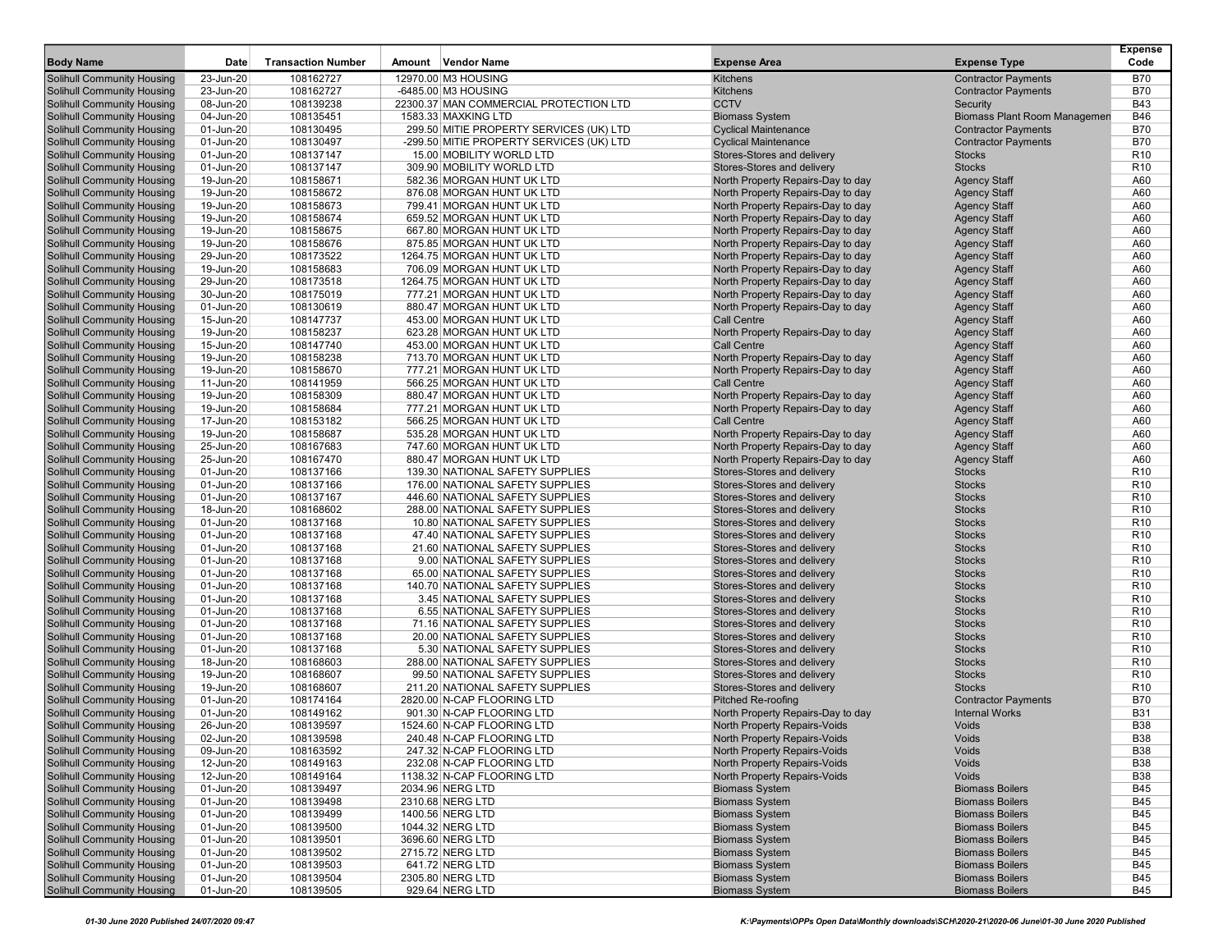|                                                          |                        |                           |                                                        |                                                                        |                                                  | <b>Expense</b>    |
|----------------------------------------------------------|------------------------|---------------------------|--------------------------------------------------------|------------------------------------------------------------------------|--------------------------------------------------|-------------------|
| <b>Body Name</b>                                         | Date                   | <b>Transaction Number</b> | Amount Vendor Name                                     | <b>Expense Area</b>                                                    | <b>Expense Type</b>                              | Code              |
| Solihull Community Housing                               | 23-Jun-20              | 108162727                 | 12970.00 M3 HOUSING                                    | Kitchens                                                               | <b>Contractor Payments</b>                       | <b>B70</b>        |
| Solihull Community Housing                               | 23-Jun-20              | 108162727                 | -6485.00 M3 HOUSING                                    | <b>Kitchens</b>                                                        | <b>Contractor Payments</b>                       | <b>B70</b>        |
| Solihull Community Housing                               | 08-Jun-20              | 108139238                 | 22300.37 MAN COMMERCIAL PROTECTION LTD                 | <b>CCTV</b>                                                            | Security                                         | <b>B43</b>        |
| Solihull Community Housing                               | 04-Jun-20              | 108135451                 | 1583.33 MAXKING LTD                                    | <b>Biomass System</b>                                                  | <b>Biomass Plant Room Managemen</b>              | <b>B46</b>        |
| Solihull Community Housing                               | 01-Jun-20              | 108130495                 | 299.50 MITIE PROPERTY SERVICES (UK) LTD                | <b>Cyclical Maintenance</b>                                            | <b>Contractor Payments</b>                       | <b>B70</b>        |
| Solihull Community Housing                               | 01-Jun-20              | 108130497                 | -299.50 MITIE PROPERTY SERVICES (UK) LTD               | <b>Cyclical Maintenance</b>                                            | <b>Contractor Payments</b>                       | <b>B70</b>        |
| Solihull Community Housing                               | 01-Jun-20              | 108137147                 | 15.00 MOBILITY WORLD LTD                               | Stores-Stores and delivery                                             | <b>Stocks</b>                                    | R <sub>10</sub>   |
| Solihull Community Housing                               | 01-Jun-20              | 108137147                 | 309.90 MOBILITY WORLD LTD                              | Stores-Stores and delivery                                             | <b>Stocks</b>                                    | R <sub>10</sub>   |
| Solihull Community Housing                               | 19-Jun-20              | 108158671                 | 582.36 MORGAN HUNT UK LTD                              | North Property Repairs-Day to day                                      | <b>Agency Staff</b>                              | A60               |
| Solihull Community Housing                               | 19-Jun-20              | 108158672                 | 876.08 MORGAN HUNT UK LTD                              | North Property Repairs-Day to day                                      | <b>Agency Staff</b>                              | A60               |
| Solihull Community Housing                               | 19-Jun-20              | 108158673                 | 799.41 MORGAN HUNT UK LTD                              | North Property Repairs-Day to day                                      | <b>Agency Staff</b>                              | A60               |
| Solihull Community Housing                               | 19-Jun-20<br>19-Jun-20 | 108158674<br>108158675    | 659.52 MORGAN HUNT UK LTD<br>667.80 MORGAN HUNT UK LTD | North Property Repairs-Day to day                                      | <b>Agency Staff</b><br><b>Agency Staff</b>       | A60<br>A60        |
| Solihull Community Housing<br>Solihull Community Housing | 19-Jun-20              | 108158676                 | 875.85 MORGAN HUNT UK LTD                              | North Property Repairs-Day to day<br>North Property Repairs-Day to day | <b>Agency Staff</b>                              | A60               |
| Solihull Community Housing                               | 29-Jun-20              | 108173522                 | 1264.75 MORGAN HUNT UK LTD                             | North Property Repairs-Day to day                                      | <b>Agency Staff</b>                              | A60               |
| Solihull Community Housing                               | 19-Jun-20              | 108158683                 | 706.09 MORGAN HUNT UK LTD                              | North Property Repairs-Day to day                                      | <b>Agency Staff</b>                              | A60               |
| Solihull Community Housing                               | 29-Jun-20              | 108173518                 | 1264.75 MORGAN HUNT UK LTD                             | North Property Repairs-Day to day                                      | <b>Agency Staff</b>                              | A60               |
| Solihull Community Housing                               | 30-Jun-20              | 108175019                 | 777.21 MORGAN HUNT UK LTD                              | North Property Repairs-Day to day                                      | <b>Agency Staff</b>                              | A60               |
| Solihull Community Housing                               | 01-Jun-20              | 108130619                 | 880.47 MORGAN HUNT UK LTD                              | North Property Repairs-Day to day                                      | <b>Agency Staff</b>                              | A60               |
| Solihull Community Housing                               | 15-Jun-20              | 108147737                 | 453.00 MORGAN HUNT UK LTD                              | <b>Call Centre</b>                                                     | <b>Agency Staff</b>                              | A60               |
| Solihull Community Housing                               | 19-Jun-20              | 108158237                 | 623.28 MORGAN HUNT UK LTD                              | North Property Repairs-Day to day                                      | <b>Agency Staff</b>                              | A60               |
| Solihull Community Housing                               | 15-Jun-20              | 108147740                 | 453.00 MORGAN HUNT UK LTD                              | <b>Call Centre</b>                                                     | <b>Agency Staff</b>                              | A60               |
| Solihull Community Housing                               | 19-Jun-20              | 108158238                 | 713.70 MORGAN HUNT UK LTD                              | North Property Repairs-Day to day                                      | <b>Agency Staff</b>                              | A60               |
| Solihull Community Housing                               | 19-Jun-20              | 108158670                 | 777.21 MORGAN HUNT UK LTD                              | North Property Repairs-Day to day                                      | <b>Agency Staff</b>                              | A60               |
| <b>Solihull Community Housing</b>                        | 11-Jun-20              | 108141959                 | 566.25 MORGAN HUNT UK LTD                              | <b>Call Centre</b>                                                     | <b>Agency Staff</b>                              | A60               |
| Solihull Community Housing                               | 19-Jun-20              | 108158309                 | 880.47 MORGAN HUNT UK LTD                              | North Property Repairs-Day to day                                      | <b>Agency Staff</b>                              | A60               |
| Solihull Community Housing                               | 19-Jun-20              | 108158684                 | 777.21 MORGAN HUNT UK LTD                              | North Property Repairs-Day to day                                      | <b>Agency Staff</b>                              | A60               |
| Solihull Community Housing                               | 17-Jun-20              | 108153182                 | 566.25 MORGAN HUNT UK LTD                              | <b>Call Centre</b>                                                     | <b>Agency Staff</b>                              | A60               |
| Solihull Community Housing                               | 19-Jun-20              | 108158687                 | 535.28 MORGAN HUNT UK LTD                              | North Property Repairs-Day to day                                      | <b>Agency Staff</b>                              | A60               |
| Solihull Community Housing                               | 25-Jun-20              | 108167683                 | 747.60 MORGAN HUNT UK LTD                              | North Property Repairs-Day to day                                      | <b>Agency Staff</b>                              | A60               |
| Solihull Community Housing                               | 25-Jun-20              | 108167470                 | 880.47 MORGAN HUNT UK LTD                              | North Property Repairs-Day to day                                      | <b>Agency Staff</b>                              | A60               |
| <b>Solihull Community Housing</b>                        | 01-Jun-20              | 108137166                 | 139.30 NATIONAL SAFETY SUPPLIES                        | Stores-Stores and delivery                                             | <b>Stocks</b>                                    | R <sub>10</sub>   |
| Solihull Community Housing                               | 01-Jun-20              | 108137166                 | 176.00 NATIONAL SAFETY SUPPLIES                        | Stores-Stores and delivery                                             | <b>Stocks</b>                                    | R <sub>10</sub>   |
| Solihull Community Housing                               | 01-Jun-20              | 108137167                 | 446.60 NATIONAL SAFETY SUPPLIES                        | Stores-Stores and delivery                                             | <b>Stocks</b>                                    | R <sub>10</sub>   |
| Solihull Community Housing                               | 18-Jun-20              | 108168602                 | 288.00 NATIONAL SAFETY SUPPLIES                        | Stores-Stores and delivery                                             | <b>Stocks</b>                                    | R <sub>10</sub>   |
| Solihull Community Housing                               | 01-Jun-20              | 108137168                 | 10.80 NATIONAL SAFETY SUPPLIES                         | Stores-Stores and delivery                                             | <b>Stocks</b>                                    | R <sub>10</sub>   |
| Solihull Community Housing                               | 01-Jun-20              | 108137168                 | 47.40 NATIONAL SAFETY SUPPLIES                         | Stores-Stores and delivery                                             | <b>Stocks</b>                                    | R <sub>10</sub>   |
| Solihull Community Housing                               | 01-Jun-20              | 108137168                 | 21.60 NATIONAL SAFETY SUPPLIES                         | Stores-Stores and delivery                                             | <b>Stocks</b>                                    | R <sub>10</sub>   |
| Solihull Community Housing                               | 01-Jun-20              | 108137168                 | 9.00 NATIONAL SAFETY SUPPLIES                          | Stores-Stores and delivery                                             | <b>Stocks</b>                                    | R <sub>10</sub>   |
| Solihull Community Housing                               | 01-Jun-20              | 108137168                 | 65.00 NATIONAL SAFETY SUPPLIES                         | Stores-Stores and delivery                                             | <b>Stocks</b>                                    | R <sub>10</sub>   |
| Solihull Community Housing                               | 01-Jun-20              | 108137168                 | 140.70 NATIONAL SAFETY SUPPLIES                        | Stores-Stores and delivery                                             | <b>Stocks</b>                                    | R <sub>10</sub>   |
| <b>Solihull Community Housing</b>                        | 01-Jun-20              | 108137168                 | 3.45 NATIONAL SAFETY SUPPLIES                          | Stores-Stores and delivery                                             | <b>Stocks</b>                                    | R <sub>10</sub>   |
| <b>Solihull Community Housing</b>                        | 01-Jun-20              | 108137168                 | 6.55 NATIONAL SAFETY SUPPLIES                          | Stores-Stores and delivery                                             | <b>Stocks</b>                                    | R <sub>10</sub>   |
| Solihull Community Housing                               | 01-Jun-20              | 108137168                 | 71.16 NATIONAL SAFETY SUPPLIES                         | Stores-Stores and delivery                                             | <b>Stocks</b>                                    | R <sub>10</sub>   |
| Solihull Community Housing                               | 01-Jun-20              | 108137168                 | 20.00 NATIONAL SAFETY SUPPLIES                         | Stores-Stores and delivery                                             | <b>Stocks</b>                                    | R <sub>10</sub>   |
| Solihull Community Housing                               | 01-Jun-20              | 108137168                 | 5.30 NATIONAL SAFETY SUPPLIES                          | Stores-Stores and delivery                                             | <b>Stocks</b>                                    | R <sub>10</sub>   |
| Solihull Community Housing                               | 18-Jun-20              | 108168603                 | 288.00 NATIONAL SAFETY SUPPLIES                        | Stores-Stores and delivery                                             | <b>Stocks</b>                                    | R <sub>10</sub>   |
| Solihull Community Housing                               | 19-Jun-20              | 108168607                 | 99.50 NATIONAL SAFETY SUPPLIES                         | Stores-Stores and delivery                                             | <b>Stocks</b>                                    | R <sub>10</sub>   |
| Solihull Community Housing                               | 19-Jun-20              | 108168607                 | 211.20 NATIONAL SAFETY SUPPLIES                        | Stores-Stores and delivery                                             | <b>Stocks</b>                                    | R <sub>10</sub>   |
| <b>Solihull Community Housing</b>                        | 01-Jun-20              | 108174164                 | 2820.00 N-CAP FLOORING LTD                             | Pitched Re-roofing                                                     | <b>Contractor Payments</b>                       | <b>B70</b>        |
| Solihull Community Housing                               | 01-Jun-20              | 108149162                 | 901.30 N-CAP FLOORING LTD                              | North Property Repairs-Day to day                                      | <b>Internal Works</b>                            | <b>B31</b>        |
| Solihull Community Housing                               | 26-Jun-20              | 108139597                 | 1524.60 N-CAP FLOORING LTD                             | North Property Repairs-Voids                                           | Voids                                            | <b>B38</b>        |
| Solihull Community Housing                               | 02-Jun-20              | 108139598                 | 240.48 N-CAP FLOORING LTD                              | North Property Repairs-Voids                                           | Voids                                            | <b>B38</b>        |
| <b>Solihull Community Housing</b>                        | 09-Jun-20              | 108163592                 | 247.32 N-CAP FLOORING LTD                              | North Property Repairs-Voids                                           | Voids                                            | <b>B38</b>        |
| Solihull Community Housing                               | 12-Jun-20              | 108149163                 | 232.08 N-CAP FLOORING LTD                              | North Property Repairs-Voids                                           | Voids                                            | <b>B38</b>        |
| Solihull Community Housing                               | 12-Jun-20              | 108149164                 | 1138.32 N-CAP FLOORING LTD                             | North Property Repairs-Voids                                           | Voids                                            | <b>B38</b>        |
| Solihull Community Housing                               | 01-Jun-20              | 108139497                 | 2034.96 NERG LTD                                       | <b>Biomass System</b>                                                  | <b>Biomass Boilers</b>                           | B45               |
| Solihull Community Housing                               | 01-Jun-20              | 108139498                 | 2310.68 NERG LTD                                       | <b>Biomass System</b><br><b>Biomass System</b>                         | <b>Biomass Boilers</b>                           | <b>B45</b>        |
| Solihull Community Housing<br>Solihull Community Housing | 01-Jun-20              | 108139499<br>108139500    | 1400.56 NERG LTD                                       | <b>Biomass System</b>                                                  | <b>Biomass Boilers</b><br><b>Biomass Boilers</b> | B45<br><b>B45</b> |
| Solihull Community Housing                               | 01-Jun-20<br>01-Jun-20 |                           | 1044.32 NERG LTD<br>3696.60 NERG LTD                   | <b>Biomass System</b>                                                  | <b>Biomass Boilers</b>                           | <b>B45</b>        |
| Solihull Community Housing                               |                        | 108139501                 | 2715.72 NERG LTD                                       | <b>Biomass System</b>                                                  | <b>Biomass Boilers</b>                           |                   |
| Solihull Community Housing                               | 01-Jun-20<br>01-Jun-20 | 108139502<br>108139503    | 641.72 NERG LTD                                        | <b>Biomass System</b>                                                  | <b>Biomass Boilers</b>                           | B45<br><b>B45</b> |
| Solihull Community Housing                               | 01-Jun-20              | 108139504                 | 2305.80 NERG LTD                                       | <b>Biomass System</b>                                                  | <b>Biomass Boilers</b>                           | B45               |
| Solihull Community Housing                               | 01-Jun-20              | 108139505                 | 929.64 NERG LTD                                        | <b>Biomass System</b>                                                  | <b>Biomass Boilers</b>                           | <b>B45</b>        |
|                                                          |                        |                           |                                                        |                                                                        |                                                  |                   |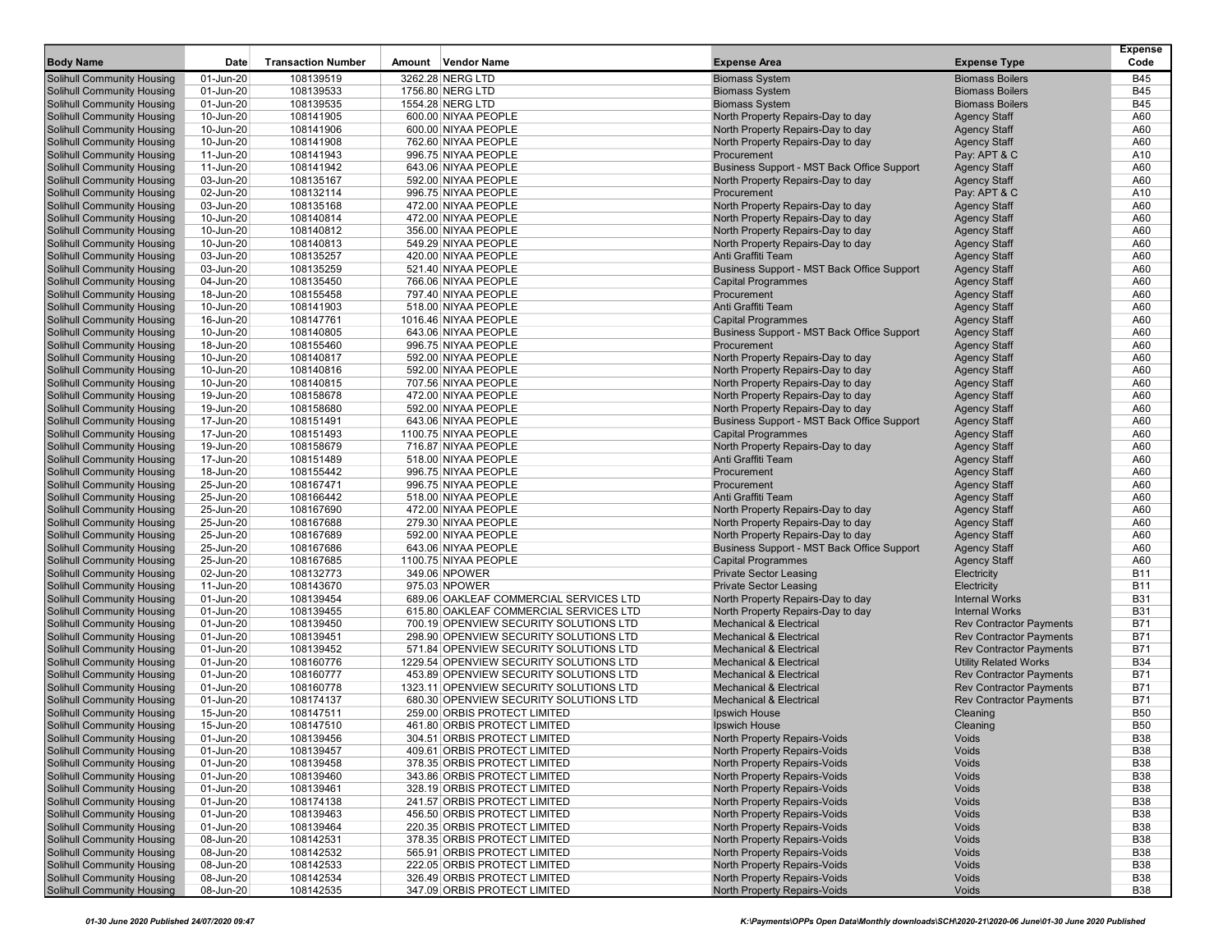| <b>Body Name</b>                                                       | Date                   | <b>Transaction Number</b> | Amount Vendor Name                          | <b>Expense Area</b>                                                     | <b>Expense Type</b>                | <b>Expense</b><br>Code |
|------------------------------------------------------------------------|------------------------|---------------------------|---------------------------------------------|-------------------------------------------------------------------------|------------------------------------|------------------------|
| Solihull Community Housing                                             | 01-Jun-20              | 108139519                 | 3262.28 NERG LTD                            | <b>Biomass System</b>                                                   | <b>Biomass Boilers</b>             | <b>B45</b>             |
| <b>Solihull Community Housing</b>                                      | 01-Jun-20              | 108139533                 | 1756.80 NERG LTD                            | <b>Biomass System</b>                                                   | <b>Biomass Boilers</b>             | <b>B45</b>             |
| <b>Solihull Community Housing</b>                                      | 01-Jun-20              | 108139535                 | 1554.28 NERG LTD                            | <b>Biomass System</b>                                                   | <b>Biomass Boilers</b>             | <b>B45</b>             |
| <b>Solihull Community Housing</b>                                      | 10-Jun-20              | 108141905                 | 600.00 NIYAA PEOPLE                         | North Property Repairs-Day to day                                       | <b>Agency Staff</b>                | A60                    |
| <b>Solihull Community Housing</b>                                      | 10-Jun-20              | 108141906                 | 600.00 NIYAA PEOPLE                         | North Property Repairs-Day to day                                       | <b>Agency Staff</b>                | A60                    |
| <b>Solihull Community Housing</b>                                      | 10-Jun-20              | 108141908                 | 762.60 NIYAA PEOPLE                         | North Property Repairs-Day to day                                       | <b>Agency Staff</b>                | A60                    |
| Solihull Community Housing                                             | 11-Jun-20              | 108141943                 | 996.75 NIYAA PEOPLE                         | Procurement                                                             | Pay: APT & C                       | A10                    |
| <b>Solihull Community Housing</b>                                      | 11-Jun-20              | 108141942                 | 643.06 NIYAA PEOPLE                         | Business Support - MST Back Office Support                              | <b>Agency Staff</b>                | A60                    |
| <b>Solihull Community Housing</b>                                      | 03-Jun-20              | 108135167                 | 592.00 NIYAA PEOPLE                         | North Property Repairs-Day to day                                       | <b>Agency Staff</b>                | A60                    |
| <b>Solihull Community Housing</b>                                      | 02-Jun-20              | 108132114                 | 996.75 NIYAA PEOPLE                         | Procurement                                                             | Pay: APT & C                       | A10                    |
| <b>Solihull Community Housing</b>                                      | 03-Jun-20              | 108135168                 | 472.00 NIYAA PEOPLE                         | North Property Repairs-Day to day                                       | <b>Agency Staff</b>                | A60                    |
| <b>Solihull Community Housing</b>                                      | 10-Jun-20              | 108140814                 | 472.00 NIYAA PEOPLE                         | North Property Repairs-Day to day                                       | <b>Agency Staff</b>                | A60                    |
| <b>Solihull Community Housing</b>                                      | 10-Jun-20              | 108140812                 | 356.00 NIYAA PEOPLE                         | North Property Repairs-Day to day                                       | <b>Agency Staff</b>                | A60                    |
| <b>Solihull Community Housing</b>                                      | 10-Jun-20              | 108140813                 | 549.29 NIYAA PEOPLE                         | North Property Repairs-Day to day                                       | <b>Agency Staff</b>                | A60                    |
| Solihull Community Housing                                             | 03-Jun-20              | 108135257                 | 420.00 NIYAA PEOPLE                         | Anti Graffiti Team                                                      | <b>Agency Staff</b>                | A60                    |
| <b>Solihull Community Housing</b>                                      | 03-Jun-20              | 108135259                 | 521.40 NIYAA PEOPLE                         | Business Support - MST Back Office Support                              | <b>Agency Staff</b>                | A60                    |
| <b>Solihull Community Housing</b>                                      | 04-Jun-20              | 108135450                 | 766.06 NIYAA PEOPLE                         | <b>Capital Programmes</b>                                               | <b>Agency Staff</b>                | A60                    |
| <b>Solihull Community Housing</b>                                      | 18-Jun-20              | 108155458                 | 797.40 NIYAA PEOPLE                         | Procurement                                                             | <b>Agency Staff</b>                | A60                    |
| <b>Solihull Community Housing</b>                                      | 10-Jun-20              | 108141903                 | 518.00 NIYAA PEOPLE                         | Anti Graffiti Team                                                      | <b>Agency Staff</b>                | A60                    |
| <b>Solihull Community Housing</b>                                      | 16-Jun-20              | 108147761                 | 1016.46 NIYAA PEOPLE                        | <b>Capital Programmes</b>                                               | <b>Agency Staff</b>                | A60                    |
| Solihull Community Housing                                             | 10-Jun-20              | 108140805                 | 643.06 NIYAA PEOPLE                         | Business Support - MST Back Office Support                              | <b>Agency Staff</b>                | A60                    |
| Solihull Community Housing                                             | 18-Jun-20              | 108155460                 | 996.75 NIYAA PEOPLE                         | Procurement                                                             | <b>Agency Staff</b>                | A60                    |
| <b>Solihull Community Housing</b>                                      | 10-Jun-20              | 108140817                 | 592.00 NIYAA PEOPLE                         | North Property Repairs-Day to day                                       | <b>Agency Staff</b>                | A60                    |
| <b>Solihull Community Housing</b>                                      | 10-Jun-20              | 108140816                 | 592.00 NIYAA PEOPLE                         | North Property Repairs-Day to day                                       | <b>Agency Staff</b>                | A60                    |
| Solihull Community Housing                                             | 10-Jun-20              | 108140815                 | 707.56 NIYAA PEOPLE                         | North Property Repairs-Day to day                                       | <b>Agency Staff</b>                | A60                    |
| <b>Solihull Community Housing</b>                                      | 19-Jun-20              | 108158678                 | 472.00 NIYAA PEOPLE                         | North Property Repairs-Day to day                                       | <b>Agency Staff</b>                | A60                    |
| Solihull Community Housing                                             | 19-Jun-20              | 108158680                 | 592.00 NIYAA PEOPLE                         | North Property Repairs-Day to day                                       | <b>Agency Staff</b>                | A60                    |
| <b>Solihull Community Housing</b>                                      | 17-Jun-20              | 108151491                 | 643.06 NIYAA PEOPLE                         | Business Support - MST Back Office Support                              | <b>Agency Staff</b>                | A60                    |
| <b>Solihull Community Housing</b>                                      | 17-Jun-20              | 108151493                 | 1100.75 NIYAA PEOPLE                        | <b>Capital Programmes</b>                                               | <b>Agency Staff</b>                | A60                    |
| <b>Solihull Community Housing</b>                                      | 19-Jun-20              | 108158679                 | 716.87 NIYAA PEOPLE                         | North Property Repairs-Day to day                                       | <b>Agency Staff</b>                | A60                    |
| Solihull Community Housing                                             | 17-Jun-20              | 108151489                 | 518.00 NIYAA PEOPLE                         | Anti Graffiti Team                                                      | <b>Agency Staff</b>                | A60                    |
| Solihull Community Housing                                             | 18-Jun-20              | 108155442                 | 996.75 NIYAA PEOPLE                         | Procurement                                                             | <b>Agency Staff</b>                | A60                    |
| <b>Solihull Community Housing</b>                                      | 25-Jun-20              | 108167471                 | 996.75 NIYAA PEOPLE                         | Procurement                                                             | <b>Agency Staff</b>                | A60                    |
| <b>Solihull Community Housing</b>                                      | 25-Jun-20              | 108166442                 | 518.00 NIYAA PEOPLE                         | Anti Graffiti Team                                                      | <b>Agency Staff</b>                | A60                    |
| <b>Solihull Community Housing</b>                                      | 25-Jun-20              | 108167690                 | 472.00 NIYAA PEOPLE                         | North Property Repairs-Day to day                                       | <b>Agency Staff</b>                | A60                    |
| <b>Solihull Community Housing</b>                                      | 25-Jun-20              | 108167688                 | 279.30 NIYAA PEOPLE                         | North Property Repairs-Day to day                                       | <b>Agency Staff</b>                | A60                    |
| <b>Solihull Community Housing</b>                                      | 25-Jun-20              | 108167689                 | 592.00 NIYAA PEOPLE                         | North Property Repairs-Day to day                                       | <b>Agency Staff</b>                | A60                    |
| <b>Solihull Community Housing</b>                                      | 25-Jun-20<br>25-Jun-20 | 108167686<br>108167685    | 643.06 NIYAA PEOPLE<br>1100.75 NIYAA PEOPLE | Business Support - MST Back Office Support<br><b>Capital Programmes</b> | <b>Agency Staff</b>                | A60<br>A60             |
| <b>Solihull Community Housing</b><br><b>Solihull Community Housing</b> | 02-Jun-20              | 108132773                 | 349.06 NPOWER                               | <b>Private Sector Leasing</b>                                           | <b>Agency Staff</b><br>Electricity | <b>B11</b>             |
| <b>Solihull Community Housing</b>                                      | 11-Jun-20              | 108143670                 | 975.03 NPOWER                               | <b>Private Sector Leasing</b>                                           | Electricity                        | <b>B11</b>             |
| <b>Solihull Community Housing</b>                                      | 01-Jun-20              | 108139454                 | 689.06 OAKLEAF COMMERCIAL SERVICES LTD      | North Property Repairs-Day to day                                       | <b>Internal Works</b>              | <b>B31</b>             |
| <b>Solihull Community Housing</b>                                      | 01-Jun-20              | 108139455                 | 615.80 OAKLEAF COMMERCIAL SERVICES LTD      | North Property Repairs-Day to day                                       | <b>Internal Works</b>              | <b>B31</b>             |
| <b>Solihull Community Housing</b>                                      | 01-Jun-20              | 108139450                 | 700.19 OPENVIEW SECURITY SOLUTIONS LTD      | <b>Mechanical &amp; Electrical</b>                                      | <b>Rev Contractor Payments</b>     | <b>B71</b>             |
| <b>Solihull Community Housing</b>                                      | 01-Jun-20              | 108139451                 | 298.90 OPENVIEW SECURITY SOLUTIONS LTD      | <b>Mechanical &amp; Electrical</b>                                      | <b>Rev Contractor Payments</b>     | <b>B71</b>             |
| Solihull Community Housing                                             | 01-Jun-20              | 108139452                 | 571.84 OPENVIEW SECURITY SOLUTIONS LTD      | <b>Mechanical &amp; Electrical</b>                                      | <b>Rev Contractor Payments</b>     | <b>B71</b>             |
| <b>Solihull Community Housing</b>                                      | 01-Jun-20              | 108160776                 | 1229.54 OPENVIEW SECURITY SOLUTIONS LTD     | <b>Mechanical &amp; Electrical</b>                                      | <b>Utility Related Works</b>       | <b>B34</b>             |
| <b>Solihull Community Housing</b>                                      | 01-Jun-20              | 108160777                 | 453.89 OPENVIEW SECURITY SOLUTIONS LTD      | <b>Mechanical &amp; Electrical</b>                                      | <b>Rev Contractor Payments</b>     | <b>B71</b>             |
| <b>Solihull Community Housing</b>                                      | 01-Jun-20              | 108160778                 | 1323.11 OPENVIEW SECURITY SOLUTIONS LTD     | <b>Mechanical &amp; Electrical</b>                                      | <b>Rev Contractor Payments</b>     | <b>B71</b>             |
| Solihull Community Housing                                             | 01-Jun-20              | 108174137                 | 680.30 OPENVIEW SECURITY SOLUTIONS LTD      | <b>Mechanical &amp; Electrical</b>                                      | <b>Rev Contractor Payments</b>     | <b>B71</b>             |
| Solihull Community Housing                                             | 15-Jun-20              | 108147511                 | 259.00 ORBIS PROTECT LIMITED                | <b>Ipswich House</b>                                                    | Cleaning                           | <b>B50</b>             |
| <b>Solihull Community Housing</b>                                      | 15-Jun-20              | 108147510                 | 461.80 ORBIS PROTECT LIMITED                | Ipswich House                                                           | Cleaning                           | <b>B50</b>             |
| <b>Solihull Community Housing</b>                                      | 01-Jun-20              | 108139456                 | 304.51 ORBIS PROTECT LIMITED                | North Property Repairs-Voids                                            | Voids                              | <b>B38</b>             |
| <b>Solihull Community Housing</b>                                      | 01-Jun-20              | 108139457                 | 409.61 ORBIS PROTECT LIMITED                | North Property Repairs-Voids                                            | Voids                              | <b>B38</b>             |
| <b>Solihull Community Housing</b>                                      | 01-Jun-20              | 108139458                 | 378.35 ORBIS PROTECT LIMITED                | North Property Repairs-Voids                                            | Voids                              | <b>B38</b>             |
| <b>Solihull Community Housing</b>                                      | 01-Jun-20              | 108139460                 | 343.86 ORBIS PROTECT LIMITED                | North Property Repairs-Voids                                            | Voids                              | <b>B38</b>             |
| <b>Solihull Community Housing</b>                                      | 01-Jun-20              | 108139461                 | 328.19 ORBIS PROTECT LIMITED                | North Property Repairs-Voids                                            | Voids                              | <b>B38</b>             |
| <b>Solihull Community Housing</b>                                      | 01-Jun-20              | 108174138                 | 241.57 ORBIS PROTECT LIMITED                | North Property Repairs-Voids                                            | Voids                              | <b>B38</b>             |
| <b>Solihull Community Housing</b>                                      | 01-Jun-20              | 108139463                 | 456.50 ORBIS PROTECT LIMITED                | North Property Repairs-Voids                                            | Voids                              | <b>B38</b>             |
| <b>Solihull Community Housing</b>                                      | 01-Jun-20              | 108139464                 | 220.35 ORBIS PROTECT LIMITED                | North Property Repairs-Voids                                            | Voids                              | <b>B38</b>             |
| <b>Solihull Community Housing</b>                                      | 08-Jun-20              | 108142531                 | 378.35 ORBIS PROTECT LIMITED                | North Property Repairs-Voids                                            | Voids                              | <b>B38</b>             |
| Solihull Community Housing                                             | 08-Jun-20              | 108142532                 | 565.91 ORBIS PROTECT LIMITED                | North Property Repairs-Voids                                            | Voids                              | <b>B38</b>             |
| <b>Solihull Community Housing</b>                                      | 08-Jun-20              | 108142533                 | 222.05 ORBIS PROTECT LIMITED                | North Property Repairs-Voids                                            | Voids                              | <b>B38</b>             |
| <b>Solihull Community Housing</b>                                      | 08-Jun-20              | 108142534                 | 326.49 ORBIS PROTECT LIMITED                | North Property Repairs-Voids                                            | Voids                              | <b>B38</b>             |
| <b>Solihull Community Housing</b>                                      | 08-Jun-20              | 108142535                 | 347.09 ORBIS PROTECT LIMITED                | North Property Repairs-Voids                                            | Voids                              | <b>B38</b>             |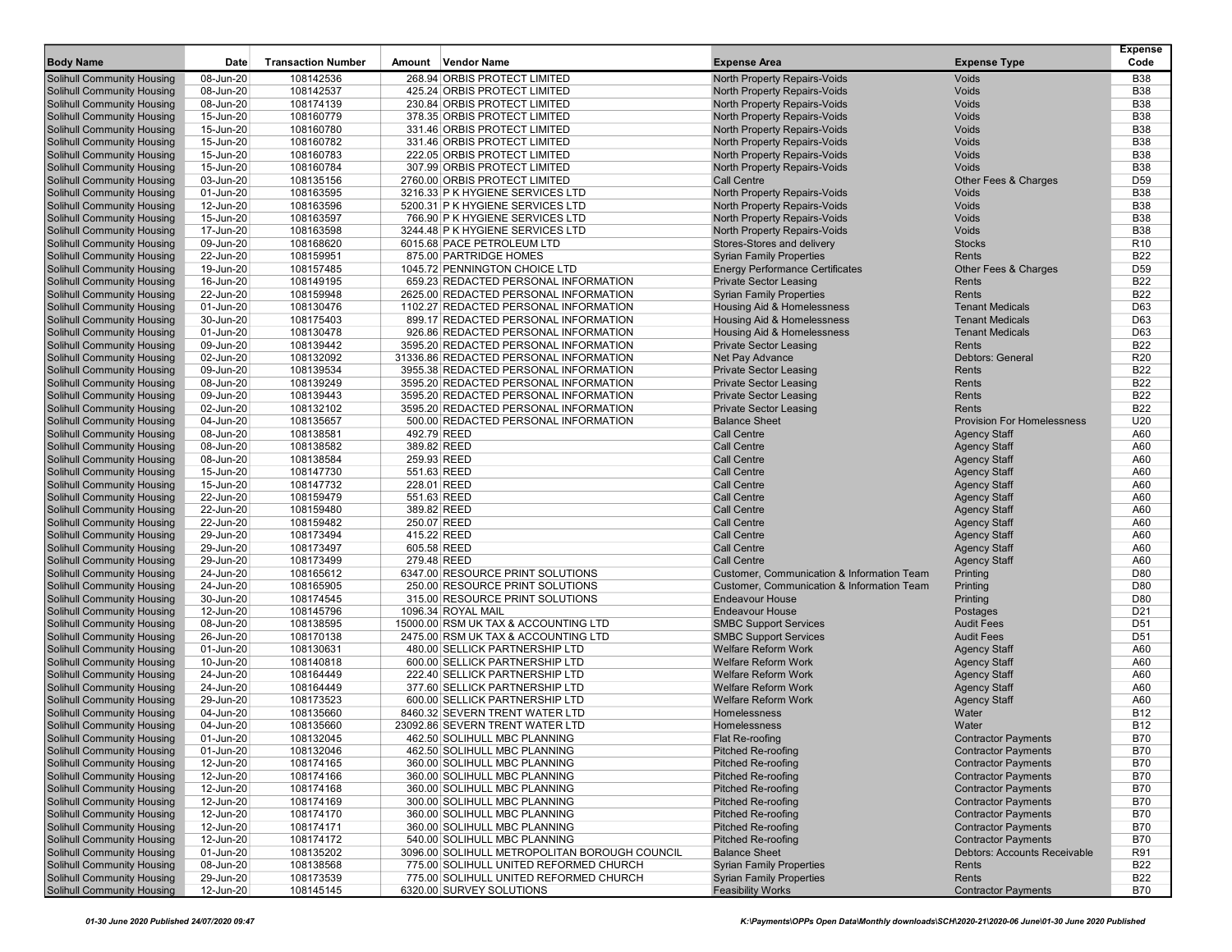| <b>Body Name</b>                                         | Date                    | <b>Transaction Number</b> | Amount<br>Vendor Name                                               | <b>Expense Area</b>                                                                                 | <b>Expense Type</b>               | <b>Expense</b><br>Code |
|----------------------------------------------------------|-------------------------|---------------------------|---------------------------------------------------------------------|-----------------------------------------------------------------------------------------------------|-----------------------------------|------------------------|
| Solihull Community Housing                               | 08-Jun-20               | 108142536                 | 268.94 ORBIS PROTECT LIMITED                                        | North Property Repairs-Voids                                                                        | <b>Voids</b>                      | <b>B38</b>             |
| Solihull Community Housing                               | 08-Jun-20               | 108142537                 | 425.24 ORBIS PROTECT LIMITED                                        | <b>North Property Repairs-Voids</b>                                                                 | <b>Voids</b>                      | <b>B38</b>             |
| Solihull Community Housing                               | 08-Jun-20               | 108174139                 | 230.84 ORBIS PROTECT LIMITED                                        | <b>North Property Repairs-Voids</b>                                                                 | Voids                             | <b>B38</b>             |
| Solihull Community Housing                               | 15-Jun-20               | 108160779                 | 378.35 ORBIS PROTECT LIMITED                                        | North Property Repairs-Voids                                                                        | <b>Voids</b>                      | <b>B38</b>             |
| Solihull Community Housing                               | 15-Jun-20               | 108160780                 | 331.46 ORBIS PROTECT LIMITED                                        | <b>North Property Repairs-Voids</b>                                                                 | <b>Voids</b>                      | <b>B38</b>             |
| Solihull Community Housing                               | 15-Jun-20               | 108160782                 | 331.46 ORBIS PROTECT LIMITED                                        | North Property Repairs-Voids                                                                        | Voids                             | <b>B38</b>             |
| Solihull Community Housing                               | 15-Jun-20               | 108160783                 | 222.05 ORBIS PROTECT LIMITED                                        | <b>North Property Repairs-Voids</b>                                                                 | Voids                             | <b>B38</b>             |
| Solihull Community Housing                               | 15-Jun-20               | 108160784                 | 307.99 ORBIS PROTECT LIMITED                                        | <b>North Property Repairs-Voids</b>                                                                 | <b>Voids</b>                      | <b>B38</b>             |
| <b>Solihull Community Housing</b>                        | 03-Jun-20               | 108135156                 | 2760.00 ORBIS PROTECT LIMITED                                       | Call Centre                                                                                         | Other Fees & Charges              | D <sub>59</sub>        |
| Solihull Community Housing                               | 01-Jun-20               | 108163595                 | 3216.33 P K HYGIENE SERVICES LTD                                    | North Property Repairs-Voids                                                                        | Voids                             | <b>B38</b>             |
| Solihull Community Housing                               | 12-Jun-20               | 108163596                 | 5200.31 P K HYGIENE SERVICES LTD                                    | North Property Repairs-Voids                                                                        | <b>Voids</b>                      | <b>B38</b>             |
| Solihull Community Housing                               | 15-Jun-20               | 108163597                 | 766.90 P K HYGIENE SERVICES LTD                                     | North Property Repairs-Voids                                                                        | <b>Voids</b>                      | <b>B38</b>             |
| Solihull Community Housing                               | 17-Jun-20               | 108163598                 | 3244.48 P K HYGIENE SERVICES LTD                                    | North Property Repairs-Voids                                                                        | <b>Voids</b>                      | <b>B38</b>             |
| Solihull Community Housing                               | $\overline{09}$ -Jun-20 | 108168620                 | 6015.68 PACE PETROLEUM LTD                                          | Stores-Stores and delivery                                                                          | <b>Stocks</b>                     | R <sub>10</sub>        |
| Solihull Community Housing                               | 22-Jun-20               | 108159951                 | 875.00 PARTRIDGE HOMES                                              | <b>Syrian Family Properties</b>                                                                     | Rents                             | <b>B22</b>             |
| Solihull Community Housing                               | 19-Jun-20               | 108157485                 | 1045.72 PENNINGTON CHOICE LTD                                       | <b>Energy Performance Certificates</b>                                                              | Other Fees & Charges              | D <sub>59</sub>        |
| Solihull Community Housing                               | 16-Jun-20               | 108149195                 | 659.23 REDACTED PERSONAL INFORMATION                                | <b>Private Sector Leasing</b>                                                                       | Rents                             | <b>B22</b>             |
| Solihull Community Housing                               | 22-Jun-20               | 108159948                 | 2625.00 REDACTED PERSONAL INFORMATION                               | <b>Syrian Family Properties</b>                                                                     | Rents                             | <b>B22</b>             |
| Solihull Community Housing                               | 01-Jun-20               | 108130476                 | 1102.27 REDACTED PERSONAL INFORMATION                               | Housing Aid & Homelessness                                                                          | <b>Tenant Medicals</b>            | D63                    |
| Solihull Community Housing                               | 30-Jun-20               | 108175403                 | 899.17 REDACTED PERSONAL INFORMATION                                | Housing Aid & Homelessness                                                                          | <b>Tenant Medicals</b>            | D63                    |
| Solihull Community Housing                               | 01-Jun-20               | 108130478                 | 926.86 REDACTED PERSONAL INFORMATION                                | <b>Housing Aid &amp; Homelessness</b>                                                               | <b>Tenant Medicals</b>            | D63                    |
| Solihull Community Housing                               | 09-Jun-20               | 108139442                 | 3595.20 REDACTED PERSONAL INFORMATION                               | <b>Private Sector Leasing</b>                                                                       | Rents                             | <b>B22</b>             |
| Solihull Community Housing                               | 02-Jun-20               | 108132092                 | 31336.86 REDACTED PERSONAL INFORMATION                              | Net Pay Advance                                                                                     | Debtors: General                  | R <sub>20</sub>        |
| Solihull Community Housing                               | 09-Jun-20               | 108139534                 | 3955.38 REDACTED PERSONAL INFORMATION                               | <b>Private Sector Leasing</b>                                                                       | Rents                             | <b>B22</b>             |
| <b>Solihull Community Housing</b>                        | 08-Jun-20               | 108139249                 | 3595.20 REDACTED PERSONAL INFORMATION                               | <b>Private Sector Leasing</b>                                                                       | Rents                             | <b>B22</b>             |
| <b>Solihull Community Housing</b>                        | 09-Jun-20               | 108139443                 | 3595.20 REDACTED PERSONAL INFORMATION                               | <b>Private Sector Leasing</b>                                                                       | Rents                             | <b>B22</b>             |
| Solihull Community Housing                               | 02-Jun-20               | 108132102                 | 3595.20 REDACTED PERSONAL INFORMATION                               | <b>Private Sector Leasing</b>                                                                       | Rents                             | B22                    |
| Solihull Community Housing                               | 04-Jun-20               | 108135657                 | 500.00 REDACTED PERSONAL INFORMATION                                | <b>Balance Sheet</b>                                                                                | <b>Provision For Homelessness</b> | U20                    |
| Solihull Community Housing                               | 08-Jun-20               | 108138581                 | 492.79 REED                                                         | Call Centre                                                                                         | <b>Agency Staff</b>               | A60                    |
| Solihull Community Housing                               | 08-Jun-20               | 108138582                 | 389.82 REED                                                         | <b>Call Centre</b>                                                                                  | <b>Agency Staff</b>               | A60                    |
| Solihull Community Housing                               | 08-Jun-20               | 108138584                 | 259.93 REED                                                         | <b>Call Centre</b>                                                                                  | <b>Agency Staff</b>               | A60                    |
| Solihull Community Housing                               | 15-Jun-20               | 108147730                 | 551.63 REED                                                         | <b>Call Centre</b>                                                                                  | <b>Agency Staff</b>               | A60                    |
| <b>Solihull Community Housing</b>                        | 15-Jun-20               | 108147732                 | 228.01 REED                                                         | <b>Call Centre</b>                                                                                  | <b>Agency Staff</b>               | A60                    |
| Solihull Community Housing                               | 22-Jun-20               | 108159479                 | 551.63 REED                                                         | <b>Call Centre</b>                                                                                  | <b>Agency Staff</b>               | A60                    |
| Solihull Community Housing                               | 22-Jun-20               | 108159480                 | 389.82 REED                                                         | <b>Call Centre</b>                                                                                  | <b>Agency Staff</b>               | A60                    |
| Solihull Community Housing                               | 22-Jun-20               | 108159482                 | 250.07 REED                                                         | <b>Call Centre</b>                                                                                  | <b>Agency Staff</b>               | A60                    |
| Solihull Community Housing                               | 29-Jun-20               | 108173494                 | 415.22 REED                                                         | <b>Call Centre</b>                                                                                  | <b>Agency Staff</b>               | A60                    |
| Solihull Community Housing                               | 29-Jun-20<br>29-Jun-20  | 108173497                 | 605.58 REED<br>279.48 REED                                          | <b>Call Centre</b><br><b>Call Centre</b>                                                            | <b>Agency Staff</b>               | A60<br>A60             |
| Solihull Community Housing                               |                         | 108173499                 |                                                                     |                                                                                                     | <b>Agency Staff</b>               | D80                    |
| Solihull Community Housing                               | 24-Jun-20<br>24-Jun-20  | 108165612<br>108165905    | 6347.00 RESOURCE PRINT SOLUTIONS<br>250.00 RESOURCE PRINT SOLUTIONS | Customer, Communication & Information Team<br><b>Customer, Communication &amp; Information Team</b> | Printing<br>Printing              | D80                    |
| Solihull Community Housing                               | 30-Jun-20               |                           | 315.00 RESOURCE PRINT SOLUTIONS                                     | <b>Endeavour House</b>                                                                              | Printing                          | D80                    |
| Solihull Community Housing<br>Solihull Community Housing | 12-Jun-20               | 108174545<br>108145796    | 1096.34 ROYAL MAIL                                                  | <b>Endeavour House</b>                                                                              | Postages                          | D <sub>21</sub>        |
| Solihull Community Housing                               | 08-Jun-20               | 108138595                 | 15000.00 RSM UK TAX & ACCOUNTING LTD                                | <b>SMBC Support Services</b>                                                                        | <b>Audit Fees</b>                 | D <sub>51</sub>        |
| Solihull Community Housing                               | 26-Jun-20               | 108170138                 | 2475.00 RSM UK TAX & ACCOUNTING LTD                                 | <b>SMBC Support Services</b>                                                                        | <b>Audit Fees</b>                 | D <sub>51</sub>        |
| Solihull Community Housing                               | 01-Jun-20               | 108130631                 | 480.00 SELLICK PARTNERSHIP LTD                                      | <b>Welfare Reform Work</b>                                                                          | <b>Agency Staff</b>               | A60                    |
| Solihull Community Housing                               | 10-Jun-20               | 108140818                 | 600.00 SELLICK PARTNERSHIP LTD                                      | <b>Welfare Reform Work</b>                                                                          | <b>Agency Staff</b>               | A60                    |
| Solihull Community Housing                               | 24-Jun-20               | 108164449                 | 222.40 SELLICK PARTNERSHIP LTD                                      | <b>Welfare Reform Work</b>                                                                          | <b>Agency Staff</b>               | A60                    |
| Solihull Community Housing                               | 24-Jun-20               | 108164449                 | 377.60 SELLICK PARTNERSHIP LTD                                      | <b>Welfare Reform Work</b>                                                                          | <b>Agency Staff</b>               | A60                    |
| <b>Solihull Community Housing</b>                        | 29-Jun-20               | 108173523                 | 600.00 SELLICK PARTNERSHIP LTD                                      | <b>Welfare Reform Work</b>                                                                          | <b>Agency Staff</b>               | A60                    |
| <b>Solihull Community Housing</b>                        | 04-Jun-20               | 108135660                 | 8460.32 SEVERN TRENT WATER LTD                                      | Homelessness                                                                                        | Water                             | <b>B12</b>             |
| Solihull Community Housing                               | 04-Jun-20               | 108135660                 | 23092.86 SEVERN TRENT WATER LTD                                     | Homelessness                                                                                        | Water                             | <b>B12</b>             |
| <b>Solihull Community Housing</b>                        | 01-Jun-20               | 108132045                 | 462.50 SOLIHULL MBC PLANNING                                        | Flat Re-roofing                                                                                     | <b>Contractor Payments</b>        | B70                    |
| <b>Solihull Community Housing</b>                        | 01-Jun-20               | 108132046                 | 462.50 SOLIHULL MBC PLANNING                                        | Pitched Re-roofing                                                                                  | <b>Contractor Payments</b>        | <b>B70</b>             |
| Solihull Community Housing                               | 12-Jun-20               | 108174165                 | 360.00 SOLIHULL MBC PLANNING                                        | Pitched Re-roofing                                                                                  | <b>Contractor Payments</b>        | <b>B70</b>             |
| Solihull Community Housing                               | 12-Jun-20               | 108174166                 | 360.00 SOLIHULL MBC PLANNING                                        | <b>Pitched Re-roofing</b>                                                                           | <b>Contractor Payments</b>        | B70                    |
| Solihull Community Housing                               | 12-Jun-20               | 108174168                 | 360.00 SOLIHULL MBC PLANNING                                        | Pitched Re-roofing                                                                                  | <b>Contractor Payments</b>        | <b>B70</b>             |
| <b>Solihull Community Housing</b>                        | 12-Jun-20               | 108174169                 | 300.00 SOLIHULL MBC PLANNING                                        | Pitched Re-roofing                                                                                  | <b>Contractor Payments</b>        | <b>B70</b>             |
| Solihull Community Housing                               | 12-Jun-20               | 108174170                 | 360.00 SOLIHULL MBC PLANNING                                        | <b>Pitched Re-roofing</b>                                                                           | <b>Contractor Payments</b>        | <b>B70</b>             |
| Solihull Community Housing                               | 12-Jun-20               | 108174171                 | 360.00 SOLIHULL MBC PLANNING                                        | Pitched Re-roofing                                                                                  | <b>Contractor Payments</b>        | <b>B70</b>             |
| Solihull Community Housing                               | 12-Jun-20               | 108174172                 | 540.00 SOLIHULL MBC PLANNING                                        | <b>Pitched Re-roofing</b>                                                                           | <b>Contractor Payments</b>        | <b>B70</b>             |
| Solihull Community Housing                               | 01-Jun-20               | 108135202                 | 3096.00 SOLIHULL METROPOLITAN BOROUGH COUNCIL                       | <b>Balance Sheet</b>                                                                                | Debtors: Accounts Receivable      | R91                    |
| Solihull Community Housing                               | 08-Jun-20               | 108138568                 | 775.00 SOLIHULL UNITED REFORMED CHURCH                              | <b>Syrian Family Properties</b>                                                                     | Rents                             | <b>B22</b>             |
| Solihull Community Housing                               | 29-Jun-20               | 108173539                 | 775.00 SOLIHULL UNITED REFORMED CHURCH                              | <b>Syrian Family Properties</b>                                                                     | Rents                             | <b>B22</b>             |
| <b>Solihull Community Housing</b>                        | 12-Jun-20               | 108145145                 | 6320.00 SURVEY SOLUTIONS                                            | <b>Feasibility Works</b>                                                                            | <b>Contractor Payments</b>        | <b>B70</b>             |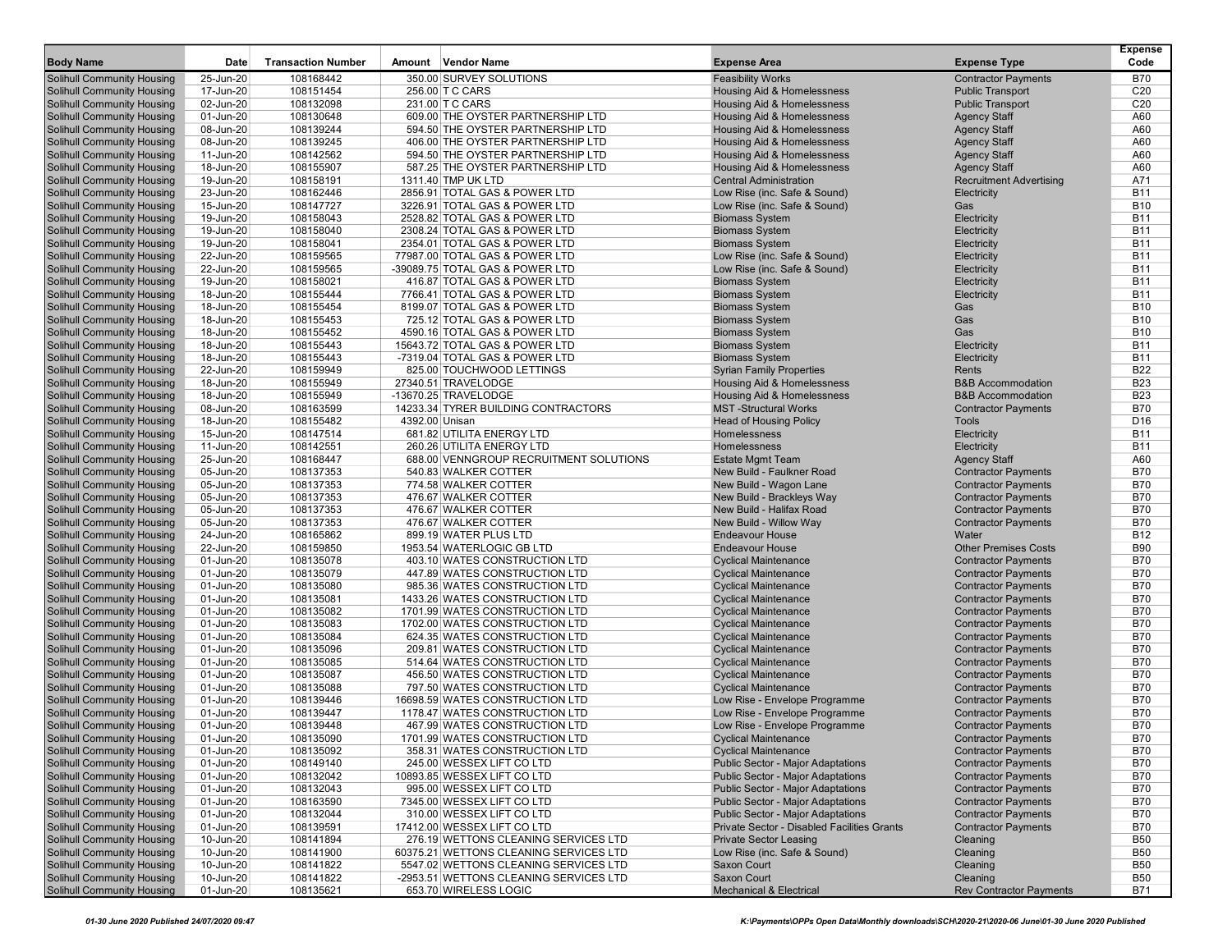| <b>Body Name</b>                                         | Date                   | <b>Transaction Number</b> | Amount<br>Vendor Name                                            | <b>Expense Area</b>                                        | <b>Expense Type</b>                                      | <b>Expense</b><br>Code   |
|----------------------------------------------------------|------------------------|---------------------------|------------------------------------------------------------------|------------------------------------------------------------|----------------------------------------------------------|--------------------------|
| Solihull Community Housing                               | 25-Jun-20              | 108168442                 | 350.00 SURVEY SOLUTIONS                                          | <b>Feasibility Works</b>                                   | <b>Contractor Payments</b>                               | <b>B70</b>               |
| Solihull Community Housing                               | 17-Jun-20              | 108151454                 | 256.00 T C CARS                                                  | Housing Aid & Homelessness                                 | <b>Public Transport</b>                                  | C <sub>20</sub>          |
| Solihull Community Housing                               | 02-Jun-20              | 108132098                 | 231.00 T C CARS                                                  | Housing Aid & Homelessness                                 | <b>Public Transport</b>                                  | C <sub>20</sub>          |
| Solihull Community Housing                               | 01-Jun-20              | 108130648                 | 609.00 THE OYSTER PARTNERSHIP LTD                                | Housing Aid & Homelessness                                 | <b>Agency Staff</b>                                      | A60                      |
| Solihull Community Housing                               | 08-Jun-20              | 108139244                 | 594.50 THE OYSTER PARTNERSHIP LTD                                | <b>Housing Aid &amp; Homelessness</b>                      | <b>Agency Staff</b>                                      | A60                      |
| Solihull Community Housing                               | 08-Jun-20              | 108139245                 | 406.00 THE OYSTER PARTNERSHIP LTD                                | <b>Housing Aid &amp; Homelessness</b>                      | <b>Agency Staff</b>                                      | A60                      |
| Solihull Community Housing                               | 11-Jun-20              | 108142562                 | 594.50 THE OYSTER PARTNERSHIP LTD                                | Housing Aid & Homelessness                                 | <b>Agency Staff</b>                                      | A60                      |
| Solihull Community Housing                               | 18-Jun-20              | 108155907                 | 587.25 THE OYSTER PARTNERSHIP LTD                                | Housing Aid & Homelessness                                 | <b>Agency Staff</b>                                      | A60                      |
| Solihull Community Housing                               | 19-Jun-20              | 108158191                 | 1311.40 TMP UK LTD                                               | <b>Central Administration</b>                              | <b>Recruitment Advertising</b>                           | A71                      |
| Solihull Community Housing                               | 23-Jun-20              | 108162446                 | 2856.91 TOTAL GAS & POWER LTD                                    | Low Rise (inc. Safe & Sound)                               | Electricity                                              | <b>B11</b>               |
| Solihull Community Housing                               | 15-Jun-20              | 108147727                 | 3226.91 TOTAL GAS & POWER LTD                                    | Low Rise (inc. Safe & Sound)                               | Gas                                                      | <b>B10</b>               |
| Solihull Community Housing                               | 19-Jun-20              | 108158043                 | 2528.82 TOTAL GAS & POWER LTD                                    | <b>Biomass System</b>                                      | Electricity                                              | <b>B11</b>               |
| Solihull Community Housing                               | 19-Jun-20              | 108158040                 | 2308.24 TOTAL GAS & POWER LTD                                    | <b>Biomass System</b>                                      | Electricity                                              | <b>B11</b>               |
| Solihull Community Housing                               | 19-Jun-20              | 108158041                 | 2354.01 TOTAL GAS & POWER LTD                                    | <b>Biomass System</b>                                      | Electricity                                              | <b>B11</b>               |
| Solihull Community Housing                               | 22-Jun-20              | 108159565                 | 77987.00 TOTAL GAS & POWER LTD                                   | Low Rise (inc. Safe & Sound)                               | Electricity                                              | <b>B11</b>               |
| Solihull Community Housing                               | 22-Jun-20              | 108159565                 | -39089.75 TOTAL GAS & POWER LTD                                  | Low Rise (inc. Safe & Sound)                               | Electricity                                              | <b>B11</b>               |
| Solihull Community Housing<br>Solihull Community Housing | 19-Jun-20<br>18-Jun-20 | 108158021<br>108155444    | 416.87 TOTAL GAS & POWER LTD<br>7766.41 TOTAL GAS & POWER LTD    | <b>Biomass System</b><br><b>Biomass System</b>             | Electricity<br>Electricity                               | <b>B11</b><br><b>B11</b> |
| Solihull Community Housing                               | 18-Jun-20              | 108155454                 | 8199.07 TOTAL GAS & POWER LTD                                    | <b>Biomass System</b>                                      | Gas                                                      | <b>B10</b>               |
| Solihull Community Housing                               | 18-Jun-20              | 108155453                 | 725.12 TOTAL GAS & POWER LTD                                     | <b>Biomass System</b>                                      | Gas                                                      | <b>B10</b>               |
| Solihull Community Housing                               | 18-Jun-20              | 108155452                 | 4590.16 TOTAL GAS & POWER LTD                                    | <b>Biomass System</b>                                      | Gas                                                      | <b>B10</b>               |
| Solihull Community Housing                               | 18-Jun-20              | 108155443                 | 15643.72 TOTAL GAS & POWER LTD                                   | <b>Biomass System</b>                                      | Electricity                                              | <b>B11</b>               |
| Solihull Community Housing                               | 18-Jun-20              | 108155443                 | -7319.04 TOTAL GAS & POWER LTD                                   | <b>Biomass System</b>                                      | Electricity                                              | <b>B11</b>               |
| Solihull Community Housing                               | 22-Jun-20              | 108159949                 | 825.00 TOUCHWOOD LETTINGS                                        | <b>Syrian Family Properties</b>                            | Rents                                                    | <b>B22</b>               |
| <b>Solihull Community Housing</b>                        | 18-Jun-20              | 108155949                 | 27340.51 TRAVELODGE                                              | Housing Aid & Homelessness                                 | <b>B&amp;B Accommodation</b>                             | <b>B23</b>               |
| <b>Solihull Community Housing</b>                        | 18-Jun-20              | 108155949                 | -13670.25 TRAVELODGE                                             | Housing Aid & Homelessness                                 | <b>B&amp;B Accommodation</b>                             | <b>B23</b>               |
| Solihull Community Housing                               | 08-Jun-20              | 108163599                 | 14233.34 TYRER BUILDING CONTRACTORS                              | <b>MST-Structural Works</b>                                | <b>Contractor Payments</b>                               | <b>B70</b>               |
| Solihull Community Housing                               | 18-Jun-20              | 108155482                 | 4392.00 Unisan                                                   | <b>Head of Housing Policy</b>                              | Tools                                                    | D16                      |
| Solihull Community Housing                               | 15-Jun-20              | 108147514                 | 681.82 UTILITA ENERGY LTD                                        | Homelessness                                               | Electricity                                              | <b>B11</b>               |
| Solihull Community Housing                               | 11-Jun-20              | 108142551                 | 260.26 UTILITA ENERGY LTD                                        | <b>Homelessness</b>                                        | Electricity                                              | <b>B11</b>               |
| Solihull Community Housing                               | 25-Jun-20              | 108168447                 | 688.00 VENNGROUP RECRUITMENT SOLUTIONS                           | <b>Estate Mgmt Team</b>                                    | <b>Agency Staff</b>                                      | A60                      |
| Solihull Community Housing                               | 05-Jun-20              | 108137353                 | 540.83 WALKER COTTER                                             | New Build - Faulkner Road                                  | <b>Contractor Payments</b>                               | <b>B70</b>               |
| Solihull Community Housing                               | 05-Jun-20              | 108137353                 | 774.58 WALKER COTTER                                             | New Build - Wagon Lane                                     | <b>Contractor Payments</b>                               | <b>B70</b>               |
| Solihull Community Housing                               | 05-Jun-20              | 108137353                 | 476.67 WALKER COTTER                                             | New Build - Brackleys Way                                  | <b>Contractor Payments</b>                               | <b>B70</b>               |
| Solihull Community Housing                               | 05-Jun-20              | 108137353                 | 476.67 WALKER COTTER                                             | New Build - Halifax Road                                   | <b>Contractor Payments</b>                               | <b>B70</b>               |
| Solihull Community Housing                               | 05-Jun-20              | 108137353                 | 476.67 WALKER COTTER                                             | New Build - Willow Way                                     | <b>Contractor Payments</b>                               | <b>B70</b>               |
| Solihull Community Housing                               | 24-Jun-20              | 108165862                 | 899.19 WATER PLUS LTD                                            | <b>Endeavour House</b>                                     | Water                                                    | <b>B12</b>               |
| Solihull Community Housing                               | 22-Jun-20              | 108159850                 | 1953.54 WATERLOGIC GB LTD                                        | <b>Endeavour House</b>                                     | <b>Other Premises Costs</b>                              | <b>B90</b>               |
| Solihull Community Housing                               | 01-Jun-20              | 108135078                 | 403.10 WATES CONSTRUCTION LTD                                    | <b>Cyclical Maintenance</b>                                | <b>Contractor Payments</b>                               | <b>B70</b>               |
| Solihull Community Housing                               | 01-Jun-20              | 108135079                 | 447.89 WATES CONSTRUCTION LTD                                    | <b>Cyclical Maintenance</b>                                | <b>Contractor Payments</b>                               | <b>B70</b>               |
| Solihull Community Housing                               | 01-Jun-20              | 108135080                 | 985.36 WATES CONSTRUCTION LTD                                    | <b>Cyclical Maintenance</b>                                | <b>Contractor Payments</b>                               | <b>B70</b>               |
| Solihull Community Housing                               | 01-Jun-20              | 108135081                 | 1433.26 WATES CONSTRUCTION LTD                                   | <b>Cyclical Maintenance</b>                                | <b>Contractor Payments</b>                               | <b>B70</b><br><b>B70</b> |
| Solihull Community Housing                               | 01-Jun-20              | 108135082<br>108135083    | 1701.99 WATES CONSTRUCTION LTD<br>1702.00 WATES CONSTRUCTION LTD | <b>Cyclical Maintenance</b>                                | <b>Contractor Payments</b>                               | <b>B70</b>               |
| Solihull Community Housing<br>Solihull Community Housing | 01-Jun-20<br>01-Jun-20 | 108135084                 | 624.35 WATES CONSTRUCTION LTD                                    | <b>Cyclical Maintenance</b><br><b>Cyclical Maintenance</b> | <b>Contractor Payments</b><br><b>Contractor Payments</b> | B70                      |
| Solihull Community Housing                               | 01-Jun-20              | 108135096                 | 209.81 WATES CONSTRUCTION LTD                                    | <b>Cyclical Maintenance</b>                                | <b>Contractor Payments</b>                               | <b>B70</b>               |
| Solihull Community Housing                               | 01-Jun-20              | 108135085                 | 514.64 WATES CONSTRUCTION LTD                                    | <b>Cyclical Maintenance</b>                                | <b>Contractor Payments</b>                               | <b>B70</b>               |
| Solihull Community Housing                               | 01-Jun-20              | 108135087                 | 456.50 WATES CONSTRUCTION LTD                                    | <b>Cyclical Maintenance</b>                                | <b>Contractor Payments</b>                               | <b>B70</b>               |
| Solihull Community Housing                               | 01-Jun-20              | 108135088                 | 797.50 WATES CONSTRUCTION LTD                                    | <b>Cyclical Maintenance</b>                                | <b>Contractor Payments</b>                               | <b>B70</b>               |
| Solihull Community Housing                               | 01-Jun-20              | 108139446                 | 16698.59 WATES CONSTRUCTION LTD                                  | Low Rise - Envelope Programme                              | <b>Contractor Payments</b>                               | <b>B70</b>               |
| <b>Solihull Community Housing</b>                        | 01-Jun-20              | 108139447                 | 1178.47 WATES CONSTRUCTION LTD                                   | Low Rise - Envelope Programme                              | <b>Contractor Payments</b>                               | <b>B70</b>               |
| Solihull Community Housing                               | 01-Jun-20              | 108139448                 | 467.99 WATES CONSTRUCTION LTD                                    | Low Rise - Envelope Programme                              | <b>Contractor Payments</b>                               | <b>B70</b>               |
| <b>Solihull Community Housing</b>                        | 01-Jun-20              | 108135090                 | 1701.99 WATES CONSTRUCTION LTD                                   | <b>Cyclical Maintenance</b>                                | <b>Contractor Payments</b>                               | <b>B70</b>               |
| Solihull Community Housing                               | 01-Jun-20              | 108135092                 | 358.31 WATES CONSTRUCTION LTD                                    | <b>Cyclical Maintenance</b>                                | <b>Contractor Payments</b>                               | <b>B70</b>               |
| Solihull Community Housing                               | 01-Jun-20              | 108149140                 | 245.00 WESSEX LIFT CO LTD                                        | <b>Public Sector - Major Adaptations</b>                   | <b>Contractor Payments</b>                               | B70                      |
| Solihull Community Housing                               | 01-Jun-20              | 108132042                 | 10893.85 WESSEX LIFT CO LTD                                      | <b>Public Sector - Major Adaptations</b>                   | <b>Contractor Payments</b>                               | B70                      |
| Solihull Community Housing                               | 01-Jun-20              | 108132043                 | 995.00 WESSEX LIFT CO LTD                                        | <b>Public Sector - Major Adaptations</b>                   | <b>Contractor Payments</b>                               | <b>B70</b>               |
| Solihull Community Housing                               | 01-Jun-20              | 108163590                 | 7345.00 WESSEX LIFT CO LTD                                       | <b>Public Sector - Major Adaptations</b>                   | <b>Contractor Payments</b>                               | B70                      |
| Solihull Community Housing                               | 01-Jun-20              | 108132044                 | 310.00 WESSEX LIFT CO LTD                                        | <b>Public Sector - Major Adaptations</b>                   | <b>Contractor Payments</b>                               | B70                      |
| Solihull Community Housing                               | 01-Jun-20              | 108139591                 | 17412.00 WESSEX LIFT CO LTD                                      | Private Sector - Disabled Facilities Grants                | <b>Contractor Payments</b>                               | <b>B70</b>               |
| Solihull Community Housing                               | 10-Jun-20              | 108141894                 | 276.19 WETTONS CLEANING SERVICES LTD                             | <b>Private Sector Leasing</b>                              | Cleaning                                                 | <b>B50</b>               |
| Solihull Community Housing                               | 10-Jun-20              | 108141900                 | 60375.21 WETTONS CLEANING SERVICES LTD                           | Low Rise (inc. Safe & Sound)                               | Cleaning                                                 | <b>B50</b>               |
| Solihull Community Housing                               | 10-Jun-20              | 108141822                 | 5547.02 WETTONS CLEANING SERVICES LTD                            | Saxon Court                                                | Cleaning                                                 | <b>B50</b>               |
| Solihull Community Housing                               | 10-Jun-20              | 108141822                 | -2953.51 WETTONS CLEANING SERVICES LTD                           | Saxon Court                                                | Cleaning                                                 | <b>B50</b>               |
| <b>Solihull Community Housing</b>                        | 01-Jun-20              | 108135621                 | 653.70 WIRELESS LOGIC                                            | <b>Mechanical &amp; Electrical</b>                         | <b>Rev Contractor Payments</b>                           | B71                      |